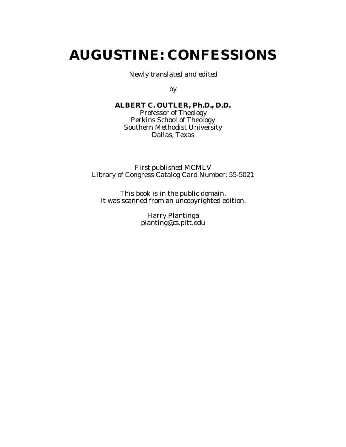# **AUGUSTINE: CONFESSIONS**

*Newly translated and edited*

*by*

# **ALBERT C. OUTLER, Ph.D., D.D.**

Professor of Theology Perkins School of Theology Southern Methodist University Dallas, Texas

*First published MCMLV* Library of Congress Catalog Card Number: 55-5021

This book is in the public domain. It was scanned from an uncopyrighted edition.

> Harry Plantinga planting@cs.pitt.edu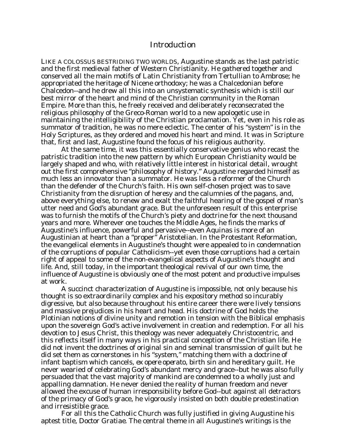# *Introduction*

LIKE A COLOSSUS BESTRIDING TWO WORLDS, Augustine stands as the last patristic and the first medieval father of Western Christianity. He gathered together and conserved all the main motifs of Latin Christianity from Tertullian to Ambrose; he appropriated the heritage of Nicene orthodoxy; he was a Chalcedonian before Chalcedon--and he drew all this into an unsystematic synthesis which is still our best mirror of the heart and mind of the Christian community in the Roman Empire. More than this, he freely received and deliberately reconsecrated the religious philosophy of the Greco-Roman world to a new apologetic use in maintaining the intelligibility of the Christian proclamation. Yet, even in his role as summator of tradition, he was no mere eclectic. The center of his "system" is in the Holy Scriptures, as they ordered and moved his heart and mind. It was in Scripture that, first and last, Augustine found the focus of his religious authority.

At the same time, it was this essentially conservative genius who recast the patristic tradition into the new pattern by which European Christianity would be largely shaped and who, with relatively little interest in historical detail, wrought out the first comprehensive "philosophy of history." Augustine regarded himself as much less an innovator than a summator. He was less a reformer of the Church than the defender of the Church's faith. His own self-chosen project was to save Christianity from the disruption of heresy and the calumnies of the pagans, and, above everything else, to renew and exalt the faithful hearing of the gospel of man's utter need and God's abundant grace. But the unforeseen result of this enterprise was to furnish the motifs of the Church's piety and doctrine for the next thousand years and more. Wherever one touches the Middle Ages, he finds the marks of Augustine's influence, powerful and pervasive--even Aquinas is more of an Augustinian at heart than a "proper" Aristotelian. In the Protestant Reformation, the evangelical elements in Augustine's thought were appealed to in condemnation of the corruptions of popular Catholicism--yet even those corruptions had a certain right of appeal to some of the non-evangelical aspects of Augustine's thought and life. And, still today, in the important theological revival of our own time, the influence of Augustine is obviously one of the most potent and productive impulses at work.

A succinct characterization of Augustine is impossible, not only because his thought is so extraordinarily complex and his expository method so incurably digressive, but also because throughout his entire career there were lively tensions and massive prejudices in his heart and head. His doctrine of God holds the Plotinian notions of divine unity and remotion in tension with the Biblical emphasis upon the sovereign God's active involvement in creation and redemption. For all his devotion to Jesus Christ, this theology was never adequately Christocentric, and this reflects itself in many ways in his practical conception of the Christian life. He did not invent the doctrines of original sin and seminal transmission of guilt but he did set them as cornerstones in his "system," matching them with a doctrine of infant baptism which cancels, *ex opere operato,* birth sin and hereditary guilt. He never wearied of celebrating God's abundant mercy and grace--but he was also fully persuaded that the vast majority of mankind are condemned to a wholly just and appalling damnation. He never denied the reality of human freedom and never allowed the excuse of human irresponsibility before God--but against all detractors of the primacy of God's grace, he vigorously insisted on both double predestination and irresistible grace.

For all this the Catholic Church was fully justified in giving Augustine his aptest title, *Doctor Gratiae.* The central theme in all Augustine's writings is the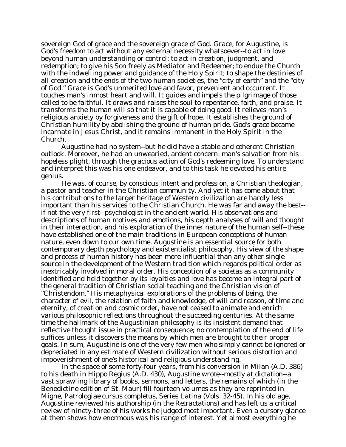sovereign God of grace and the sovereign grace of God. Grace, for Augustine, is God's freedom to act without any external necessity whatsoever--to act in love beyond human understanding or control; to act in creation, judgment, and redemption; to give his Son freely as Mediator and Redeemer; to endue the Church with the indwelling power and guidance of the Holy Spirit; to shape the destinies of all creation and the ends of the two human societies, the "city of earth" and the "city of God." Grace is God's unmerited love and favor, prevenient and occurrent. It touches man's inmost heart and will. It guides and impels the pilgrimage of those called to be faithful. It draws and raises the soul to repentance, faith, and praise. It transforms the human will so that it is capable of doing good. It relieves man's religious anxiety by forgiveness and the gift of hope. It establishes the ground of Christian humility by abolishing the ground of human pride. God's grace became incarnate in Jesus Christ, and it remains immanent in the Holy Spirit in the Church.

Augustine had no system--but he did have a stable and coherent Christian outlook. Moreover, he had an unwearied, ardent concern: man's salvation from his hopeless plight, through the gracious action of God's redeeming love. To understand and interpret this was his one endeavor, and to this task he devoted his entire genius.

He was, of course, by conscious intent and profession, a Christian theologian, a pastor and teacher in the Christian community. And yet it has come about that his contributions to the larger heritage of Western civilization are hardly less important than his services to the Christian Church. He was far and away the best- if not the very first--psychologist in the ancient world. His observations and descriptions of human motives and emotions, his depth analyses of will and thought in their interaction, and his exploration of the inner nature of the human self--these have established one of the main traditions in European conceptions of human nature, even down to our own time. Augustine is an essential source for both contemporary depth psychology and existentialist philosophy. His view of the shape and process of human history has been more influential than any other single source in the development of the Western tradition which regards political order as inextricably involved in moral order. His conception of a *societas* as a community identified and held together by its loyalties and love has become an integral part of the general tradition of Christian social teaching and the Christian vision of "Christendom." His metaphysical explorations of the problems of being, the character of evil, the relation of faith and knowledge, of will and reason, of time and eternity, of creation and cosmic order, have not ceased to animate and enrich various philosophic reflections throughout the succeeding centuries. At the same time the hallmark of the Augustinian philosophy is its insistent demand that reflective thought issue in practical consequence; no contemplation of the end of life suffices unless it discovers the means by which men are brought to their proper goals. In sum, Augustine is one of the very few men who simply cannot be ignored or depreciated in any estimate of Western civilization without serious distortion and impoverishment of one's historical and religious understanding.

In the space of some forty-four years, from his conversion in Milan (A.D. 386) to his death in Hippo Regius (A.D. 430), Augustine wrote--mostly at dictation--a vast sprawling library of books, sermons, and letters, the remains of which (in the Benedictine edition of St. Maur) fill fourteen volumes as they are reprinted in Migne, *Patrologiae cursus completus,* Series Latina (Vols. 32-45). In his old age, Augustine reviewed his authorship (in the *Retractations)* and has left us a critical review of ninety-three of his works he judged most important. Even a cursory glance at them shows how enormous was his range of interest. Yet almost everything he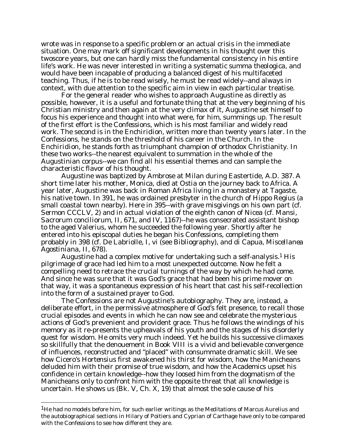wrote was in response to a specific problem or an actual crisis in the immediate situation. One may mark off significant developments in his thought over this twoscore years, but one can hardly miss the fundamental consistency in his entire life's work. He was never interested in writing a systematic *summa theologica,* and would have been incapable of producing a balanced digest of his multifaceted teaching. Thus, if he is to be read wisely, he must be read widely--and always in context, with due attention to the specific aim in view in each particular treatise.

For the general reader who wishes to approach Augustine as directly as possible, however, it is a useful and fortunate thing that at the very beginning of his Christian ministry and then again at the very climax of it, Augustine set himself to focus his experience and thought into what were, for him, summings up. The result of the first effort is the *Confessions,* which is his most familiar and widely read work. The second is in the *Enchiridion,* written more than twenty years later. In the *Confessions,* he stands on the threshold of his career in the Church. In the *Enchiridion,* he stands forth as triumphant champion of orthodox Christianity. In these two works--the nearest equivalent to summation in the whole of the Augustinian corpus--we can find all his essential themes and can sample the characteristic flavor of his thought.

Augustine was baptized by Ambrose at Milan during Eastertide, A.D. 387. A short time later his mother, Monica, died at Ostia on the journey back to Africa. A year later, Augustine was back in Roman Africa living in a monastery at Tagaste, his native town. In 391, he was ordained presbyter in the church of Hippo Regius (a small coastal town nearby). Here in 395--with grave misgivings on his own part (cf. *Sermon* CCCLV, 2) and in actual violation of the eighth canon of Nicea (cf. Mansi, *Sacrorum conciliorum,* II, 671, and IV, 1167)--he was consecrated assistant bishop to the aged Valerius, whom he succeeded the following year. Shortly after he entered into his episcopal duties he began his *Confessions,* completing them probably in 398 (cf. De Labriolle, I, vi (see Bibliography), and di Capua, *Miscellanea Agostiniana,* II, 678).

Augustine had a complex motive for undertaking such a self-analysis.1 His pilgrimage of grace had led him to a most unexpected outcome. Now he felt a compelling need to retrace the crucial turnings of the way by which he had come. And since he was sure that it was God's grace that had been his prime mover on that way, it was a spontaneous expression of his heart that cast his self-recollection into the form of a sustained prayer to God.

The *Confessions* are not Augustine's autobiography. They are, instead, a deliberate effort, in the permissive atmosphere of God's felt presence, to recall those crucial episodes and events in which he can now see and celebrate the mysterious actions of God's prevenient and provident grace. Thus he follows the windings of his memory as it re-presents the upheavals of his youth and the stages of his disorderly quest for wisdom. He omits very much indeed. Yet he builds his successive climaxes so skillfully that the denouement in Book VIII is a vivid and believable convergence of influences, reconstructed and "placed" with consummate dramatic skill. We see how Cicero's *Hortensius* first awakened his thirst for wisdom, how the Manicheans deluded him with their promise of true wisdom, and how the Academics upset his confidence in certain knowledge--how they loosed him from the dogmatism of the Manicheans only to confront him with the opposite threat that all knowledge is uncertain. He shows us (Bk. V, Ch. X, 19) that almost the sole cause of his

<sup>1</sup>He had no models before him, for such earlier writings as the *Meditations* of Marcus Aurelius and the autobiographical sections in Hilary of Poitiers and Cyprian of Carthage have only to be compared with the *Confessions* to see how different they are.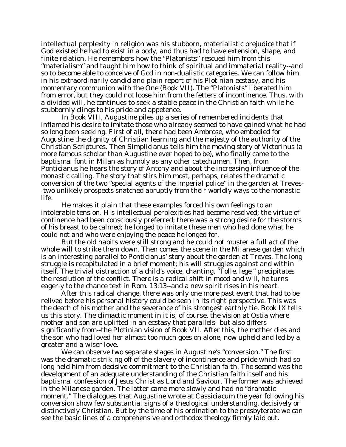intellectual perplexity in religion was his stubborn, materialistic prejudice that if God existed he had to exist in a body, and thus had to have extension, shape, and finite relation. He remembers how the "Platonists" rescued him from this "materialism" and taught him how to think of spiritual and immaterial reality--and so to become able to conceive of God in non-dualistic categories. We can follow him in his extraordinarily candid and plain report of his Plotinian ecstasy, and his momentary communion with the One (Book VII). The "Platonists" liberated him from error, but they could not loose him from the fetters of incontinence. Thus, with a divided will, he continues to seek a stable peace in the Christian faith while he stubbornly clings to his pride and appetence.

In Book VIII, Augustine piles up a series of remembered incidents that inflamed his desire to imitate those who already seemed to have gained what he had so long been seeking. First of all, there had been Ambrose, who embodied for Augustine the dignity of Christian learning and the majesty of the authority of the Christian Scriptures. Then Simplicianus tells him the moving story of Victorinus (a more famous scholar than Augustine ever hoped to be), who finally came to the baptismal font in Milan as humbly as any other catechumen. Then, from Ponticianus he hears the story of Antony and about the increasing influence of the monastic calling. The story that stirs him most, perhaps, relates the dramatic conversion of the two "special agents of the imperial police" in the garden at Treves- -two unlikely prospects snatched abruptly from their worldly ways to the monastic life.

He makes it plain that these examples forced his own feelings to an intolerable tension. His intellectual perplexities had become resolved; the virtue of continence had been consciously preferred; there was a strong desire for the storms of his breast to be calmed; he longed to imitate these men who had done what he could not and who were enjoying the peace he longed for.

But the old habits were still strong and he could not muster a full act of the whole will to strike them down. Then comes the scene in the Milanese garden which is an interesting parallel to Ponticianus' story about the garden at Treves. The long struggle is recapitulated in a brief moment; his will struggles against and within itself. The trivial distraction of a child's voice, chanting, "*Tolle, lege,"* precipitates the resolution of the conflict. There is a radical shift in mood and will, he turns eagerly to the chance text in Rom. 13:13--and a new spirit rises in his heart.

After this radical change, there was only one more past event that had to be relived before his personal history could be seen in its right perspective. This was the death of his mother and the severance of his strongest earthly tie. Book IX tells us this story. The climactic moment in it is, of course, the vision at Ostia where mother and son are uplifted in an ecstasy that parallels--but also differs significantly from--the Plotinian vision of Book VII. After this, the mother dies and the son who had loved her almost too much goes on alone, now upheld and led by a greater and a wiser love.

We can observe two separate stages in Augustine's "conversion." The first was the dramatic striking off of the slavery of incontinence and pride which had so long held him from decisive commitment to the Christian faith. The second was the development of an adequate understanding of the Christian faith itself and his baptismal confession of Jesus Christ as Lord and Saviour. The former was achieved in the Milanese garden. The latter came more slowly and had no "dramatic moment." The dialogues that Augustine wrote at Cassiciacum the year following his conversion show few substantial signs of a theological understanding, decisively or distinctively Christian. But by the time of his ordination to the presbyterate we can see the basic lines of a comprehensive and orthodox theology firmly laid out.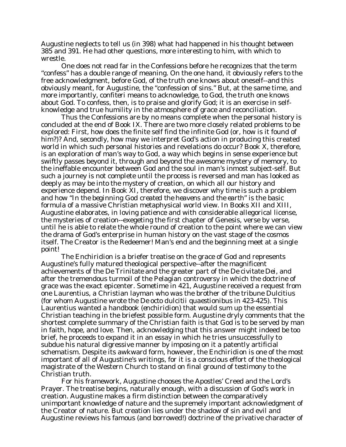Augustine neglects to tell us (in 398) what had happened in his thought between 385 and 391. He had other questions, more interesting to him, with which to wrestle.

One does not read far in the *Confessions* before he recognizes that the term "confess" has a double range of meaning. On the one hand, it obviously refers to the free acknowledgment, before God, of the truth one knows about oneself--and this obviously meant, for Augustine, the "confession of sins." But, at the same time, and more importantly, *confiteri* means to acknowledge, to God, the truth one knows about God. To confess, then, is to praise and glorify God; it is an exercise in selfknowledge and true humility in the atmosphere of grace and reconciliation.

Thus the *Confessions* are by no means complete when the personal history is concluded at the end of Book IX. There are two more closely related problems to be explored: First, how does the finite self find the infinite God (or, how is it found of him?)? And, secondly, how may we interpret God's action in producing this created world in which such personal histories and revelations do occur? Book X, therefore, is an exploration of *man's way to God,* a way which begins in sense experience but swiftly passes beyond it, through and beyond the awesome mystery of memory, to the ineffable encounter between God and the soul in man's inmost subject-self. But such a journey is not complete until the process is reversed and man has looked as deeply as may be into the mystery of creation, on which all our history and experience depend. In Book XI, therefore, we discover why *time* is such a problem and how "*In the beginning God created the heavens and the earth*" is the basic formula of a massive Christian metaphysical world view. In Books XII and XIII, Augustine elaborates, in loving patience and with considerable allegorical license, the mysteries of creation--exegeting the first chapter of Genesis, verse by verse, until he is able to relate the whole round of creation to the point where we can view the drama of God's enterprise in human history on the vast stage of the cosmos itself. The Creator is the Redeemer! Man's end and the beginning meet at a single point!

The *Enchiridion* is a briefer treatise on the grace of God and represents Augustine's fully matured theological perspective--after the magnificent achievements of the *De Trinitate* and the greater part of the *De civitate Dei,* and after the tremendous turmoil of the Pelagian controversy in which the doctrine of grace was the exact epicenter. Sometime in 421, Augustine received a request from one Laurentius, a Christian layman who was the brother of the tribune Dulcitius (for whom Augustine wrote the *De octo dulcitii quaestionibus* in 423-425). This Laurentius wanted a handbook *(enchiridion)* that would sum up the essential Christian teaching in the briefest possible form. Augustine dryly comments that the shortest complete summary of the Christian faith is that God is to be served by man in faith, hope, and love. Then, acknowledging that this answer might indeed be *too* brief, he proceeds to expand it in an essay in which he tries unsuccessfully to subdue his natural digressive manner by imposing on it a patently artificial schematism. Despite its awkward form, however, the *Enchiridion* is one of the most important of all of Augustine's writings, for it is a conscious effort of the theological magistrate of the Western Church to stand on final ground of testimony to the Christian truth.

For his framework, Augustine chooses the Apostles' Creed and the Lord's Prayer. The treatise begins, naturally enough, with a discussion of God's work in creation. Augustine makes a firm distinction between the comparatively unimportant knowledge of nature and the supremely important acknowledgment of the Creator of nature. But creation lies under the shadow of sin and evil and Augustine reviews his famous (and borrowed!) doctrine of the privative character of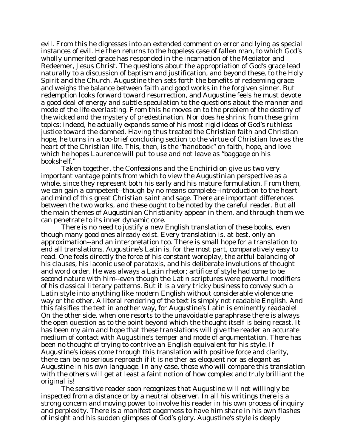evil. From this he digresses into an extended comment on error and lying as special instances of evil. He then returns to the hopeless case of fallen man, to which God's wholly unmerited grace has responded in the incarnation of the Mediator and Redeemer, Jesus Christ. The questions about the appropriation of God's grace lead naturally to a discussion of baptism and justification, and beyond these, to the Holy Spirit and the Church. Augustine then sets forth the benefits of redeeming grace and weighs the balance between faith and good works in the forgiven sinner. But redemption looks forward toward resurrection, and Augustine feels he must devote a good deal of energy and subtle speculation to the questions about the manner and mode of the life everlasting. From this he moves on to the problem of the destiny of the wicked and the mystery of predestination. Nor does he shrink from these grim topics; indeed, he actually *expands* some of his most rigid ideas of God's ruthless justice toward the damned. Having thus treated the Christian faith and Christian hope, he turns in a too-brief concluding section to the virtue of Christian love as the heart of the Christian life. This, then, is the "handbook" on faith, hope, and love which he hopes Laurence will put to use and not leave as "baggage on his bookshelf."

Taken together, the *Confessions* and the *Enchiridion* give us two very important vantage points from which to view the Augustinian perspective as a whole, since they represent both his early and his mature formulation. From them, we can gain a competent--though by no means complete--introduction to the heart and mind of this great Christian saint and sage. There are important differences between the two works, and these ought to be noted by the careful reader. But all the main themes of Augustinian Christianity appear in them, and through them we can penetrate to its inner dynamic core.

There is no need to justify a new English translation of these books, even though many good ones already exist. Every translation is, at best, only an approximation--and an interpretation too. There is small hope for a translation to end all translations. Augustine's Latin is, for the most part, comparatively easy to read. One feels directly the force of his constant wordplay, the artful balancing of his clauses, his laconic use of parataxis, and his deliberate involutions of thought and word order. He was always a Latin rhetor; artifice of style had come to be second nature with him--even though the Latin scriptures were powerful modifiers of his classical literary patterns. But it is a very tricky business to convey such a Latin style into anything like modern English without considerable violence one way or the other. A literal rendering of the text is simply not readable English. And this falsifies the text in another way, for Augustine's Latin is eminently readable! On the other side, when one resorts to the unavoidable paraphrase there is always the open question as to the point beyond which the thought itself is being recast. It has been my aim and hope that these translations will give the reader an accurate medium of contact with Augustine's temper and mode of argumentation. There has been no thought of trying to contrive an English equivalent for his style. If Augustine's ideas come through this translation with positive force and clarity, there can be no serious reproach if it is neither as eloquent nor as elegant as Augustine in his own language. In any case, those who will compare this translation with the others will get at least a faint notion of how complex and truly brilliant the original is!

The sensitive reader soon recognizes that Augustine will not willingly be inspected from a distance or by a neutral observer. In all his writings there is a strong concern and moving power to involve his reader in his own process of inquiry and perplexity. There is a manifest eagerness to have him share in his own flashes of insight and his sudden glimpses of God's glory. Augustine's style is deeply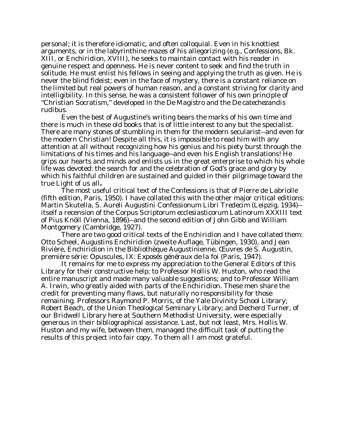personal; it is therefore idiomatic, and often colloquial. Even in his knottiest arguments, or in the labyrinthine mazes of his allegorizing (e.g., *Confessions,* Bk. XIII, or *Enchiridion,* XVIII), he seeks to maintain contact with his reader in genuine respect and openness. He is never content to seek and find the truth in solitude. He must enlist his fellows in seeing and applying the truth as given. He is never the blind fideist; even in the face of mystery, there is a constant reliance on the limited but real powers of human reason, and a constant striving for clarity and intelligibility. In this sense, he was a consistent follower of his own principle of "Christian Socratism," developed in the *De Magistro* and the *De catechezandis rudibus.*

Even the best of Augustine's writing bears the marks of his own time and there is much in these old books that is of little interest to any but the specialist. There are many stones of stumbling in them for the modern secularist--and even for the modern Christian! Despite all this, it is impossible to read him with any attention at all without recognizing how his genius and his piety burst through the limitations of his times and his language--and even his English translations! He grips our hearts and minds and enlists us in the great enterprise to which his whole life was devoted: the search for and the celebration of God's grace and glory by which his faithful children are sustained and guided in their pilgrimage toward the true Light of us all**.**

The most useful critical text of the *Confessions* is that of Pierre de Labriolle (fifth edition, Paris, 1950). I have collated this with the other major critical editions: Martin Skutella, *S. Aureli Augustini Confessionum Libri Tredecim* (Leipzig, 1934)- itself a recension of the *Corpus Scriptorum ecclesiasticorum Latinorum XXXIII* text of Pius Knöll (Vienna, 1896)--and the second edition of John Gibb and William Montgomery (Cambridge, 1927).

There are two good critical texts of the *Enchiridion* and I have collated them: Otto Scheel, *Augustins Enchiridion* (zweite Auflage, Tübingen, 1930), and Jean Rivière, *Enchiridion* in the Bibliothèque Augustinienne, Œuvres de S. Augustin, première série: Opuscules, IX: *Exposés généraux de la foi* (Paris, 1947).

It remains for me to express my appreciation to the General Editors of this Library for their constructive help; to Professor Hollis W. Huston, who read the entire manuscript and made many valuable suggestions; and to Professor William A. Irwin, who greatly aided with parts of the *Enchiridion.* These men share the credit for preventing many flaws, but naturally no responsibility for those remaining. Professors Raymond P. Morris, of the Yale Divinity School Library; Robert Beach, of the Union Theological Seminary Library; and Decherd Turner, of our Bridwell Library here at Southern Methodist University, were especially generous in their bibliographical assistance. Last, but not least, Mrs. Hollis W. Huston and my wife, between them, managed the difficult task of putting the results of this project into fair copy. To them all I am most grateful.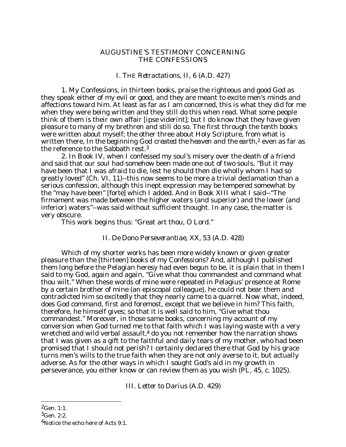# AUGUSTINE'S TESTIMONY CONCERNING THE *CONFESSIONS*

### I. THE *Retractations,* II, 6 (A.D. 427)

1. My *Confessions,* in thirteen books, praise the righteous and good God as they speak either of my evil or good, and they are meant to excite men's minds and affections toward him. At least as far as I am concerned, this is what they did for me when they were being written and they still do this when read. What some people think of them is their own affair [*ipse viderint*]; but I do know that they have given pleasure to many of my brethren and still do so. The first through the tenth books were written about myself; the other three about Holy Scripture, from what is written there, *In the beginning God created the heaven and the earth,*2 even as far as the reference to the Sabbath rest.3

2. In Book IV, when I confessed my soul's misery over the death of a friend and said that our soul had somehow been made one out of two souls, "But it may have been that I was afraid to die, lest he should then die wholly whom I had so greatly loved" (Ch. VI, 11)--this now seems to be more a trivial declamation than a serious confession, although this inept expression may be tempered somewhat by the "may have been" [*forte*] which I added. And in Book XIII what I said--"The firmament was made between the higher waters (and superior) and the lower (and inferior) waters"--was said without sufficient thought. In any case, the matter is very obscure.

This work begins thus: "Great art thou, O Lord."

#### II. *De Dono Perseverantiae,* XX, 53 (A.D. 428)

Which of my shorter works has been more widely known or given greater pleasure than the [thirteen] books of my *Confessions*? And, although I published them long before the Pelagian heresy had even begun to be, it is plain that in them I said to my God, again and again, "Give what thou commandest and command what thou wilt." When these words of mine were repeated in Pelagius' presence at Rome by a certain brother of mine (an episcopal colleague), he could not bear them and contradicted him so excitedly that they nearly came to a quarrel. Now what, indeed, does God command, first and foremost, except that we believe in him? This faith, therefore, he himself gives; so that it is well said to him, "Give what thou commandest." Moreover, in those same books, concerning my account of my conversion when God turned me to that faith which I was laying waste with a very wretched and wild verbal assault, $4$  do you not remember how the narration shows that I was given as a gift to the faithful and daily tears of my mother, who had been promised that I should not perish? I certainly declared there that God by his grace turns men's wills to the true faith when they are not only averse to it, but actually adverse. As for the other ways in which I sought God's aid in my growth in perseverance, you either know or can review them as you wish *(PL,* 45, c. 1025).

III. *Letter to Darius* (A.D. 429)

 ${}^{3}$ Gen. 2:2. 4Notice the echo here of Acts 9:1.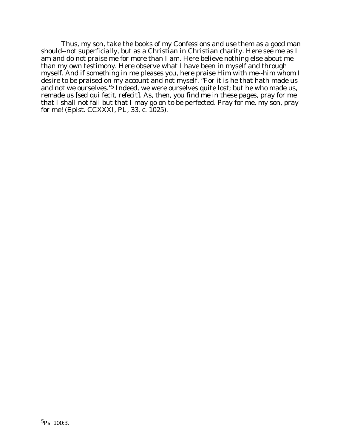Thus, my son, take the books of my *Confessions* and use them as a good man should--not superficially, but as a Christian in Christian charity. Here see me as I am and do not praise me for more than I am. Here believe nothing else about me than my own testimony. Here observe what I have been in myself and through myself. And if something in me pleases you, here praise Him with me--him whom I desire to be praised on my account and not myself. "For it is he that hath made us and not we ourselves."<sup>5</sup> Indeed, we were ourselves quite lost; but he who made us, remade us [*sed qui fecit, refecit*]. As, then, you find me in these pages, pray for me that I shall not fail but that I may go on to be perfected. Pray for me, my son, pray for me! *(Epist.* CCXXXI, *PL,* 33, c. 1025).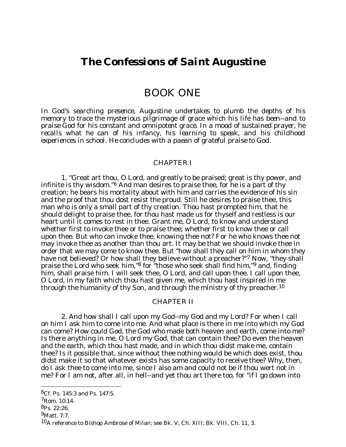# *The Confessions of Saint Augustine*

# BOOK ONE

*In God's searching presence, Augustine undertakes to plumb the depths of his memory to trace the mysterious pilgrimage of grace which his life has been--and to praise God for his constant and omnipotent grace. In a mood of sustained prayer, he recalls what he can of his infancy, his learning to speak, and his childhood experiences in school. He concludes with a paean of grateful praise to God.*

#### CHAPTER I

1. "Great art thou, O Lord, and greatly to be praised; great is thy power, and infinite is thy wisdom."6 And man desires to praise thee, for he is a part of thy creation; he bears his mortality about with him and carries the evidence of his sin and the proof that thou dost resist the proud. Still he desires to praise thee, this man who is only a small part of thy creation. Thou hast prompted him, that he should delight to praise thee, for thou hast made us for thyself and restless is our heart until it comes to rest in thee. Grant me, O Lord, to know and understand whether first to invoke thee or to praise thee; whether first to know thee or call upon thee. But who can invoke thee, knowing thee not? For he who knows thee not may invoke thee as another than thou art. It may be that we should invoke thee in order that we may come to know thee. But "how shall they call on him in whom they have not believed? Or how shall they believe without a preacher?"<sup>7</sup> Now, "they shall praise the Lord who seek him,"8 for "those who seek shall find him,"9 and, finding him, shall praise him. I will seek thee, O Lord, and call upon thee. I call upon thee, O Lord, in my faith which thou hast given me, which thou hast inspired in me through the humanity of thy Son, and through the ministry of thy preacher.10

# CHAPTER II

2. And how shall I call upon my God--my God and my Lord? For when I call on him I ask him to come into me. And what place is there in me into which my God can come? How could God, the God who made both heaven and earth, come into me? Is there anything in me, O Lord my God, that can contain thee? Do even the heaven and the earth, which thou hast made, and in which thou didst make me, contain thee? Is it possible that, since without thee nothing would be which does exist, thou didst make it so that whatever exists has some capacity to receive thee? Why, then, do I ask thee to come into me, since I also am and could not be if thou wert not in me? For I am not, after all, in hell--and yet thou art there too, for "if I go down into

<sup>6</sup>Cf. Ps. 145:3 and Ps. 147:5.

<sup>7</sup>Rom. 10:14.

 $8p_S$ . 22:26.

<sup>9</sup>Matt. 7:7.

<sup>10</sup>A reference to Bishop Ambrose of Milan; see Bk. V, Ch. XIII; Bk. VIII, Ch. 11, 3.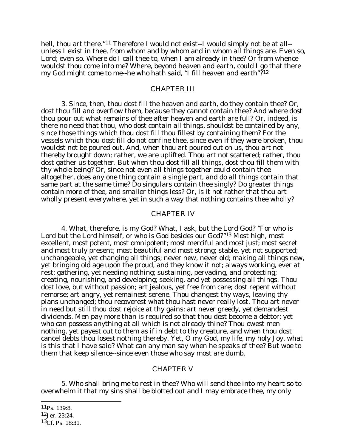hell, thou art there."<sup>11</sup> Therefore I would not exist--I would simply not be at all-unless I exist in thee, from whom and by whom and in whom all things are. Even so, Lord; even so. Where do I call thee to, when I am already in thee? Or from whence wouldst thou come into me? Where, beyond heaven and earth, could I go that there my God might come to me--he who hath said, "I fill heaven and earth"?12

#### CHAPTER III

3. Since, then, thou dost fill the heaven and earth, do they contain thee? Or, dost thou fill and overflow them, because they cannot contain thee? And where dost thou pour out what remains of thee after heaven and earth are full? Or, indeed, is there no need that thou, who dost contain all things, shouldst be contained by any, since those things which thou dost fill thou fillest by containing them? For the vessels which thou dost fill do not confine thee, since even if they were broken, thou wouldst not be poured out. And, when thou art poured out on us, thou art not thereby brought down; rather, we are uplifted. Thou art not scattered; rather, thou dost gather us together. But when thou dost fill all things, dost thou fill them with thy whole being? Or, since not even all things together could contain thee altogether, does any one thing contain a single part, and do all things contain that same part at the same time? Do singulars contain thee singly? Do greater things contain more of thee, and smaller things less? Or, is it not rather that thou art wholly present everywhere, yet in such a way that nothing contains thee wholly?

# CHAPTER IV

4. What, therefore, is my God? What, I ask, but the Lord God? "For who is Lord but the Lord himself, or who is God besides our God?"13 Most high, most excellent, most potent, most omnipotent; most merciful and most just; most secret and most truly present; most beautiful and most strong; stable, yet not supported; unchangeable, yet changing all things; never new, never old; making all things new, yet bringing old age upon the proud, and they know it not; always working, ever at rest; gathering, yet needing nothing; sustaining, pervading, and protecting; creating, nourishing, and developing; seeking, and yet possessing all things. Thou dost love, but without passion; art jealous, yet free from care; dost repent without remorse; art angry, yet remainest serene. Thou changest thy ways, leaving thy plans unchanged; thou recoverest what thou hast never really lost. Thou art never in need but still thou dost rejoice at thy gains; art never greedy, yet demandest dividends. Men pay more than is required so that thou dost become a debtor; yet who can possess anything at all which is not already thine? Thou owest men nothing, yet payest out to them as if in debt to thy creature, and when thou dost cancel debts thou losest nothing thereby. Yet, O my God, my life, my holy Joy, what is this that I have said? What can any man say when he speaks of thee? But woe to them that keep silence--since even those who say most are dumb.

#### CHAPTER V

5. Who shall bring me to rest in thee? Who will send thee into my heart so to overwhelm it that my sins shall be blotted out and I may embrace thee, my only

<sup>11</sup>Ps. 139:8. 12Jer. 23:24. 13Cf. Ps. 18:31.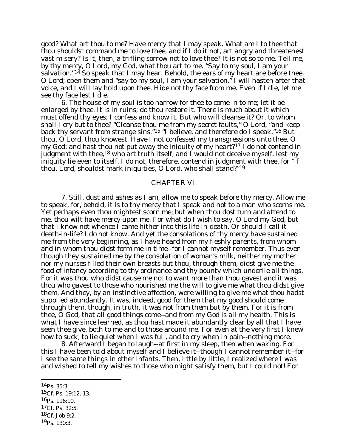good? What art thou to me? Have mercy that I may speak. What am I to thee that thou shouldst command me to love thee, and if I do it not, art angry and threatenest vast misery? Is it, then, a trifling sorrow not to love thee? It is not so to me. Tell me, by thy mercy, O Lord, my God, what thou art to me. "Say to my soul, I am your salvation." $14$  So speak that I may hear. Behold, the ears of my heart are before thee, O Lord; open them and "say to my soul, I am your salvation." I will hasten after that voice, and I will lay hold upon thee. Hide not thy face from me. Even if I die, let me see thy face lest I die.

6. The house of my soul is too narrow for thee to come in to me; let it be enlarged by thee. It is in ruins; do thou restore it. There is much about it which must offend thy eyes; I confess and know it. But who will cleanse it? Or, to whom shall I cry but to thee? "Cleanse thou me from my secret faults," O Lord, "and keep back thy servant from strange sins."15 "I believe, and therefore do I speak."16 But thou, O Lord, thou knowest. Have I not confessed my transgressions unto thee, O my God; and hast thou not put away the iniquity of my heart?17 I do not contend in judgment with thee,18 who art truth itself; and I would not deceive myself, lest my iniquity lie even to itself. I do not, therefore, contend in judgment with thee, for "if thou, Lord, shouldst mark iniquities, O Lord, who shall stand?"19

#### CHAPTER VI

7. Still, dust and ashes as I am, allow me to speak before thy mercy. Allow me to speak, for, behold, it is to thy mercy that I speak and not to a man who scorns me. Yet perhaps even thou mightest scorn me; but when thou dost turn and attend to me, thou wilt have mercy upon me. For what do I wish to say, O Lord my God, but that I know not whence I came hither into this life-in-death. Or should I call it death-in-life? I do not know. And yet the consolations of thy mercy have sustained me from the very beginning, as I have heard from my fleshly parents, from whom and in whom thou didst form me in time--for I cannot myself remember. Thus even though they sustained me by the consolation of woman's milk, neither my mother nor my nurses filled their own breasts but thou, through them, didst give me the food of infancy according to thy ordinance and thy bounty which underlie all things. For it was thou who didst cause me not to want more than thou gavest and it was thou who gavest to those who nourished me the will to give me what thou didst give them. And they, by an instinctive affection, were willing to give me what thou hadst supplied abundantly. It was, indeed, good for them that my good should come through them, though, in truth, it was not from them but by them. For it is from thee, O God, that all good things come--and from my God is all my health. This is what I have since learned, as thou hast made it abundantly clear by all that I have seen thee give, both to me and to those around me. For even at the very first I knew how to suck, to lie quiet when I was full, and to cry when in pain--nothing more.

8. Afterward I began to laugh--at first in my sleep, then when waking. For this I have been told about myself and I believe it--though I cannot remember it--for I see the same things in other infants. Then, little by little, I realized where I was and wished to tell my wishes to those who might satisfy them, but I could not! For

- 15Cf. Ps. 19:12, 13.  $16P<sub>S.</sub> 116:10.$  $17Cf$ . Ps. 32:5.
- $18Cf.$  Job 9:2.

 $14p_S$  35:3.

<sup>19</sup>Ps. 130:3.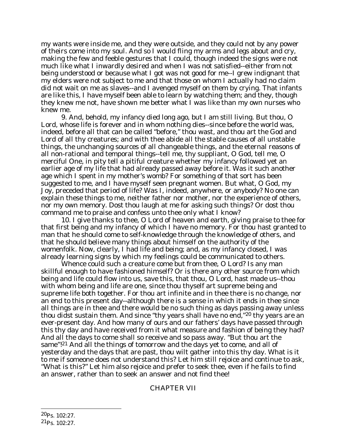my wants were inside me, and they were outside, and they could not by any power of theirs come into my soul. And so I would fling my arms and legs about and cry, making the few and feeble gestures that I could, though indeed the signs were not much like what I inwardly desired and when I was not satisfied--either from not being understood or because what I got was not good for me--I grew indignant that my elders were not subject to me and that those on whom I actually had no claim did not wait on me as slaves--and I avenged myself on them by crying. That infants are like this, I have myself been able to learn by watching them; and they, though they knew me not, have shown me better what I was like than my own nurses who knew me.

9. And, behold, my infancy died long ago, but I am still living. But thou, O Lord, whose life is forever and in whom nothing dies--since before the world was, indeed, before all that can be called "before," thou wast, and thou art the God and Lord of all thy creatures; and with thee abide all the stable causes of all unstable things, the unchanging sources of all changeable things, and the eternal reasons of all non-rational and temporal things--tell me, thy suppliant, O God, tell me, O merciful One, in pity tell a pitiful creature whether my infancy followed yet an earlier age of my life that had already passed away before it. Was it such another age which I spent in my mother's womb? For something of that sort has been suggested to me, and I have myself seen pregnant women. But what, O God, my Joy, preceded *that* period of life? Was I, indeed, anywhere, or anybody? No one can explain these things to me, neither father nor mother, nor the experience of others, nor my own memory. Dost thou laugh at me for asking such things? Or dost thou command me to praise and confess unto thee only what I know?

10. I give thanks to thee, O Lord of heaven and earth, giving praise to thee for that first being and my infancy of which I have no memory. For thou hast granted to man that he should come to self-knowledge through the knowledge of others, and that he should believe many things about himself on the authority of the womenfolk. Now, clearly, I had life and being; and, as my infancy closed, I was already learning signs by which my feelings could be communicated to others.

Whence could such a creature come but from thee, O Lord? Is any man skillful enough to have fashioned himself? Or is there any other source from which being and life could flow into us, save this, that thou, O Lord, hast made us--thou with whom being and life are one, since thou thyself art supreme being and supreme life both together. For thou art infinite and in thee there is no change, nor an end to this present day--although there is a sense in which it ends in thee since all things are in thee and there would be no such thing as days passing away unless thou didst sustain them. And since "thy years shall have no end,"20 thy years are an ever-present day. And how many of ours and our fathers' days have passed through this thy day and have received from it what measure and fashion of being they had? And all the days to come shall so receive and so pass away. "But thou art the same"!21 And all the things of tomorrow and the days yet to come, and all of yesterday and the days that are past, thou wilt gather into this thy day. What is it to me if someone does not understand this? Let him still rejoice and continue to ask, "What is this?" Let him also rejoice and prefer to seek thee, even if he fails to find an answer, rather than to seek an answer and not find thee!

# CHAPTER VII

<sup>20</sup>Ps. 102:27. 21Ps. 102:27.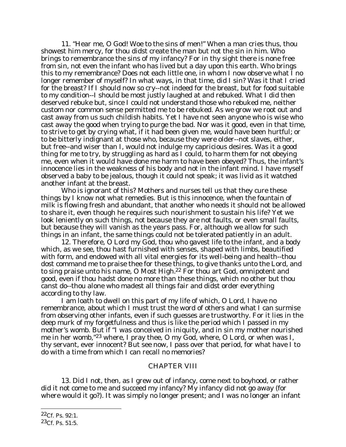11. "Hear me, O God! Woe to the sins of men!" When a man cries thus, thou showest him mercy, for thou didst create the man but not the sin in him. Who brings to remembrance the sins of my infancy? For in thy sight there is none free from sin, not even the infant who has lived but a day upon this earth. Who brings this to my remembrance? Does not each little one, in whom I now observe what I no longer remember of myself? In what ways, in that time, did I sin? Was it that I cried for the breast? If I should now so cry--not indeed for the breast, but for food suitable to my condition--I should be most justly laughed at and rebuked. What I did then deserved rebuke but, since I could not understand those who rebuked me, neither custom nor common sense permitted me to be rebuked. As we grow we root out and cast away from us such childish habits. Yet I have not seen anyone who is wise who cast away the good when trying to purge the bad. Nor was it good, even in that time, to strive to get by crying what, if it had been given me, would have been hurtful; or to be bitterly indignant at those who, because they were older--not slaves, either, but free--and wiser than I, would not indulge my capricious desires. Was it a good thing for me to try, by struggling as hard as I could, to harm them for not obeying me, even when it would have done me harm to have been obeyed? Thus, the infant's innocence lies in the weakness of his body and not in the infant mind. I have myself observed a baby to be jealous, though it could not speak; it was livid as it watched another infant at the breast.

Who is ignorant of this? Mothers and nurses tell us that they cure these things by I know not what remedies. But is this innocence, when the fountain of milk is flowing fresh and abundant, that another who needs it should not be allowed to share it, even though he requires such nourishment to sustain his life? Yet we look leniently on such things, not because they are not faults, or even small faults, but because they will vanish as the years pass. For, although we allow for such things in an infant, the same things could not be tolerated patiently in an adult.

12. Therefore, O Lord my God, thou who gavest life to the infant, and a body which, as we see, thou hast furnished with senses, shaped with limbs, beautified with form, and endowed with all vital energies for its well-being and health--thou dost command me to praise thee for these things, to give thanks unto the Lord, and to sing praise unto his name, O Most High.22 For thou art God, omnipotent and good, even if thou hadst done no more than these things, which no other but thou canst do--thou alone who madest all things fair and didst order everything according to thy law.

I am loath to dwell on this part of my life of which, O Lord, I have no remembrance, about which I must trust the word of others and what I can surmise from observing other infants, even if such guesses are trustworthy. For it lies in the deep murk of my forgetfulness and thus is like the period which I passed in my mother's womb. But if "I was conceived in iniquity, and in sin my mother nourished me in her womb,"23 where, I pray thee, O my God, where, O Lord, or when was I, thy servant, ever innocent? But see now, I pass over that period, for what have I to do with a time from which I can recall no memories?

# CHAPTER VIII

13. Did I not, then, as I grew out of infancy, come next to boyhood, or rather did it not come to me and succeed my infancy? My infancy did not go away (for where would it go?). It was simply no longer present; and I was no longer an infant

 ${}^{22}Cf.$  Ps. 92:1.

<sup>23</sup>Cf. Ps. 51:5.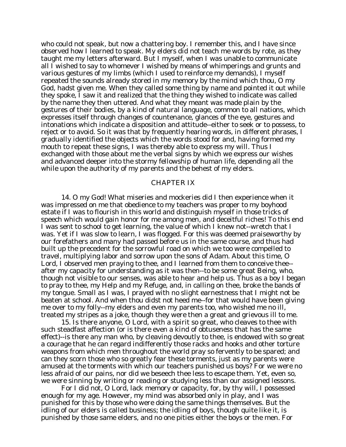who could not speak, but now a chattering boy. I remember this, and I have since observed how I learned to speak. My elders did not teach me words by rote, as they taught me my letters afterward. But I myself, when I was unable to communicate all I wished to say to whomever I wished by means of whimperings and grunts and various gestures of my limbs (which I used to reinforce my demands), I myself repeated the sounds already stored in my memory by the mind which thou, O my God, hadst given me. When they called some thing by name and pointed it out while they spoke, I saw it and realized that the thing they wished to indicate was called by the name they then uttered. And what they meant was made plain by the gestures of their bodies, by a kind of natural language, common to all nations, which expresses itself through changes of countenance, glances of the eye, gestures and intonations which indicate a disposition and attitude--either to seek or to possess, to reject or to avoid. So it was that by frequently hearing words, in different phrases, I gradually identified the objects which the words stood for and, having formed my mouth to repeat these signs, I was thereby able to express my will. Thus I exchanged with those about me the verbal signs by which we express our wishes and advanced deeper into the stormy fellowship of human life, depending all the while upon the authority of my parents and the behest of my elders.

#### CHAPTER IX

14. O my God! What miseries and mockeries did I then experience when it was impressed on me that obedience to my teachers was proper to my boyhood estate if I was to flourish in this world and distinguish myself in those tricks of speech which would gain honor for me among men, and deceitful riches! To this end I was sent to school to get learning, the value of which I knew not--wretch that I was. Yet if I was slow to learn, I was flogged. For this was deemed praiseworthy by our forefathers and many had passed before us in the same course, and thus had built up the precedent for the sorrowful road on which we too were compelled to travel, multiplying labor and sorrow upon the sons of Adam. About this time, O Lord, I observed men praying to thee, and I learned from them to conceive thee- after my capacity for understanding as it was then--to be some great Being, who, though not visible to our senses, was able to hear and help us. Thus as a boy I began to pray to thee, my Help and my Refuge, and, in calling on thee, broke the bands of my tongue. Small as I was, I prayed with no slight earnestness that I might not be beaten at school. And when thou didst not heed me--for that would have been giving me over to my folly--my elders and even my parents too, who wished me no ill, treated my stripes as a joke, though they were then a great and grievous ill to me.

15. Is there anyone, O Lord, with a spirit so great, who cleaves to thee with such steadfast affection (or is there even a kind of obtuseness that has the same effect)--is there any man who, by cleaving devoutly to thee, is endowed with so great a courage that he can regard indifferently those racks and hooks and other torture weapons from which men throughout the world pray so fervently to be spared; and can they scorn those who so greatly fear these torments, just as my parents were amused at the torments with which our teachers punished us boys? For we were no less afraid of our pains, nor did we beseech thee less to escape them. Yet, even so, we were sinning by writing or reading or studying less than our assigned lessons.

For I did not, O Lord, lack memory or capacity, for, by thy will, I possessed enough for my age. However, my mind was absorbed only in play, and I was punished for this by those who were doing the same things themselves. But the idling of our elders is called business; the idling of boys, though quite like it, is punished by those same elders, and no one pities either the boys or the men. For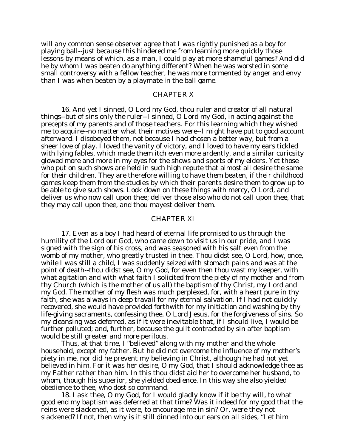will any common sense observer agree that I was rightly punished as a boy for playing ball--just because this hindered me from learning more quickly those lessons by means of which, as a man, I could play at more shameful games? And did he by whom I was beaten do anything different? When he was worsted in some small controversy with a fellow teacher, he was more tormented by anger and envy than I was when beaten by a playmate in the ball game.

### CHAPTER X

16. And yet I sinned, O Lord my God, thou ruler and creator of all natural things--but of sins only the ruler--I sinned, O Lord my God, in acting against the precepts of my parents and of those teachers. For this learning which they wished me to acquire--no matter what their motives were--I might have put to good account afterward. I disobeyed them, not because I had chosen a better way, but from a sheer love of play. I loved the vanity of victory, and I loved to have my ears tickled with lying fables, which made them itch even more ardently, and a similar curiosity glowed more and more in my eyes for the shows and sports of my elders. Yet those who put on such shows are held in such high repute that almost all desire the same for their children. They are therefore willing to have them beaten, if their childhood games keep them from the studies by which their parents desire them to grow up to be able to give such shows. Look down on these things with mercy, O Lord, and deliver us who now call upon thee; deliver those also who do not call upon thee, that they may call upon thee, and thou mayest deliver them.

#### CHAPTER XI

17. Even as a boy I had heard of eternal life promised to us through the humility of the Lord our God, who came down to visit us in our pride, and I was signed with the sign of his cross, and was seasoned with his salt even from the womb of my mother, who greatly trusted in thee. Thou didst see, O Lord, how, once, while I was still a child, I was suddenly seized with stomach pains and was at the point of death--thou didst see, O my God, for even then thou wast my keeper, with what agitation and with what faith I solicited from the piety of my mother and from thy Church (which is the mother of us all) the baptism of thy Christ, my Lord and my God. The mother of my flesh was much perplexed, for, with a heart pure in thy faith, she was always in deep travail for my eternal salvation. If I had not quickly recovered, she would have provided forthwith for my initiation and washing by thy life-giving sacraments, confessing thee, O Lord Jesus, for the forgiveness of sins. So my cleansing was deferred, as if it were inevitable that, if I should live, I would be further polluted; and, further, because the guilt contracted by sin after baptism would be still greater and more perilous.

Thus, at that time, I "believed" along with my mother and the whole household, except my father. But he did not overcome the influence of my mother's piety in me, nor did he prevent my believing in Christ, although he had not yet believed in him. For it was her desire, O my God, that I should acknowledge thee as my Father rather than him. In this thou didst aid her to overcome her husband, to whom, though his superior, she yielded obedience. In this way she also yielded obedience to thee, who dost so command.

18. I ask thee, O my God, for I would gladly know if it be thy will, to what good end my baptism was deferred at that time? Was it indeed for my good that the reins were slackened, as it were, to encourage me in sin? Or, were they not slackened? If not, then why is it still dinned into our ears on all sides, "Let him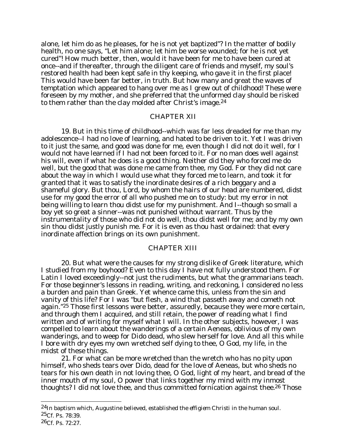alone, let him do as he pleases, for he is not yet baptized"? In the matter of bodily health, no one says, "Let him alone; let him be worse wounded; for he is not yet cured"! How much better, then, would it have been for me to have been cured at once--and if thereafter, through the diligent care of friends and myself, my soul's restored health had been kept safe in thy keeping, who gave it in the first place! This would have been far better, in truth. But how many and great the waves of temptation which appeared to hang over me as I grew out of childhood! These were foreseen by my mother, and she preferred that the unformed clay should be risked to them rather than the clay molded after Christ's image.24

### CHAPTER XII

19. But in this time of childhood--which was far less dreaded for me than my adolescence--I had no love of learning, and hated to be driven to it. Yet I was driven to it just the same, and good was done for me, even though I did not do it well, for I would not have learned if I had not been forced to it. For no man does well against his will, even if what he does is a good thing. Neither did they who forced me do well, but the good that was done me came from thee, my God. For they did not care about the way in which I would use what they forced me to learn, and took it for granted that it was to satisfy the inordinate desires of a rich beggary and a shameful glory. But thou, Lord, by whom the hairs of our head are numbered, didst use for my good the error of all who pushed me on to study: but my error in not being willing to learn thou didst use for my punishment. And I--though so small a boy yet so great a sinner--was not punished without warrant. Thus by the instrumentality of those who did not do well, thou didst well for me; and by my own sin thou didst justly punish me. For it is even as thou hast ordained: that every inordinate affection brings on its own punishment.

# CHAPTER XIII

20. But what were the causes for my strong dislike of Greek literature, which I studied from my boyhood? Even to this day I have not fully understood them. For Latin I loved exceedingly--not just the rudiments, but what the grammarians teach. For those beginner's lessons in reading, writing, and reckoning, I considered no less a burden and pain than Greek. Yet whence came this, unless from the sin and vanity of this life? For I was "but flesh, a wind that passeth away and cometh not again."25 Those first lessons were better, assuredly, because they were more certain, and through them I acquired, and still retain, the power of reading what I find written and of writing for myself what I will. In the other subjects, however, I was compelled to learn about the wanderings of a certain Aeneas, oblivious of my own wanderings, and to weep for Dido dead, who slew herself for love. And all this while I bore with dry eyes my own wretched self dying to thee, O God, my life, in the midst of these things.

21. For what can be more wretched than the wretch who has no pity upon himself, who sheds tears over Dido, dead for the love of Aeneas, but who sheds no tears for his own death in not loving thee, O God, light of my heart, and bread of the inner mouth of my soul, O power that links together my mind with my inmost thoughts? I did not love thee, and thus committed fornication against thee.26 Those

<sup>24</sup>In baptism which, Augustine believed, established the *effigiem Christi* in the human soul.  $25Cf$ . Ps. 78:39. 26Cf. Ps. 72:27.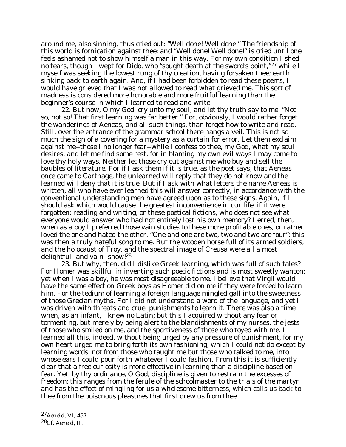around me, also sinning, thus cried out: "Well done! Well done!" The friendship of this world is fornication against thee; and "Well done! Well done!" is cried until one feels ashamed not to show himself a man in this way. For my own condition I shed no tears, though I wept for Dido, who "sought death at the sword's point,"27 while I myself was seeking the lowest rung of thy creation, having forsaken thee; earth sinking back to earth again. And, if I had been forbidden to read these poems, I would have grieved that I was not allowed to read what grieved me. This sort of madness is considered more honorable and more fruitful learning than the beginner's course in which I learned to read and write.

22. But now, O my God, cry unto my soul, and let thy truth say to me: "Not so, not so! That first learning was far better." For, obviously, I would rather forget the wanderings of Aeneas, and all such things, than forget how to write and read. Still, over the entrance of the grammar school there hangs a veil. This is not so much the sign of a covering for a mystery as a curtain for error. Let them exclaim against me--those I no longer fear--while I confess to thee, my God, what my soul desires, and let me find some rest, for in blaming my own evil ways I may come to love thy holy ways. Neither let those cry out against me who buy and sell the baubles of literature. For if I ask them if it is true, as the poet says, that Aeneas once came to Carthage, the unlearned will reply that they do not know and the learned will deny that it is true. But if I ask with what letters the name Aeneas is written, all who have ever learned this will answer correctly, in accordance with the conventional understanding men have agreed upon as to these signs. Again, if I should ask which would cause the greatest inconvenience in our life, if it were forgotten: reading and writing, or these poetical fictions, who does not see what everyone would answer who had not entirely lost his own memory? I erred, then, when as a boy I preferred those vain studies to these more profitable ones, or rather loved the one and hated the other. "One and one are two, two and two are four": this was then a truly hateful song to me. But the wooden horse full of its armed soldiers, and the holocaust of Troy, and the spectral image of Creusa were all a most delightful--and vain--show!28

23. But why, then, did I dislike Greek learning, which was full of such tales? For Homer was skillful in inventing such poetic fictions and is most sweetly wanton; yet when I was a boy, he was most disagreeable to me. I believe that Virgil would have the same effect on Greek boys as Homer did on me if they were forced to learn him. For the tedium of learning a foreign language mingled gall into the sweetness of those Grecian myths. For I did not understand a word of the language, and yet I was driven with threats and cruel punishments to learn it. There was also a time when, as an infant, I knew no Latin; but this I acquired without any fear or tormenting, but merely by being alert to the blandishments of my nurses, the jests of those who smiled on me, and the sportiveness of those who toyed with me. I learned all this, indeed, without being urged by any pressure of punishment, for my own heart urged me to bring forth its own fashioning, which I could not do except by learning words: not from those who taught me but those who talked to me, into whose ears I could pour forth whatever I could fashion. From this it is sufficiently clear that a free curiosity is more effective in learning than a discipline based on fear. Yet, by thy ordinance, O God, discipline is given to restrain the excesses of freedom; this ranges from the ferule of the schoolmaster to the trials of the martyr and has the effect of mingling for us a wholesome bitterness, which calls us back to thee from the poisonous pleasures that first drew us from thee.

<sup>27</sup>*Aeneid*, VI, 457 28Cf. *Aeneid*, II.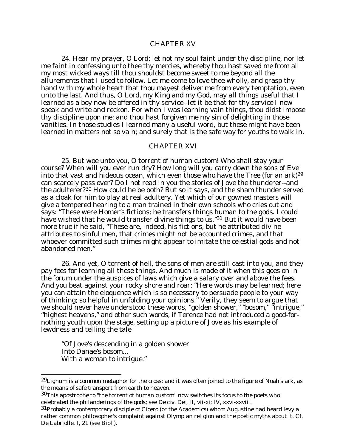#### CHAPTER XV

24. Hear my prayer, O Lord; let not my soul faint under thy discipline, nor let me faint in confessing unto thee thy mercies, whereby thou hast saved me from all my most wicked ways till thou shouldst become sweet to me beyond all the allurements that I used to follow. Let me come to love thee wholly, and grasp thy hand with my whole heart that thou mayest deliver me from every temptation, even unto the last. And thus, O Lord, my King and my God, may all things useful that I learned as a boy now be offered in thy service--let it be that for thy service I now speak and write and reckon. For when I was learning vain things, thou didst impose thy discipline upon me: and thou hast forgiven me my sin of delighting in those vanities. In those studies I learned many a useful word, but these might have been learned in matters not so vain; and surely that is the safe way for youths to walk in.

#### CHAPTER XVI

25. But woe unto you, O torrent of human custom! Who shall stay your course? When will you ever run dry? How long will you carry down the sons of Eve into that vast and hideous ocean, which even those who have the Tree (for an ark)29 can scarcely pass over? Do I not read in you the stories of Jove the thunderer--and the adulterer?30 How could he be both? But so it says, and the sham thunder served as a cloak for him to play at real adultery. Yet which of our gowned masters will give a tempered hearing to a man trained in their own schools who cries out and says: "These were Homer's fictions; he transfers things human to the gods. I could have wished that he would transfer divine things to us."31 But it would have been more true if he said, "These are, indeed, his fictions, but he attributed divine attributes to sinful men, that crimes might not be accounted crimes, and that whoever committed such crimes might appear to imitate the celestial gods and not abandoned men."

26. And yet, O torrent of hell, the sons of men are still cast into you, and they pay fees for learning all these things. And much is made of it when this goes on in the forum under the auspices of laws which give a salary over and above the fees. And you beat against your rocky shore and roar: "Here words may be learned; here you can attain the eloquence which is so necessary to persuade people to your way of thinking; so helpful in unfolding your opinions." Verily, they seem to argue that we should never have understood these words, "golden shower," "bosom," "intrigue," "highest heavens," and other such words, if Terence had not introduced a good-fornothing youth upon the stage, setting up a picture of Jove as his example of lewdness and telling the tale

"Of Jove's descending in a golden shower Into Danae's bosom... With a woman to intrigue."

<sup>29</sup>*Lignum* is a common metaphor for the cross; and it was often joined to the figure of Noah's ark, as the means of safe transport from earth to heaven.

 $30$ This apostrophe to "the torrent of human custom" now switches its focus to the poets who celebrated the philanderings of the gods; see *De civ. Dei*, II, vii-xi; IV, xxvi-xxviii.

 $31$ Probably a contemporary disciple of Cicero (or the Academics) whom Augustine had heard levy a rather common philosopher's complaint against Olympian religion and the poetic myths about it. Cf. De Labriolle, I, 21 (see Bibl.).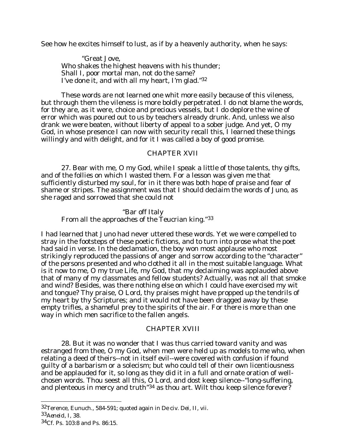See how he excites himself to lust, as if by a heavenly authority, when he says:

"Great Jove, Who shakes the highest heavens with his thunder; Shall I, poor mortal man, not do the same? I've done it, and with all my heart, I'm glad."32

These words are not learned one whit more easily because of this vileness, but through them the vileness is more boldly perpetrated. I do not blame the words, for they are, as it were, choice and precious vessels, but I do deplore the wine of error which was poured out to us by teachers already drunk. And, unless we also drank we were beaten, without liberty of appeal to a sober judge. And yet, O my God, in whose presence I can now with security recall this, I learned these things willingly and with delight, and for it I was called a boy of good promise.

# CHAPTER XVII

27. Bear with me, O my God, while I speak a little of those talents, thy gifts, and of the follies on which I wasted them. For a lesson was given me that sufficiently disturbed my soul, for in it there was both hope of praise and fear of shame or stripes. The assignment was that I should declaim the words of Juno, as she raged and sorrowed that she could not

"Bar off Italy From all the approaches of the Teucrian king."33

I had learned that Juno had never uttered these words. Yet we were compelled to stray in the footsteps of these poetic fictions, and to turn into prose what the poet had said in verse. In the declamation, the boy won most applause who most strikingly reproduced the passions of anger and sorrow according to the "character" of the persons presented and who clothed it all in the most suitable language. What is it now to me, O my true Life, my God, that my declaiming was applauded above that of many of my classmates and fellow students? Actually, was not all that smoke and wind? Besides, was there nothing else on which I could have exercised my wit and tongue? Thy praise, O Lord, thy praises might have propped up the tendrils of my heart by thy Scriptures; and it would not have been dragged away by these empty trifles, a shameful prey to the spirits of the air. For there is more than one way in which men sacrifice to the fallen angels.

# CHAPTER XVIII

28. But it was no wonder that I was thus carried toward vanity and was estranged from thee, O my God, when men were held up as models to me who, when relating a deed of theirs--not in itself evil--were covered with confusion if found guilty of a barbarism or a solecism; but who could tell of their own licentiousness and be applauded for it, so long as they did it in a full and ornate oration of wellchosen words. Thou seest all this, O Lord, and dost keep silence--"long-suffering, and plenteous in mercy and truth<sup>"34</sup> as thou art. Wilt thou keep silence forever?

32Terence, *Eunuch.*, 584-591; quoted again in *De civ. Dei*, II, vii.

<sup>33</sup>*Aeneid*, I, 38.

<sup>34</sup>Cf. Ps. 103:8 and Ps. 86:15.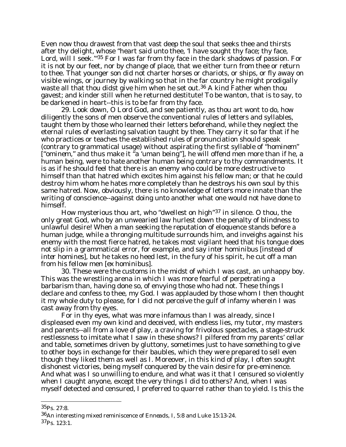Even now thou drawest from that vast deep the soul that seeks thee and thirsts after thy delight, whose "heart said unto thee, 'I have sought thy face; thy face, Lord, will I seek."<sup>35</sup> For I was far from thy face in the dark shadows of passion. For it is not by our feet, nor by change of place, that we either turn from thee or return to thee. That younger son did not charter horses or chariots, or ships, or fly away on visible wings, or journey by walking so that in the far country he might prodigally waste all that thou didst give him when he set out.<sup>36</sup> A kind Father when thou gavest; and kinder still when he returned destitute! To be wanton, that is to say, to be darkened in heart--this is to be far from thy face.

29. Look down, O Lord God, and see patiently, as thou art wont to do, how diligently the sons of men observe the conventional rules of letters and syllables, taught them by those who learned their letters beforehand, while they neglect the eternal rules of everlasting salvation taught by thee. They carry it so far that if he who practices or teaches the established rules of pronunciation should speak (contrary to grammatical usage) without aspirating the first syllable of "*hominem*" ["*ominem*," and thus make it "a 'uman being"], he will offend men more than if he, a human being, were to *hate* another human being contrary to thy commandments. It is as if he should feel that there is an enemy who could be more destructive to himself than that hatred which excites him against his fellow man; or that he could destroy him whom he hates more completely than he destroys his own soul by this same hatred. Now, obviously, there is no knowledge of letters more innate than the writing of conscience--against doing unto another what one would not have done to himself.

How mysterious thou art, who "dwellest on high"37 in silence. O thou, the only great God, who by an unwearied law hurlest down the penalty of blindness to unlawful desire! When a man seeking the reputation of eloquence stands before a human judge, while a thronging multitude surrounds him, and inveighs against his enemy with the most fierce hatred, he takes most vigilant heed that his tongue does not slip in a grammatical error, for example, and say *inter hominibus* [instead of *inter homines*], but he takes no heed lest, in the fury of his spirit, he cut off a man from his fellow men [*ex hominibus*].

30. These were the customs in the midst of which I was cast, an unhappy boy. This was the wrestling arena in which I was more fearful of perpetrating a barbarism than, having done so, of envying those who had not. These things I declare and confess to thee, my God. I was applauded by those whom I then thought it my whole duty to please, for I did not perceive the gulf of infamy wherein I was cast away from thy eyes.

For in thy eyes, what was more infamous than I was already, since I displeased even my own kind and deceived, with endless lies, my tutor, my masters and parents--all from a love of play, a craving for frivolous spectacles, a stage-struck restlessness to imitate what I saw in these shows? I pilfered from my parents' cellar and table, sometimes driven by gluttony, sometimes just to have something to give to other boys in exchange for their baubles, which they were prepared to sell even though they liked them as well as I. Moreover, in this kind of play, I often sought dishonest victories, being myself conquered by the vain desire for pre-eminence. And what was I so unwilling to endure, and what was it that I censured so violently when I caught anyone, except the very things I did to others? And, when I was myself detected and censured, I preferred to quarrel rather than to yield. Is this the

 $35p_S$  27.8

<sup>36</sup>An interesting mixed reminiscence of *Enneads*, I, 5:8 and Luke 15:13-24. 37Ps. 123:1.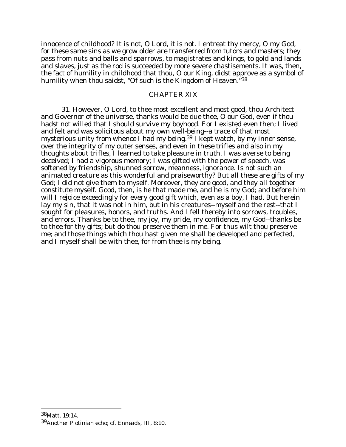innocence of childhood? It is not, O Lord, it is not. I entreat thy mercy, O my God, for these same sins as we grow older are transferred from tutors and masters; they pass from nuts and balls and sparrows, to magistrates and kings, to gold and lands and slaves, just as the rod is succeeded by more severe chastisements. It was, then, the fact of humility in childhood that thou, O our King, didst approve as a symbol of humility when thou saidst, "Of such is the Kingdom of Heaven."<sup>38</sup>

# CHAPTER XIX

31. However, O Lord, to thee most excellent and most good, thou Architect and Governor of the universe, thanks would be due thee, O our God, even if thou hadst not willed that I should survive my boyhood. For I existed even then; I lived and felt and was solicitous about my own well-being--a trace of that most mysterious unity from whence I had my being.<sup>39</sup> I kept watch, by my inner sense, over the integrity of my outer senses, and even in these trifles and also in my thoughts about trifles, I learned to take pleasure in truth. I was averse to being deceived; I had a vigorous memory; I was gifted with the power of speech, was softened by friendship, shunned sorrow, meanness, ignorance. Is not such an animated creature as this wonderful and praiseworthy? But all these are gifts of my God; I did not give them to myself. Moreover, they are good, and they all together constitute myself. Good, then, is he that made me, and he is my God; and before him will I rejoice exceedingly for every good gift which, even as a boy, I had. But herein lay my sin, that it was not in him, but in his creatures--myself and the rest--that I sought for pleasures, honors, and truths. And I fell thereby into sorrows, troubles, and errors. Thanks be to thee, my joy, my pride, my confidence, my God--thanks be to thee for thy gifts; but do thou preserve them in me. For thus wilt thou preserve me; and those things which thou hast given me shall be developed and perfected, and I myself shall be with thee, for from thee is my being.

<sup>38</sup>Matt. 19:14.

<sup>39</sup>Another Plotinian echo; cf. *Enneads*, III, 8:10.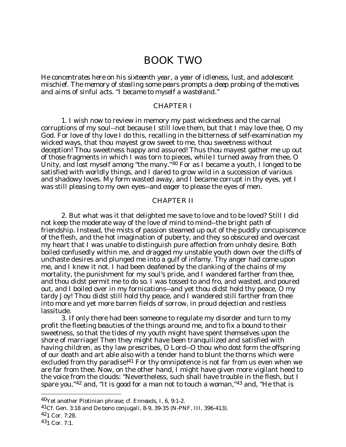# BOOK TWO

*He concentrates here on his sixteenth year, a year of idleness, lust, and adolescent mischief. The memory of stealing some pears prompts a deep probing of the motives and aims of sinful acts. "I became to myself a wasteland."*

# CHAPTER I

1. I wish now to review in memory my past wickedness and the carnal corruptions of my soul--not because I still love them, but that I may love thee, O my God. For love of thy love I do this, recalling in the bitterness of self-examination my wicked ways, that thou mayest grow sweet to me, thou sweetness without deception! Thou sweetness happy and assured! Thus thou mayest gather me up out of those fragments in which I was torn to pieces, while I turned away from thee, O Unity, and lost myself among "the many."<sup>40</sup> For as I became a youth, I longed to be satisfied with worldly things, and I dared to grow wild in a succession of various and shadowy loves. My form wasted away, and I became corrupt in thy eyes, yet I was still pleasing to my own eyes--and eager to please the eyes of men.

# CHAPTER II

2. But what was it that delighted me save to love and to be loved? Still I did not keep the moderate way of the love of mind to mind--the bright path of friendship. Instead, the mists of passion steamed up out of the puddly concupiscence of the flesh, and the hot imagination of puberty, and they so obscured and overcast my heart that I was unable to distinguish pure affection from unholy desire. Both boiled confusedly within me, and dragged my unstable youth down over the cliffs of unchaste desires and plunged me into a gulf of infamy. Thy anger had come upon me, and I knew it not. I had been deafened by the clanking of the chains of my mortality, the punishment for my soul's pride, and I wandered farther from thee, and thou didst permit me to do so. I was tossed to and fro, and wasted, and poured out, and I boiled over in my fornications--and yet thou didst hold thy peace, O my tardy Joy! Thou didst still hold thy peace, and I wandered still farther from thee into more and yet more barren fields of sorrow, in proud dejection and restless lassitude.

3. If only there had been someone to regulate my disorder and turn to my profit the fleeting beauties of the things around me, and to fix a bound to their sweetness, so that the tides of my youth might have spent themselves upon the shore of marriage! Then they might have been tranquilized and satisfied with having children, as thy law prescribes, O Lord--O thou who dost form the offspring of our death and art able also with a tender hand to blunt the thorns which were excluded from thy paradise!<sup>41</sup> For thy omnipotence is not far from us even when we are far from thee. Now, on the other hand, I might have given more vigilant heed to the voice from the clouds: "Nevertheless, such shall have trouble in the flesh, but I spare you,"<sup>42</sup> and, "It is good for a man not to touch a woman,"<sup>43</sup> and, "He that is

<sup>40</sup>Yet another Plotinian phrase; cf. *Enneads*, I, 6, 9:1-2.

<sup>41</sup>Cf. Gen. 3:18 and *De bono conjugali*, 8-9, 39-35 (*N-PNF*, III, 396-413).

<sup>42</sup>1 Cor. 7:28.

<sup>43</sup>1 Cor. 7:1.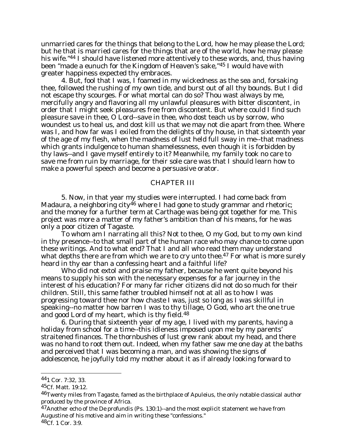unmarried cares for the things that belong to the Lord, how he may please the Lord; but he that is married cares for the things that are of the world, how he may please his wife."44 I should have listened more attentively to these words, and, thus having been "made a eunuch for the Kingdom of Heaven's sake,"45 I would have with greater happiness expected thy embraces.

4. But, fool that I was, I foamed in my wickedness as the sea and, forsaking thee, followed the rushing of my own tide, and burst out of all thy bounds. But I did not escape thy scourges. For what mortal can do so? Thou wast always by me, mercifully angry and flavoring all my unlawful pleasures with bitter discontent, in order that I might seek pleasures free from discontent. But where could I find such pleasure save in thee, O Lord--save in thee, who dost teach us by sorrow, who woundest us to heal us, and dost kill us that we may not die apart from thee. Where was I, and how far was I exiled from the delights of thy house, in that sixteenth year of the age of my flesh, when the madness of lust held full sway in me--that madness which grants indulgence to human shamelessness, even though it is forbidden by thy laws--and I gave myself entirely to it? Meanwhile, my family took no care to save me from ruin by marriage, for their sole care was that I should learn how to make a powerful speech and become a persuasive orator.

# CHAPTER III

5. Now, in that year my studies were interrupted. I had come back from Madaura, a neighboring city<sup>46</sup> where I had gone to study grammar and rhetoric; and the money for a further term at Carthage was being got together for me. This project was more a matter of my father's ambition than of his means, for he was only a poor citizen of Tagaste.

To whom am I narrating all this? Not to thee, O my God, but to my own kind in thy presence--to that small part of the human race who may chance to come upon these writings. And to what end? That I and all who read them may understand what depths there are from which we are to cry unto thee.<sup>47</sup> For what is more surely heard in thy ear than a confessing heart and a faithful life?

Who did not extol and praise my father, because he went quite beyond his means to supply his son with the necessary expenses for a far journey in the interest of his education? For many far richer citizens did not do so much for their children. Still, this same father troubled himself not at all as to how I was progressing toward thee nor how chaste I was, just so long as I was skillful in speaking--no matter how barren I was to thy tillage, O God, who art the one true and good Lord of my heart, which is thy field.48

6. During that sixteenth year of my age, I lived with my parents, having a holiday from school for a time--this idleness imposed upon me by my parents' straitened finances. The thornbushes of lust grew rank about my head, and there was no hand to root them out. Indeed, when my father saw me one day at the baths and perceived that I was becoming a man, and was showing the signs of adolescence, he joyfully told my mother about it as if already looking forward to

48Cf. 1 Cor. 3:9.

<sup>44</sup>1 Cor. 7:32, 33.

<sup>45</sup>Cf. Matt. 19:12.

<sup>46</sup>Twenty miles from Tagaste, famed as the birthplace of Apuleius, the only notable classical author produced by the province of Africa.

<sup>47</sup>Another echo of the *De profundis* (Ps. 130:1)--and the most explicit statement we have from Augustine of his motive and aim in writing these "confessions."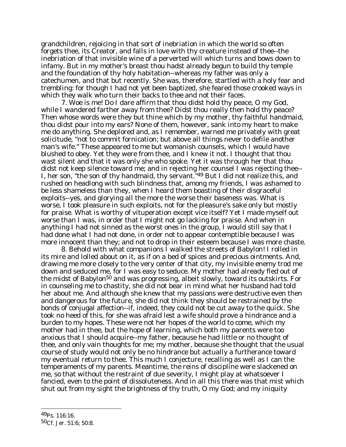grandchildren, rejoicing in that sort of inebriation in which the world so often forgets thee, its Creator, and falls in love with thy creature instead of thee--the inebriation of that invisible wine of a perverted will which turns and bows down to infamy. But in my mother's breast thou hadst already begun to build thy temple and the foundation of thy holy habitation--whereas my father was only a catechumen, and that but recently. She was, therefore, startled with a holy fear and trembling: for though I had not yet been baptized, she feared those crooked ways in which they walk who turn their backs to thee and not their faces.

7. Woe is me! Do I dare affirm that thou didst hold thy peace, O my God, while I wandered farther away from thee? Didst thou really then hold thy peace? Then whose words were they but thine which by my mother, thy faithful handmaid, thou didst pour into my ears? None of them, however, sank into my heart to make me do anything. She deplored and, as I remember, warned me privately with great solicitude, "not to commit fornication; but above all things never to defile another man's wife." These appeared to me but womanish counsels, which I would have blushed to obey. Yet they were from thee, and I knew it not. I thought that thou wast silent and that it was only she who spoke. Yet it was through her that thou didst not keep silence toward me; and in rejecting her counsel I was rejecting thee-- I, her son, "the son of thy handmaid, thy servant."49 But I did not realize this, and rushed on headlong with such blindness that, among my friends, I was ashamed to be less shameless than they, when I heard them boasting of their disgraceful exploits--yes, and glorying all the more the worse their baseness was. What is worse, I took pleasure in such exploits, not for the pleasure's sake only but mostly for praise. What is worthy of vituperation except vice itself? Yet I made myself out worse than I was, in order that I might not go lacking for praise. And when in anything I had not sinned as the worst ones in the group, I would still say that I had done what I had not done, in order not to appear contemptible because I was more innocent than they; and not to drop in their esteem because I was more chaste.

8. Behold with what companions I walked the streets of Babylon! I rolled in its mire and lolled about on it, as if on a bed of spices and precious ointments. And, drawing me more closely to the very center of that city, my invisible enemy trod me down and seduced me, for I was easy to seduce. My mother had already fled out of the midst of Babylon<sup>50</sup> and was progressing, albeit slowly, toward its outskirts. For in counseling me to chastity, she did not bear in mind what her husband had told her about me. And although she knew that my passions were destructive even then and dangerous for the future, she did not think they should be restrained by the bonds of conjugal affection--if, indeed, they could not be cut away to the quick. She took no heed of this, for she was afraid lest a wife should prove a hindrance and a burden to my hopes. These were not her hopes of the world to come, which my mother had in thee, but the hope of learning, which both my parents were too anxious that I should acquire--my father, because he had little or no thought of thee, and only vain thoughts for me; my mother, because she thought that the usual course of study would not only be no hindrance but actually a furtherance toward my eventual return to thee. This much I conjecture, recalling as well as I can the temperaments of my parents. Meantime, the reins of discipline were slackened on me, so that without the restraint of due severity, I might play at whatsoever I fancied, even to the point of dissoluteness. And in all this there was that mist which shut out from my sight the brightness of thy truth, O my God; and my iniquity

<sup>49</sup>Ps. 116:16. 50Cf. Jer. 51:6; 50:8.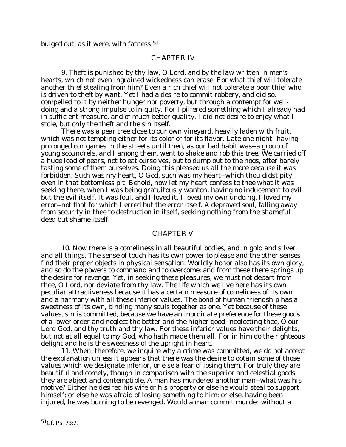bulged out, as it were, with fatness!<sup>51</sup>

### CHAPTER IV

9. Theft is punished by thy law, O Lord, and by the law written in men's hearts, which not even ingrained wickedness can erase. For what thief will tolerate another thief stealing from him? Even a rich thief will not tolerate a poor thief who is driven to theft by want. Yet I had a desire to commit robbery, and did so, compelled to it by neither hunger nor poverty, but through a contempt for welldoing and a strong impulse to iniquity. For I pilfered something which I already had in sufficient measure, and of much better quality. I did not desire to enjoy what I stole, but only the theft and the sin itself.

There was a pear tree close to our own vineyard, heavily laden with fruit, which was not tempting either for its color or for its flavor. Late one night--having prolonged our games in the streets until then, as our bad habit was--a group of young scoundrels, and I among them, went to shake and rob this tree. We carried off a huge load of pears, not to eat ourselves, but to dump out to the hogs, after barely tasting some of them ourselves. Doing this pleased us all the more because it was forbidden. Such was my heart, O God, such was my heart--which thou didst pity even in that bottomless pit. Behold, now let my heart confess to thee what it was seeking there, when I was being gratuitously wanton, having no inducement to evil but the evil itself. It was foul, and I loved it. I loved my own undoing. I loved my error--not that for which I erred but the error itself. A depraved soul, falling away from security in thee to destruction in itself, seeking nothing from the shameful deed but shame itself.

# CHAPTER V

10. Now there is a comeliness in all beautiful bodies, and in gold and silver and all things. The sense of touch has its own power to please and the other senses find their proper objects in physical sensation. Worldly honor also has its own glory, and so do the powers to command and to overcome: and from these there springs up the desire for revenge. Yet, in seeking these pleasures, we must not depart from thee, O Lord, nor deviate from thy law. The life which we live here has its own peculiar attractiveness because it has a certain measure of comeliness of its own and a harmony with all these inferior values. The bond of human friendship has a sweetness of its own, binding many souls together as one. Yet because of these values, sin is committed, because we have an inordinate preference for these goods of a lower order and neglect the better and the higher good--neglecting thee, O our Lord God, and thy truth and thy law. For these inferior values have their delights, but not at all equal to my God, who hath made them all. For in him do the righteous delight and he is the sweetness of the upright in heart.

11. When, therefore, we inquire why a crime was committed, we do not accept the explanation unless it appears that there was the desire to obtain some of those values which we designate inferior, or else a fear of losing them. For truly they are beautiful and comely, though in comparison with the superior and celestial goods they are abject and contemptible. A man has murdered another man--what was his motive? Either he desired his wife or his property or else he would steal to support himself; or else he was afraid of losing something to him; or else, having been injured, he was burning to be revenged. Would a man commit murder without a

<sup>51</sup>Cf. Ps. 73:7.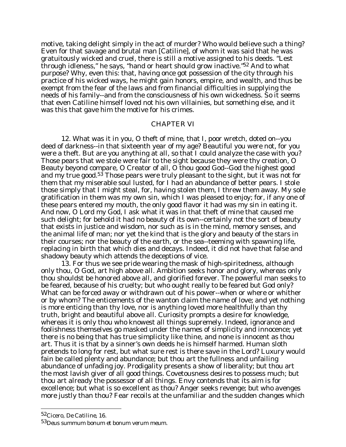motive, taking delight simply in the act of murder? Who would believe such a thing? Even for that savage and brutal man [Catiline], of whom it was said that he was gratuitously wicked and cruel, there is still a motive assigned to his deeds. "Lest through idleness," he says, "hand or heart should grow inactive."52 And to what purpose? Why, even this: that, having once got possession of the city through his practice of his wicked ways, he might gain honors, empire, and wealth, and thus be exempt from the fear of the laws and from financial difficulties in supplying the needs of his family--and from the consciousness of his own wickedness. So it seems that even Catiline himself loved not his own villainies, but something else, and it was this that gave him the motive for his crimes.

### CHAPTER VI

12. What was it in you, O theft of mine, that I, poor wretch, doted on--you deed of darkness--in that sixteenth year of my age? Beautiful you were not, for you were a theft. But are you anything at all, so that I could analyze the case with you? Those pears that we stole were fair to the sight because they were thy creation, O Beauty beyond compare, O Creator of all, O thou good God--God the highest good and my true good.53 Those pears were truly pleasant to the sight, but it was not for them that my miserable soul lusted, for I had an abundance of better pears. I stole those simply that I might steal, for, having stolen them, I threw them away. My sole gratification in them was my own sin, which I was pleased to enjoy; for, if any one of these pears entered my mouth, the only good flavor it had was my sin in eating it. And now, O Lord my God, I ask what it was in that theft of mine that caused me such delight; for behold it had no beauty of its own--certainly not the sort of beauty that exists in justice and wisdom, nor such as is in the mind, memory senses, and the animal life of man; nor yet the kind that is the glory and beauty of the stars in their courses; nor the beauty of the earth, or the sea--teeming with spawning life, replacing in birth that which dies and decays. Indeed, it did not have that false and shadowy beauty which attends the deceptions of vice.

13. For thus we see pride wearing the mask of high-spiritedness, although only thou, O God, art high above all. Ambition seeks honor and glory, whereas only thou shouldst be honored above all, and glorified forever. The powerful man seeks to be feared, because of his cruelty; but who ought really to be feared but God only? What can be forced away or withdrawn out of his power--when or where or whither or by whom? The enticements of the wanton claim the name of love; and yet nothing is more enticing than thy love, nor is anything loved more healthfully than thy truth, bright and beautiful above all. Curiosity prompts a desire for knowledge, whereas it is only thou who knowest all things supremely. Indeed, ignorance and foolishness themselves go masked under the names of simplicity and innocence; yet there is no being that has true simplicity like thine, and none is innocent as thou art. Thus it is that by a sinner's own deeds he is himself harmed. Human sloth pretends to long for rest, but what sure rest is there save in the Lord? Luxury would fain be called plenty and abundance; but thou art the fullness and unfailing abundance of unfading joy. Prodigality presents a show of liberality; but thou art the most lavish giver of all good things. Covetousness desires to possess much; but thou art already the possessor of all things. Envy contends that its aim is for excellence; but what is so excellent as thou? Anger seeks revenge; but who avenges more justly than thou? Fear recoils at the unfamiliar and the sudden changes which

<sup>52</sup>Cicero, *De Catiline*, 16.

<sup>53</sup>*Deus summum bonum et bonum verum meum*.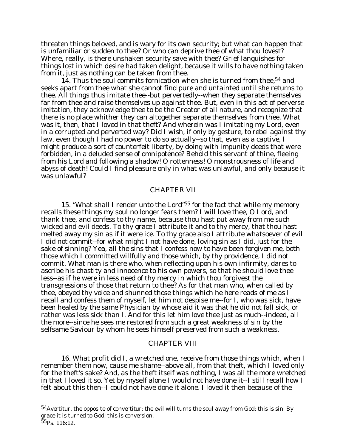threaten things beloved, and is wary for its own security; but what can happen that is unfamiliar or sudden to thee? Or who can deprive thee of what thou lovest? Where, really, is there unshaken security save with thee? Grief languishes for things lost in which desire had taken delight, because it wills to have nothing taken from it, just as nothing can be taken from thee.

14. Thus the soul commits fornication when she is turned from thee,<sup>54</sup> and seeks apart from thee what she cannot find pure and untainted until she returns to thee. All things thus imitate thee--but pervertedly--when they separate themselves far from thee and raise themselves up against thee. But, even in this act of perverse imitation, they acknowledge thee to be the Creator of all nature, and recognize that there is no place whither they can altogether separate themselves from thee. What was it, then, that I loved in that theft? And wherein was I imitating my Lord, even in a corrupted and perverted way? Did I wish, if only by gesture, to rebel against thy law, even though I had no power to do so actually--so that, even as a captive, I might produce a sort of counterfeit liberty, by doing with impunity deeds that were forbidden, in a deluded sense of omnipotence? Behold this servant of thine, fleeing from his Lord and following a shadow! O rottenness! O monstrousness of life and abyss of death! Could I find pleasure only in what was unlawful, and only because it was unlawful?

# CHAPTER VII

15. "What shall I render unto the Lord"55 for the fact that while my memory recalls these things my soul no longer fears them? I will love thee, O Lord, and thank thee, and confess to thy name, because thou hast put away from me such wicked and evil deeds. To thy grace I attribute it and to thy mercy, that thou hast melted away my sin as if it were ice. To thy grace also I attribute whatsoever of evil I did *not* commit--for what might I not have done, loving sin as I did, just for the sake of sinning? Yea, all the sins that I confess now to have been forgiven me, both those which I committed willfully and those which, by thy providence, I did not commit. What man is there who, when reflecting upon his own infirmity, dares to ascribe his chastity and innocence to his own powers, so that he should love thee less--as if he were in less need of thy mercy in which thou forgivest the transgressions of those that return to thee? As for that man who, when called by thee, obeyed thy voice and shunned those things which he here reads of me as I recall and confess them of myself, let him not despise me--for I, who was sick, have been healed by the same Physician by whose aid it was that he did not fall sick, or rather was less sick than I. And for this let him love thee just as much--indeed, all the more--since he sees me restored from such a great weakness of sin by the selfsame Saviour by whom he sees himself preserved from such a weakness.

#### CHAPTER VIII

16. What profit did I, a wretched one, receive from those things which, when I remember them now, cause me shame--above all, from that theft, which I loved only for the theft's sake? And, as the theft itself was nothing, I was all the more wretched in that I loved it so. Yet by myself alone I would not have done it--I still recall how I felt about this then--I could not have done it alone. I loved it then because of the

<sup>54</sup>*Avertitur*, the opposite of *convertitur*: the evil will turns the soul *away* from God; this is sin. By grace it is turned *to* God; this is *conversion*. 55Ps. 116:12.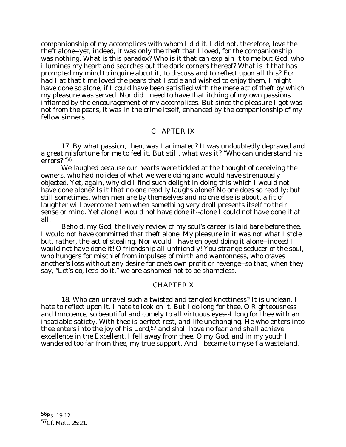companionship of my accomplices with whom I did it. I did not, therefore, love the theft alone--yet, indeed, it was only the theft that I loved, for the companionship was nothing. What is this paradox? Who is it that can explain it to me but God, who illumines my heart and searches out the dark corners thereof? What is it that has prompted my mind to inquire about it, to discuss and to reflect upon all this? For had I at that time loved the pears that I stole and wished to enjoy them, I might have done so alone, if I could have been satisfied with the mere act of theft by which my pleasure was served. Nor did I need to have that itching of my own passions inflamed by the encouragement of my accomplices. But since the pleasure I got was not from the pears, it was in the crime itself, enhanced by the companionship of my fellow sinners.

# CHAPTER IX

17. By what passion, then, was I animated? It was undoubtedly depraved and a great misfortune for me to feel it. But still, what was it? "Who can understand his errors?"56

We laughed because our hearts were tickled at the thought of deceiving the owners, who had no idea of what we were doing and would have strenuously objected. Yet, again, why did I find such delight in doing this which I would not have done alone? Is it that no one readily laughs alone? No one does so readily; but still sometimes, when men are by themselves and no one else is about, a fit of laughter will overcome them when something very droll presents itself to their sense or mind. Yet alone I would not have done it--alone I could not have done it at all.

Behold, my God, the lively review of my soul's career is laid bare before thee. I would not have committed that theft alone. My pleasure in it was not what I stole but, rather, the act of stealing. Nor would I have enjoyed doing it alone--indeed I would not have done it! O friendship all unfriendly! You strange seducer of the soul, who hungers for mischief from impulses of mirth and wantonness, who craves another's loss without any desire for one's own profit or revenge--so that, when they say, "Let's go, let's do it," we are ashamed not to be shameless.

# CHAPTER X

18. Who can unravel such a twisted and tangled knottiness? It is unclean. I hate to reflect upon it. I hate to look on it. But I do long for thee, O Righteousness and Innocence, so beautiful and comely to all virtuous eyes--I long for thee with an insatiable satiety. With thee is perfect rest, and life unchanging. He who enters into thee enters into the joy of his Lord,<sup>57</sup> and shall have no fear and shall achieve excellence in the Excellent. I fell away from thee, O my God, and in my youth I wandered too far from thee, my true support. And I became to myself a wasteland.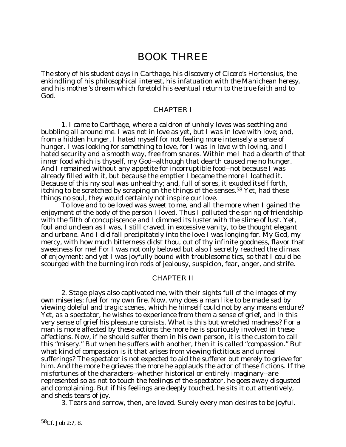# BOOK THREE

*The story of his student days in Carthage, his discovery of Cicero's* Hortensius*, the enkindling of his philosophical interest, his infatuation with the Manichean heresy, and his mother's dream which foretold his eventual return to the true faith and to God.*

# CHAPTER I

1. I came to Carthage, where a caldron of unholy loves was seething and bubbling all around me. I was not in love as yet, but I was in love with love; and, from a hidden hunger, I hated myself for not feeling more intensely a sense of hunger. I was looking for something to love, for I was in love with loving, and I hated security and a smooth way, free from snares. Within me I had a dearth of that inner food which is thyself, my God--although that dearth caused me no hunger. And I remained without any appetite for incorruptible food--not because I was already filled with it, but because the emptier I became the more I loathed it. Because of this my soul was unhealthy; and, full of sores, it exuded itself forth, itching to be scratched by scraping on the things of the senses.<sup>58</sup> Yet, had these things no soul, they would certainly not inspire our love.

To love and to be loved was sweet to me, and all the more when I gained the enjoyment of the body of the person I loved. Thus I polluted the spring of friendship with the filth of concupiscence and I dimmed its luster with the slime of lust. Yet, foul and unclean as I was, I still craved, in excessive vanity, to be thought elegant and urbane. And I did fall precipitately into the love I was longing for. My God, my mercy, with how much bitterness didst thou, out of thy infinite goodness, flavor that sweetness for me! For I was not only beloved but also I secretly reached the climax of enjoyment; and yet I was joyfully bound with troublesome tics, so that I could be scourged with the burning iron rods of jealousy, suspicion, fear, anger, and strife.

#### CHAPTER II

2. Stage plays also captivated me, with their sights full of the images of my own miseries: fuel for my own fire. Now, why does a man like to be made sad by viewing doleful and tragic scenes, which he himself could not by any means endure? Yet, as a spectator, he wishes to experience from them a sense of grief, and in this very sense of grief his pleasure consists. What is this but wretched madness? For a man is more affected by these actions the more he is spuriously involved in these affections. Now, if he should suffer them in his own person, it is the custom to call this "misery." But when he suffers with another, then it is called "compassion." But what kind of compassion is it that arises from viewing fictitious and unreal sufferings? The spectator is not expected to aid the sufferer but merely to grieve for him. And the more he grieves the more he applauds the actor of these fictions. If the misfortunes of the characters--whether historical or entirely imaginary--are represented so as not to touch the feelings of the spectator, he goes away disgusted and complaining. But if his feelings are deeply touched, he sits it out attentively, and sheds tears of joy.

3. Tears and sorrow, then, are loved. Surely every man desires to be joyful.

<sup>58</sup>Cf. Job 2:7, 8.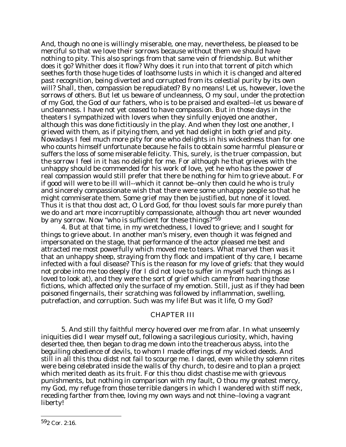And, though no one is willingly miserable, one may, nevertheless, be pleased to be merciful so that we love their sorrows because without them we should have nothing to pity. This also springs from that same vein of friendship. But whither does it go? Whither does it flow? Why does it run into that torrent of pitch which seethes forth those huge tides of loathsome lusts in which it is changed and altered past recognition, being diverted and corrupted from its celestial purity by its own will? Shall, then, compassion be repudiated? By no means! Let us, however, love the sorrows of others. But let us beware of uncleanness, O my soul, under the protection of my God, the God of our fathers, who is to be praised and exalted--let us beware of uncleanness. I have not yet ceased to have compassion. But in those days in the theaters I sympathized with lovers when they sinfully enjoyed one another, although this was done fictitiously in the play. And when they lost one another, I grieved with them, as if pitying them, and yet had delight in both grief and pity. Nowadays I feel much more pity for one who delights in his wickedness than for one who counts himself unfortunate because he fails to obtain some harmful pleasure or suffers the loss of some miserable felicity. This, surely, is the truer compassion, but the sorrow I feel in it has no delight for me. For although he that grieves with the unhappy should be commended for his work of love, yet he who has the power of real compassion would still prefer that there be nothing for him to grieve about. For if good will were to be ill will--which it cannot be--only then could he who is truly and sincerely compassionate wish that there were some unhappy people so that he might commiserate them. Some grief may then be justified, but none of it loved. Thus it is that thou dost act, O Lord God, for thou lovest souls far more purely than we do and art more incorruptibly compassionate, although thou art never wounded by any sorrow. Now "who is sufficient for these things?"<sup>59</sup>

4. But at that time, in my wretchedness, I loved to grieve; and I sought for things to grieve about. In another man's misery, even though it was feigned and impersonated on the stage, that performance of the actor pleased me best and attracted me most powerfully which moved me to tears. What marvel then was it that an unhappy sheep, straying from thy flock and impatient of thy care, I became infected with a foul disease? This is the reason for my love of griefs: that they would not probe into me too deeply (for I did not love to suffer in myself such things as I loved to look at), and they were the sort of grief which came from hearing those fictions, which affected only the surface of my emotion. Still, just as if they had been poisoned fingernails, their scratching was followed by inflammation, swelling, putrefaction, and corruption. Such was my life! But was it life, O my God?

# CHAPTER III

5. And still thy faithful mercy hovered over me from afar. In what unseemly iniquities did I wear myself out, following a sacrilegious curiosity, which, having deserted thee, then began to drag me down into the treacherous abyss, into the beguiling obedience of devils, to whom I made offerings of my wicked deeds. And still in all this thou didst not fail to scourge me. I dared, even while thy solemn rites were being celebrated inside the walls of thy church, to desire and to plan a project which merited death as its fruit. For this thou didst chastise me with grievous punishments, but nothing in comparison with my fault, O thou my greatest mercy, my God, my refuge from those terrible dangers in which I wandered with stiff neck, receding farther from thee, loving my own ways and not thine--loving a vagrant liberty!

<sup>59</sup>2 Cor. 2:16.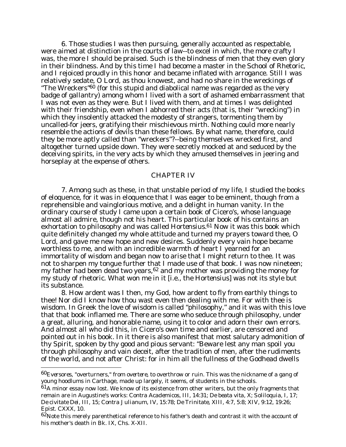6. Those studies I was then pursuing, generally accounted as respectable, were aimed at distinction in the courts of law--to excel in which, the more crafty I was, the more I should be praised. Such is the blindness of men that they even glory in their blindness. And by this time I had become a master in the School of Rhetoric, and I rejoiced proudly in this honor and became inflated with arrogance. Still I was relatively sedate, O Lord, as thou knowest, and had no share in the wreckings of "The Wreckers"60 (for this stupid and diabolical name was regarded as the very badge of gallantry) among whom I lived with a sort of ashamed embarrassment that I was not even as they were. But I lived with them, and at times I was delighted with their friendship, even when I abhorred their acts (that is, their "wrecking") in which they insolently attacked the modesty of strangers, tormenting them by uncalled-for jeers, gratifying their mischievous mirth. Nothing could more nearly resemble the actions of devils than these fellows. By what name, therefore, could they be more aptly called than "wreckers"?--being themselves wrecked first, and altogether turned upside down. They were secretly mocked at and seduced by the deceiving spirits, in the very acts by which they amused themselves in jeering and horseplay at the expense of others.

### CHAPTER IV

7. Among such as these, in that unstable period of my life, I studied the books of eloquence, for it was in eloquence that I was eager to be eminent, though from a reprehensible and vainglorious motive, and a delight in human vanity. In the ordinary course of study I came upon a certain book of Cicero's, whose language almost all admire, though not his heart. This particular book of his contains an exhortation to philosophy and was called *Hortensius*. 61 Now it was this book which quite definitely changed my whole attitude and turned my prayers toward thee, O Lord, and gave me new hope and new desires. Suddenly every vain hope became worthless to me, and with an incredible warmth of heart I yearned for an immortality of wisdom and began now to arise that I might return to thee. It was not to sharpen my tongue further that I made use of that book. I was now nineteen; my father had been dead two years, 62 and my mother was providing the money for my study of rhetoric. What won me in it [i.e., the *Hortensius*] was not its style but its substance.

8. How ardent was I then, my God, how ardent to fly from earthly things to thee! Nor did I know how thou wast even then dealing with me. For with thee is wisdom. In Greek the love of wisdom is called "philosophy," and it was with this love that that book inflamed me. There are some who seduce through philosophy, under a great, alluring, and honorable name, using it to color and adorn their own errors. And almost all who did this, in Cicero's own time and earlier, are censored and pointed out in his book. In it there is also manifest that most salutary admonition of thy Spirit, spoken by thy good and pious servant: "Beware lest any man spoil you through philosophy and vain deceit, after the tradition of men, after the rudiments of the world, and not after Christ: for in him all the fullness of the Godhead dwells

<sup>60</sup>*Eversores*, "overturners," from *overtere*, to overthrow or ruin. This was the nickname of a gang of young hoodlums in Carthage, made up largely, it seems, of students in the schools.

 $61A$  minor essay now lost. We know of its existence from other writers, but the only fragments that remain are in Augustine's works: *Contra Academicos*, III, 14:31; *De beata vita*, X; *Soliloquia*, I, 17; *De civitate Dei*, III, 15; *Contra Julianum*, IV, 15:78; *De Trinitate*, XIII, 4:7, 5:8; XIV, 9:12, 19:26; *Epist*. CXXX, 10.

 $62$ Note this merely parenthetical reference to his father's death and contrast it with the account of his mother's death in Bk. IX, Chs. X-XII.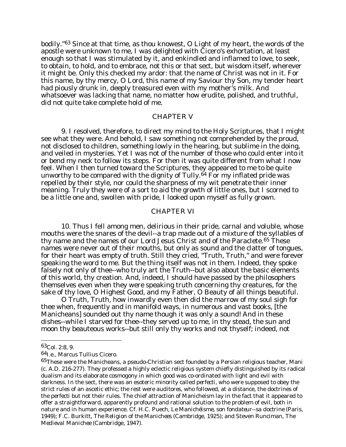bodily."63 Since at that time, as thou knowest, O Light of my heart, the words of the apostle were unknown to me, I was delighted with Cicero's exhortation, at least enough so that I was stimulated by it, and enkindled and inflamed to love, to seek, to obtain, to hold, and to embrace, not this or that sect, but wisdom itself, wherever it might be. Only this checked my ardor: that the name of Christ was not in it. For this name, by thy mercy, O Lord, this name of my Saviour thy Son, my tender heart had piously drunk in, deeply treasured even with my mother's milk. And whatsoever was lacking that name, no matter how erudite, polished, and truthful, did not quite take complete hold of me.

### CHAPTER V

9. I resolved, therefore, to direct my mind to the Holy Scriptures, that I might see what they were. And behold, I saw something not comprehended by the proud, not disclosed to children, something lowly in the hearing, but sublime in the doing, and veiled in mysteries. Yet I was not of the number of those who could enter into it or bend my neck to follow its steps. For then it was quite different from what I now feel. When I then turned toward the Scriptures, they appeared to me to be quite unworthy to be compared with the dignity of Tully.<sup> $64$ </sup> For my inflated pride was repelled by their style, nor could the sharpness of my wit penetrate their inner meaning. Truly they were of a sort to aid the growth of little ones, but I scorned to be a little one and, swollen with pride, I looked upon myself as fully grown.

# CHAPTER VI

10. Thus I fell among men, delirious in their pride, carnal and voluble, whose mouths were the snares of the devil--a trap made out of a mixture of the syllables of thy name and the names of our Lord Jesus Christ and of the Paraclete.65 These names were never out of their mouths, but only as sound and the clatter of tongues, for their heart was empty of truth. Still they cried, "Truth, Truth," and were forever speaking the word to me. But the thing itself was not in them. Indeed, they spoke falsely not only of thee--who truly art the Truth--but also about the basic elements of this world, thy creation. And, indeed, I should have passed by the philosophers themselves even when they were speaking truth concerning thy creatures, for the sake of thy love, O Highest Good, and my Father, O Beauty of all things beautiful.

O Truth, Truth, how inwardly even then did the marrow of my soul sigh for thee when, frequently and in manifold ways, in numerous and vast books, [the Manicheans] sounded out thy name though it was only a sound! And in these dishes--while I starved for thee--they served up to me, in thy stead, the sun and moon thy beauteous works--but still only thy works and not thyself; indeed, not

<sup>63</sup>Col. 2:8, 9.

<sup>64</sup>I.e., Marcus Tullius Cicero.

 $65$ These were the Manicheans, a pseudo-Christian sect founded by a Persian religious teacher, Mani (c. A.D. 216-277). They professed a highly eclectic religious system chiefly distinguished by its radical dualism and its elaborate cosmogony in which good was co-ordinated with light and evil with darkness. In the sect, there was an esoteric minority called *perfecti*, who were supposed to obey the strict rules of an ascetic ethic; the rest were *auditores*, who followed, at a distance, the doctrines of the *perfecti* but not their rules. The chief attraction of Manicheism lay in the fact that it appeared to offer a straightforward, apparently profound and rational solution to the problem of evil, both in nature and in human experience. Cf. H.C. Puech, *Le Manichéisme, son fondateur--sa doctrine* (Paris, 1949); F.C. Burkitt, *The Religion of the Manichees* (Cambridge, 1925); and Steven Runciman, *The Medieval Manichee* (Cambridge, 1947).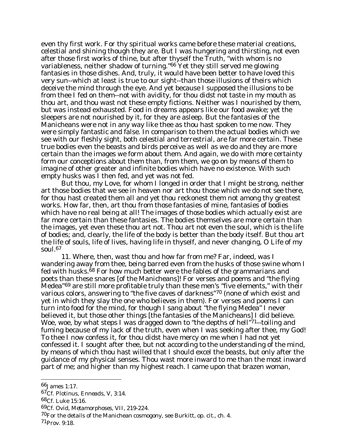even thy first work. For thy spiritual works came before these material creations, celestial and shining though they are. But I was hungering and thirsting, not even after those first works of thine, but after thyself the Truth, "with whom is no variableness, neither shadow of turning."66 Yet they still served me glowing fantasies in those dishes. And, truly, it would have been better to have loved this very sun--which at least is true to our sight--than those illusions of theirs which deceive the mind through the eye. And yet because I supposed the illusions to be from thee I fed on them--not with avidity, for thou didst not taste in my mouth as thou art, and thou wast not these empty fictions. Neither was I nourished by them, but was instead exhausted. Food in dreams appears like our food awake; yet the sleepers are not nourished by it, for they are asleep. But the fantasies of the Manicheans were not in any way like thee as thou hast spoken to me now. They were simply fantastic and false. In comparison to them the actual bodies which we see with our fleshly sight, both celestial and terrestrial, are far more certain. These true bodies even the beasts and birds perceive as well as we do and they are more certain than the images we form about them. And again, we do with more certainty form our conceptions about them than, from them, we go on by means of them to imagine of other greater and infinite bodies which have no existence. With such empty husks was I then fed, and yet was not fed.

But thou, my Love, for whom I longed in order that I might be strong, neither art those bodies that we see in heaven nor art thou those which we do not see there, for thou hast created them all and yet thou reckonest them not among thy greatest works. How far, then, art thou from those fantasies of mine, fantasies of bodies which have no real being at all! The images of those bodies which actually exist are far more certain than these fantasies. The bodies themselves are more certain than the images, yet even these thou art not. Thou art not even the soul, which is the life of bodies; and, clearly, the life of the body is better than the body itself. But thou art the life of souls, life of lives, having life in thyself, and never changing, O Life of my soul.67

11. Where, then, wast thou and how far from me? Far, indeed, was I wandering away from thee, being barred even from the husks of those swine whom I fed with husks.68 For how much better were the fables of the grammarians and poets than these snares [of the Manicheans]! For verses and poems and "the flying Medea"69 are still more profitable truly than these men's "five elements," with their various colors, answering to "the five caves of darkness"70 (none of which exist and yet in which they slay the one who believes in them). For verses and poems I can turn into food for the mind, for though I sang about "the flying Medea" I never believed it, but those other things [the fantasies of the Manicheans] I did believe. Woe, woe, by what steps I was dragged down to "the depths of hell"<sup>71</sup>-toiling and fuming because of my lack of the truth, even when I was seeking after thee, my God! To thee I now confess it, for thou didst have mercy on me when I had not yet confessed it. I sought after thee, but not according to the understanding of the mind, by means of which thou hast willed that I should excel the beasts, but only after the guidance of my physical senses. Thou wast more inward to me than the most inward part of me; and higher than my highest reach. I came upon that brazen woman,

71Prov. 9:18.

<sup>66</sup>James 1:17.

<sup>67</sup>Cf. Plotinus, *Enneads*, V, 3:14.

<sup>68</sup>Cf. Luke 15:16.

<sup>69</sup>Cf. Ovid, *Metamorphoses*, VII, 219-224.

<sup>70</sup>For the details of the Manichean cosmogony, see Burkitt, *op. cit*., ch. 4.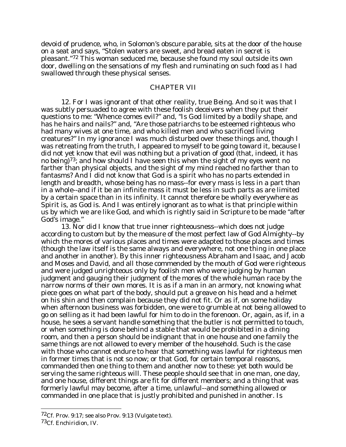devoid of prudence, who, in Solomon's obscure parable, sits at the door of the house on a seat and says, "Stolen waters are sweet, and bread eaten in secret is pleasant."72 This woman seduced me, because she found my soul outside its own door, dwelling on the sensations of my flesh and ruminating on such food as I had swallowed through these physical senses.

# CHAPTER VII

12. For I was ignorant of that other reality, true Being. And so it was that I was subtly persuaded to agree with these foolish deceivers when they put their questions to me: "Whence comes evil?" and, "Is God limited by a bodily shape, and has he hairs and nails?" and, "Are those patriarchs to be esteemed righteous who had many wives at one time, and who killed men and who sacrificed living creatures?" In my ignorance I was much disturbed over these things and, though I was retreating from the truth, I appeared to myself to be going toward it, because I did not yet know that evil was nothing but a privation of good (that, indeed, it has no being)73; and how should I have seen this when the sight of my eyes went no farther than physical objects, and the sight of my mind reached no farther than to fantasms? And I did not know that God is a spirit who has no parts extended in length and breadth, whose being has no mass--for every mass is less in a part than in a whole--and if it be an infinite mass it must be less in such parts as are limited by a certain space than in its infinity. It cannot therefore be wholly everywhere as Spirit is, as God is. And I was entirely ignorant as to what is that principle within us by which we are like God, and which is rightly said in Scripture to be made "after God's image."

13. Nor did I know that true inner righteousness--which does not judge according to custom but by the measure of the most perfect law of God Almighty--by which the mores of various places and times were adapted to those places and times (though the law itself is the same always and everywhere, not one thing in one place and another in another). By this inner righteousness Abraham and Isaac, and Jacob and Moses and David, and all those commended by the mouth of God were righteous and were judged unrighteous only by foolish men who were judging by human judgment and gauging their judgment of the mores of the whole human race by the narrow norms of their own mores. It is as if a man in an armory, not knowing what piece goes on what part of the body, should put a greave on his head and a helmet on his shin and then complain because they did not fit. Or as if, on some holiday when afternoon business was forbidden, one were to grumble at not being allowed to go on selling as it had been lawful for him to do in the forenoon. Or, again, as if, in a house, he sees a servant handle something that the butler is not permitted to touch, or when something is done behind a stable that would be prohibited in a dining room, and then a person should be indignant that in one house and one family the same things are not allowed to every member of the household. Such is the case with those who cannot endure to hear that something was lawful for righteous men in former times that is not so now; or that God, for certain temporal reasons, commanded then one thing to them and another now to these: yet both would be serving the same righteous will. These people should see that in one man, one day, and one house, different things are fit for different members; and a thing that was formerly lawful may become, after a time, unlawful--and something allowed or commanded in one place that is justly prohibited and punished in another. Is

<sup>72</sup>Cf. Prov. 9:17; see also Prov. 9:13 (Vulgate text).

<sup>73</sup>Cf. *Enchiridion*, IV.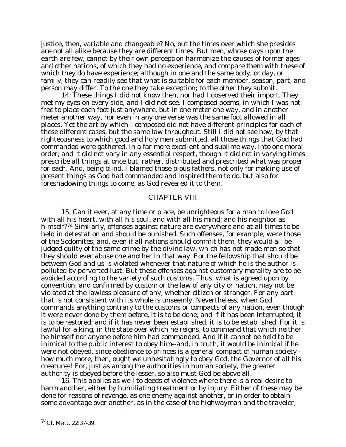justice, then, variable and changeable? No, but the times over which she presides are not all alike because they are different times. But men, whose days upon the earth are few, cannot by their own perception harmonize the causes of former ages and other nations, of which they had no experience, and compare them with these of which they do have experience; although in one and the same body, or day, or family, they can readily see that what is suitable for each member, season, part, and person may differ. To the one they take exception; to the other they submit.

14. These things I did not know then, nor had I observed their import. They met my eyes on every side, and I did not see. I composed poems, in which I was not free to place each foot just anywhere, but in one meter one way, and in another meter another way, nor even in any one verse was the same foot allowed in all places. Yet the art by which I composed did not have different principles for each of these different cases, but the same law throughout. Still I did not see how, by that righteousness to which good and holy men submitted, all those things that God had commanded were gathered, in a far more excellent and sublime way, into one moral order; and it did not vary in any essential respect, though it did not in varying times prescribe all things at once but, rather, distributed and prescribed what was proper for each. And, being blind, I blamed those pious fathers, not only for making use of present things as God had commanded and inspired them to do, but also for foreshadowing things to come, as God revealed it to them.

# CHAPTER VIII

15. Can it ever, at any time or place, be unrighteous for a man to love God with all his heart, with all his soul, and with all his mind; and his neighbor as himself?74 Similarly, offenses against nature are everywhere and at all times to be held in detestation and should be punished. Such offenses, for example, were those of the Sodomites; and, even if all nations should commit them, they would all be judged guilty of the same crime by the divine law, which has not made men so that they should ever abuse one another in that way. For the fellowship that should be between God and us is violated whenever that nature of which he is the author is polluted by perverted lust. But these offenses against customary morality are to be avoided according to the variety of such customs. Thus, what is agreed upon by convention, and confirmed by custom or the law of any city or nation, may not be violated at the lawless pleasure of any, whether citizen or stranger. For any part that is not consistent with its whole is unseemly. Nevertheless, when God commands anything contrary to the customs or compacts of any nation, even though it were never done by them before, it is to be done; and if it has been interrupted, it is to be restored; and if it has never been established, it is to be established. For it is lawful for a king, in the state over which he reigns, to command that which neither he himself nor anyone before him had commanded. And if it cannot be held to be inimical to the public interest to obey him--and, in truth, it would be inimical if he were not obeyed, since obedience to princes is a general compact of human society- how much more, then, ought we unhesitatingly to obey God, the Governor of all his creatures! For, just as among the authorities in human society, the greater authority is obeyed before the lesser, so also must God be above all.

16. This applies as well to deeds of violence where there is a real desire to harm another, either by humiliating treatment or by injury. Either of these may be done for reasons of revenge, as one enemy against another, or in order to obtain some advantage over another, as in the case of the highwayman and the traveler;

<sup>74</sup>Cf. Matt. 22:37-39.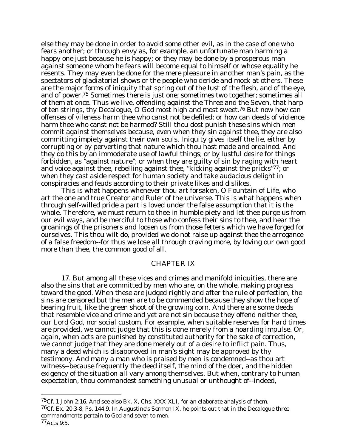else they may be done in order to avoid some other evil, as in the case of one who fears another; or through envy as, for example, an unfortunate man harming a happy one just because he is happy; or they may be done by a prosperous man against someone whom he fears will become equal to himself or whose equality he resents. They may even be done for the mere pleasure in another man's pain, as the spectators of gladiatorial shows or the people who deride and mock at others. These are the major forms of iniquity that spring out of the lust of the flesh, and of the eye, and of power.75 Sometimes there is just one; sometimes two together; sometimes all of them at once. Thus we live, offending against the Three and the Seven, that harp of ten strings, thy Decalogue, O God most high and most sweet.76 But now how can offenses of vileness harm thee who canst not be defiled; or how can deeds of violence harm thee who canst not be harmed? Still thou dost punish these sins which men commit against themselves because, even when they sin against thee, they are also committing impiety against their own souls. Iniquity gives itself the lie, either by corrupting or by perverting that nature which thou hast made and ordained. And they do this by an immoderate use of lawful things; or by lustful desire for things forbidden, as "against nature"; or when they are guilty of sin by raging with heart and voice against thee, rebelling against thee, "kicking against the pricks"77; or when they cast aside respect for human society and take audacious delight in conspiracies and feuds according to their private likes and dislikes.

This is what happens whenever thou art forsaken, O Fountain of Life, who art the one and true Creator and Ruler of the universe. This is what happens when through self-willed pride a part is loved under the false assumption that it is the whole. Therefore, we must return to thee in humble piety and let thee purge us from our evil ways, and be merciful to those who confess their sins to thee, and hear the groanings of the prisoners and loosen us from those fetters which we have forged for ourselves. This thou wilt do, provided we do not raise up against thee the arrogance of a false freedom--for thus we lose all through craving more, by loving our own good more than thee, the common good of all.

# CHAPTER IX

17. But among all these vices and crimes and manifold iniquities, there are also the sins that are committed by men who are, on the whole, making progress toward the good. When these are judged rightly and after the rule of perfection, the sins are censored but the men are to be commended because they show the hope of bearing fruit, like the green shoot of the growing corn. And there are some deeds that resemble vice and crime and yet are not sin because they offend neither thee, our Lord God, nor social custom. For example, when suitable reserves for hard times are provided, we cannot judge that this is done merely from a hoarding impulse. Or, again, when acts are punished by constituted authority for the sake of correction, we cannot judge that they are done merely out of a desire to inflict pain. Thus, many a deed which is disapproved in man's sight may be approved by thy testimony. And many a man who is praised by men is condemned--as thou art witness--because frequently the deed itself, the mind of the doer, and the hidden exigency of the situation all vary among themselves. But when, contrary to human expectation, thou commandest something unusual or unthought of--indeed,

 $75Cf$ . 1 John 2:16. And see also Bk. X, Chs. XXX-XLI, for an elaborate analysis of them. 76Cf. Ex. 20:3-8; Ps. 144:9. In Augustine's *Sermon* IX, he points out that in the Decalogue *three* commandments pertain to God and *seven* to men. 77Acts 9:5.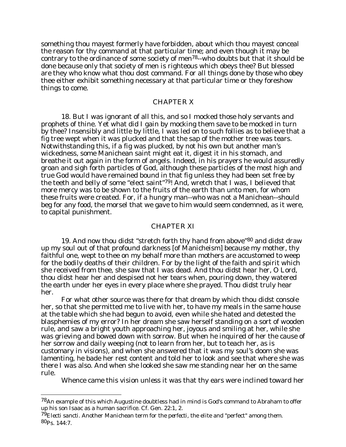something thou mayest formerly have forbidden, about which thou mayest conceal the reason for thy command at that particular time; and even though it may be contrary to the ordinance of some society of men78--who doubts but that it should be done because only that society of men is righteous which obeys thee? But blessed are they who know what thou dost command. For all things done by those who obey thee either exhibit something necessary at that particular time or they foreshow things to come.

# CHAPTER X

18. But I was ignorant of all this, and so I mocked those holy servants and prophets of thine. Yet what did I gain by mocking them save to be mocked in turn by thee? Insensibly and little by little, I was led on to such follies as to believe that a fig tree wept when it was plucked and that the sap of the mother tree was tears. Notwithstanding this, if a fig was plucked, by not his own but another man's wickedness, some Manichean saint might eat it, digest it in his stomach, and breathe it out again in the form of angels. Indeed, in his prayers he would assuredly groan and sigh forth particles of God, although these particles of the most high and true God would have remained bound in that fig unless they had been set free by the teeth and belly of some "elect saint"79! And, wretch that I was, I believed that more mercy was to be shown to the fruits of the earth than unto men, for whom these fruits were created. For, if a hungry man--who was not a Manichean--should beg for any food, the morsel that we gave to him would seem condemned, as it were, to capital punishment.

#### CHAPTER XI

19. And now thou didst "stretch forth thy hand from above"<sup>80</sup> and didst draw up my soul out of that profound darkness [of Manicheism] because my mother, thy faithful one, wept to thee on my behalf more than mothers are accustomed to weep for the bodily deaths of their children. For by the light of the faith and spirit which she received from thee, she saw that I was dead. And thou didst hear her, O Lord, thou didst hear her and despised not her tears when, pouring down, they watered the earth under her eyes in every place where she prayed. Thou didst truly hear her.

For what other source was there for that dream by which thou didst console her, so that she permitted me to live with her, to have my meals in the same house at the table which she had begun to avoid, even while she hated and detested the blasphemies of my error? In her dream she saw herself standing on a sort of wooden rule, and saw a bright youth approaching her, joyous and smiling at her, while she was grieving and bowed down with sorrow. But when he inquired of her the cause of her sorrow and daily weeping (not to learn from her, but to teach her, as is customary in visions), and when she answered that it was my soul's doom she was lamenting, he bade her rest content and told her to look and see that where she was there I was also. And when she looked she saw me standing near her on the same rule.

Whence came this vision unless it was that thy ears were inclined toward her

<sup>78</sup>An example of this which Augustine doubtless had in mind is God's command to Abraham to offer up his son Isaac as a human sacrifice. Cf. Gen. 22:1, 2.

<sup>79</sup>*Electi sancti*. Another Manichean term for the *perfecti*, the elite and "perfect" among them. 80Ps. 144:7.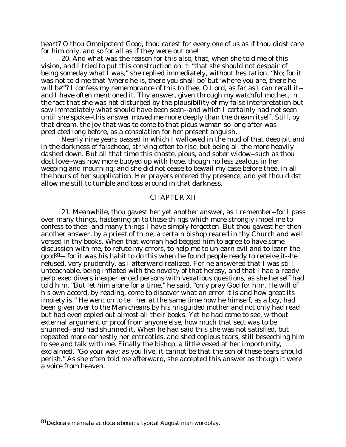heart? O thou Omnipotent Good, thou carest for every one of us as if thou didst care for him only, and so for all as if they were but one!

20. And what was the reason for this also, that, when she told me of this vision, and I tried to put this construction on it: "that she should not despair of being someday what I was," she replied immediately, without hesitation, "No; for it was not told me that 'where he is, there you shall be' but 'where you are, there he will be'"? I confess my remembrance of this to thee, O Lord, as far as I can recall it- and I have often mentioned it. Thy answer, given through my watchful mother, in the fact that she was not disturbed by the plausibility of my false interpretation but saw immediately what should have been seen--and which I certainly had not seen until she spoke--this answer moved me more deeply than the dream itself. Still, by that dream, the joy that was to come to that pious woman so long after was predicted long before, as a consolation for her present anguish.

Nearly nine years passed in which I wallowed in the mud of that deep pit and in the darkness of falsehood, striving often to rise, but being all the more heavily dashed down. But all that time this chaste, pious, and sober widow--such as thou dost love--was now more buoyed up with hope, though no less zealous in her weeping and mourning; and she did not cease to bewail my case before thee, in all the hours of her supplication. Her prayers entered thy presence, and yet thou didst allow me still to tumble and toss around in that darkness.

# CHAPTER XII

21. Meanwhile, thou gavest her yet another answer, as I remember--for I pass over many things, hastening on to those things which more strongly impel me to confess to thee--and many things I have simply forgotten. But thou gavest her then another answer, by a priest of thine, a certain bishop reared in thy Church and well versed in thy books. When that woman had begged him to agree to have some discussion with me, to refute my errors, to help me to unlearn evil and to learn the good81-- for it was his habit to do this when he found people ready to receive it--he refused, very prudently, as I afterward realized. For he answered that I was still unteachable, being inflated with the novelty of that heresy, and that I had already perplexed divers inexperienced persons with vexatious questions, as she herself had told him. "But let him alone for a time," he said, "only pray God for him. He will of his own accord, by reading, come to discover what an error it is and how great its impiety is." He went on to tell her at the same time how he himself, as a boy, had been given over to the Manicheans by his misguided mother and not only had read but had even copied out almost all their books. Yet he had come to see, without external argument or proof from anyone else, how much that sect was to be shunned--and had shunned it. When he had said this she was not satisfied, but repeated more earnestly her entreaties, and shed copious tears, still beseeching him to see and talk with me. Finally the bishop, a little vexed at her importunity, exclaimed, "Go your way; as you live, it cannot be that the son of these tears should perish." As she often told me afterward, she accepted this answer as though it were a voice from heaven.

<sup>81</sup>*Dedocere me mala ac docere bona*; a typical Augustinian wordplay.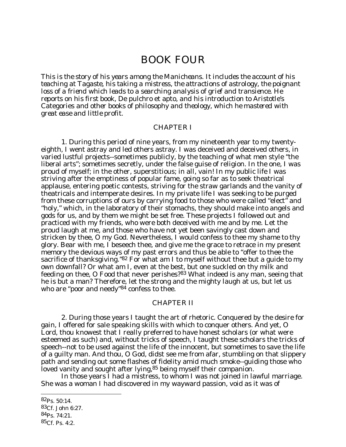# BOOK FOUR

*This is the story of his years among the Manicheans. It includes the account of his teaching at Tagaste, his taking a mistress, the attractions of astrology, the poignant loss of a friend which leads to a searching analysis of grief and transience. He reports on his first book,* De pulchro et apto*, and his introduction to Aristotle's* Categories *and other books of philosophy and theology, which he mastered with great ease and little profit.*

# CHAPTER I

1. During this period of nine years, from my nineteenth year to my twentyeighth, I went astray and led others astray. I was deceived and deceived others, in varied lustful projects--sometimes publicly, by the teaching of what men style "the liberal arts"; sometimes secretly, under the false guise of religion. In the one, I was proud of myself; in the other, superstitious; in all, vain! In my public life I was striving after the emptiness of popular fame, going so far as to seek theatrical applause, entering poetic contests, striving for the straw garlands and the vanity of theatricals and intemperate desires. In my private life I was seeking to be purged from these corruptions of ours by carrying food to those who were called "elect" and "holy," which, in the laboratory of their stomachs, they should make into angels and gods for us, and by them we might be set free. These projects I followed out and practiced with my friends, who were both deceived with me and by me. Let the proud laugh at me, and those who have not yet been savingly cast down and stricken by thee, O my God. Nevertheless, I would confess to thee my shame to thy glory. Bear with me, I beseech thee, and give me the grace to retrace in my present memory the devious ways of my past errors and thus be able to "offer to thee the sacrifice of thanksgiving."82 For what am I to myself without thee but a guide to my own downfall? Or what am I, even at the best, but one suckled on thy milk and feeding on thee, O Food that never perishes?83 What indeed is any man, seeing that he is but a man? Therefore, let the strong and the mighty laugh at us, but let us who are "poor and needy"<sup>84</sup> confess to thee.

## CHAPTER II

2. During those years I taught the art of rhetoric. Conquered by the desire for gain, I offered for sale speaking skills with which to conquer others. And yet, O Lord, thou knowest that I really preferred to have honest scholars (or what were esteemed as such) and, without tricks of speech, I taught these scholars the tricks of speech--not to be used against the life of the innocent, but sometimes to save the life of a guilty man. And thou, O God, didst see me from afar, stumbling on that slippery path and sending out some flashes of fidelity amid much smoke--guiding those who loved vanity and sought after lying,<sup>85</sup> being myself their companion.

In those years I had a mistress, to whom I was not joined in lawful marriage. She was a woman I had discovered in my wayward passion, void as it was of

 $82P_S$ , 50:14. 83Cf. John 6:27. 84Ps. 74:21. 85Cf. Ps. 4:2.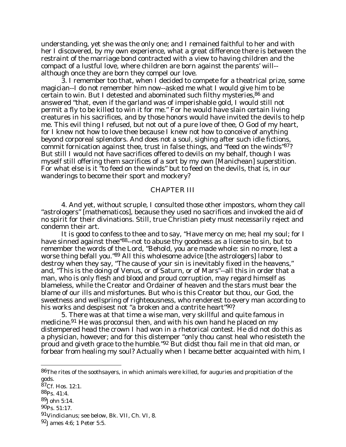understanding, yet she was the only one; and I remained faithful to her and with her I discovered, by my own experience, what a great difference there is between the restraint of the marriage bond contracted with a view to having children and the compact of a lustful love, where children are born against the parents' will- although once they are born they compel our love.

3. I remember too that, when I decided to compete for a theatrical prize, some magician--I do not remember him now--asked me what I would give him to be certain to win. But I detested and abominated such filthy mysteries,86 and answered "that, even if the garland was of imperishable gold, I would still not permit a fly to be killed to win it for me." For he would have slain certain living creatures in his sacrifices, and by those honors would have invited the devils to help me. This evil thing I refused, but not out of a pure love of thee, O God of my heart, for I knew not how to love thee because I knew not how to conceive of anything beyond corporeal splendors. And does not a soul, sighing after such idle fictions, commit fornication against thee, trust in false things, and "feed on the winds"87? But still I would not have sacrifices offered to devils on my behalf, though I was myself still offering them sacrifices of a sort by my own [Manichean] superstition. For what else is it "to feed on the winds" but to feed on the devils, that is, in our wanderings to become their sport and mockery?

#### CHAPTER III

4. And yet, without scruple, I consulted those other impostors, whom they call "astrologers" [*mathematicos*], because they used no sacrifices and invoked the aid of no spirit for their divinations. Still, true Christian piety must necessarily reject and condemn their art.

It is good to confess to thee and to say, "Have mercy on me; heal my soul; for I have sinned against thee"<sup>88</sup>--not to abuse thy goodness as a license to sin, but to remember the words of the Lord, "Behold, you are made whole: sin no more, lest a worse thing befall you."89 All this wholesome advice [the astrologers] labor to destroy when they say, "The cause of your sin is inevitably fixed in the heavens," and, "This is the doing of Venus, or of Saturn, or of Mars"--all this in order that a man, who is only flesh and blood and proud corruption, may regard himself as blameless, while the Creator and Ordainer of heaven and the stars must bear the blame of our ills and misfortunes. But who is this Creator but thou, our God, the sweetness and wellspring of righteousness, who renderest to every man according to his works and despisest not "a broken and a contrite heart"<sup>90</sup>?

5. There was at that time a wise man, very skillful and quite famous in medicine.91 He was proconsul then, and with his own hand he placed on my distempered head the crown I had won in a rhetorical contest. He did not do this as a physician, however; and for this distemper "only thou canst heal who resisteth the proud and giveth grace to the humble."92 But didst thou fail me in that old man, or forbear from healing my soul? Actually when I became better acquainted with him, I

- 88Ps. 41:4.
- 89John 5:14.
- 90Ps. 51:17.
- 91Vindicianus; see below, Bk. VII, Ch. VI, 8.

<sup>86</sup>The rites of the soothsayers, in which animals were killed, for auguries and propitiation of the gods.

<sup>87</sup>Cf. Hos. 12:1.

<sup>92</sup>James 4:6; 1 Peter 5:5.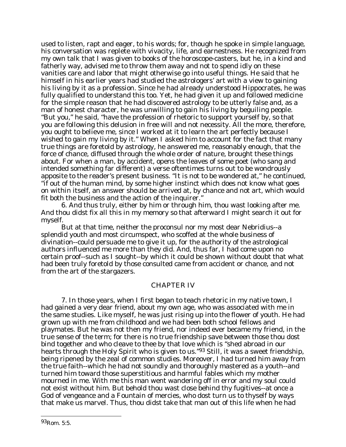used to listen, rapt and eager, to his words; for, though he spoke in simple language, his conversation was replete with vivacity, life, and earnestness. He recognized from my own talk that I was given to books of the horoscope-casters, but he, in a kind and fatherly way, advised me to throw them away and not to spend idly on these vanities care and labor that might otherwise go into useful things. He said that he himself in his earlier years had studied the astrologers' art with a view to gaining his living by it as a profession. Since he had already understood Hippocrates, he was fully qualified to understand this too. Yet, he had given it up and followed medicine for the simple reason that he had discovered astrology to be utterly false and, as a man of honest character, he was unwilling to gain his living by beguiling people. "But you," he said, "have the profession of rhetoric to support yourself by, so that you are following this delusion in free will and not necessity. All the more, therefore, you ought to believe me, since I worked at it to learn the art perfectly because I wished to gain my living by it." When I asked him to account for the fact that many true things are foretold by astrology, he answered me, reasonably enough, that the force of chance, diffused through the whole order of nature, brought these things about. For when a man, by accident, opens the leaves of some poet (who sang and intended something far different) a verse oftentimes turns out to be wondrously apposite to the reader's present business. "It is not to be wondered at," he continued, "if out of the human mind, by some higher instinct which does not know what goes on within itself, an answer should be arrived at, by chance and not art, which would fit both the business and the action of the inquirer."

6. And thus truly, either by him or through him, thou wast looking after me. And thou didst fix all this in my memory so that afterward I might search it out for myself.

But at that time, neither the proconsul nor my most dear Nebridius--a splendid youth and most circumspect, who scoffed at the whole business of divination--could persuade me to give it up, for the authority of the astrological authors influenced me more than they did. And, thus far, I had come upon no certain proof--such as I sought--by which it could be shown without doubt that what had been truly foretold by those consulted came from accident or chance, and not from the art of the stargazers.

# CHAPTER IV

7. In those years, when I first began to teach rhetoric in my native town, I had gained a very dear friend, about my own age, who was associated with me in the same studies. Like myself, he was just rising up into the flower of youth. He had grown up with me from childhood and we had been both school fellows and playmates. But he was not then my friend, nor indeed ever became my friend, in the true sense of the term; for there is no true friendship save between those thou dost bind together and who cleave to thee by that love which is "shed abroad in our hearts through the Holy Spirit who is given to us."<sup>93</sup> Still, it was a sweet friendship, being ripened by the zeal of common studies. Moreover, I had turned him away from the true faith--which he had not soundly and thoroughly mastered as a youth--and turned him toward those superstitious and harmful fables which my mother mourned in me. With me this man went wandering off in error and my soul could not exist without him. But behold thou wast close behind thy fugitives--at once a God of vengeance and a Fountain of mercies, who dost turn us to thyself by ways that make us marvel. Thus, thou didst take that man out of this life when he had

<sup>93</sup>Rom. 5:5.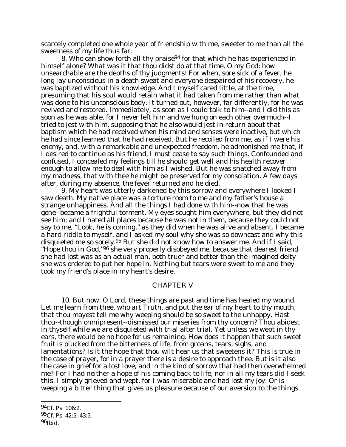scarcely completed one whole year of friendship with me, sweeter to me than all the sweetness of my life thus far.

8. Who can show forth all thy praise<sup>94</sup> for that which he has experienced in himself alone? What was it that thou didst do at that time, O my God; how unsearchable are the depths of thy judgments! For when, sore sick of a fever, he long lay unconscious in a death sweat and everyone despaired of his recovery, he was baptized without his knowledge. And I myself cared little, at the time, presuming that his soul would retain what it had taken from me rather than what was done to his unconscious body. It turned out, however, far differently, for he was revived and restored. Immediately, as soon as I could talk to him--and I did this as soon as he was able, for I never left him and we hung on each other overmuch--I tried to jest with him, supposing that he also would jest in return about that baptism which he had received when his mind and senses were inactive, but which he had since learned that he had received. But he recoiled from me, as if I were his enemy, and, with a remarkable and unexpected freedom, he admonished me that, if I desired to continue as his friend, I must cease to say such things. Confounded and confused, I concealed my feelings till he should get well and his health recover enough to allow me to deal with him as I wished. But he was snatched away from my madness, that with thee he might be preserved for my consolation. A few days after, during my absence, the fever returned and he died.

9. My heart was utterly darkened by this sorrow and everywhere I looked I saw death. My native place was a torture room to me and my father's house a strange unhappiness. And all the things I had done with him--now that he was gone--became a frightful torment. My eyes sought him everywhere, but they did not see him; and I hated all places because he was not in them, because they could not say to me, "Look, he is coming," as they did when he was alive and absent. I became a hard riddle to myself, and I asked my soul why she was so downcast and why this disquieted me so sorely.95 But she did not know how to answer me. And if I said, "Hope thou in God,"96 she very properly disobeyed me, because that dearest friend she had lost was as an actual man, both truer and better than the imagined deity she was ordered to put her hope in. Nothing but tears were sweet to me and they took my friend's place in my heart's desire.

# CHAPTER V

10. But now, O Lord, these things are past and time has healed my wound. Let me learn from thee, who art Truth, and put the ear of my heart to thy mouth, that thou mayest tell me why weeping should be so sweet to the unhappy. Hast thou--though omnipresent--dismissed our miseries from thy concern? Thou abidest in thyself while we are disquieted with trial after trial. Yet unless we wept in thy ears, there would be no hope for us remaining. How does it happen that such sweet fruit is plucked from the bitterness of life, from groans, tears, sighs, and lamentations? Is it the hope that thou wilt hear us that sweetens it? This is true in the case of prayer, for in a prayer there is a desire to approach thee. But is it also the case in grief for a lost love, and in the kind of sorrow that had then overwhelmed me? For I had neither a hope of his coming back to life, nor in all my tears did I seek this. I simply grieved and wept, for I was miserable and had lost my joy. Or is weeping a bitter thing that gives us pleasure because of our aversion to the things

<sup>94</sup>Cf. Ps. 106:2.

<sup>95</sup>Cf. Ps. 42:5; 43:5.

<sup>96</sup>*Ibid*.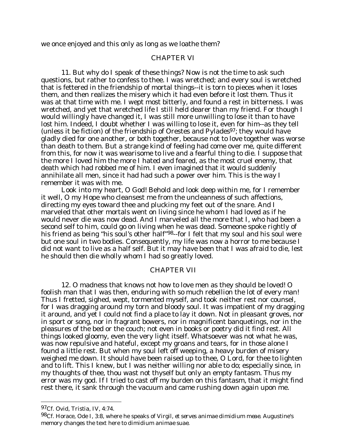we once enjoyed and this only as long as we loathe them?

#### CHAPTER VI

11. But why do I speak of these things? Now is not the time to ask such questions, but rather to confess to thee. I was wretched; and every soul is wretched that is fettered in the friendship of mortal things--it is torn to pieces when it loses them, and then realizes the misery which it had even before it lost them. Thus it was at that time with me. I wept most bitterly, and found a rest in bitterness. I was wretched, and yet that wretched life I still held dearer than my friend. For though I would willingly have changed it, I was still more unwilling to lose it than to have lost him. Indeed, I doubt whether I was willing to lose it, even for him--as they tell (unless it be fiction) of the friendship of Orestes and Pylades97; they would have gladly died for one another, or both together, because not to love together was worse than death to them. But a strange kind of feeling had come over me, quite different from this, for now it was wearisome to live and a fearful thing to die. I suppose that the more I loved him the more I hated and feared, as the most cruel enemy, that death which had robbed me of him. I even imagined that it would suddenly annihilate all men, since it had had such a power over him. This is the way I remember it was with me.

Look into my heart, O God! Behold and look deep within me, for I remember it well, O my Hope who cleansest me from the uncleanness of such affections, directing my eyes toward thee and plucking my feet out of the snare. And I marveled that other mortals went on living since he whom I had loved as if he would never die was now dead. And I marveled all the more that I, who had been a second self to him, could go on living when he was dead. Someone spoke rightly of his friend as being "his soul's other half"<sup>98</sup>-for I felt that my soul and his soul were but one soul in two bodies. Consequently, my life was now a horror to me because I did not want to live as a half self. But it may have been that I was afraid to die, lest he should then die wholly whom I had so greatly loved.

# CHAPTER VII

12. O madness that knows not how to love men as they should be loved! O foolish man that I was then, enduring with so much rebellion the lot of every man! Thus I fretted, sighed, wept, tormented myself, and took neither rest nor counsel, for I was dragging around my torn and bloody soul. It was impatient of my dragging it around, and yet I could not find a place to lay it down. Not in pleasant groves, nor in sport or song, nor in fragrant bowers, nor in magnificent banquetings, nor in the pleasures of the bed or the couch; not even in books or poetry did it find rest. All things looked gloomy, even the very light itself. Whatsoever was not what he was, was now repulsive and hateful, except my groans and tears, for in those alone I found a little rest. But when my soul left off weeping, a heavy burden of misery weighed me down. It should have been raised up to thee, O Lord, for thee to lighten and to lift. This I knew, but I was neither willing nor able to do; especially since, in my thoughts of thee, thou wast not thyself but only an empty fantasm. Thus my error was my god. If I tried to cast off my burden on this fantasm, that it might find rest there, it sank through the vacuum and came rushing down again upon me.

<sup>97</sup>Cf. Ovid, *Tristia*, IV, 4:74.

<sup>98</sup>Cf. Horace, Ode I, 3:8, where he speaks of Virgil, *et serves animae dimidium meae*. Augustine's memory changes the text here to *dimidium animae suae*.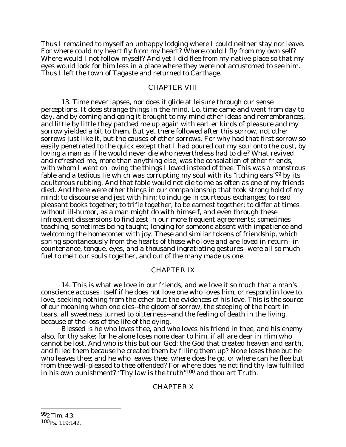Thus I remained to myself an unhappy lodging where I could neither stay nor leave. For where could my heart fly from my heart? Where could I fly from my own self? Where would I not follow myself? And yet I did flee from my native place so that my eyes would look for him less in a place where they were not accustomed to see him. Thus I left the town of Tagaste and returned to Carthage.

# CHAPTER VIII

13. Time never lapses, nor does it glide at leisure through our sense perceptions. It does strange things in the mind. Lo, time came and went from day to day, and by coming and going it brought to my mind other ideas and remembrances, and little by little they patched me up again with earlier kinds of pleasure and my sorrow yielded a bit to them. But yet there followed after this sorrow, not other sorrows just like it, but the causes of other sorrows. For why had that first sorrow so easily penetrated to the quick except that I had poured out my soul onto the dust, by loving a man as if he would never die who nevertheless had to die? What revived and refreshed me, more than anything else, was the consolation of other friends, with whom I went on loving the things I loved instead of thee. This was a monstrous fable and a tedious lie which was corrupting my soul with its "itching ears"99 by its adulterous rubbing. And that fable would not die to me as often as one of my friends died. And there were other things in our companionship that took strong hold of my mind: to discourse and jest with him; to indulge in courteous exchanges; to read pleasant books together; to trifle together; to be earnest together; to differ at times without ill-humor, as a man might do with himself, and even through these infrequent dissensions to find zest in our more frequent agreements; sometimes teaching, sometimes being taught; longing for someone absent with impatience and welcoming the homecomer with joy. These and similar tokens of friendship, which spring spontaneously from the hearts of those who love and are loved in return--in countenance, tongue, eyes, and a thousand ingratiating gestures--were all so much fuel to melt our souls together, and out of the many made us one.

# CHAPTER IX

14. This is what we love in our friends, and we love it so much that a man's conscience accuses itself if he does not love one who loves him, or respond in love to love, seeking nothing from the other but the evidences of his love. This is the source of our moaning when one dies--the gloom of sorrow, the steeping of the heart in tears, all sweetness turned to bitterness--and the feeling of death in the living, because of the loss of the life of the dying.

Blessed is he who loves thee, and who loves his friend in thee, and his enemy also, for thy sake; for he alone loses none dear to him, if all are dear in Him who cannot be lost. And who is this but our God: the God that created heaven and earth, and filled them because he created them by filling them up? None loses thee but he who leaves thee; and he who leaves thee, where does he go, or where can he flee but from thee well-pleased to thee offended? For where does he not find thy law fulfilled in his own punishment? "Thy law is the truth"100 and thou art Truth.

# CHAPTER X

<sup>99</sup>2 Tim. 4:3. 100Ps. 119:142.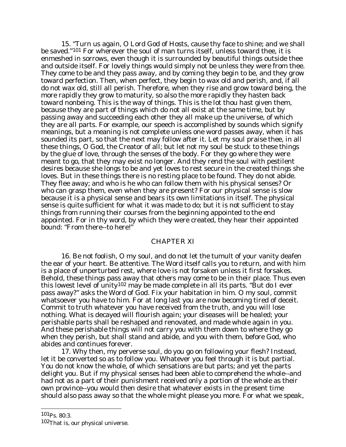15. "Turn us again, O Lord God of Hosts, cause thy face to shine; and we shall be saved."101 For wherever the soul of man turns itself, unless toward thee, it is enmeshed in sorrows, even though it is surrounded by beautiful things outside thee and outside itself. For lovely things would simply not be unless they were from thee. They come to be and they pass away, and by coming they begin to be, and they grow toward perfection. Then, when perfect, they begin to wax old and perish, and, if all do not wax old, still all perish. Therefore, when they rise and grow toward being, the more rapidly they grow to maturity, so also the more rapidly they hasten back toward nonbeing. This is the way of things. This is the lot thou hast given them, because they are part of things which do not all exist at the same time, but by passing away and succeeding each other they all make up the universe, of which they are all parts. For example, our speech is accomplished by sounds which signify meanings, but a meaning is not complete unless one word passes away, when it has sounded its part, so that the next may follow after it. Let my soul praise thee, in all these things, O God, the Creator of all; but let not my soul be stuck to these things by the glue of love, through the senses of the body. For they go where they were meant to go, that they may exist no longer. And they rend the soul with pestilent desires because she longs to be and yet loves to rest secure in the created things she loves. But in these things there is no resting place to be found. They do not abide. They flee away; and who is he who can follow them with his physical senses? Or who can grasp them, even when they are present? For our physical sense is slow because it is a physical sense and bears its own limitations in itself. The physical sense is quite sufficient for what it was made to do; but it is not sufficient to stay things from running their courses from the beginning appointed to the end appointed. For in thy word, by which they were created, they hear their appointed bound: "From there--to here!"

#### CHAPTER XI

16. Be not foolish, O my soul, and do not let the tumult of your vanity deafen the ear of your heart. Be attentive. The Word itself calls you to return, and with him is a place of unperturbed rest, where love is not forsaken unless it first forsakes. Behold, these things pass away that others may come to be in their place. Thus even this lowest level of unity<sup>102</sup> may be made complete in all its parts. "But do I ever pass away?" asks the Word of God. Fix your habitation in him. O my soul, commit whatsoever you have to him. For at long last you are now becoming tired of deceit. Commit to truth whatever you have received from the truth, and you will lose nothing. What is decayed will flourish again; your diseases will be healed; your perishable parts shall be reshaped and renovated, and made whole again in you. And these perishable things will not carry you with them down to where they go when they perish, but shall stand and abide, and you with them, before God, who abides and continues forever.

17. Why then, my perverse soul, do you go on following your flesh? Instead, let it be converted so as to follow you. Whatever you feel through it is but partial. You do not know the whole, of which sensations are but parts; and yet the parts delight you. But if my physical senses had been able to comprehend the whole--and had not as a part of their punishment received only a portion of the whole as their own province--you would then desire that whatever exists in the present time should also pass away so that the whole might please you more. For what we speak,

# 101Ps. 80:3.

<sup>102</sup>That is, our physical universe.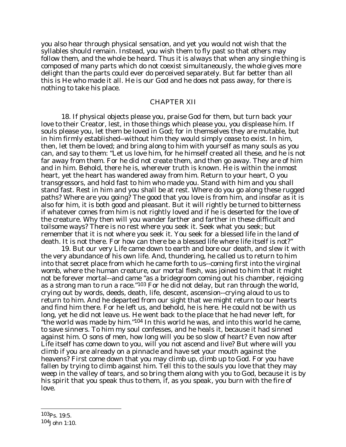you also hear through physical sensation, and yet you would not wish that the syllables should remain. Instead, you wish them to fly past so that others may follow them, and the whole be heard. Thus it is always that when any single thing is composed of many parts which do not coexist simultaneously, the whole gives more delight than the parts could ever do perceived separately. But far better than all this is He who made it all. He is our God and he does not pass away, for there is nothing to take his place.

# CHAPTER XII

18. If physical objects please you, praise God for them, but turn back your love to their Creator, lest, in those things which please you, you displease him. If souls please you, let them be loved in God; for in themselves they are mutable, but in him firmly established--without him they would simply cease to exist. In him, then, let them be loved; and bring along to him with yourself as many souls as you can, and say to them: "Let us love him, for he himself created all these, and he is not far away from them. For he did not create them, and then go away. They are of him and in him. Behold, there he is, wherever truth is known. He is within the inmost heart, yet the heart has wandered away from him. Return to your heart, O you transgressors, and hold fast to him who made you. Stand with him and you shall stand fast. Rest in him and you shall be at rest. Where do you go along these rugged paths? Where are you going? The good that you love is from him, and insofar as it is also for him, it is both good and pleasant. But it will rightly be turned to bitterness if whatever comes from him is not rightly loved and if he is deserted for the love of the creature. Why then will you wander farther and farther in these difficult and toilsome ways? There is no rest where you seek it. Seek what you seek; but remember that it is not where you seek it. You seek for a blessed life in the land of death. It is not there. For how can there be a blessed life where life itself is not?"

19. But our very Life came down to earth and bore our death, and slew it with the very abundance of his own life. And, thundering, he called us to return to him into that secret place from which he came forth to us--coming first into the virginal womb, where the human creature, our mortal flesh, was joined to him that it might not be forever mortal--and came "as a bridegroom coming out his chamber, rejoicing as a strong man to run a race."103 For he did not delay, but ran through the world, crying out by words, deeds, death, life, descent, ascension--crying aloud to us to return to him. And he departed from our sight that we might return to our hearts and find him there. For he left us, and behold, he is here. He could not be with us long, yet he did not leave us. He went back to the place that he had never left, for "the world was made by him."104 In this world he was, and into this world he came, to save sinners. To him my soul confesses, and he heals it, because it had sinned against him. O sons of men, how long will you be so slow of heart? Even now after Life itself has come down to you, will you not ascend and live? But where will you climb if you are already on a pinnacle and have set your mouth against the heavens? First come down that you may climb up, climb up to God. For you have fallen by trying to climb against him. Tell this to the souls you love that they may weep in the valley of tears, and so bring them along with you to God, because it is by his spirit that you speak thus to them, if, as you speak, you burn with the fire of love.

103Ps. 19:5. 104John 1:10.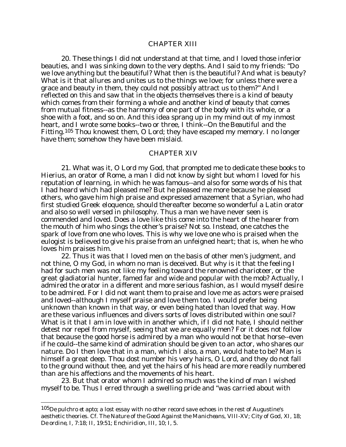#### CHAPTER XIII

20. These things I did not understand at that time, and I loved those inferior beauties, and I was sinking down to the very depths. And I said to my friends: "Do we love anything but the beautiful? What then is the beautiful? And what is beauty? What is it that allures and unites us to the things we love; for unless there were a grace and beauty in them, they could not possibly attract us to them?" And I reflected on this and saw that in the objects themselves there is a kind of beauty which comes from their forming a whole and another kind of beauty that comes from mutual fitness--as the harmony of one part of the body with its whole, or a shoe with a foot, and so on. And this idea sprang up in my mind out of my inmost heart, and I wrote some books--two or three, I think--*On the Beautiful and the Fitting*. 105 Thou knowest them, O Lord; they have escaped my memory. I no longer have them; somehow they have been mislaid.

#### CHAPTER XIV

21. What was it, O Lord my God, that prompted me to dedicate these books to Hierius, an orator of Rome, a man I did not know by sight but whom I loved for his reputation of learning, in which he was famous--and also for some words of his that I had heard which had pleased me? But he pleased me more because he pleased others, who gave him high praise and expressed amazement that a Syrian, who had first studied Greek eloquence, should thereafter become so wonderful a Latin orator and also so well versed in philosophy. Thus a man we have never seen is commended and loved. Does a love like this come into the heart of the hearer from the mouth of him who sings the other's praise? Not so. Instead, one catches the spark of love from one who loves. This is why we love one who is praised when the eulogist is believed to give his praise from an unfeigned heart; that is, when he who loves him praises him.

22. Thus it was that I loved men on the basis of other men's judgment, and not thine, O my God, in whom no man is deceived. But why is it that the feeling I had for such men was not like my feeling toward the renowned charioteer, or the great gladiatorial hunter, famed far and wide and popular with the mob? Actually, I admired the orator in a different and more serious fashion, as I would myself desire to be admired. For I did not want them to praise and love me as actors were praised and loved--although I myself praise and love them too. I would prefer being unknown than known in that way, or even being hated than loved that way. How are these various influences and divers sorts of loves distributed within one soul? What is it that I am in love with in another which, if I did not hate, I should neither detest nor repel from myself, seeing that we are equally men? For it does not follow that because the good horse is admired by a man who would not be that horse--even if he could--the same kind of admiration should be given to an actor, who shares our nature. Do I then love that in a man, which I also, a man, would hate to be? Man is himself a great deep. Thou dost number his very hairs, O Lord, and they do not fall to the ground without thee, and yet the hairs of his head are more readily numbered than are his affections and the movements of his heart.

23. But that orator whom I admired so much was the kind of man I wished myself to be. Thus I erred through a swelling pride and "was carried about with

<sup>105</sup>*De pulchro et apto*; a lost essay with no other record save echoes in the rest of Augustine's aesthetic theories. Cf. *The Nature of the Good Against the Manicheans*, VIII-XV; *City of God*, XI, 18; *De ordine*, I, 7:18; II, 19:51; *Enchiridion*, III, 10; I, 5.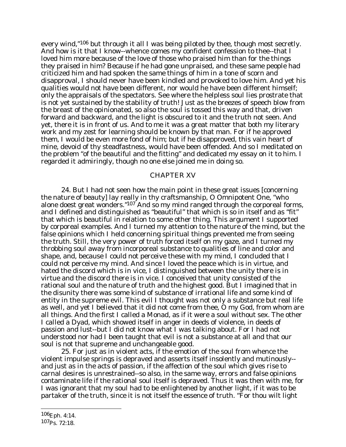every wind,"106 but through it all I was being piloted by thee, though most secretly. And how is it that I know--whence comes my confident confession to thee--that I loved him more because of the love of those who praised him than for the things they praised in him? Because if he had gone unpraised, and these same people had criticized him and had spoken the same things of him in a tone of scorn and disapproval, I should never have been kindled and provoked to love him. And yet his qualities would not have been different, nor would he have been different himself; only the appraisals of the spectators. See where the helpless soul lies prostrate that is not yet sustained by the stability of truth! Just as the breezes of speech blow from the breast of the opinionated, so also the soul is tossed this way and that, driven forward and backward, and the light is obscured to it and the truth not seen. And yet, there it is in front of us. And to me it was a great matter that both my literary work and my zest for learning should be known by that man. For if he approved them, I would be even more fond of him; but if he disapproved, this vain heart of mine, devoid of thy steadfastness, would have been offended. And so I meditated on the problem "of the beautiful and the fitting" and dedicated my essay on it to him. I regarded it admiringly, though no one else joined me in doing so.

## CHAPTER XV

24. But I had not seen how the main point in these great issues [concerning the nature of beauty] lay really in thy craftsmanship, O Omnipotent One, "who alone doest great wonders."107 And so my mind ranged through the corporeal forms, and I defined and distinguished as "beautiful" that which is so in itself and as "fit" that which is beautiful in relation to some other thing. This argument I supported by corporeal examples. And I turned my attention to the nature of the mind, but the false opinions which I held concerning spiritual things prevented me from seeing the truth. Still, the very power of truth forced itself on my gaze, and I turned my throbbing soul away from incorporeal substance to qualities of line and color and shape, and, because I could not perceive these with my mind, I concluded that I could not perceive my mind. And since I loved the peace which is in virtue, and hated the discord which is in vice, I distinguished between the unity there is in virtue and the discord there is in vice. I conceived that unity consisted of the rational soul and the nature of truth and the highest good. But I imagined that in the disunity there was some kind of substance of irrational life and some kind of entity in the supreme evil. This evil I thought was not only a substance but real life as well, and yet I believed that it did not come from thee, O my God, from whom are all things. And the first I called a Monad, as if it were a soul without sex. The other I called a Dyad, which showed itself in anger in deeds of violence, in deeds of passion and lust--but I did not know what I was talking about. For I had not understood nor had I been taught that evil is not a substance at all and that our soul is not that supreme and unchangeable good.

25. For just as in violent acts, if the emotion of the soul from whence the violent impulse springs is depraved and asserts itself insolently and mutinously- and just as in the acts of passion, if the affection of the soul which gives rise to carnal desires is unrestrained--so also, in the same way, errors and false opinions contaminate life if the rational soul itself is depraved. Thus it was then with me, for I was ignorant that my soul had to be enlightened by another light, if it was to be partaker of the truth, since it is not itself the essence of truth. "For thou wilt light

 $106$ Eph. 4:14. 107Ps. 72:18.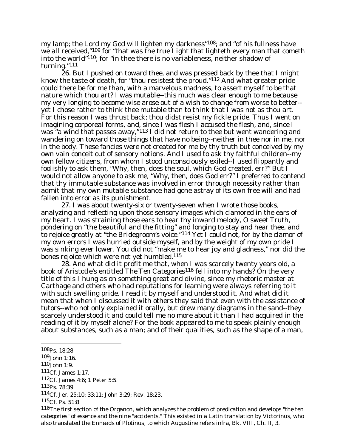my lamp; the Lord my God will lighten my darkness"108; and "of his fullness have we all received,"109 for "that was the true Light that lighteth every man that cometh into the world"110; for "in thee there is no variableness, neither shadow of turning."111

26. But I pushed on toward thee, and was pressed back by thee that I might know the taste of death, for "thou resistest the proud."112 And what greater pride could there be for me than, with a marvelous madness, to assert myself to be that nature which thou art? I was mutable--this much was clear enough to me because my very longing to become wise arose out of a wish to change from worse to better- yet I chose rather to think thee mutable than to think that I was not as thou art. For this reason I was thrust back; thou didst resist my fickle pride. Thus I went on imagining corporeal forms, and, since I was flesh I accused the flesh, and, since I was "a wind that passes away,"113 I did not return to thee but went wandering and wandering on toward those things that have no being--neither in thee nor in me, nor in the body. These fancies were not created for me by thy truth but conceived by my own vain conceit out of sensory notions. And I used to ask thy faithful children--my own fellow citizens, from whom I stood unconsciously exiled--I used flippantly and foolishly to ask them, "Why, then, does the soul, which God created, err?" But I would not allow anyone to ask me, "Why, then, does God err?" I preferred to contend that thy immutable substance was involved in error through necessity rather than admit that my own mutable substance had gone astray of its own free will and had fallen into error as its punishment.

27. I was about twenty-six or twenty-seven when I wrote those books, analyzing and reflecting upon those sensory images which clamored in the ears of my heart. I was straining those ears to hear thy inward melody, O sweet Truth, pondering on "the beautiful and the fitting" and longing to stay and hear thee, and to rejoice greatly at "the Bridegroom's voice."114 Yet I could not, for by the clamor of my own errors I was hurried outside myself, and by the weight of my own pride I was sinking ever lower. You did not "make me to hear joy and gladness," nor did the bones rejoice which were not yet humbled.115

28. And what did it profit me that, when I was scarcely twenty years old, a book of Aristotle's entitled *The Ten Categories*116 fell into my hands? On the very title of this I hung as on something great and divine, since my rhetoric master at Carthage and others who had reputations for learning were always referring to it with such swelling pride. I read it by myself and understood it. And what did it mean that when I discussed it with others they said that even with the assistance of tutors--who not only explained it orally, but drew many diagrams in the sand--they scarcely understood it and could tell me no more about it than I had acquired in the reading of it by myself alone? For the book appeared to me to speak plainly enough about substances, such as a man; and of their qualities, such as the shape of a man,

<sup>108</sup>Ps. 18:28.

<sup>109</sup>John 1:16.

 $110$ John  $1:9$ .

<sup>111</sup>Cf. James 1:17.

<sup>112</sup>Cf. James 4:6; 1 Peter 5:5.

<sup>113</sup>Ps. 78:39.

<sup>114</sup>Cf. Jer. 25:10; 33:11; John 3:29; Rev. 18:23.

 $115Cf$ . Ps. 51:8.

<sup>116</sup>The first section of the *Organon*, which analyzes the problem of predication and develops "the ten categories" of *essence* and the nine "accidents." This existed in a Latin translation by Victorinus, who also translated the *Enneads* of Plotinus, to which Augustine refers infra, Bk. VIII, Ch. II, 3.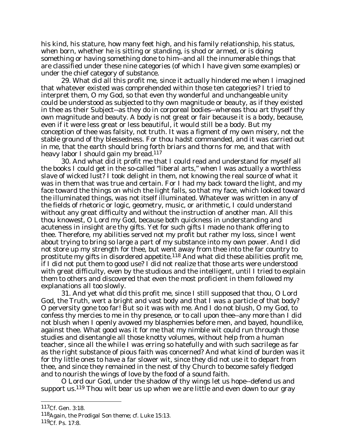his kind, his stature, how many feet high, and his family relationship, his status, when born, whether he is sitting or standing, is shod or armed, or is doing something or having something done to him--and all the innumerable things that are classified under these nine categories (of which I have given some examples) or under the chief category of substance.

29. What did all this profit me, since it actually hindered me when I imagined that whatever existed was comprehended within those ten categories? I tried to interpret them, O my God, so that even thy wonderful and unchangeable unity could be understood as subjected to thy own magnitude or beauty, as if they existed in thee as their Subject--as they do in corporeal bodies--whereas thou art thyself thy own magnitude and beauty. A body is not great or fair because it is a body, because, even if it were less great or less beautiful, it would still be a body. But my conception of thee was falsity, not truth. It was a figment of my own misery, not the stable ground of thy blessedness. For thou hadst commanded, and it was carried out in me, that the earth should bring forth briars and thorns for me, and that with heavy labor I should gain my bread.<sup>117</sup>

30. And what did it profit me that I could read and understand for myself all the books I could get in the so-called "liberal arts," when I was actually a worthless slave of wicked lust? I took delight in them, not knowing the real source of what it was in them that was true and certain. For I had my back toward the light, and my face toward the things on which the light falls, so that my face, which looked toward the illuminated things, was not itself illuminated. Whatever was written in any of the fields of rhetoric or logic, geometry, music, or arithmetic, I could understand without any great difficulty and without the instruction of another man. All this thou knowest, O Lord my God, because both quickness in understanding and acuteness in insight are thy gifts. Yet for such gifts I made no thank offering to thee. Therefore, my abilities served not my profit but rather my loss, since I went about trying to bring so large a part of my substance into my own power. And I did not store up my strength for thee, but went away from thee into the far country to prostitute my gifts in disordered appetite.<sup>118</sup> And what did these abilities profit me, if I did not put them to good use? I did not realize that those arts were understood with great difficulty, even by the studious and the intelligent, until I tried to explain them to others and discovered that even the most proficient in them followed my explanations all too slowly.

31. And yet what did this profit me, since I still supposed that thou, O Lord God, the Truth, wert a bright and vast body and that I was a particle of that body? O perversity gone too far! But so it was with me. And I do not blush, O my God, to confess thy mercies to me in thy presence, or to call upon thee--any more than I did not blush when I openly avowed my blasphemies before men, and bayed, houndlike, against thee. What good was it for me that my nimble wit could run through those studies and disentangle all those knotty volumes, without help from a human teacher, since all the while I was erring so hatefully and with such sacrilege as far as the right substance of pious faith was concerned? And what kind of burden was it for thy little ones to have a far slower wit, since they did not use it to depart from thee, and since they remained in the nest of thy Church to become safely fledged and to nourish the wings of love by the food of a sound faith.

O Lord our God, under the shadow of thy wings let us hope--defend us and support us.<sup>119</sup> Thou wilt bear us up when we are little and even down to our gray

119Cf. Ps. 17:8.

<sup>117</sup>Cf. Gen. 3:18.

<sup>118</sup>Again, the Prodigal Son theme; cf. Luke 15:13.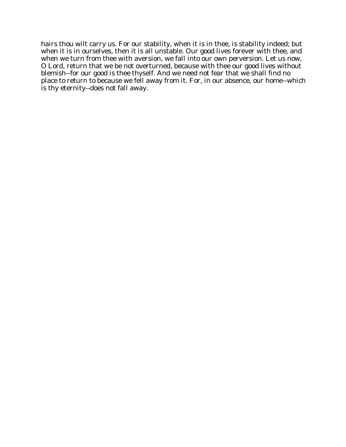hairs thou wilt carry us. For our stability, when it is in thee, is stability indeed; but when it is in ourselves, then it is all unstable. Our good lives forever with thee, and when we turn from thee with aversion, we fall into our own perversion. Let us now, O Lord, return that we be not overturned, because with thee our good lives without blemish--for our good is thee thyself. And we need not fear that we shall find no place to return to because we fell away from it. For, in our absence, our home--which is thy eternity--does not fall away.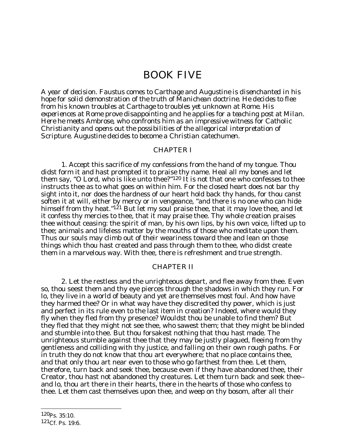# BOOK FIVE

*A year of decision. Faustus comes to Carthage and Augustine is disenchanted in his hope for solid demonstration of the truth of Manichean doctrine. He decides to flee from his known troubles at Carthage to troubles yet unknown at Rome. His experiences at Rome prove disappointing and he applies for a teaching post at Milan. Here he meets Ambrose, who confronts him as an impressive witness for Catholic Christianity and opens out the possibilities of the allegorical interpretation of Scripture. Augustine decides to become a Christian catechumen.*

## CHAPTER I

1. Accept this sacrifice of my confessions from the hand of my tongue. Thou didst form it and hast prompted it to praise thy name. Heal all my bones and let them say, "O Lord, who is like unto thee?"120 It is not that one who confesses to thee instructs thee as to what goes on within him. For the closed heart does not bar thy sight into it, nor does the hardness of our heart hold back thy hands, for thou canst soften it at will, either by mercy or in vengeance, "and there is no one who can hide himself from thy heat." $1\overline{2}1$  But let my soul praise thee, that it may love thee, and let it confess thy mercies to thee, that it may praise thee. Thy whole creation praises thee without ceasing: the spirit of man, by his own lips, by his own voice, lifted up to thee; animals and lifeless matter by the mouths of those who meditate upon them. Thus our souls may climb out of their weariness toward thee and lean on those things which thou hast created and pass through them to thee, who didst create them in a marvelous way. With thee, there is refreshment and true strength.

### CHAPTER II

2. Let the restless and the unrighteous depart, and flee away from thee. Even so, thou seest them and thy eye pierces through the shadows in which they run. For lo, they live in a world of beauty and yet are themselves most foul. And how have they harmed thee? Or in what way have they discredited thy power, which is just and perfect in its rule even to the last item in creation? Indeed, where would they fly when they fled from thy presence? Wouldst thou be unable to find them? But they fled that they might not see thee, who sawest them; that they might be blinded and stumble into thee. But thou forsakest nothing that thou hast made. The unrighteous stumble against thee that they may be justly plagued, fleeing from thy gentleness and colliding with thy justice, and falling on their own rough paths. For in truth they do not know that thou art everywhere; that no place contains thee, and that only thou art near even to those who go farthest from thee. Let them, therefore, turn back and seek thee, because even if they have abandoned thee, their Creator, thou hast not abandoned thy creatures. Let them turn back and seek thee- and lo, thou art there in their hearts, there in the hearts of those who confess to thee. Let them cast themselves upon thee, and weep on thy bosom, after all their

120Ps. 35:10.

<sup>121</sup>Cf. Ps. 19:6.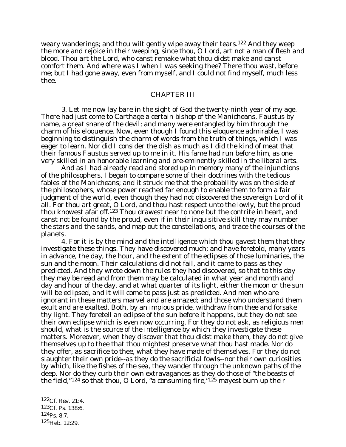weary wanderings; and thou wilt gently wipe away their tears.122 And they weep the more and rejoice in their weeping, since thou, O Lord, art not a man of flesh and blood. Thou art the Lord, who canst remake what thou didst make and canst comfort them. And where was I when I was seeking thee? There thou wast, before me; but I had gone away, even from myself, and I could not find myself, much less thee.

#### CHAPTER III

3. Let me now lay bare in the sight of God the twenty-ninth year of my age. There had just come to Carthage a certain bishop of the Manicheans, Faustus by name, a great snare of the devil; and many were entangled by him through the charm of his eloquence. Now, even though I found this eloquence admirable, I was beginning to distinguish the charm of words from the truth of things, which I was eager to learn. Nor did I consider the dish as much as I did the kind of meat that their famous Faustus served up to me in it. His fame had run before him, as one very skilled in an honorable learning and pre-eminently skilled in the liberal arts.

And as I had already read and stored up in memory many of the injunctions of the philosophers, I began to compare some of their doctrines with the tedious fables of the Manicheans; and it struck me that the probability was on the side of the philosophers, whose power reached far enough to enable them to form a fair judgment of the world, even though they had not discovered the sovereign Lord of it all. For thou art great, O Lord, and thou hast respect unto the lowly, but the proud thou knowest afar off.123 Thou drawest near to none but the contrite in heart, and canst not be found by the proud, even if in their inquisitive skill they may number the stars and the sands, and map out the constellations, and trace the courses of the planets.

4. For it is by the mind and the intelligence which thou gavest them that they investigate these things. They have discovered much; and have foretold, many years in advance, the day, the hour, and the extent of the eclipses of those luminaries, the sun and the moon. Their calculations did not fail, and it came to pass as they predicted. And they wrote down the rules they had discovered, so that to this day they may be read and from them may be calculated in what year and month and day and hour of the day, and at what quarter of its light, either the moon or the sun will be eclipsed, and it will come to pass just as predicted. And men who are ignorant in these matters marvel and are amazed; and those who understand them exult and are exalted. Both, by an impious pride, withdraw from thee and forsake thy light. They foretell an eclipse of the sun before it happens, but they do not see their own eclipse which is even now occurring. For they do not ask, as religious men should, what is the source of the intelligence by which they investigate these matters. Moreover, when they discover that thou didst make them, they do not give themselves up to thee that thou mightest preserve what thou hast made. Nor do they offer, as sacrifice to thee, what they have made of themselves. For they do not slaughter their own pride--as they do the sacrificial fowls--nor their own curiosities by which, like the fishes of the sea, they wander through the unknown paths of the deep. Nor do they curb their own extravagances as they do those of "the beasts of the field,"<sup>124</sup> so that thou, O Lord, "a consuming fire," $1\overline{25}$  mayest burn up their

<sup>122</sup>Cf. Rev. 21:4. 123Cf. Ps. 138:6.

<sup>124</sup>Ps. 8:7.

<sup>125</sup>Heb. 12:29.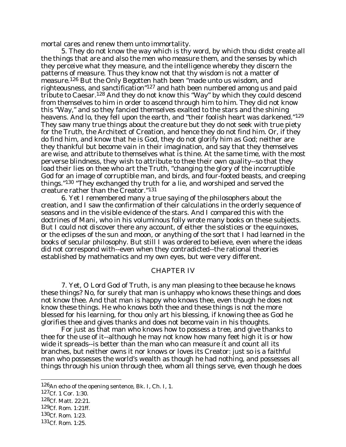mortal cares and renew them unto immortality.

5. They do not know the way which is thy word, by which thou didst create all the things that are and also the men who measure them, and the senses by which they perceive what they measure, and the intelligence whereby they discern the patterns of measure. Thus they know not that thy wisdom is not a matter of measure.126 But the Only Begotten hath been "made unto us wisdom, and righteousness, and sanctification"127 and hath been numbered among us and paid tribute to Caesar.128 And they do not know this "Way" by which they could descend from themselves to him in order to ascend through him to him. They did not know this "Way," and so they fancied themselves exalted to the stars and the shining heavens. And lo, they fell upon the earth, and "their foolish heart was darkened."<sup>129</sup> They saw many true things about the creature but they do not seek with true piety for the Truth, the Architect of Creation, and hence they do not find him. Or, if they do find him, and know that he is God, they do not glorify him as God; neither are they thankful but become vain in their imagination, and say that they themselves are wise, and attribute to themselves what is thine. At the same time, with the most perverse blindness, they wish to attribute to thee their own quality--so that they load their lies on thee who art the Truth, "changing the glory of the incorruptible God for an image of corruptible man, and birds, and four-footed beasts, and creeping things."130 "They exchanged thy truth for a lie, and worshiped and served the creature rather than the Creator."131

6. Yet I remembered many a true saying of the philosophers about the creation, and I saw the confirmation of their calculations in the orderly sequence of seasons and in the visible evidence of the stars. And I compared this with the doctrines of Mani, who in his voluminous folly wrote many books on these subjects. But I could not discover there any account, of either the solstices or the equinoxes, or the eclipses of the sun and moon, or anything of the sort that I had learned in the books of secular philosophy. But still I was ordered to believe, even where the ideas did not correspond with--even when they contradicted--the rational theories established by mathematics and my own eyes, but were very different.

# CHAPTER IV

7. Yet, O Lord God of Truth, is any man pleasing to thee because he knows these things? No, for surely that man is unhappy who knows these things and does not know thee. And that man is happy who knows thee, even though he does not know these things. He who knows both thee and these things is not the more blessed for his learning, for thou only art his blessing, if knowing thee as God he glorifies thee and gives thanks and does not become vain in his thoughts.

For just as that man who knows how to possess a tree, and give thanks to thee for the use of it--although he may not know how many feet high it is or how wide it spreads--is better than the man who can measure it and count all its branches, but neither owns it nor knows or loves its Creator: just so is a faithful man who possesses the world's wealth as though he had nothing, and possesses all things through his union through thee, whom all things serve, even though he does

130Cf. Rom. 1:23.

<sup>126</sup>An echo of the opening sentence, Bk. I, Ch. I, 1.

<sup>127</sup>Cf. 1 Cor. 1:30.

<sup>128</sup>Cf. Matt. 22:21.

<sup>129</sup>Cf. Rom. 1:21ff.

<sup>131</sup>Cf. Rom. 1:25.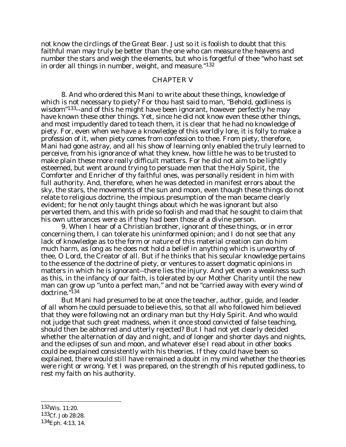not know the circlings of the Great Bear. Just so it is foolish to doubt that this faithful man may truly be better than the one who can measure the heavens and number the stars and weigh the elements, but who is forgetful of thee "who hast set in order all things in number, weight, and measure."132

#### CHAPTER V

8. And who ordered this Mani to write about these things, knowledge of which is not necessary to piety? For thou hast said to man, "Behold, godliness is wisdom"133--and of this he might have been ignorant, however perfectly he may have known these other things. Yet, since he did not know even these other things, and most impudently dared to teach them, it is clear that he had no knowledge of piety. For, even when we have a knowledge of this worldly lore, it is folly to make a *profession* of it, when piety comes from *confession* to thee. From piety, therefore, Mani had gone astray, and all his show of learning only enabled the truly learned to perceive, from his ignorance of what they knew, how little he was to be trusted to make plain these more really difficult matters. For he did not aim to be lightly esteemed, but went around trying to persuade men that the Holy Spirit, the Comforter and Enricher of thy faithful ones, was personally resident in him with full authority. And, therefore, when he was detected in manifest errors about the sky, the stars, the movements of the sun and moon, even though these things do not relate to religious doctrine, the impious presumption of the man became clearly evident; for he not only taught things about which he was ignorant but also perverted them, and this with pride so foolish and mad that he sought to claim that his own utterances were as if they had been those of a divine person.

9. When I hear of a Christian brother, ignorant of these things, or in error concerning them, I can tolerate his uninformed opinion; and I do not see that any lack of knowledge as to the form or nature of this material creation can do him much harm, as long as he does not hold a belief in anything which is unworthy of thee, O Lord, the Creator of all. But if he thinks that his secular knowledge pertains to the essence of the doctrine of piety, or ventures to assert dogmatic opinions in matters in which he is ignorant--there lies the injury. And yet even a weakness such as this, in the infancy of our faith, is tolerated by our Mother Charity until the new man can grow up "unto a perfect man," and not be "carried away with every wind of doctrine."134

But Mani had presumed to be at once the teacher, author, guide, and leader of all whom he could persuade to believe this, so that all who followed him believed that they were following not an ordinary man but thy Holy Spirit. And who would not judge that such great madness, when it once stood convicted of false teaching, should then be abhorred and utterly rejected? But I had not yet clearly decided whether the alternation of day and night, and of longer and shorter days and nights, and the eclipses of sun and moon, and whatever else I read about in other books could be explained consistently with his theories. If they could have been so explained, there would still have remained a doubt in my mind whether the theories were right or wrong. Yet I was prepared, on the strength of his reputed godliness, to rest my faith on his authority.

132Wis. 11:20. 133Cf. Job 28:28. 134Eph. 4:13, 14.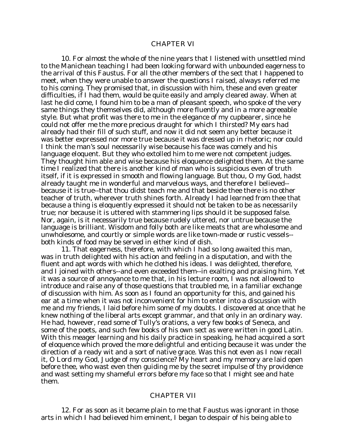### CHAPTER VI

10. For almost the whole of the nine years that I listened with unsettled mind to the Manichean teaching I had been looking forward with unbounded eagerness to the arrival of this Faustus. For all the other members of the sect that I happened to meet, when they were unable to answer the questions I raised, always referred me to his coming. They promised that, in discussion with him, these and even greater difficulties, if I had them, would be quite easily and amply cleared away. When at last he did come, I found him to be a man of pleasant speech, who spoke of the very same things they themselves did, although more fluently and in a more agreeable style. But what profit was there to me in the elegance of my cupbearer, since he could not offer me the more precious draught for which I thirsted? My ears had already had their fill of such stuff, and now it did not seem any better because it was better expressed nor more true because it was dressed up in rhetoric; nor could I think the man's soul necessarily wise because his face was comely and his language eloquent. But they who extolled him to me were not competent judges. They thought him able and wise because his eloquence delighted them. At the same time I realized that there is another kind of man who is suspicious even of truth itself, if it is expressed in smooth and flowing language. But thou, O my God, hadst already taught me in wonderful and marvelous ways, and therefore I believed- because it is true--that thou didst teach me and that beside thee there is no other teacher of truth, wherever truth shines forth. Already I had learned from thee that because a thing is eloquently expressed it should not be taken to be as necessarily true; nor because it is uttered with stammering lips should it be supposed false. Nor, again, is it necessarily true because rudely uttered, nor untrue because the language is brilliant. Wisdom and folly both are like meats that are wholesome and unwholesome, and courtly or simple words are like town-made or rustic vessels- both kinds of food may be served in either kind of dish.

11. That eagerness, therefore, with which I had so long awaited this man, was in truth delighted with his action and feeling in a disputation, and with the fluent and apt words with which he clothed his ideas. I was delighted, therefore, and I joined with others--and even exceeded them--in exalting and praising him. Yet it was a source of annoyance to me that, in his lecture room, I was not allowed to introduce and raise any of those questions that troubled me, in a familiar exchange of discussion with him. As soon as I found an opportunity for this, and gained his ear at a time when it was not inconvenient for him to enter into a discussion with me and my friends, I laid before him some of my doubts. I discovered at once that he knew nothing of the liberal arts except grammar, and that only in an ordinary way. He had, however, read some of Tully's orations, a very few books of Seneca, and some of the poets, and such few books of his own sect as were written in good Latin. With this meager learning and his daily practice in speaking, he had acquired a sort of eloquence which proved the more delightful and enticing because it was under the direction of a ready wit and a sort of native grace. Was this not even as I now recall it, O Lord my God, Judge of my conscience? My heart and my memory are laid open before thee, who wast even then guiding me by the secret impulse of thy providence and wast setting my shameful errors before my face so that I might see and hate them.

#### CHAPTER VII

12. For as soon as it became plain to me that Faustus was ignorant in those arts in which I had believed him eminent, I began to despair of his being able to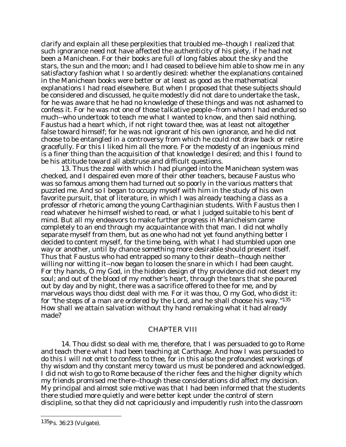clarify and explain all these perplexities that troubled me--though I realized that such ignorance need not have affected the authenticity of his piety, if he had not been a Manichean. For their books are full of long fables about the sky and the stars, the sun and the moon; and I had ceased to believe him able to show me in any satisfactory fashion what I so ardently desired: whether the explanations contained in the Manichean books were better or at least as good as the mathematical explanations I had read elsewhere. But when I proposed that these subjects should be considered and discussed, he quite modestly did not dare to undertake the task, for he was aware that he had no knowledge of these things and was not ashamed to confess it. For he was not one of those talkative people--from whom I had endured so much--who undertook to teach me what I wanted to know, and then said nothing. Faustus had a heart which, if not right toward thee, was at least not altogether false toward himself; for he was not ignorant of his own ignorance, and he did not choose to be entangled in a controversy from which he could not draw back or retire gracefully. For this I liked him all the more. For the modesty of an ingenious mind is a finer thing than the acquisition of that knowledge I desired; and this I found to be his attitude toward all abstruse and difficult questions.

13. Thus the zeal with which I had plunged into the Manichean system was checked, and I despaired even more of their other teachers, because Faustus who was so famous among them had turned out so poorly in the various matters that puzzled me. And so I began to occupy myself with him in the study of his own favorite pursuit, that of literature, in which I was already teaching a class as a professor of rhetoric among the young Carthaginian students. With Faustus then I read whatever he himself wished to read, or what I judged suitable to his bent of mind. But all my endeavors to make further progress in Manicheism came completely to an end through my acquaintance with that man. I did not wholly separate myself from them, but as one who had not yet found anything better I decided to content myself, for the time being, with what I had stumbled upon one way or another, until by chance something more desirable should present itself. Thus that Faustus who had entrapped so many to their death--though neither willing nor witting it--now began to loosen the snare in which I had been caught. For thy hands, O my God, in the hidden design of thy providence did not desert my soul; and out of the blood of my mother's heart, through the tears that she poured out by day and by night, there was a sacrifice offered to thee for me, and by marvelous ways thou didst deal with me. For it was thou, O my God, who didst it: for "the steps of a man are ordered by the Lord, and he shall choose his way."135 How shall we attain salvation without thy hand remaking what it had already made?

# CHAPTER VIII

14. Thou didst so deal with me, therefore, that I was persuaded to go to Rome and teach there what I had been teaching at Carthage. And how I was persuaded to do this I will not omit to confess to thee, for in this also the profoundest workings of thy wisdom and thy constant mercy toward us must be pondered and acknowledged. I did not wish to go to Rome because of the richer fees and the higher dignity which my friends promised me there--though these considerations did affect my decision. My principal and almost sole motive was that I had been informed that the students there studied more quietly and were better kept under the control of stern discipline, so that they did not capriciously and impudently rush into the classroom

<sup>135</sup>Ps. 36:23 (Vulgate).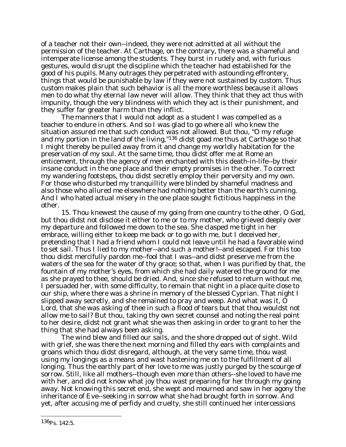of a teacher not their own--indeed, they were not admitted at all without the permission of the teacher. At Carthage, on the contrary, there was a shameful and intemperate license among the students. They burst in rudely and, with furious gestures, would disrupt the discipline which the teacher had established for the good of his pupils. Many outrages they perpetrated with astounding effrontery, things that would be punishable by law if they were not sustained by custom. Thus custom makes plain that such behavior is all the more worthless because it allows men to do what thy eternal law never will allow. They think that they act thus with impunity, though the very blindness with which they act is their punishment, and they suffer far greater harm than they inflict.

The manners that I would not adopt as a student I was compelled as a teacher to endure in others. And so I was glad to go where all who knew the situation assured me that such conduct was not allowed. But thou, "O my refuge and my portion in the land of the living,"136 didst goad me thus at Carthage so that I might thereby be pulled away from it and change my worldly habitation for the preservation of my soul. At the same time, thou didst offer me at Rome an enticement, through the agency of men enchanted with this death-in-life--by their insane conduct in the one place and their empty promises in the other. To correct my wandering footsteps, thou didst secretly employ their perversity and my own. For those who disturbed my tranquillity were blinded by shameful madness and also those who allured me elsewhere had nothing better than the earth's cunning. And I who hated actual misery in the one place sought fictitious happiness in the other.

15. Thou knewest the cause of my going from one country to the other, O God, but thou didst not disclose it either to me or to my mother, who grieved deeply over my departure and followed me down to the sea. She clasped me tight in her embrace, willing either to keep me back or to go with me, but I deceived her, pretending that I had a friend whom I could not leave until he had a favorable wind to set sail. Thus I lied to my mother--and such a mother!--and escaped. For this too thou didst mercifully pardon me--fool that I was--and didst preserve me from the waters of the sea for the water of thy grace; so that, when I was purified by that, the fountain of my mother's eyes, from which she had daily watered the ground for me as she prayed to thee, should be dried. And, since she refused to return without me, I persuaded her, with some difficulty, to remain that night in a place quite close to our ship, where there was a shrine in memory of the blessed Cyprian. That night I slipped away secretly, and she remained to pray and weep. And what was it, O Lord, that she was asking of thee in such a flood of tears but that thou wouldst not allow me to sail? But thou, taking thy own secret counsel and noting the real point to her desire, didst not grant what she was then asking in order to grant to her the thing that she had always been asking.

The wind blew and filled our sails, and the shore dropped out of sight. Wild with grief, she was there the next morning and filled thy ears with complaints and groans which thou didst disregard, although, at the very same time, thou wast using my longings as a means and wast hastening me on to the fulfillment of all longing. Thus the earthly part of her love to me was justly purged by the scourge of sorrow. Still, like all mothers--though even more than others--she loved to have me with her, and did not know what joy thou wast preparing for her through my going away. Not knowing this secret end, she wept and mourned and saw in her agony the inheritance of Eve--seeking in sorrow what she had brought forth in sorrow. And yet, after accusing me of perfidy and cruelty, she still continued her intercessions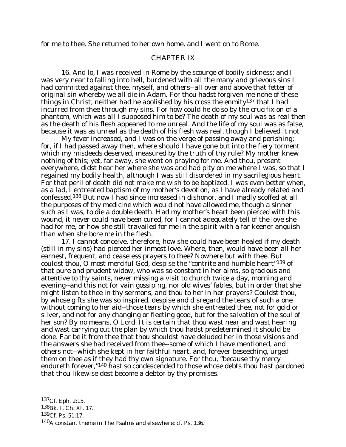for me to thee. She returned to her own home, and I went on to Rome.

#### CHAPTER IX

16. And lo, I was received in Rome by the scourge of bodily sickness; and I was very near to falling into hell, burdened with all the many and grievous sins I had committed against thee, myself, and others--all over and above that fetter of original sin whereby we all die in Adam. For thou hadst forgiven me none of these things in Christ, neither had he abolished by his cross the enmity137 that I had incurred from thee through my sins. For how could he do so by the crucifixion of a phantom, which was all I supposed him to be? The death of my soul was as real then as the death of his flesh appeared to me unreal. And the life of my soul was as false, because it was as unreal as the death of his flesh was real, though I believed it not.

My fever increased, and I was on the verge of passing away and perishing; for, if I had passed away then, where should I have gone but into the fiery torment which my misdeeds deserved, measured by the truth of thy rule? My mother knew nothing of this; yet, far away, she went on praying for me. And thou, present everywhere, didst hear her where she was and had pity on me where I was, so that I regained my bodily health, although I was still disordered in my sacrilegious heart. For that peril of death did not make me wish to be baptized. I was even better when, as a lad, I entreated baptism of my mother's devotion, as I have already related and confessed.138 But now I had since increased in dishonor, and I madly scoffed at all the purposes of thy medicine which would not have allowed me, though a sinner such as I was, to die a double death. Had my mother's heart been pierced with this wound, it never could have been cured, for I cannot adequately tell of the love she had for me, or how she still travailed for me in the spirit with a far keener anguish than when she bore me in the flesh.

17. I cannot conceive, therefore, how she could have been healed if my death (still in my sins) had pierced her inmost love. Where, then, would have been all her earnest, frequent, and ceaseless prayers to thee? Nowhere but with thee. But couldst thou, O most merciful God, despise the "contrite and humble heart"139 of that pure and prudent widow, who was so constant in her alms, so gracious and attentive to thy saints, never missing a visit to church twice a day, morning and evening--and this not for vain gossiping, nor old wives' fables, but in order that she might listen to thee in thy sermons, and thou to her in her prayers? Couldst thou, by whose gifts she was so inspired, despise and disregard the tears of such a one without coming to her aid--those tears by which she entreated thee, not for gold or silver, and not for any changing or fleeting good, but for the salvation of the soul of her son? By no means, O Lord. It is certain that thou wast near and wast hearing and wast carrying out the plan by which thou hadst predetermined it should be done. Far be it from thee that thou shouldst have deluded her in those visions and the answers she had received from thee--some of which I have mentioned, and others not--which she kept in her faithful heart, and, forever beseeching, urged them on thee as if they had thy own signature. For thou, "because thy mercy endureth forever,"140 hast so condescended to those whose debts thou hast pardoned that thou likewise dost become a debtor by thy promises.

<sup>137</sup>Cf. Eph. 2:15.

<sup>138</sup>Bk. I, Ch. XI, 17.

<sup>139</sup>Cf. Ps. 51:17.

<sup>140</sup>A constant theme in The Psalms and elsewhere; cf. Ps. 136.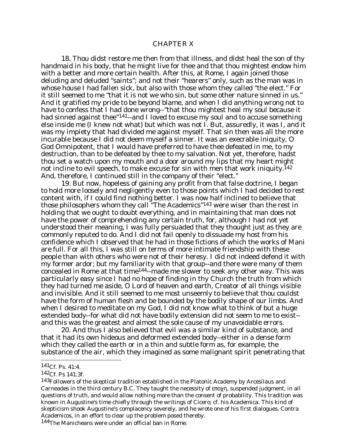# CHAPTER X

18. Thou didst restore me then from that illness, and didst heal the son of thy handmaid in his body, that he might live for thee and that thou mightest endow him with a better and more certain health. After this, at Rome, I again joined those deluding and deluded "saints"; and not their "hearers" only, such as the man was in whose house I had fallen sick, but also with those whom they called "the elect." For it still seemed to me "that it is not we who sin, but some other nature sinned in us." And it gratified my pride to be beyond blame, and when *I* did anything wrong not to have to confess that *I* had done wrong--"that thou mightest heal my soul because it had sinned against thee"<sup>141</sup>--and I loved to excuse my soul and to accuse something else inside me (I knew not what) but which was not I. But, assuredly, it was I, and it was my impiety that had divided me against myself. That sin then was all the more incurable because I did not deem myself a sinner. It was an execrable iniquity, O God Omnipotent, that I would have preferred to have thee defeated in me, to my destruction, than to be defeated by thee to my salvation. Not yet, therefore, hadst thou set a watch upon my mouth and a door around my lips that my heart might not incline to evil speech, to make excuse for sin with men that work iniquity.<sup> $142$ </sup> And, therefore, I continued still in the company of their "elect."

19. But now, hopeless of gaining any profit from that false doctrine, I began to hold more loosely and negligently even to those points which I had decided to rest content with, if I could find nothing better. I was now half inclined to believe that those philosophers whom they call "The Academics"143 were wiser than the rest in holding that we ought to doubt everything, and in maintaining that man does not have the power of comprehending any certain truth, for, although I had not yet understood their meaning, I was fully persuaded that they thought just as they are commonly reputed to do. And I did not fail openly to dissuade my host from his confidence which I observed that he had in those fictions of which the works of Mani are full. For all this, I was still on terms of more intimate friendship with these people than with others who were not of their heresy. I did not indeed defend it with my former ardor; but my familiarity with that group--and there were many of them concealed in Rome at that time144--made me slower to seek any other way. This was particularly easy since I had no hope of finding in thy Church the truth from which they had turned me aside, O Lord of heaven and earth, Creator of all things visible and invisible. And it still seemed to me most unseemly to believe that thou couldst have the form of human flesh and be bounded by the bodily shape of our limbs. And when I desired to meditate on my God, I did not know what to think of but a huge extended body--for what did not have bodily extension did not seem to me to exist- and this was the greatest and almost the sole cause of my unavoidable errors.

20. And thus I also believed that evil was a similar kind of substance, and that it had its own hideous and deformed extended body--either in a dense form which they called the earth or in a thin and subtle form as, for example, the substance of the air, which they imagined as some malignant spirit penetrating that

144The Manicheans were under an official ban in Rome.

<sup>141</sup>Cf. Ps. 41:4.

<sup>142</sup>Cf. Ps 141:3f.

<sup>&</sup>lt;sup>143</sup>Followers of the skeptical tradition established in the Platonic Academy by Arcesilaus and Carneades in the third century B.C. They taught the necessity of suspended judgment, in all questions of truth, and would allow nothing more than the consent of probability. This tradition was known in Augustine's time chiefly through the writings of Cicero; cf. his *Academica*. This kind of skepticism shook Augustine's complacency severely, and he wrote one of his first dialogues, *Contra Academicos*, in an effort to clear up the problem posed thereby.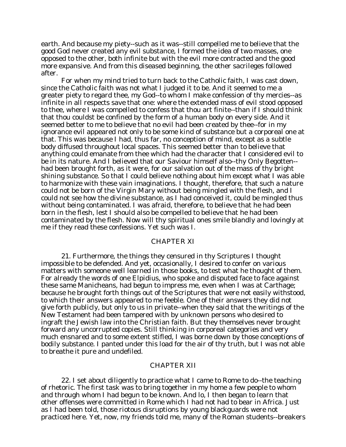earth. And because my piety--such as it was--still compelled me to believe that the good God never created any evil substance, I formed the idea of two masses, one opposed to the other, both infinite but with the evil more contracted and the good more expansive. And from this diseased beginning, the other sacrileges followed after.

For when my mind tried to turn back to the Catholic faith, I was cast down, since the Catholic faith was not what I judged it to be. And it seemed to me a greater piety to regard thee, my God--to whom I make confession of thy mercies--as infinite in all respects save that one: where the extended mass of evil stood opposed to thee, where I was compelled to confess that thou art finite--than if I should think that thou couldst be confined by the form of a human body on every side. And it seemed better to me to believe that no evil had been created by thee--for in my ignorance evil appeared not only to be some kind of substance but a corporeal one at that. This was because I had, thus far, no conception of mind, except as a subtle body diffused throughout local spaces. This seemed better than to believe that anything could emanate from thee which had the character that I considered evil to be in its nature. And I believed that our Saviour himself also--thy Only Begotten- had been brought forth, as it were, for our salvation out of the mass of thy bright shining substance. So that I could believe nothing about him except what I was able to harmonize with these vain imaginations. I thought, therefore, that such a nature could not be born of the Virgin Mary without being mingled with the flesh, and I could not see how the divine substance, as I had conceived it, could be mingled thus without being contaminated. I was afraid, therefore, to believe that he had been born in the flesh, lest I should also be compelled to believe that he had been contaminated by the flesh. Now will thy spiritual ones smile blandly and lovingly at me if they read these confessions. Yet such was I.

#### CHAPTER XI

21. Furthermore, the things they censured in thy Scriptures I thought impossible to be defended. And yet, occasionally, I desired to confer on various matters with someone well learned in those books, to test what he thought of them. For already the words of one Elpidius, who spoke and disputed face to face against these same Manicheans, had begun to impress me, even when I was at Carthage; because he brought forth things out of the Scriptures that were not easily withstood, to which their answers appeared to me feeble. One of their answers they did not give forth publicly, but only to us in private--when they said that the writings of the New Testament had been tampered with by unknown persons who desired to ingraft the Jewish law into the Christian faith. But they themselves never brought forward any uncorrupted copies. Still thinking in corporeal categories and very much ensnared and to some extent stifled, I was borne down by those conceptions of bodily substance. I panted under this load for the air of thy truth, but I was not able to breathe it pure and undefiled.

#### CHAPTER XII

22. I set about diligently to practice what I came to Rome to do--the teaching of rhetoric. The first task was to bring together in my home a few people to whom and through whom I had begun to be known. And lo, I then began to learn that other offenses were committed in Rome which I had not had to bear in Africa. Just as I had been told, those riotous disruptions by young blackguards were not practiced here. Yet, now, my friends told me, many of the Roman students--breakers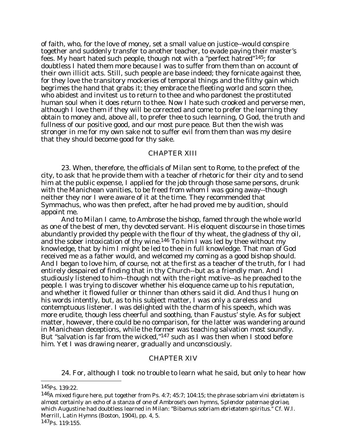of faith, who, for the love of money, set a small value on justice--would conspire together and suddenly transfer to another teacher, to evade paying their master's fees. My heart hated such people, though not with a "perfect hatred"145; for doubtless I hated them more because I was to suffer from them than on account of their own illicit acts. Still, such people are base indeed; they fornicate against thee, for they love the transitory mockeries of temporal things and the filthy gain which begrimes the hand that grabs it; they embrace the fleeting world and scorn thee, who abidest and invitest us to return to thee and who pardonest the prostituted human soul when it does return to thee. Now I hate such crooked and perverse men, although I love them if they will be corrected and come to prefer the learning they obtain to money and, above all, to prefer thee to such learning, O God, the truth and fullness of our positive good, and our most pure peace. But then the wish was stronger in me for my own sake not to suffer evil from them than was my desire that they should become good for thy sake.

## CHAPTER XIII

23. When, therefore, the officials of Milan sent to Rome, to the prefect of the city, to ask that he provide them with a teacher of rhetoric for their city and to send him at the public expense, I applied for the job through those same persons, drunk with the Manichean vanities, to be freed from whom I was going away--though neither they nor I were aware of it at the time. They recommended that Symmachus, who was then prefect, after he had proved me by audition, should appoint me.

And to Milan I came, to Ambrose the bishop, famed through the whole world as one of the best of men, thy devoted servant. His eloquent discourse in those times abundantly provided thy people with the flour of thy wheat, the gladness of thy oil, and the sober intoxication of thy wine.<sup>146</sup> To him I was led by thee without my knowledge, that by him I might be led to thee in full knowledge. That man of God received me as a father would, and welcomed my coming as a good bishop should. And I began to love him, of course, not at the first as a teacher of the truth, for I had entirely despaired of finding that in thy Church--but as a friendly man. And I studiously listened to him--though not with the right motive--as he preached to the people. I was trying to discover whether his eloquence came up to his reputation, and whether it flowed fuller or thinner than others said it did. And thus I hung on his words intently, but, as to his subject matter, I was only a careless and contemptuous listener. I was delighted with the charm of his speech, which was more erudite, though less cheerful and soothing, than Faustus' style. As for subject matter, however, there could be no comparison, for the latter was wandering around in Manichean deceptions, while the former was teaching salvation most soundly. But "salvation is far from the wicked,"<sup>147</sup> such as I was then when I stood before him. Yet I was drawing nearer, gradually and unconsciously.

# CHAPTER XIV

24. For, although I took no trouble to learn what he said, but only to hear how

<sup>145</sup>Ps. 139:22.

<sup>146</sup>A mixed figure here, put together from Ps. 4:7; 45:7; 104:15; the phrase *sobriam vini ebrietatem* is almost certainly an echo of a stanza of one of Ambrose's own hymns, *Splendor paternae gloriae*, which Augustine had doubtless learned in Milan: "*Bibamus sobriam ebrietatem spiritus*." Cf. W.I. Merrill, *Latin Hymns* (Boston, 1904), pp. 4, 5.

<sup>147</sup>Ps. 119:155.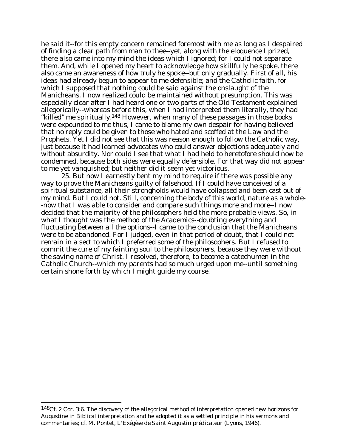he said it--for this empty concern remained foremost with me as long as I despaired of finding a clear path from man to thee--yet, along with the eloquence I prized, there also came into my mind the ideas which I ignored; for I could not separate them. And, while I opened my heart to acknowledge how skillfully he spoke, there also came an awareness of how *truly* he spoke--but only gradually. First of all, his ideas had already begun to appear to me defensible; and the Catholic faith, for which I supposed that nothing could be said against the onslaught of the Manicheans, I now realized could be maintained without presumption. This was especially clear after I had heard one or two parts of the Old Testament explained allegorically--whereas before this, when I had interpreted them literally, they had "killed" me spiritually.148 However, when many of these passages in those books were expounded to me thus, I came to blame my own despair for having believed that no reply could be given to those who hated and scoffed at the Law and the Prophets. Yet I did not see that this was reason enough to follow the Catholic way, just because it had learned advocates who could answer objections adequately and without absurdity. Nor could I see that what I had held to heretofore should now be condemned, because both sides were equally defensible. For that way did not appear to me yet vanquished; but neither did it seem yet victorious.

25. But now I earnestly bent my mind to require if there was possible any way to prove the Manicheans guilty of falsehood. If I could have conceived of a spiritual substance, all their strongholds would have collapsed and been cast out of my mind. But I could not. Still, concerning the body of this world, nature as a whole- -now that I was able to consider and compare such things more and more--I now decided that the majority of the philosophers held the more probable views. So, in what I thought was the method of the Academics--doubting everything and fluctuating between all the options--I came to the conclusion that the Manicheans were to be abandoned. For I judged, even in that period of doubt, that I could not remain in a sect to which I preferred some of the philosophers. But I refused to commit the cure of my fainting soul to the philosophers, because they were without the saving name of Christ. I resolved, therefore, to become a catechumen in the Catholic Church--which my parents had so much urged upon me--until something certain shone forth by which I might guide my course.

<sup>&</sup>lt;sup>148</sup>Cf. 2 Cor. 3:6. The discovery of the allegorical method of interpretation opened new horizons for Augustine in Biblical interpretation and he adopted it as a settled principle in his sermons and commentaries; cf. M. Pontet, *L'Exégèse de Saint Augustin prédicateur* (Lyons, 1946).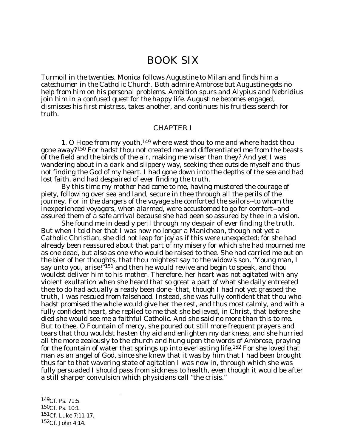# BOOK SIX

*Turmoil in the twenties. Monica follows Augustine to Milan and finds him a catechumen in the Catholic Church. Both admire Ambrose but Augustine gets no help from him on his personal problems. Ambition spurs and Alypius and Nebridius join him in a confused quest for the happy life. Augustine becomes engaged, dismisses his first mistress, takes another, and continues his fruitless search for truth.*

#### CHAPTER I

1. O Hope from my youth,149 where wast thou to me and where hadst thou gone away?150 For hadst thou not created me and differentiated me from the beasts of the field and the birds of the air, making me wiser than they? And yet I was wandering about in a dark and slippery way, seeking thee outside myself and thus not finding the God of my heart. I had gone down into the depths of the sea and had lost faith, and had despaired of ever finding the truth.

By this time my mother had come to me, having mustered the courage of piety, following over sea and land, secure in thee through all the perils of the journey. For in the dangers of the voyage she comforted the sailors--to whom the inexperienced voyagers, when alarmed, were accustomed to go for comfort--and assured them of a safe arrival because she had been so assured by thee in a vision.

She found me in deadly peril through my despair of ever finding the truth. But when I told her that I was now no longer a Manichean, though not yet a Catholic Christian, she did not leap for joy as if this were unexpected; for she had already been reassured about that part of my misery for which she had mourned me as one dead, but also as one who would be raised to thee. She had carried me out on the bier of her thoughts, that thou mightest say to the widow's son, "Young man, I say unto you, arise!"151 and then he would revive and begin to speak, and thou wouldst deliver him to his mother. Therefore, her heart was not agitated with any violent exultation when she heard that so great a part of what she daily entreated thee to do had actually already been done--that, though I had not yet grasped the truth, I was rescued from falsehood. Instead, she was fully confident that thou who hadst promised the whole would give her the rest, and thus most calmly, and with a fully confident heart, she replied to me that she believed, in Christ, that before she died she would see me a faithful Catholic. And she said no more than this to me. But to thee, O Fountain of mercy, she poured out still more frequent prayers and tears that thou wouldst hasten thy aid and enlighten my darkness, and she hurried all the more zealously to the church and hung upon the words of Ambrose, praying for the fountain of water that springs up into everlasting life.152 For she loved that man as an angel of God, since she knew that it was by him that I had been brought thus far to that wavering state of agitation I was now in, through which she was fully persuaded I should pass from sickness to health, even though it would be after a still sharper convulsion which physicians call "the crisis."

<sup>149</sup>Cf. Ps. 71:5.

 $150Cf$ . Ps. 10:1.

<sup>151</sup>Cf. Luke 7:11-17.

<sup>152</sup>Cf. John 4:14.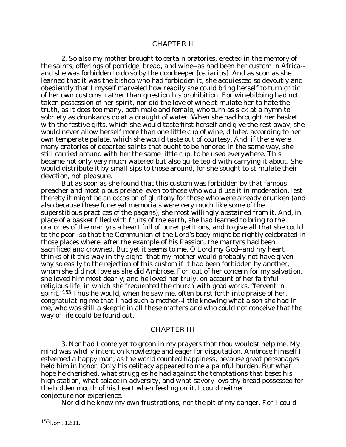#### CHAPTER II

2. So also my mother brought to certain oratories, erected in the memory of the saints, offerings of porridge, bread, and wine--as had been her custom in Africa- and she was forbidden to do so by the doorkeeper [*ostiarius*]. And as soon as she learned that it was the bishop who had forbidden it, she acquiesced so devoutly and obediently that I myself marveled how readily she could bring herself to turn critic of her own customs, rather than question his prohibition. For winebibbing had not taken possession of her spirit, nor did the love of wine stimulate her to hate the truth, as it does too many, both male and female, who turn as sick at a hymn to sobriety as drunkards do at a draught of water. When she had brought her basket with the festive gifts, which she would taste first herself and give the rest away, she would never allow herself more than one little cup of wine, diluted according to her own temperate palate, which she would taste out of courtesy. And, if there were many oratories of departed saints that ought to be honored in the same way, she still carried around with her the same little cup, to be used everywhere. This became not only very much watered but also quite tepid with carrying it about. She would distribute it by small sips to those around, for she sought to stimulate their devotion, not pleasure.

But as soon as she found that this custom was forbidden by that famous preacher and most pious prelate, even to those who would use it in moderation, lest thereby it might be an occasion of gluttony for those who were already drunken (and also because these funereal memorials were very much like some of the superstitious practices of the pagans), she most willingly abstained from it. And, in place of a basket filled with fruits of the earth, she had learned to bring to the oratories of the martyrs a heart full of purer petitions, and to give all that she could to the poor--so that the Communion of the Lord's body might be rightly celebrated in those places where, after the example of his Passion, the martyrs had been sacrificed and crowned. But yet it seems to me, O Lord my God--and my heart thinks of it this way in thy sight--that my mother would probably not have given way so easily to the rejection of this custom if it had been forbidden by another, whom she did not love as she did Ambrose. For, out of her concern for my salvation, she loved him most dearly; and he loved her truly, on account of her faithful religious life, in which she frequented the church with good works, "fervent in spirit."153 Thus he would, when he saw me, often burst forth into praise of her, congratulating me that I had such a mother--little knowing what a son she had in me, who was still a skeptic in all these matters and who could not conceive that the way of life could be found out.

#### CHAPTER III

3. Nor had I come yet to groan in my prayers that thou wouldst help me. My mind was wholly intent on knowledge and eager for disputation. Ambrose himself I esteemed a happy man, as the world counted happiness, because great personages held him in honor. Only his celibacy appeared to me a painful burden. But what hope he cherished, what struggles he had against the temptations that beset his high station, what solace in adversity, and what savory joys thy bread possessed for the hidden mouth of his heart when feeding on it, I could neither conjecture nor experience.

Nor did he know my own frustrations, nor the pit of my danger. For I could

<sup>153</sup>Rom. 12:11.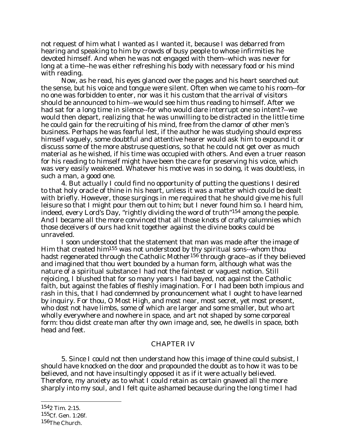not request of him what I wanted as I wanted it, because I was debarred from hearing and speaking to him by crowds of busy people to whose infirmities he devoted himself. And when he was not engaged with them--which was never for long at a time--he was either refreshing his body with necessary food or his mind with reading.

Now, as he read, his eyes glanced over the pages and his heart searched out the sense, but his voice and tongue were silent. Often when we came to his room--for no one was forbidden to enter, nor was it his custom that the arrival of visitors should be announced to him--we would see him thus reading to himself. After we had sat for a long time in silence--for who would dare interrupt one so intent?--we would then depart, realizing that he was unwilling to be distracted in the little time he could gain for the recruiting of his mind, free from the clamor of other men's business. Perhaps he was fearful lest, if the author he was studying should express himself vaguely, some doubtful and attentive hearer would ask him to expound it or discuss some of the more abstruse questions, so that he could not get over as much material as he wished, if his time was occupied with others. And even a truer reason for his reading to himself might have been the care for preserving his voice, which was very easily weakened. Whatever his motive was in so doing, it was doubtless, in such a man, a good one.

4. But actually I could find no opportunity of putting the questions I desired to that holy oracle of thine in his heart, unless it was a matter which could be dealt with briefly. However, those surgings in me required that he should give me his full leisure so that I might pour them out to him; but I never found him so. I heard him, indeed, every Lord's Day, "rightly dividing the word of truth"154 among the people. And I became all the more convinced that all those knots of crafty calumnies which those deceivers of ours had knit together against the divine books could be unraveled.

I soon understood that the statement that man was made after the image of Him that created him<sup>155</sup> was not understood by thy spiritual sons--whom thou hadst regenerated through the Catholic Mother<sup>156</sup> through grace--as if they believed and imagined that thou wert bounded by a human form, although what was the nature of a spiritual substance I had not the faintest or vaguest notion. Still rejoicing, I blushed that for so many years I had bayed, not against the Catholic faith, but against the fables of fleshly imagination. For I had been both impious and rash in this, that I had condemned by pronouncement what I ought to have learned by inquiry. For thou, O Most High, and most near, most secret, yet most present, who dost not have limbs, some of which are larger and some smaller, but who art wholly everywhere and nowhere in space, and art not shaped by some corporeal form: thou didst create man after thy own image and, see, he dwells in space, both head and feet.

## CHAPTER IV

5. Since I could not then understand how this image of thine could subsist, I should have knocked on the door and propounded the doubt as to how it was to be believed, and not have insultingly opposed it as if it were actually believed. Therefore, my anxiety as to what I could retain as certain gnawed all the more sharply into my soul, and I felt quite ashamed because during the long time I had

<sup>154</sup>2 Tim. 2:15. 155Cf. Gen. 1:26f. 156The Church.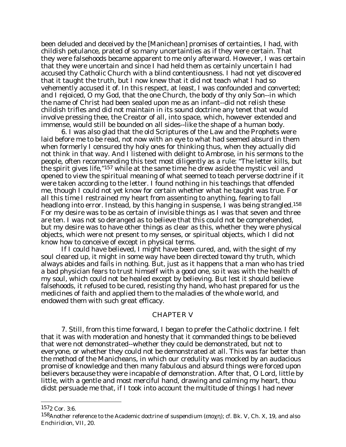been deluded and deceived by the [Manichean] promises of certainties, I had, with childish petulance, prated of so many uncertainties as if they were certain. That they were falsehoods became apparent to me only afterward. However, I was certain that they were uncertain and since I had held them as certainly uncertain I had accused thy Catholic Church with a blind contentiousness. I had not yet discovered that it taught the truth, but I now knew that it did not teach what I had so vehemently accused it of. In this respect, at least, I was confounded and converted; and I rejoiced, O my God, that the one Church, the body of thy only Son--in which the name of Christ had been sealed upon me as an infant--did not relish these childish trifles and did not maintain in its sound doctrine any tenet that would involve pressing thee, the Creator of all, into space, which, however extended and immense, would still be bounded on all sides--like the shape of a human body.

6. I was also glad that the old Scriptures of the Law and the Prophets were laid before me to be read, not now with an eye to what had seemed absurd in them when formerly I censured thy holy ones for thinking thus, when they actually did not think in that way. And I listened with delight to Ambrose, in his sermons to the people, often recommending this text most diligently as a rule: "The letter kills, but the spirit gives life,"157 while at the same time he drew aside the mystic veil and opened to view the spiritual meaning of what seemed to teach perverse doctrine if it were taken according to the letter. I found nothing in his teachings that offended me, though I could not yet know for certain whether what he taught was true. For all this time I restrained my heart from assenting to anything, fearing to fall headlong into error. Instead, by this hanging in suspense, I was being strangled.<sup>158</sup> For my desire was to be as certain of invisible things as I was that seven and three are ten. I was not so deranged as to believe that *this* could not be comprehended, but my desire was to have other things as clear as this, whether they were physical objects, which were not present to my senses, or spiritual objects, which I did not know how to conceive of except in physical terms.

If I could have believed, I might have been cured, and, with the sight of my soul cleared up, it might in some way have been directed toward thy truth, which always abides and fails in nothing. But, just as it happens that a man who has tried a bad physician fears to trust himself with a good one, so it was with the health of my soul, which could not be healed except by believing. But lest it should believe falsehoods, it refused to be cured, resisting thy hand, who hast prepared for us the medicines of faith and applied them to the maladies of the whole world, and endowed them with such great efficacy.

## CHAPTER V

7. Still, from this time forward, I began to prefer the Catholic doctrine. I felt that it was with moderation and honesty that it commanded things to be believed that were not demonstrated--whether they could be demonstrated, but not to everyone, or whether they could not be demonstrated at all. This was far better than the method of the Manicheans, in which our credulity was mocked by an audacious promise of knowledge and then many fabulous and absurd things were forced upon believers *because* they were incapable of demonstration. After that, O Lord, little by little, with a gentle and most merciful hand, drawing and calming my heart, thou didst persuade me that, if I took into account the multitude of things I had never

1572 Cor. 3:6.

<sup>158&</sup>lt;sub>Another reference to the Academic doctrine of *suspendium* (except ); cf. Bk. V, Ch. X, 19, and also</sub> *Enchiridion*, VII, 20.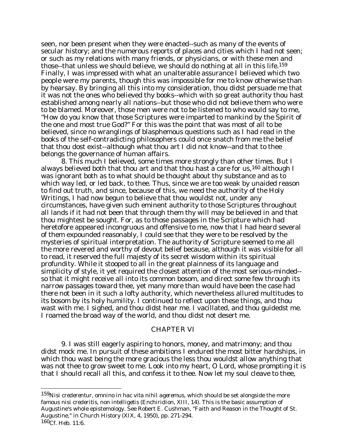seen, nor been present when they were enacted--such as many of the events of secular history; and the numerous reports of places and cities which I had not seen; or such as my relations with many friends, or physicians, or with these men and those--that unless we should believe, we should do nothing at all in this life.159 Finally, I was impressed with what an unalterable assurance I believed which two people were my parents, though this was impossible for me to know otherwise than by hearsay. By bringing all this into my consideration, thou didst persuade me that it was not the ones who believed thy books--which with so great authority thou hast established among nearly all nations--but those who did not believe them who were to be blamed. Moreover, those men were not to be listened to who would say to me, "How do you know that those Scriptures were imparted to mankind by the Spirit of the one and most true God?" For this was the point that was most of all to be believed, since no wranglings of blasphemous questions such as I had read in the books of the self-contradicting philosophers could once snatch from me the belief that thou dost exist--although *what* thou art I did not know--and that to thee belongs the governance of human affairs.

8. This much I believed, some times more strongly than other times. But I always believed both that thou art and that thou hast a care for us,160 although I was ignorant both as to what should be thought about thy substance and as to which way led, or led back, to thee. Thus, since we are too weak by unaided reason to find out truth, and since, because of this, we need the authority of the Holy Writings, I had now begun to believe that thou wouldst not, under any circumstances, have given such eminent authority to those Scriptures throughout all lands if it had not been that through them thy will may be believed in and that thou mightest be sought. For, as to those passages in the Scripture which had heretofore appeared incongruous and offensive to me, now that I had heard several of them expounded reasonably, I could see that they were to be resolved by the mysteries of spiritual interpretation. The authority of Scripture seemed to me all the more revered and worthy of devout belief because, although it was visible for all to read, it reserved the full majesty of its secret wisdom within its spiritual profundity. While it stooped to all in the great plainness of its language and simplicity of style, it yet required the closest attention of the most serious-minded- so that it might receive all into its common bosom, and direct some few through its narrow passages toward thee, yet many more than would have been the case had there not been in it such a lofty authority, which nevertheless allured multitudes to its bosom by its holy humility. I continued to reflect upon these things, and thou wast with me. I sighed, and thou didst hear me. I vacillated, and thou guidedst me. I roamed the broad way of the world, and thou didst not desert me.

#### CHAPTER VI

9. I was still eagerly aspiring to honors, money, and matrimony; and thou didst mock me. In pursuit of these ambitions I endured the most bitter hardships, in which thou wast being the more gracious the less thou wouldst allow anything that was not thee to grow sweet to me. Look into my heart, O Lord, whose prompting it is that I should recall all this, and confess it to thee. Now let my soul cleave to thee,

159*Nisi crederentur, omnino in hac vita nihil ageremus*, which should be set alongside the more famous *nisi crederitis, non intelligetis* (*Enchiridion*, XIII, 14). This is the basic assumption of Augustine's whole epistemology. See Robert E. Cushman, "Faith and Reason in the Thought of St. Augustine," in *Church History* (XIX, 4, 1950), pp. 271-294. 160Cf. Heb. 11:6.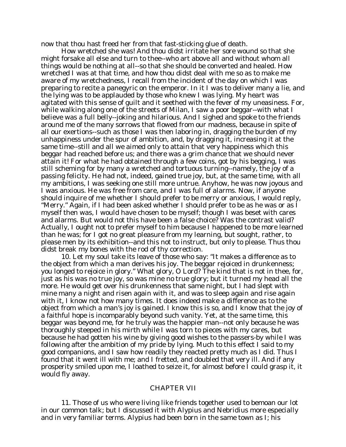now that thou hast freed her from that fast-sticking glue of death.

How wretched she was! And thou didst irritate her sore wound so that she might forsake all else and turn to thee--who art above all and without whom all things would be nothing at all--so that she should be converted and healed. How wretched I was at that time, and how thou didst deal with me so as to make me aware of my wretchedness, I recall from the incident of the day on which I was preparing to recite a panegyric on the emperor. In it I was to deliver many a lie, and the lying was to be applauded by those who knew I was lying. My heart was agitated with this sense of guilt and it seethed with the fever of my uneasiness. For, while walking along one of the streets of Milan, I saw a poor beggar--with what I believe was a full belly--joking and hilarious. And I sighed and spoke to the friends around me of the many sorrows that flowed from our madness, because in spite of all our exertions--such as those I was then laboring in, dragging the burden of my unhappiness under the spur of ambition, and, by dragging it, increasing it at the same time--still and all we aimed only to attain that very happiness which this beggar had reached before us; and there was a grim chance that we should never attain it! For what he had obtained through a few coins, got by his begging, I was still scheming for by many a wretched and tortuous turning--namely, the joy of a passing felicity. He had not, indeed, gained true joy, but, at the same time, with all my ambitions, I was seeking one still more untrue. Anyhow, he was now joyous and I was anxious. He was free from care, and I was full of alarms. Now, if anyone should inquire of me whether I should prefer to be merry or anxious, I would reply, "Merry." Again, if I had been asked whether I should prefer to be as he was or as I myself then was, I would have chosen to be myself; though I was beset with cares and alarms. But would not this have been a false choice? Was the contrast valid? Actually, I ought not to prefer myself to him because I happened to be more learned than he was; for I got no great pleasure from my learning, but sought, rather, to please men by its exhibition--and this not to instruct, but only to please. Thus thou didst break my bones with the rod of thy correction.

10. Let my soul take its leave of those who say: "It makes a difference as to the object from which a man derives his joy. The beggar rejoiced in drunkenness; you longed to rejoice in glory." What glory, O Lord? The kind that is not in thee, for, just as his was no true joy, so was mine no true glory; but it turned my head all the more. He would get over his drunkenness that same night, but I had slept with mine many a night and risen again with it, and was to sleep again and rise again with it, I know not how many times. It does indeed make a difference as to the object from which a man's joy is gained. I know this is so, and I know that the joy of a faithful hope is incomparably beyond such vanity. Yet, at the same time, this beggar was beyond me, for he truly was the happier man--not only because he was thoroughly steeped in his mirth while I was torn to pieces with my cares, but because he had gotten his wine by giving good wishes to the passers-by while I was following after the ambition of my pride by lying. Much to this effect I said to my good companions, and I saw how readily they reacted pretty much as I did. Thus I found that it went ill with me; and I fretted, and doubled that very ill. And if any prosperity smiled upon me, I loathed to seize it, for almost before I could grasp it, it would fly away.

## CHAPTER VII

11. Those of us who were living like friends together used to bemoan our lot in our common talk; but I discussed it with Alypius and Nebridius more especially and in very familiar terms. Alypius had been born in the same town as I; his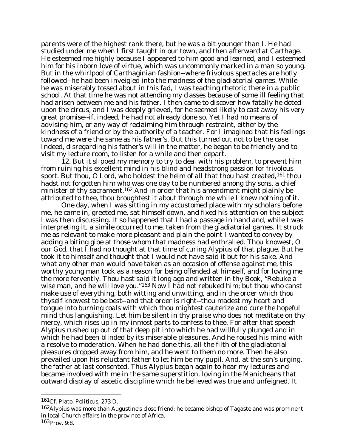parents were of the highest rank there, but he was a bit younger than I. He had studied under me when I first taught in our town, and then afterward at Carthage. He esteemed me highly because I appeared to him good and learned, and I esteemed him for his inborn love of virtue, which was uncommonly marked in a man so young. But in the whirlpool of Carthaginian fashion--where frivolous spectacles are hotly followed--he had been inveigled into the madness of the gladiatorial games. While he was miserably tossed about in this fad, I was teaching rhetoric there in a public school. At that time he was not attending my classes because of some ill feeling that had arisen between me and his father. I then came to discover how fatally he doted upon the circus, and I was deeply grieved, for he seemed likely to cast away his very great promise--if, indeed, he had not already done so. Yet I had no means of advising him, or any way of reclaiming him through restraint, either by the kindness of a friend or by the authority of a teacher. For I imagined that his feelings toward me were the same as his father's. But this turned out not to be the case. Indeed, disregarding his father's will in the matter, he began to be friendly and to visit my lecture room, to listen for a while and then depart.

12. But it slipped my memory to try to deal with his problem, to prevent him from ruining his excellent mind in his blind and headstrong passion for frivolous sport. But thou, O Lord, who holdest the helm of all that thou hast created,<sup>161</sup> thou hadst not forgotten him who was one day to be numbered among thy sons, a chief minister of thy sacrament.<sup>162</sup> And in order that his amendment might plainly be attributed to thee, thou broughtest it about through me while I knew nothing of it.

One day, when I was sitting in my accustomed place with my scholars before me, he came in, greeted me, sat himself down, and fixed his attention on the subject I was then discussing. It so happened that I had a passage in hand and, while I was interpreting it, a simile occurred to me, taken from the gladiatorial games. It struck me as relevant to make more pleasant and plain the point I wanted to convey by adding a biting gibe at those whom that madness had enthralled. Thou knowest, O our God, that I had no thought at that time of curing Alypius of that plague. But he took it to himself and thought that I would not have said it but for his sake. And what any other man would have taken as an occasion of offense against me, this worthy young man took as a reason for being offended at himself, and for loving me the more fervently. Thou hast said it long ago and written in thy Book, "Rebuke a wise man, and he will love you."<sup>163</sup> Now I had not rebuked him; but thou who canst make use of everything, both witting and unwitting, and in the order which thou thyself knowest to be best--and that order is right--thou madest my heart and tongue into burning coals with which thou mightest cauterize and cure the hopeful mind thus languishing. Let him be silent in thy praise who does not meditate on thy mercy, which rises up in my inmost parts to confess to thee. For after that speech Alypius rushed up out of that deep pit into which he had willfully plunged and in which he had been blinded by its miserable pleasures. And he roused his mind with a resolve to moderation. When he had done this, all the filth of the gladiatorial pleasures dropped away from him, and he went to them no more. Then he also prevailed upon his reluctant father to let him be my pupil. And, at the son's urging, the father at last consented. Thus Alypius began again to hear my lectures and became involved with me in the same superstition, loving in the Manicheans that outward display of ascetic discipline which he believed was true and unfeigned. It

<sup>161</sup>Cf. Plato, *Politicus*, 273 D.

<sup>&</sup>lt;sup>162</sup>Alypius was more than Augustine's close friend; he became bishop of Tagaste and was prominent in local Church affairs in the province of Africa. 163Prov. 9:8.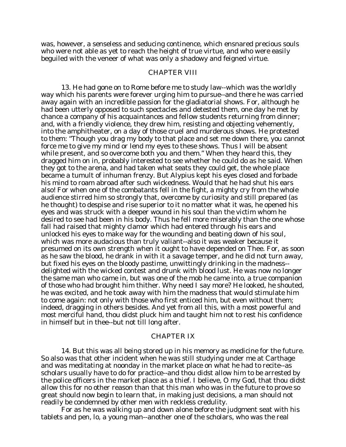was, however, a senseless and seducing continence, which ensnared precious souls who were not able as yet to reach the height of true virtue, and who were easily beguiled with the veneer of what was only a shadowy and feigned virtue.

# CHAPTER VIII

13. He had gone on to Rome before me to study law--which was the worldly way which his parents were forever urging him to pursue--and there he was carried away again with an incredible passion for the gladiatorial shows. For, although he had been utterly opposed to such spectacles and detested them, one day he met by chance a company of his acquaintances and fellow students returning from dinner; and, with a friendly violence, they drew him, resisting and objecting vehemently, into the amphitheater, on a day of those cruel and murderous shows. He protested to them: "Though you drag my body to that place and set me down there, you cannot force me to give my mind or lend my eyes to these shows. Thus I will be absent while present, and so overcome both you and them." When they heard this, they dragged him on in, probably interested to see whether he could do as he said. When they got to the arena, and had taken what seats they could get, the whole place became a tumult of inhuman frenzy. But Alypius kept his eyes closed and forbade his mind to roam abroad after such wickedness. Would that he had shut his ears also! For when one of the combatants fell in the fight, a mighty cry from the whole audience stirred him so strongly that, overcome by curiosity and still prepared (as he thought) to despise and rise superior to it no matter what it was, he opened his eyes and was struck with a deeper wound in his soul than the victim whom he desired to see had been in his body. Thus he fell more miserably than the one whose fall had raised that mighty clamor which had entered through his ears and unlocked his eyes to make way for the wounding and beating down of his soul, which was more audacious than truly valiant--also it was weaker because it presumed on its own strength when it ought to have depended on Thee. For, as soon as he saw the blood, he drank in with it a savage temper, and he did not turn away, but fixed his eyes on the bloody pastime, unwittingly drinking in the madness- delighted with the wicked contest and drunk with blood lust. He was now no longer the same man who came in, but was one of the mob he came into, a true companion of those who had brought him thither. Why need I say more? He looked, he shouted, he was excited, and he took away with him the madness that would stimulate him to come again: not only with those who first enticed him, but even without them; indeed, dragging in others besides. And yet from all this, with a most powerful and most merciful hand, thou didst pluck him and taught him not to rest his confidence in himself but in thee--but not till long after.

#### CHAPTER IX

14. But this was all being stored up in his memory as medicine for the future. So also was that other incident when he was still studying under me at Carthage and was meditating at noonday in the market place on what he had to recite--as scholars usually have to do for practice--and thou didst allow him to be arrested by the police officers in the market place as a thief. I believe, O my God, that thou didst allow this for no other reason than that this man who was in the future to prove so great should now begin to learn that, in making just decisions, a man should not readily be condemned by other men with reckless credulity.

For as he was walking up and down alone before the judgment seat with his tablets and pen, lo, a young man--another one of the scholars, who was the real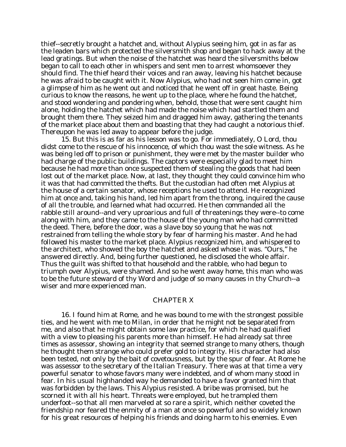thief--secretly brought a hatchet and, without Alypius seeing him, got in as far as the leaden bars which protected the silversmith shop and began to hack away at the lead gratings. But when the noise of the hatchet was heard the silversmiths below began to call to each other in whispers and sent men to arrest whomsoever they should find. The thief heard their voices and ran away, leaving his hatchet because he was afraid to be caught with it. Now Alypius, who had not seen him come in, got a glimpse of him as he went out and noticed that he went off in great haste. Being curious to know the reasons, he went up to the place, where he found the hatchet, and stood wondering and pondering when, behold, those that were sent caught him alone, holding the hatchet which had made the noise which had startled them and brought them there. They seized him and dragged him away, gathering the tenants of the market place about them and boasting that they had caught a notorious thief. Thereupon he was led away to appear before the judge.

15. But this is as far as his lesson was to go. For immediately, O Lord, thou didst come to the rescue of his innocence, of which thou wast the sole witness. As he was being led off to prison or punishment, they were met by the master builder who had charge of the public buildings. The captors were especially glad to meet him because he had more than once suspected them of stealing the goods that had been lost out of the market place. Now, at last, they thought they could convince him who it was that had committed the thefts. But the custodian had often met Alypius at the house of a certain senator, whose receptions he used to attend. He recognized him at once and, taking his hand, led him apart from the throng, inquired the cause of all the trouble, and learned what had occurred. He then commanded all the rabble still around--and very uproarious and full of threatenings they were--to come along with him, and they came to the house of the young man who had committed the deed. There, before the door, was a slave boy so young that he was not restrained from telling the whole story by fear of harming his master. And he had followed his master to the market place. Alypius recognized him, and whispered to the architect, who showed the boy the hatchet and asked whose it was. "Ours," he answered directly. And, being further questioned, he disclosed the whole affair. Thus the guilt was shifted to that household and the rabble, who had begun to triumph over Alypius, were shamed. And so he went away home, this man who was to be the future steward of thy Word and judge of so many causes in thy Church--a wiser and more experienced man.

#### CHAPTER X

16. I found him at Rome, and he was bound to me with the strongest possible ties, and he went with me to Milan, in order that he might not be separated from me, and also that he might obtain some law practice, for which he had qualified with a view to pleasing his parents more than himself. He had already sat three times as assessor, showing an integrity that seemed strange to many others, though he thought them strange who could prefer gold to integrity. His character had also been tested, not only by the bait of covetousness, but by the spur of fear. At Rome he was assessor to the secretary of the Italian Treasury. There was at that time a very powerful senator to whose favors many were indebted, and of whom many stood in fear. In his usual highhanded way he demanded to have a favor granted him that was forbidden by the laws. This Alypius resisted. A bribe was promised, but he scorned it with all his heart. Threats were employed, but he trampled them underfoot--so that all men marveled at so rare a spirit, which neither coveted the friendship nor feared the enmity of a man at once so powerful and so widely known for his great resources of helping his friends and doing harm to his enemies. Even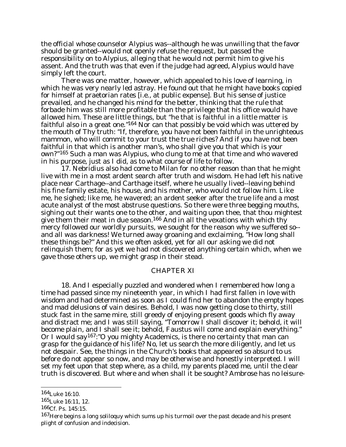the official whose counselor Alypius was--although he was unwilling that the favor should be granted--would not openly refuse the request, but passed the responsibility on to Alypius, alleging that he would not permit him to give his assent. And the truth was that even if the judge had agreed, Alypius would have simply left the court.

There was one matter, however, which appealed to his love of learning, in which he was very nearly led astray. He found out that he might have books copied for himself at praetorian rates [i.e., at public expense]. But his sense of justice prevailed, and he changed his mind for the better, thinking that the rule that forbade him was still more profitable than the privilege that his office would have allowed him. These are little things, but "he that is faithful in a little matter is faithful also in a great one."164 Nor can that possibly be void which was uttered by the mouth of Thy truth: "If, therefore, you have not been faithful in the unrighteous mammon, who will commit to your trust the true riches? And if you have not been faithful in that which is another man's, who shall give you that which is your own?"165 Such a man was Alypius, who clung to me at that time and who wavered in his purpose, just as I did, as to what course of life to follow.

17. Nebridius also had come to Milan for no other reason than that he might live with me in a most ardent search after truth and wisdom. He had left his native place near Carthage--and Carthage itself, where he usually lived--leaving behind his fine family estate, his house, and his mother, who would not follow him. Like me, he sighed; like me, he wavered; an ardent seeker after the true life and a most acute analyst of the most abstruse questions. So there were three begging mouths, sighing out their wants one to the other, and waiting upon thee, that thou mightest give them their meat in due season.166 And in all the vexations with which thy mercy followed our worldly pursuits, we sought for the reason why we suffered so- and all was darkness! We turned away groaning and exclaiming, "How long shall these things be?" And this we often asked, yet for all our asking we did not relinquish them; for as yet we had not discovered anything certain which, when we gave those others up, we might grasp in their stead.

#### CHAPTER XI

18. And I especially puzzled and wondered when I remembered how long a time had passed since my nineteenth year, in which I had first fallen in love with wisdom and had determined as soon as I could find her to abandon the empty hopes and mad delusions of vain desires. Behold, I was now getting close to thirty, still stuck fast in the same mire, still greedy of enjoying present goods which fly away and distract me; and I was still saying, "Tomorrow I shall discover it; behold, it will become plain, and I shall see it; behold, Faustus will come and explain everything." Or I would say167:"O you mighty Academics, is there no certainty that man can grasp for the guidance of his life? No, let us search the more diligently, and let us not despair. See, the things in the Church's books that appeared so absurd to us before do not appear so now, and may be otherwise and honestly interpreted. I will set my feet upon that step where, as a child, my parents placed me, until the clear truth is discovered. But where and when shall it be sought? Ambrose has no leisure-

<sup>164</sup>Luke 16:10.

<sup>165</sup>Luke 16:11, 12.

 $166$ Cf. Ps. 145:15.

 $167$  Here begins a long soliloquy which sums up his turmoil over the past decade and his present plight of confusion and indecision.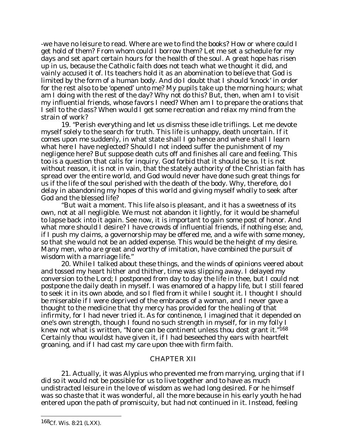-we have no leisure to read. Where are we to find the books? How or where could I get hold of them? From whom could I borrow them? Let me set a schedule for my days and set apart certain hours for the health of the soul. A great hope has risen up in us, because the Catholic faith does not teach what we thought it did, and vainly accused it of. Its teachers hold it as an abomination to believe that God is limited by the form of a human body. And do I doubt that I should 'knock' in order for the rest also to be 'opened' unto me? My pupils take up the morning hours; what am I doing with the rest of the day? Why not do this? But, then, when am I to visit my influential friends, whose favors I need? When am I to prepare the orations that I sell to the class? When would I get some recreation and relax my mind from the strain of work?

19. "Perish everything and let us dismiss these idle triflings. Let me devote myself solely to the search for truth. This life is unhappy, death uncertain. If it comes upon me suddenly, in what state shall I go hence and where shall I learn what here I have neglected? Should I not indeed suffer the punishment of my negligence here? But suppose death cuts off and finishes all care and feeling. This too is a question that calls for inquiry. God forbid that it should be so. It is not without reason, it is not in vain, that the stately authority of the Christian faith has spread over the entire world, and God would never have done such great things for us if the life of the soul perished with the death of the body. Why, therefore, do I delay in abandoning my hopes of this world and giving myself wholly to seek after God and the blessed life?

"But wait a moment. This life also is pleasant, and it has a sweetness of its own, not at all negligible. We must not abandon it lightly, for it would be shameful to lapse back into it again. See now, it is important to gain some post of honor. And what more should I desire? I have crowds of influential friends, if nothing else; and, if I push my claims, a governorship may be offered me, and a wife with some money, so that she would not be an added expense. This would be the height of my desire. Many men, who are great and worthy of imitation, have combined the pursuit of wisdom with a marriage life."

20. While I talked about these things, and the winds of opinions veered about and tossed my heart hither and thither, time was slipping away. I delayed my conversion to the Lord; I postponed from day to day the life in thee, but I could not postpone the daily death in myself. I was enamored of a happy life, but I still feared to seek it in its own abode, and so I fled from it while I sought it. I thought I should be miserable if I were deprived of the embraces of a woman, and I never gave a thought to the medicine that thy mercy has provided for the healing of that infirmity, for I had never tried it. As for continence, I imagined that it depended on one's own strength, though I found no such strength in myself, for in my folly I knew not what is written, "None can be continent unless thou dost grant it."<sup>168</sup> Certainly thou wouldst have given it, if I had beseeched thy ears with heartfelt groaning, and if I had cast my care upon thee with firm faith.

## CHAPTER XII

21. Actually, it was Alypius who prevented me from marrying, urging that if I did so it would not be possible for us to live together and to have as much undistracted leisure in the love of wisdom as we had long desired. For he himself was so chaste that it was wonderful, all the more because in his early youth he had entered upon the path of promiscuity, but had not continued in it. Instead, feeling

<sup>168</sup>Cf. Wis. 8:21 (LXX).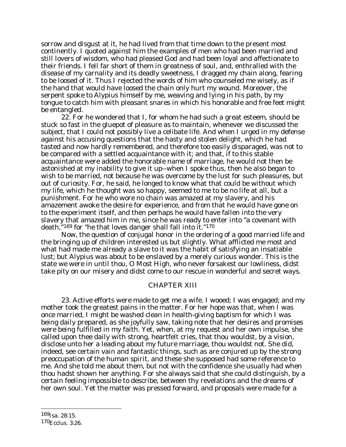sorrow and disgust at it, he had lived from that time down to the present most continently. I quoted against him the examples of men who had been married and still lovers of wisdom, who had pleased God and had been loyal and affectionate to their friends. I fell far short of them in greatness of soul, and, enthralled with the disease of my carnality and its deadly sweetness, I dragged my chain along, fearing to be loosed of it. Thus I rejected the words of him who counseled me wisely, as if the hand that would have loosed the chain only hurt my wound. Moreover, the serpent spoke to Alypius himself by me, weaving and lying in his path, by my tongue to catch him with pleasant snares in which his honorable and free feet might be entangled.

22. For he wondered that I, for whom he had such a great esteem, should be stuck so fast in the gluepot of pleasure as to maintain, whenever we discussed the subject, that I could not possibly live a celibate life. And when I urged in my defense against his accusing questions that the hasty and stolen delight, which he had tasted and now hardly remembered, and therefore too easily disparaged, was not to be compared with a settled acquaintance with it; and that, if to this stable acquaintance were added the honorable name of marriage, he would not then be astonished at my inability to give it up--when I spoke thus, then he also began to wish to be married, not because he was overcome by the lust for such pleasures, but out of curiosity. For, he said, he longed to know what that could be without which my life, which he thought was so happy, seemed to me to be no life at all, but a punishment. For he who wore no chain was amazed at my slavery, and his amazement awoke the desire for experience, and from that he would have gone on to the experiment itself, and then perhaps he would have fallen into the very slavery that amazed him in me, since he was ready to enter into "a covenant with death,"169 for "he that loves danger shall fall into it."170

Now, the question of conjugal honor in the ordering of a good married life and the bringing up of children interested us but slightly. What afflicted me most and what had made me already a slave to it was the habit of satisfying an insatiable lust; but Alypius was about to be enslaved by a merely curious wonder. This is the state we were in until thou, O Most High, who never forsakest our lowliness, didst take pity on our misery and didst come to our rescue in wonderful and secret ways.

# CHAPTER XIII

23. Active efforts were made to get me a wife. I wooed; I was engaged; and my mother took the greatest pains in the matter. For her hope was that, when I was once married, I might be washed clean in health-giving baptism for which I was being daily prepared, as she joyfully saw, taking note that her desires and promises were being fulfilled in my faith. Yet, when, at my request and her own impulse, she called upon thee daily with strong, heartfelt cries, that thou wouldst, by a vision, disclose unto her a leading about my future marriage, thou wouldst not. She did, indeed, see certain vain and fantastic things, such as are conjured up by the strong preoccupation of the human spirit, and these she supposed had some reference to me. And she told me about them, but not with the confidence she usually had when thou hadst shown her anything. For she always said that she could distinguish, by a certain feeling impossible to describe, between thy revelations and the dreams of her own soul. Yet the matter was pressed forward, and proposals were made for a

 $169$ <sub>Isa.</sub> 28:15. 170Ecclus. 3:26.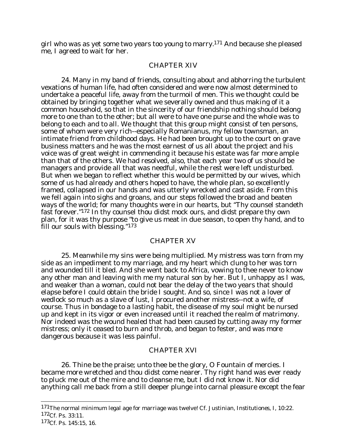girl who was as yet some two years too young to marry.171 And because she pleased me, I agreed to wait for her.

## CHAPTER XIV

24. Many in my band of friends, consulting about and abhorring the turbulent vexations of human life, had often considered and were now almost determined to undertake a peaceful life, away from the turmoil of men. This we thought could be obtained by bringing together what we severally owned and thus making of it a common household, so that in the sincerity of our friendship nothing should belong more to one than to the other; but all were to have one purse and the whole was to belong to each and to all. We thought that this group might consist of ten persons, some of whom were very rich--especially Romanianus, my fellow townsman, an intimate friend from childhood days. He had been brought up to the court on grave business matters and he was the most earnest of us all about the project and his voice was of great weight in commending it because his estate was far more ample than that of the others. We had resolved, also, that each year two of us should be managers and provide all that was needful, while the rest were left undisturbed. But when we began to reflect whether this would be permitted by our wives, which some of us had already and others hoped to have, the whole plan, so excellently framed, collapsed in our hands and was utterly wrecked and cast aside. From this we fell again into sighs and groans, and our steps followed the broad and beaten ways of the world; for many thoughts were in our hearts, but "Thy counsel standeth fast forever."172 In thy counsel thou didst mock ours, and didst prepare thy own plan, for it was thy purpose "to give us meat in due season, to open thy hand, and to fill our souls with blessing."173

#### CHAPTER XV

25. Meanwhile my sins were being multiplied. My mistress was torn from my side as an impediment to my marriage, and my heart which clung to her was torn and wounded till it bled. And she went back to Africa, vowing to thee never to know any other man and leaving with me my natural son by her. But I, unhappy as I was, and weaker than a woman, could not bear the delay of the two years that should elapse before I could obtain the bride I sought. And so, since I was not a lover of wedlock so much as a slave of lust, I procured another mistress--not a wife, of course. Thus in bondage to a lasting habit, the disease of my soul might be nursed up and kept in its vigor or even increased until it reached the realm of matrimony. Nor indeed was the wound healed that had been caused by cutting away my former mistress; only it ceased to burn and throb, and began to fester, and was more dangerous because it was less painful.

#### CHAPTER XVI

26. Thine be the praise; unto thee be the glory, O Fountain of mercies. I became more wretched and thou didst come nearer. Thy right hand was ever ready to pluck me out of the mire and to cleanse me, but I did not know it. Nor did anything call me back from a still deeper plunge into carnal pleasure except the fear

<sup>171</sup>The normal minimum legal age for marriage was twelve! Cf. Justinian, *Institutiones*, I, 10:22. 172Cf. Ps. 33:11.

<sup>173</sup>Cf. Ps. 145:15, 16.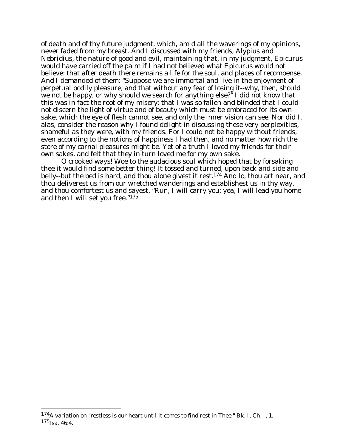of death and of thy future judgment, which, amid all the waverings of my opinions, never faded from my breast. And I discussed with my friends, Alypius and Nebridius, the nature of good and evil, maintaining that, in my judgment, Epicurus would have carried off the palm if I had not believed what Epicurus would not believe: that after death there remains a life for the soul, and places of recompense. And I demanded of them: "Suppose we are immortal and live in the enjoyment of perpetual bodily pleasure, and that without any fear of losing it--why, then, should we not be happy, or why should we search for anything else?" I did not know that this was in fact the root of my misery: that I was so fallen and blinded that I could not discern the light of virtue and of beauty which must be embraced for its own sake, which the eye of flesh cannot see, and only the inner vision can see. Nor did I, alas, consider the reason why I found delight in discussing these very perplexities, shameful as they were, with my friends. For I could not be happy without friends, even according to the notions of happiness I had then, and no matter how rich the store of my carnal pleasures might be. Yet of a truth I loved my friends for their own sakes, and felt that they in turn loved me for my own sake.

O crooked ways! Woe to the audacious soul which hoped that by forsaking thee it would find some better thing! It tossed and turned, upon back and side and belly--but the bed is hard, and thou alone givest it rest.<sup>174</sup> And lo, thou art near, and thou deliverest us from our wretched wanderings and establishest us in thy way, and thou comfortest us and sayest, "Run, I will carry you; yea, I will lead you home and then I will set you free."175

<sup>174</sup>A variation on "restless is our heart until it comes to find rest in Thee," Bk. I, Ch. I, 1. 175Isa. 46:4.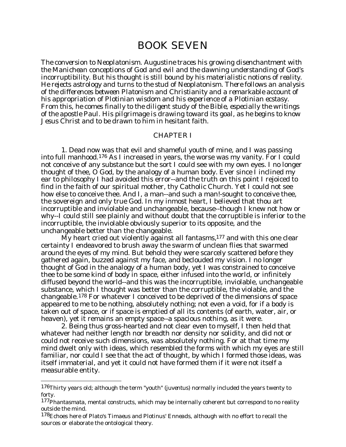# BOOK SEVEN

*The conversion to Neoplatonism. Augustine traces his growing disenchantment with the Manichean conceptions of God and evil and the dawning understanding of God's incorruptibility. But his thought is still bound by his materialistic notions of reality. He rejects astrology and turns to the stud of Neoplatonism. There follows an analysis of the differences between Platonism and Christianity and a remarkable account of his appropriation of Plotinian wisdom and his experience of a Plotinian ecstasy. From this, he comes finally to the diligent study of the Bible, especially the writings of the apostle Paul. His pilgrimage is drawing toward its goal, as he begins to know Jesus Christ and to be drawn to him in hesitant faith.*

#### CHAPTER I

1. Dead now was that evil and shameful youth of mine, and I was passing into full manhood.176 As I increased in years, the worse was my vanity. For I could not conceive of any substance but the sort I could see with my own eyes. I no longer thought of thee, O God, by the analogy of a human body. Ever since I inclined my ear to philosophy I had avoided this error--and the truth on this point I rejoiced to find in the faith of our spiritual mother, thy Catholic Church. Yet I could not see how else to conceive thee. And I, a man--and such a man!-sought to conceive thee, the sovereign and only true God. In my inmost heart, I believed that thou art incorruptible and inviolable and unchangeable, because--though I knew not how or why--I could still see plainly and without doubt that the corruptible is inferior to the incorruptible, the inviolable obviously superior to its opposite, and the unchangeable better than the changeable.

My heart cried out violently against all fantasms,<sup>177</sup> and with this one clear certainty I endeavored to brush away the swarm of unclean flies that swarmed around the eyes of my mind. But behold they were scarcely scattered before they gathered again, buzzed against my face, and beclouded my vision. I no longer thought of God in the analogy of a human body, yet I was constrained to conceive thee to be some kind of body in space, either infused into the world, or infinitely diffused beyond the world--and this was the incorruptible, inviolable, unchangeable substance, which I thought was better than the corruptible, the violable, and the changeable.178 For whatever I conceived to be deprived of the dimensions of space appeared to me to be nothing, absolutely nothing; not even a void, for if a body is taken out of space, or if space is emptied of all its contents (of earth, water, air, or heaven), yet it remains an empty space--a spacious nothing, as it were.

2. Being thus gross-hearted and not clear even to myself, I then held that whatever had neither length nor breadth nor density nor solidity, and did not or could not receive such dimensions, was absolutely nothing. For at that time my mind dwelt only with ideas, which resembled the forms with which my eyes are still familiar, nor could I see that the act of thought, by which I formed those ideas, was itself immaterial, and yet it could not have formed them if it were not itself a measurable entity.

<sup>176</sup>Thirty years old; although the term "youth" (*juventus*) normally included the years twenty to forty.

<sup>177</sup>*Phantasmata*, mental constructs, which may be internally coherent but correspond to no reality outside the mind.

<sup>178</sup>Echoes here of Plato's *Timaeus* and Plotinus' *Enneads*, although with no effort to recall the sources or elaborate the ontological theory.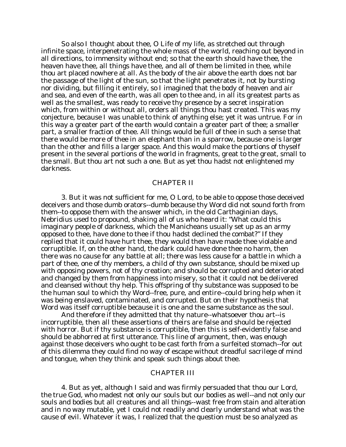So also I thought about thee, O Life of my life, as stretched out through infinite space, interpenetrating the whole mass of the world, reaching out beyond in all directions, to immensity without end; so that the earth should have thee, the heaven have thee, all things have thee, and all of them be limited in thee, while thou art placed nowhere at all. As the body of the air above the earth does not bar the passage of the light of the sun, so that the light penetrates it, not by bursting nor dividing, but filling it entirely, so I imagined that the body of heaven and air and sea, and even of the earth, was all open to thee and, in all its greatest parts as well as the smallest, was ready to receive thy presence by a secret inspiration which, from within or without all, orders all things thou hast created. This was my conjecture, because I was unable to think of anything else; yet it was untrue. For in this way a greater part of the earth would contain a greater part of thee; a smaller part, a smaller fraction of thee. All things would be full of thee in such a sense that there would be more of thee in an elephant than in a sparrow, because one is larger than the other and fills a larger space. And this would make the portions of thyself present in the several portions of the world in fragments, great to the great, small to the small. But thou art not such a one. But as yet thou hadst not enlightened my darkness.

### CHAPTER II

3. But it was not sufficient for me, O Lord, to be able to oppose those deceived deceivers and those dumb orators--dumb because thy Word did not sound forth from them--to oppose them with the answer which, in the old Carthaginian days, Nebridius used to propound, shaking all of us who heard it: "What could this imaginary people of darkness, which the Manicheans usually set up as an army opposed to thee, have done to thee if thou hadst declined the combat?" If they replied that it could have hurt thee, they would then have made thee violable and corruptible. If, on the other hand, the dark could have done thee no harm, then there was no cause for any battle at all; there was less cause for a battle in which a part of thee, one of thy members, a child of thy own substance, should be mixed up with opposing powers, not of thy creation; and should be corrupted and deteriorated and changed by them from happiness into misery, so that it could not be delivered and cleansed without thy help. This offspring of thy substance was supposed to be the human soul to which thy Word--free, pure, and entire--could bring help when it was being enslaved, contaminated, and corrupted. But on their hypothesis that Word was itself corruptible because it is one and the same substance as the soul.

And therefore if they admitted that thy nature--whatsoever thou art--is incorruptible, then all these assertions of theirs are false and should be rejected with horror. But if thy substance is corruptible, then this is self-evidently false and should be abhorred at first utterance. This line of argument, then, was enough against those deceivers who ought to be cast forth from a surfeited stomach--for out of this dilemma they could find no way of escape without dreadful sacrilege of mind and tongue, when they think and speak such things about thee.

# CHAPTER III

4. But as yet, although I said and was firmly persuaded that thou our Lord, the true God, who madest not only our souls but our bodies as well--and not only our souls and bodies but all creatures and all things--wast free from stain and alteration and in no way mutable, yet I could not readily and clearly understand what was the cause of evil. Whatever it was, I realized that the question must be so analyzed as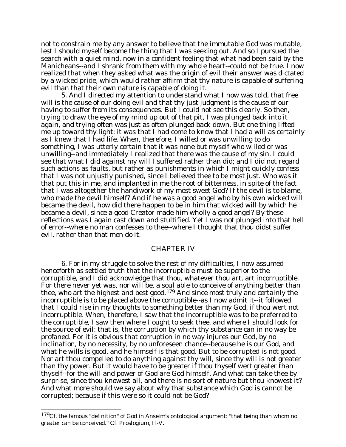not to constrain me by any answer to believe that the immutable God was mutable, lest I should myself become the thing that I was seeking out. And so I pursued the search with a quiet mind, now in a confident feeling that what had been said by the Manicheans--and I shrank from them with my whole heart--could not be true. I now realized that when they asked what was the origin of evil their answer was dictated by a wicked pride, which would rather affirm that thy nature is capable of suffering evil than that their own nature is capable of doing it.

5. And I directed my attention to understand what I now was told, that free will is the cause of our doing evil and that thy just judgment is the cause of our having to suffer from its consequences. But I could not see this clearly. So then, trying to draw the eye of my mind up out of that pit, I was plunged back into it again, and trying often was just as often plunged back down. But one thing lifted me up toward thy light: it was that I had come to know that I had a will as certainly as I knew that I had life. When, therefore, I willed or was unwilling to do something, I was utterly certain that it was none but myself who willed or was unwilling--and immediately I realized that there was the cause of my sin. I could see that what I did against my will I suffered rather than did; and I did not regard such actions as faults, but rather as punishments in which I might quickly confess that I was not unjustly punished, since I believed thee to be most just. Who was it that put this in me, and implanted in me the root of bitterness, in spite of the fact that I was altogether the handiwork of my most sweet God? If the devil is to blame, who made the devil himself? And if he was a good angel who by his own wicked will became the devil, how did there happen to be in him that wicked will by which he became a devil, since a good Creator made him wholly a good angel? By these reflections was I again cast down and stultified. Yet I was not plunged into that hell of error--where no man confesses to thee--where I thought that thou didst suffer evil, rather than that men do it.

# CHAPTER IV

6. For in my struggle to solve the rest of my difficulties, I now assumed henceforth as settled truth that the incorruptible must be superior to the corruptible, and I did acknowledge that thou, whatever thou art, art incorruptible. For there never yet was, nor will be, a soul able to conceive of anything better than thee, who art the highest and best good.179 And since most truly and certainly the incorruptible is to be placed above the corruptible--as I now admit it--it followed that I could rise in my thoughts to something better than my God, if thou wert not incorruptible. When, therefore, I saw that the incorruptible was to be preferred to the corruptible, I saw then where I ought to seek thee, and where I should look for the source of evil: that is, the corruption by which thy substance can in no way be profaned. For it is obvious that corruption in no way injures our God, by no inclination, by no necessity, by no unforeseen chance--because he is our God, and what he wills is good, and he himself is that good. But to be corrupted is not good. Nor art thou compelled to do anything against thy will, since thy will is not greater than thy power. But it would have to be greater if thou thyself wert greater than thyself--for the will and power of God are God himself. And what can take thee by surprise, since thou knowest all, and there is no sort of nature but thou knowest it? And what more should we say about why that substance which God is cannot be corrupted; because if this were so it could not be God?

<sup>&</sup>lt;sup>179</sup>Cf. the famous "definition" of God in Anselm's ontological argument: "that being than whom no greater can be conceived." Cf. *Proslogium*, II-V.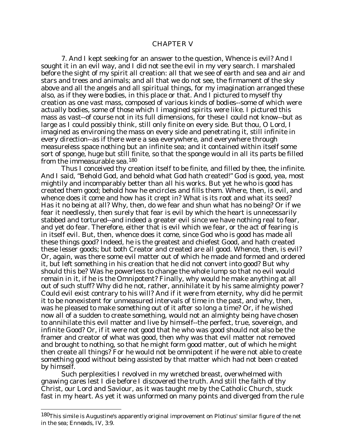#### CHAPTER V

7. And I kept seeking for an answer to the question, Whence is evil? And I sought it in an evil way, and I did not see the evil in my very search. I marshaled before the sight of my spirit all creation: all that we see of earth and sea and air and stars and trees and animals; and all that we do not see, the firmament of the sky above and all the angels and all spiritual things, for my imagination arranged these also, as if they were bodies, in this place or that. And I pictured to myself thy creation as one vast mass, composed of various kinds of bodies--some of which were actually bodies, some of those which I imagined spirits were like. I pictured this mass as vast--of course not in its full dimensions, for these I could not know--but as large as I could possibly think, still only finite on every side. But thou, O Lord, I imagined as environing the mass on every side and penetrating it, still infinite in every direction--as if there were a sea everywhere, and everywhere through measureless space nothing but an infinite sea; and it contained within itself some sort of sponge, huge but still finite, so that the sponge would in all its parts be filled from the immeasurable sea.180

Thus I conceived thy creation itself to be finite, and filled by thee, the infinite. And I said, "Behold God, and behold what God hath created!" God is good, yea, most mightily and incomparably better than all his works. But yet he who is good has created them good; behold how he encircles and fills them. Where, then, is evil, and whence does it come and how has it crept in? What is its root and what its seed? Has it no being at all? Why, then, do we fear and shun what has no being? Or if we fear it needlessly, then surely that fear is evil by which the heart is unnecessarily stabbed and tortured--and indeed a greater evil since we have nothing real to fear, and yet do fear. Therefore, either that is evil which we fear, or the act of fearing is in itself evil. But, then, whence does it come, since God who is good has made all these things good? Indeed, he is the greatest and chiefest Good, and hath created these lesser goods; but both Creator and created are all good. Whence, then, is evil? Or, again, was there some evil matter out of which he made and formed and ordered it, but left something in his creation that he did not convert into good? But why should this be? Was he powerless to change the whole lump so that no evil would remain in it, if he is the Omnipotent? Finally, why would he make anything at all out of such stuff? Why did he not, rather, annihilate it by his same almighty power? Could evil exist contrary to his will? And if it were from eternity, why did he permit it to be nonexistent for unmeasured intervals of time in the past, and why, then, was he pleased to make something out of it after so long a time? Or, if he wished now all of a sudden to create something, would not an almighty being have chosen to annihilate this evil matter and live by himself--the perfect, true, sovereign, and infinite Good? Or, if it were not good that he who was good should not also be the framer and creator of what was good, then why was that evil matter not removed and brought to nothing, so that he might form good matter, out of which he might then create all things? For he would not be omnipotent if he were not able to create something good without being assisted by that matter which had not been created by himself.

Such perplexities I revolved in my wretched breast, overwhelmed with gnawing cares lest I die before I discovered the truth. And still the faith of thy Christ, our Lord and Saviour, as it was taught me by the Catholic Church, stuck fast in my heart. As yet it was unformed on many points and diverged from the rule

<sup>180</sup>This simile is Augustine's apparently original improvement on Plotinus' similar figure of the net in the sea; *Enneads*, IV, 3:9.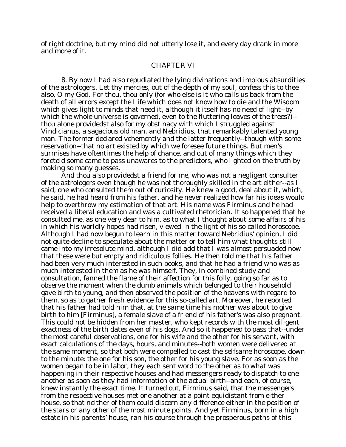of right doctrine, but my mind did not utterly lose it, and every day drank in more and more of it.

# CHAPTER VI

8. By now I had also repudiated the lying divinations and impious absurdities of the astrologers. Let thy mercies, out of the depth of my soul, confess this to thee also, O my God. For thou, thou only (for who else is it who calls us back from the death of all errors except the Life which does not know how to die and the Wisdom which gives light to minds that need it, although it itself has no need of light--by which the whole universe is governed, even to the fluttering leaves of the trees?)- thou alone providedst also for my obstinacy with which I struggled against Vindicianus, a sagacious old man, and Nebridius, that remarkably talented young man. The former declared vehemently and the latter frequently--though with some reservation--that no art existed by which we foresee future things. But men's surmises have oftentimes the help of chance, and out of many things which they foretold some came to pass unawares to the predictors, who lighted on the truth by making so many guesses.

And thou also providedst a friend for me, who was not a negligent consulter of the astrologers even though he was not thoroughly skilled in the art either--as I said, one who consulted them out of curiosity. He knew a good, deal about it, which, he said, he had heard from his father, and he never realized how far his ideas would help to overthrow my estimation of that art. His name was Firminus and he had received a liberal education and was a cultivated rhetorician. It so happened that he consulted me, as one very dear to him, as to what I thought about some affairs of his in which his worldly hopes had risen, viewed in the light of his so-called horoscope. Although I had now begun to learn in this matter toward Nebridius' opinion, I did not quite decline to speculate about the matter or to tell him what thoughts still came into my irresolute mind, although I did add that I was almost persuaded now that these were but empty and ridiculous follies. He then told me that his father had been very much interested in such books, and that he had a friend who was as much interested in them as he was himself. They, in combined study and consultation, fanned the flame of their affection for this folly, going so far as to observe the moment when the dumb animals which belonged to their household gave birth to young, and then observed the position of the heavens with regard to them, so as to gather fresh evidence for this so-called art. Moreover, he reported that his father had told him that, at the same time his mother was about to give birth to him [Firminus], a female slave of a friend of his father's was also pregnant. This could not be hidden from her master, who kept records with the most diligent exactness of the birth dates even of his dogs. And so it happened to pass that--under the most careful observations, one for his wife and the other for his servant, with exact calculations of the days, hours, and minutes--both women were delivered at the same moment, so that both were compelled to cast the selfsame horoscope, down to the minute: the one for his son, the other for his young slave. For as soon as the women began to be in labor, they each sent word to the other as to what was happening in their respective houses and had messengers ready to dispatch to one another as soon as they had information of the actual birth--and each, of course, knew instantly the exact time. It turned out, Firminus said, that the messengers from the respective houses met one another at a point equidistant from either house, so that neither of them could discern any difference either in the position of the stars or any other of the most minute points. And yet Firminus, born in a high estate in his parents' house, ran his course through the prosperous paths of this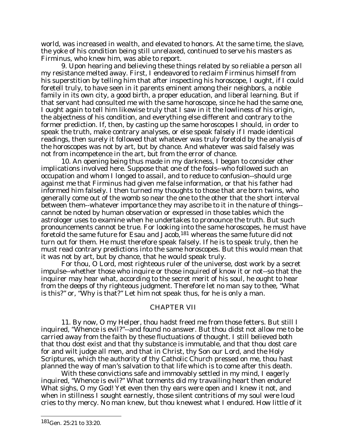world, was increased in wealth, and elevated to honors. At the same time, the slave, the yoke of his condition being still unrelaxed, continued to serve his masters as Firminus, who knew him, was able to report.

9. Upon hearing and believing these things related by so reliable a person all my resistance melted away. First, I endeavored to reclaim Firminus himself from his superstition by telling him that after inspecting his horoscope, I ought, if I could foretell truly, to have seen in it parents eminent among their neighbors, a noble family in its own city, a good birth, a proper education, and liberal learning. But if that servant had consulted me with the same horoscope, since he had the same one, I ought again to tell him likewise truly that I saw in it the lowliness of his origin, the abjectness of his condition, and everything else different and contrary to the former prediction. If, then, by casting up the same horoscopes I should, in order to speak the truth, make contrary analyses, or else speak falsely if I made identical readings, then surely it followed that whatever was truly foretold by the analysis of the horoscopes was not by art, but by chance. And whatever was said falsely was not from incompetence in the art, but from the error of chance.

10. An opening being thus made in my darkness, I began to consider other implications involved here. Suppose that one of the fools--who followed such an occupation and whom I longed to assail, and to reduce to confusion--should urge against me that Firminus had given me false information, or that his father had informed him falsely. I then turned my thoughts to those that are born twins, who generally come out of the womb so near the one to the other that the short interval between them--whatever importance they may ascribe to it in the nature of things- cannot be noted by human observation or expressed in those tables which the astrologer uses to examine when he undertakes to pronounce the truth. But such pronouncements cannot be true. For looking into the same horoscopes, he must have foretold the same future for Esau and Jacob,181 whereas the same future did not turn out for them. He must therefore speak falsely. If he is to speak truly, then he must read contrary predictions into the same horoscopes. But this would mean that it was not by art, but by chance, that he would speak truly.

For thou, O Lord, most righteous ruler of the universe, dost work by a secret impulse--whether those who inquire or those inquired of know it or not--so that the inquirer may hear what, according to the secret merit of his soul, he ought to hear from the deeps of thy righteous judgment. Therefore let no man say to thee, "What is this?" or, "Why is that?" Let him not speak thus, for he is only a man.

## CHAPTER VII

11. By now, O my Helper, thou hadst freed me from those fetters. But still I inquired, "Whence is evil?"--and found no answer. But thou didst not allow me to be carried away from the faith by these fluctuations of thought. I still believed both that thou dost exist and that thy substance is immutable, and that thou dost care for and wilt judge all men, and that in Christ, thy Son our Lord, and the Holy Scriptures, which the authority of thy Catholic Church pressed on me, thou hast planned the way of man's salvation to that life which is to come after this death.

With these convictions safe and immovably settled in my mind, I eagerly inquired, "Whence is evil?" What torments did my travailing heart then endure! What sighs, O my God! Yet even then thy ears were open and I knew it not, and when in stillness I sought earnestly, those silent contritions of my soul were loud cries to thy mercy. No man knew, but thou knewest what I endured. How little of it

<sup>181</sup>Gen. 25:21 to 33:20.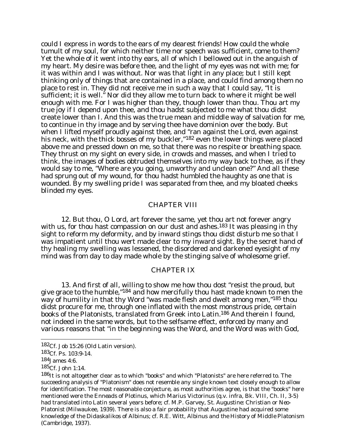could I express in words to the ears of my dearest friends! How could the whole tumult of my soul, for which neither time nor speech was sufficient, come to them? Yet the whole of it went into thy ears, all of which I bellowed out in the anguish of my heart. My desire was before thee, and the light of my eyes was not with me; for it was within and I was without. Nor was that light in any place; but I still kept thinking only of things that are contained in a place, and could find among them no place to rest in. They did not receive me in such a way that I could say, "It is sufficient; it is well." Nor did they allow me to turn back to where it might be well enough with me. For I was higher than they, though lower than thou. Thou art my true joy if I depend upon thee, and thou hadst subjected to me what thou didst create lower than I. And this was the true mean and middle way of salvation for me, to continue in thy image and by serving thee have dominion over the body. But when I lifted myself proudly against thee, and "ran against the Lord, even against his neck, with the thick bosses of my buckler,"<sup>182</sup> even the lower things were placed above me and pressed down on me, so that there was no respite or breathing space. They thrust on my sight on every side, in crowds and masses, and when I tried to think, the images of bodies obtruded themselves into my way back to thee, as if they would say to me, "Where are you going, unworthy and unclean one?" And all these had sprung out of my wound, for thou hadst humbled the haughty as one that is wounded. By my swelling pride I was separated from thee, and my bloated cheeks blinded my eyes.

# CHAPTER VIII

12. But thou, O Lord, art forever the same, yet thou art not forever angry with us, for thou hast compassion on our dust and ashes.<sup>183</sup> It was pleasing in thy sight to reform my deformity, and by inward stings thou didst disturb me so that I was impatient until thou wert made clear to my inward sight. By the secret hand of thy healing my swelling was lessened, the disordered and darkened eyesight of my mind was from day to day made whole by the stinging salve of wholesome grief.

## CHAPTER IX

13. And first of all, willing to show me how thou dost "resist the proud, but give grace to the humble,"184 and how mercifully thou hast made known to men the way of humility in that thy Word "was made flesh and dwelt among men,"185 thou didst procure for me, through one inflated with the most monstrous pride, certain books of the Platonists, translated from Greek into Latin.186 And therein I found, not indeed in the same words, but to the selfsame effect, enforced by many and various reasons that "in the beginning was the Word, and the Word was with God,

<sup>182</sup>Cf. Job 15:26 (Old Latin version).

<sup>183</sup>Cf. Ps. 103:9-14.

<sup>184</sup>James 4:6.

<sup>185</sup>Cf. John 1:14.

<sup>186</sup>It is not altogether clear as to which "books" and which "Platonists" are here referred to. The succeeding analysis of "Platonism" does not resemble any single known text closely enough to allow for identification. The most reasonable conjecture, as most authorities agree, is that the "books" here mentioned were the *Enneads* of Plotinus, which Marius Victorinus (q.v. *infra*, Bk. VIII, Ch. II, 3-5) had translated into Latin several years before; cf. M.P. Garvey, *St. Augustine: Christian or Neo-Platonist* (Milwaukee, 1939). There is also a fair probability that Augustine had acquired some knowledge of the *Didaskalikos* of Albinus; cf. R.E. Witt, *Albinus and the History of Middle Platonism* (Cambridge, 1937).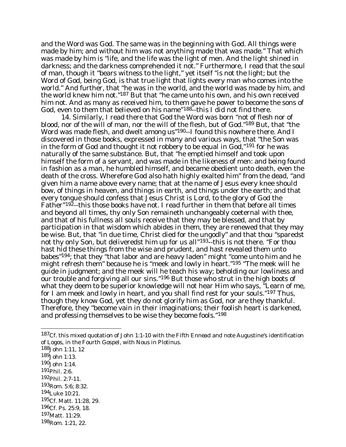and the Word was God. The same was in the beginning with God. All things were made by him; and without him was not anything made that was made." That which was made by him is "life, and the life was the light of men. And the light shined in darkness; and the darkness comprehended it not." Furthermore, I read that the soul of man, though it "bears witness to the light," yet itself "is not the light; but the Word of God, being God, is that true light that lights every man who comes into the world." And further, that "he was in the world, and the world was made by him, and the world knew him not."187 But that "he came unto his own, and his own received him not. And as many as received him, to them gave he power to become the sons of God, even to them that believed on his name"<sup>188</sup>-this I did not find there.

14. Similarly, I read there that God the Word was born "not of flesh nor of blood, nor of the will of man, nor the will of the flesh, but of God."189 But, that "the Word was made flesh, and dwelt among us<sup>"190</sup>--I found this nowhere there. And I discovered in those books, expressed in many and various ways, that "the Son was in the form of God and thought it not robbery to be equal in God,"191 for he was naturally of the same substance. But, that "he emptied himself and took upon himself the form of a servant, and was made in the likeness of men: and being found in fashion as a man, he humbled himself, and became obedient unto death, even the death of the cross. Wherefore God also hath highly exalted him" from the dead, "and given him a name above every name; that at the name of Jesus every knee should bow, of things in heaven, and things in earth, and things under the earth; and that every tongue should confess that Jesus Christ is Lord, to the glory of God the Father"<sup>192</sup>--this those books have not. I read further in them that before all times and beyond all times, thy only Son remaineth unchangeably coeternal with thee, and that of his fullness all souls receive that they may be blessed, and that by participation in that wisdom which abides in them, they are renewed that they may be wise. But, that "in due time, Christ died for the ungodly" and that thou "sparedst not thy only Son, but deliveredst him up for us all"193--this is not there. "For thou hast hid these things from the wise and prudent, and hast revealed them unto babes"194; that they "that labor and are heavy laden" might "come unto him and he might refresh them" because he is "meek and lowly in heart."195 "The meek will he guide in judgment; and the meek will he teach his way; beholding our lowliness and our trouble and forgiving all our sins."196 But those who strut in the high boots of what they deem to be superior knowledge will not hear Him who says, "Learn of me, for I am meek and lowly in heart, and you shall find rest for your souls."197 Thus, though they know God, yet they do not glorify him as God, nor are they thankful. Therefore, they "become vain in their imaginations; their foolish heart is darkened, and professing themselves to be wise they become fools."198

188John 1:11, 12

190John 1:14.

- 191Phil. 2:6.
- 192Phil. 2:7-11.
- 193Rom. 5:6; 8:32.
- 194Luke 10:21.

- 197Matt. 11:29.
- 198Rom. 1:21, 22.

<sup>187</sup>Cf. this mixed quotation of John 1:1-10 with the Fifth *Ennead* and note Augustine's identification of *Logos*, in the Fourth Gospel, with *Nous* in Plotinus.

<sup>189</sup>John 1:13.

<sup>195</sup>Cf. Matt. 11:28, 29.

<sup>196</sup>Cf. Ps. 25:9, 18.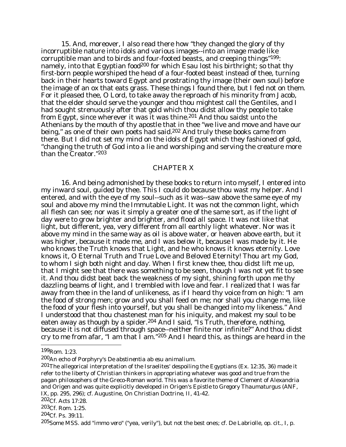15. And, moreover, I also read there how "they changed the glory of thy incorruptible nature into idols and various images--into an image made like corruptible man and to birds and four-footed beasts, and creeping things"199: namely, into that Egyptian food<sup>200</sup> for which Esau lost his birthright; so that thy first-born people worshiped the head of a four-footed beast instead of thee, turning back in their hearts toward Egypt and prostrating thy image (their own soul) before the image of an ox that eats grass. These things I found there, but I fed not on them. For it pleased thee, O Lord, to take away the reproach of his minority from Jacob, that the elder should serve the younger and thou mightest call the Gentiles, and I had sought strenuously after that gold which thou didst allow thy people to take from Egypt, since wherever it was it was thine.<sup>201</sup> And thou saidst unto the Athenians by the mouth of thy apostle that in thee "we live and move and have our being," as one of their own poets had said.202 And truly these books came from there. But I did not set my mind on the idols of Egypt which they fashioned of gold, "changing the truth of God into a lie and worshiping and serving the creature more than the Creator."203

## CHAPTER X

16. And being admonished by these books to return into myself, I entered into my inward soul, guided by thee. This I could do because thou wast my helper. And I entered, and with the eye of my soul--such as it was--saw above the same eye of my soul and above my mind the Immutable Light. It was not the common light, which all flesh can see; nor was it simply a greater one of the same sort, as if the light of day were to grow brighter and brighter, and flood all space. It was not like that light, but different, yea, very different from all earthly light whatever. Nor was it above my mind in the same way as oil is above water, or heaven above earth, but it was higher, because it made me, and I was below it, because I was made by it. He who knows the Truth knows that Light, and he who knows it knows eternity. Love knows it, O Eternal Truth and True Love and Beloved Eternity! Thou art my God, to whom I sigh both night and day. When I first knew thee, thou didst lift me up, that I might see that there was something to be seen, though I was not yet fit to see it. And thou didst beat back the weakness of my sight, shining forth upon me thy dazzling beams of light, and I trembled with love and fear. I realized that I was far away from thee in the land of unlikeness, as if I heard thy voice from on high: "I am the food of strong men; grow and you shall feed on me; nor shall you change me, like the food of your flesh into yourself, but you shall be changed into my likeness." And I understood that thou chastenest man for his iniquity, and makest my soul to be eaten away as though by a spider.<sup>204</sup> And I said, "Is Truth, therefore, nothing, because it is not diffused through space--neither finite nor infinite?" And thou didst cry to me from afar, "I am that I am."205 And I heard this, as things are heard in the

<sup>199</sup>Rom. 1:23.

<sup>200</sup>An echo of Porphyry's *De abstinentia ab esu animalium*.

 $201$ The allegorical interpretation of the Israelites' despoiling the Egyptians (Ex. 12:35, 36) made it refer to the liberty of Christian thinkers in appropriating whatever was good and true from the pagan philosophers of the Greco-Roman world. This was a favorite theme of Clement of Alexandria and Origen and was quite explicitly developed in Origen's *Epistle to Gregory Thaumaturgus* (*ANF*, IX, pp. 295, 296); cf. Augustine, *On Christian Doctrine*, II, 41-42.

<sup>202</sup>Cf. Acts 17:28.

<sup>203</sup>Cf. Rom. 1:25.

 $204$ Cf. Ps. 39:11.

<sup>205</sup>Some MSS. add "*immo vero*" ("yea, verily"), but not the best ones; cf. De Labriolle, *op. cit*., I, p.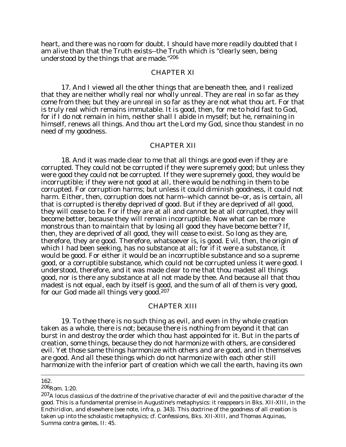heart, and there was no room for doubt. I should have more readily doubted that I am alive than that the Truth exists--the Truth which is "clearly seen, being understood by the things that are made."206

## CHAPTER XI

17. And I viewed all the other things that are beneath thee, and I realized that they are neither wholly real nor wholly unreal. They are real in so far as they come from thee; but they are unreal in so far as they are not what thou art. For that is truly real which remains immutable. It is good, then, for me to hold fast to God, for if I do not remain in him, neither shall I abide in myself; but he, remaining in himself, renews all things. And thou art the Lord my God, since thou standest in no need of my goodness.

## CHAPTER XII

18. And it was made clear to me that all things are good even if they are corrupted. They could not be corrupted if they were supremely good; but unless they were good they could not be corrupted. If they were supremely good, they would be incorruptible; if they were not good at all, there would be nothing in them to be corrupted. For corruption harms; but unless it could diminish goodness, it could not harm. Either, then, corruption does not harm--which cannot be--or, as is certain, all that is corrupted is thereby deprived of good. But if they are deprived of all good, they will cease to be. For if they are at all and cannot be at all corrupted, they will become better, because they will remain incorruptible. Now what can be more monstrous than to maintain that by losing all good they have become better? If, then, they are deprived of all good, they will cease to exist. So long as they are, therefore, they are good. Therefore, whatsoever is, is good. Evil, then, the origin of which I had been seeking, has no substance at all; for if it were a substance, it would be good. For either it would be an incorruptible substance and so a supreme good, or a corruptible substance, which could not be corrupted unless it were good. I understood, therefore, and it was made clear to me that thou madest all things good, nor is there any substance at all not made by thee. And because all that thou madest is not equal, each by itself is good, and the sum of all of them is very good, for our God made all things very good.207

## CHAPTER XIII

19. To thee there is no such thing as evil, and even in thy whole creation taken as a whole, there is not; because there is nothing from beyond it that can burst in and destroy the order which thou hast appointed for it. But in the parts of creation, some things, because they do not harmonize with others, are considered evil. Yet those same things harmonize with others and are good, and in themselves are good. And all these things which do not harmonize with each other still harmonize with the inferior part of creation which we call the earth, having its own

#### 162.

<sup>206</sup>Rom. 1:20.

<sup>207</sup>A *locus classicus* of the doctrine of the privative character of evil and the positive character of the good. This is a fundamental premise in Augustine's metaphysics: it reappears in Bks. XII-XIII, in the *Enchiridion*, and elsewhere (see note, *infra*, p. 343). This doctrine of the goodness of all creation is taken up into the scholastic metaphysics; cf. *Confessions*, Bks. XII-XIII, and Thomas Aquinas, *Summa contra gentes*, II: 45.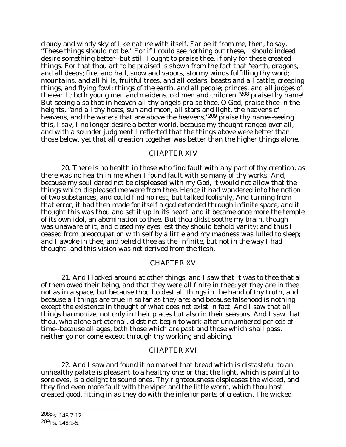cloudy and windy sky of like nature with itself. Far be it from me, then, to say, "These things should not be." For if I could see nothing but these, I should indeed desire something better--but still I ought to praise thee, if only for these created things. For that thou art to be praised is shown from the fact that "earth, dragons, and all deeps; fire, and hail, snow and vapors, stormy winds fulfilling thy word; mountains, and all hills, fruitful trees, and all cedars; beasts and all cattle; creeping things, and flying fowl; things of the earth, and all people; princes, and all judges of the earth; both young men and maidens, old men and children,"208 praise thy name! But seeing also that in heaven all thy angels praise thee, O God, praise thee in the heights, "and all thy hosts, sun and moon, all stars and light, the heavens of heavens, and the waters that are above the heavens,"209 praise thy name--seeing this, I say, I no longer desire a better world, because my thought ranged over all, and with a sounder judgment I reflected that the things above were better than those below, yet that all creation together was better than the higher things alone.

## CHAPTER XIV

20. There is no health in those who find fault with any part of thy creation; as there was no health in me when I found fault with so many of thy works. And, because my soul dared not be displeased with my God, it would not allow that the things which displeased me were from thee. Hence it had wandered into the notion of two substances, and could find no rest, but talked foolishly, And turning from that error, it had then made for itself a god extended through infinite space; and it thought this was thou and set it up in its heart, and it became once more the temple of its own idol, an abomination to thee. But thou didst soothe my brain, though I was unaware of it, and closed my eyes lest they should behold vanity; and thus I ceased from preoccupation with self by a little and my madness was lulled to sleep; and I awoke in thee, and beheld thee as the Infinite, but not in the way I had thought--and this vision was not derived from the flesh.

#### CHAPTER XV

21. And I looked around at other things, and I saw that it was to thee that all of them owed their being, and that they were all finite in thee; yet they are in thee not as in a space, but because thou holdest all things in the hand of thy truth, and because all things are true in so far as they are; and because falsehood is nothing except the existence in thought of what does not exist in fact. And I saw that all things harmonize, not only in their places but also in their seasons. And I saw that thou, who alone art eternal, didst not *begin* to work after unnumbered periods of time--because all ages, both those which are past and those which shall pass, neither go nor come except through thy working and abiding.

## CHAPTER XVI

22. And I saw and found it no marvel that bread which is distasteful to an unhealthy palate is pleasant to a healthy one; or that the light, which is painful to sore eyes, is a delight to sound ones. Thy righteousness displeases the wicked, and they find even more fault with the viper and the little worm, which thou hast created good, fitting in as they do with the inferior parts of creation. The wicked

<sup>208</sup>Ps. 148:7-12. 209Ps. 148:1-5.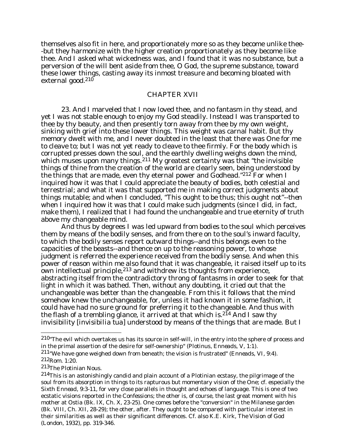themselves also fit in here, and proportionately more so as they become unlike thee- -but they harmonize with the higher creation proportionately as they become like thee. And I asked what wickedness was, and I found that it was no substance, but a perversion of the will bent aside from thee, O God, the supreme substance, toward these lower things, casting away its inmost treasure and becoming bloated with external good. $210$ 

## CHAPTER XVII

23. And I marveled that I now loved thee, and no fantasm in thy stead, and yet I was not stable enough to enjoy my God steadily. Instead I was transported to thee by thy beauty, and then presently torn away from thee by my own weight, sinking with grief into these lower things. This weight was carnal habit. But thy memory dwelt with me, and I never doubted in the least that there was One for me to cleave to; but I was not yet ready to cleave to thee firmly. For the body which is corrupted presses down the soul, and the earthly dwelling weighs down the mind, which muses upon many things.<sup>211</sup> My greatest certainty was that "the invisible things of thine from the creation of the world are clearly seen, being understood by the things that are made, even thy eternal power and Godhead."212 For when I inquired how it was that I could appreciate the beauty of bodies, both celestial and terrestrial; and what it was that supported me in making correct judgments about things mutable; and when I concluded, "This ought to be thus; this ought not"--*then* when I inquired how it was that I could make such judgments (since I did, in fact, make them), I realized that I had found the unchangeable and true eternity of truth above my changeable mind.

And thus by degrees I was led upward from bodies to the soul which perceives them by means of the bodily senses, and from there on to the soul's inward faculty, to which the bodily senses report outward things--and this belongs even to the capacities of the beasts--and thence on up to the reasoning power, to whose judgment is referred the experience received from the bodily sense. And when this power of reason within me also found that it was changeable, it raised itself up to its own intellectual principle,213 and withdrew its thoughts from experience, abstracting itself from the contradictory throng of fantasms in order to seek for that light in which it was bathed. Then, without any doubting, it cried out that the unchangeable was better than the changeable. From this it follows that the mind somehow knew the unchangeable, for, unless it had known it in some fashion, it could have had no sure ground for preferring it to the changeable. And thus with the flash of a trembling glance, it arrived at *that which is*. 214 And I saw thy invisibility [*invisibilia tua*] understood by means of the things that are made. But I

<sup>&</sup>lt;sup>210</sup>"The evil which overtakes us has its source in self-will, in the entry into the sphere of process and in the primal assertion of the desire for self-ownership" (Plotinus, *Enneads*, V, 1:1).

<sup>211</sup>"We have gone weighed down from beneath; the vision is frustrated" (*Enneads*, VI, 9:4). 212Rom. 1:20.

<sup>213</sup>The Plotinian *Nous*.

<sup>&</sup>lt;sup>214</sup>This is an astonishingly candid and plain account of a Plotinian ecstasy, the pilgrimage of the soul from its absorption in things to its rapturous but momentary vision of the One; cf. especially the Sixth *Ennead*, 9:3-11, for very close parallels in thought and echoes of language. This is one of two ecstatic visions reported in the *Confessions*; the other is, of course, the last great moment with his mother at Ostia (Bk. IX, Ch. X, 23-25). One comes before the "conversion" in the Milanese garden (Bk. VIII, Ch. XII, 28-29); the other, after. They ought to be compared with particular interest in their *similarities* as well as their significant differences. Cf. also K.E. Kirk, *The Vision of God* (London, 1932), pp. 319-346.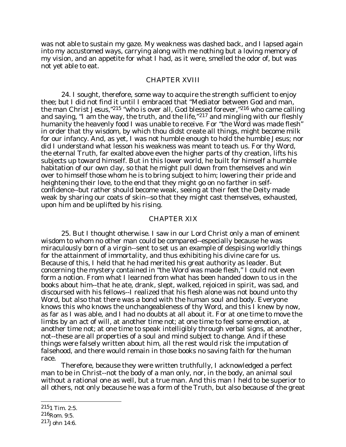was not able to sustain my gaze. My weakness was dashed back, and I lapsed again into my accustomed ways, carrying along with me nothing but a loving memory of my vision, and an appetite for what I had, as it were, smelled the odor of, but was not yet able to eat.

#### CHAPTER XVIII

24. I sought, therefore, some way to acquire the strength sufficient to enjoy thee; but I did not find it until I embraced that "Mediator between God and man, the man Christ Jesus,"215 "who is over all, God blessed forever,"216 who came calling and saying, "I am the way, the truth, and the life,"217 and mingling with our fleshly humanity the heavenly food I was unable to receive. For "the Word was made flesh" in order that thy wisdom, by which thou didst create all things, might become milk for our infancy. And, as yet, I was not humble enough to hold the humble Jesus; nor did I understand what lesson his weakness was meant to teach us. For thy Word, the eternal Truth, far exalted above even the higher parts of thy creation, lifts his subjects up toward himself. But in this lower world, he built for himself a humble habitation of our own clay, so that he might pull down from themselves and win over to himself those whom he is to bring subject to him; lowering their pride and heightening their love, to the end that they might go on no farther in selfconfidence--but rather should become weak, seeing at their feet the Deity made weak by sharing our coats of skin--so that they might cast themselves, exhausted, upon him and be uplifted by his rising.

#### CHAPTER XIX

25. But I thought otherwise. I saw in our Lord Christ only a man of eminent wisdom to whom no other man could be compared--especially because he was miraculously born of a virgin--sent to set us an example of despising worldly things for the attainment of immortality, and thus exhibiting his divine care for us. Because of this, I held that he had merited his great authority as leader. But concerning the mystery contained in "the Word was made flesh," I could not even form a notion. From what I learned from what has been handed down to us in the books about him--that he ate, drank, slept, walked, rejoiced in spirit, was sad, and discoursed with his fellows--I realized that his flesh alone was not bound unto thy Word, but also that there was a bond with the human soul and body. Everyone knows this who knows the unchangeableness of thy Word, and this I knew by now, as far as I was able, and I had no doubts at all about it. For at one time to move the limbs by an act of will, at another time not; at one time to feel some emotion, at another time not; at one time to speak intelligibly through verbal signs, at another, not--these are all properties of a soul and mind subject to change. And if these things were falsely written about him, all the rest would risk the imputation of falsehood, and there would remain in those books no saving faith for the human race.

Therefore, because they were written truthfully, I acknowledged a perfect man to be in Christ--not the body of a man only, nor, in the body, an animal soul without a rational one as well, but a true man. And this man I held to be superior to all others, not only because he was a form of the Truth, but also because of the great

<sup>215</sup>1 Tim. 2:5.

<sup>216</sup>Rom. 9:5.

<sup>217</sup>John 14:6.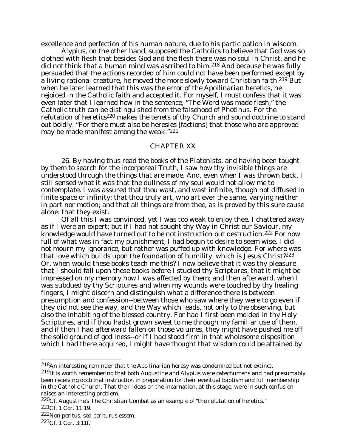excellence and perfection of his human nature, due to his participation in wisdom.

Alypius, on the other hand, supposed the Catholics to believe that God was so clothed with flesh that besides God and the flesh there was no soul in Christ, and he did not think that a human mind was ascribed to him.<sup>218</sup> And because he was fully persuaded that the actions recorded of him could not have been performed except by a living rational creature, he moved the more slowly toward Christian faith.219 But when he later learned that this was the error of the Apollinarian heretics, he rejoiced in the Catholic faith and accepted it. For myself, I must confess that it was even later that I learned how in the sentence, "The Word was made flesh," the Catholic truth can be distinguished from the falsehood of Photinus. For the refutation of heretics<sup>220</sup> makes the tenets of thy Church and sound doctrine to stand out boldly. "For there must also be heresies [factions] that those who are approved may be made manifest among the weak."221

#### CHAPTER XX

26. By having thus read the books of the Platonists, and having been taught by them to search for the incorporeal Truth, I saw how thy invisible things are understood through the things that are made. And, even when I was thrown back, I still sensed what it was that the dullness of my soul would not allow me to contemplate. I was assured that thou wast, and wast infinite, though not diffused in finite space or infinity; that thou truly art, who art ever the same, varying neither in part nor motion; and that all things are from thee, as is proved by this sure cause alone: that they exist.

Of all this I was convinced, yet I was too weak to enjoy thee. I chattered away as if I were an expert; but if I had not sought thy Way in Christ our Saviour, my knowledge would have turned out to be not instruction but destruction.222 For now full of what was in fact my punishment, I had begun to desire to seem wise. I did not mourn my ignorance, but rather was puffed up with knowledge. For where was that love which builds upon the foundation of humility, which is Jesus Christ?223 Or, when would these books teach me this? I now believe that it was thy pleasure that I should fall upon these books before I studied thy Scriptures, that it might be impressed on my memory how I was affected by them; and then afterward, when I was subdued by thy Scriptures and when my wounds were touched by thy healing fingers, I might discern and distinguish what a difference there is between presumption and confession--between those who saw where they were to go even if they did not see the way, and the Way which leads, not only to the observing, but also the inhabiting of the blessed country. For had I first been molded in thy Holy Scriptures, and if thou hadst grown sweet to me through my familiar use of them, and if then I had afterward fallen on those volumes, they might have pushed me off the solid ground of godliness--or if I had stood firm in that wholesome disposition which I had there acquired, I might have thought that wisdom could be attained by

<sup>218</sup>An interesting reminder that the Apollinarian heresy was condemned but not extinct.

 $219$ It is worth remembering that both Augustine and Alypius were catechumens and had presumably been receiving doctrinal instruction in preparation for their eventual baptism and full membership in the Catholic Church. That their ideas on the incarnation, at this stage, were in such confusion raises an interesting problem.

<sup>220</sup>Cf. Augustine's *The Christian Combat* as an example of "the refutation of heretics." 221Cf. 1 Cor. 11:19.

<sup>222</sup>*Non peritus, sed periturus essem*.

<sup>223</sup>Cf. 1 Cor. 3:11f.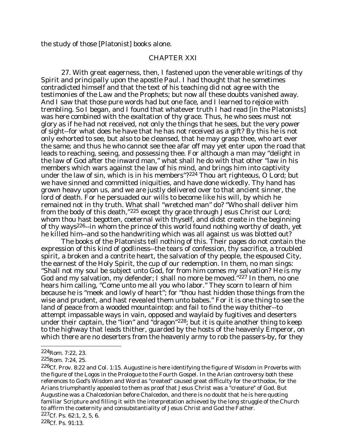the study of those [Platonist] books alone.

#### CHAPTER XXI

27. With great eagerness, then, I fastened upon the venerable writings of thy Spirit and principally upon the apostle Paul. I had thought that he sometimes contradicted himself and that the text of his teaching did not agree with the testimonies of the Law and the Prophets; but now all these doubts vanished away. And I saw that those pure words had but one face, and I learned to rejoice with trembling. So I began, and I found that whatever truth I had read [in the Platonists] was here combined with the exaltation of thy grace. Thus, he who sees must not glory as if he had not received, not only the things that he sees, but the very power of sight--for what does he have that he has not received as a gift? By this he is not only exhorted to see, but also to be cleansed, that he may grasp thee, who art ever the same; and thus he who cannot see thee afar off may yet enter upon the road that leads to reaching, seeing, and possessing thee. For although a man may "delight in the law of God after the inward man," what shall he do with that other "law in his members which wars against the law of his mind, and brings him into captivity under the law of sin, which is in his members"?<sup>224</sup> Thou art righteous, O Lord; but we have sinned and committed iniquities, and have done wickedly. Thy hand has grown heavy upon us, and we are justly delivered over to that ancient sinner, the lord of death. For he persuaded our wills to become like his will, by which he remained not in thy truth. What shall "wretched man" do? "Who shall deliver him from the body of this death,"225 except thy grace through Jesus Christ our Lord; whom thou hast begotten, coeternal with thyself, and didst create in the beginning of thy ways226--in whom the prince of this world found nothing worthy of death, yet he killed him--and so the handwriting which was all against us was blotted out?

The books of the Platonists tell nothing of this. Their pages do not contain the expression of this kind of godliness--the tears of confession, thy sacrifice, a troubled spirit, a broken and a contrite heart, the salvation of thy people, the espoused City, the earnest of the Holy Spirit, the cup of our redemption. In them, no man sings: "Shall not my soul be subject unto God, for from him comes my salvation? He is my God and my salvation, my defender; I shall no more be moved."227 In them, no one hears him calling, "Come unto me all you who labor." They scorn to learn of him because he is "meek and lowly of heart"; for "thou hast hidden those things from the wise and prudent, and hast revealed them unto babes." For it is one thing to see the land of peace from a wooded mountaintop: and fail to find the way thither--to attempt impassable ways in vain, opposed and waylaid by fugitives and deserters under their captain, the "lion" and "dragon"<sup>228</sup>; but it is quite another thing to keep to the highway that leads thither, guarded by the hosts of the heavenly Emperor, on which there are no deserters from the heavenly army to rob the passers-by, for they

<sup>224</sup>Rom. 7:22, 23.

<sup>225</sup>Rom. 7:24, 25.

 $226$ Cf. Prov. 8:22 and Col. 1:15. Augustine is here identifying the figure of Wisdom in Proverbs with the figure of the Logos in the Prologue to the Fourth Gospel. In the Arian controversy both these references to God's Wisdom and Word as "created" caused great difficulty for the orthodox, for the Arians triumphantly appealed to them as proof that Jesus Christ was a "creature" of God. But Augustine was a Chalcedonian before Chalcedon, and there is no doubt that he is here quoting familiar Scripture and filling it with the interpretation achieved by the long struggle of the Church to affirm the coeternity and consubstantiality of Jesus Christ and God the Father.

<sup>227</sup>Cf. Ps. 62:1, 2, 5, 6.

<sup>228</sup>Cf. Ps. 91:13.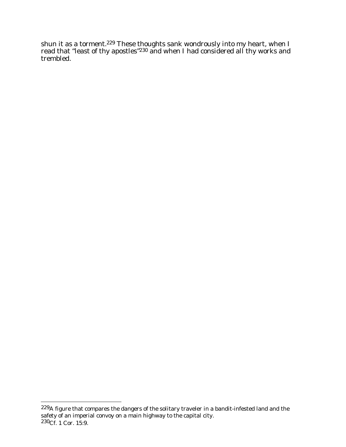shun it as a torment. $^{229}$  These thoughts sank wondrously into my heart, when I read that "least of thy apostles"<sup>230</sup> and when I had considered all thy works and trembled.

 $^{229}$ A figure that compares the dangers of the solitary traveler in a bandit-infested land and the safety of an imperial convoy on a main highway to the capital city.  $230 \check{C}f.$  1 Cor. 15:9.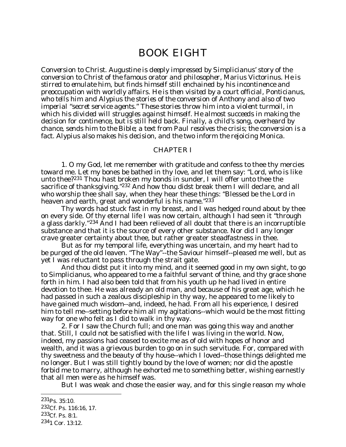# BOOK EIGHT

*Conversion to Christ. Augustine is deeply impressed by Simplicianus' story of the conversion to Christ of the famous orator and philosopher, Marius Victorinus. He is stirred to emulate him, but finds himself still enchained by his incontinence and preoccupation with worldly affairs. He is then visited by a court official, Ponticianus, who tells him and Alypius the stories of the conversion of Anthony and also of two imperial "secret service agents." These stories throw him into a violent turmoil, in which his divided will struggles against himself. He almost succeeds in making the decision for continence, but is still held back. Finally, a child's song, overheard by chance, sends him to the Bible; a text from Paul resolves the crisis; the conversion is a fact. Alypius also makes his decision, and the two inform the rejoicing Monica.*

## CHAPTER I

1. O my God, let me remember with gratitude and confess to thee thy mercies toward me. Let my bones be bathed in thy love, and let them say: "Lord, who is like unto thee?231 Thou hast broken my bonds in sunder, I will offer unto thee the sacrifice of thanksgiving."232 And how thou didst break them I will declare, and all who worship thee shall say, when they hear these things: "Blessed be the Lord in heaven and earth, great and wonderful is his name."233

Thy words had stuck fast in my breast, and I was hedged round about by thee on every side. Of thy eternal life I was now certain, although I had seen it "through a glass darkly."234 And I had been relieved of all doubt that there is an incorruptible substance and that it is the source of every other substance. Nor did I any longer crave greater certainty about thee, but rather greater steadfastness in thee.

But as for my temporal life, everything was uncertain, and my heart had to be purged of the old leaven. "The Way"--the Saviour himself--pleased me well, but as yet I was reluctant to pass through the strait gate.

And thou didst put it into my mind, and it seemed good in my own sight, to go to Simplicianus, who appeared to me a faithful servant of thine, and thy grace shone forth in him. I had also been told that from his youth up he had lived in entire devotion to thee. He was already an old man, and because of his great age, which he had passed in such a zealous discipleship in thy way, he appeared to me likely to have gained much wisdom--and, indeed, he had. From all his experience, I desired him to tell me--setting before him all my agitations--which would be the most fitting way for one who felt as I did to walk in thy way.

2. For I saw the Church full; and one man was going this way and another that. Still, I could not be satisfied with the life I was living in the world. Now, indeed, my passions had ceased to excite me as of old with hopes of honor and wealth, and it was a grievous burden to go on in such servitude. For, compared with thy sweetness and the beauty of thy house--which I loved--those things delighted me no longer. But I was still tightly bound by the love of women; nor did the apostle forbid me to marry, although he exhorted me to something better, wishing earnestly that all men were as he himself was.

But I was weak and chose the easier way, and for this single reason my whole

<sup>231</sup>Ps. 35:10. 232Cf. Ps. 116:16, 17. 233Cf. Ps. 8:1. 2341 Cor. 13:12.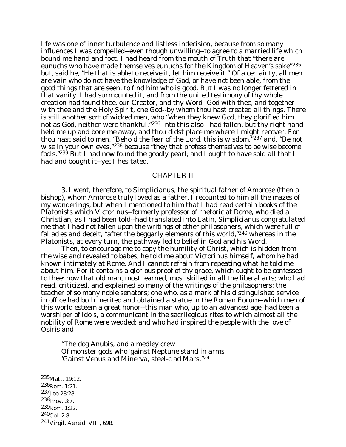life was one of inner turbulence and listless indecision, because from so many influences I was compelled--even though unwilling--to agree to a married life which bound me hand and foot. I had heard from the mouth of Truth that "there are eunuchs who have made themselves eunuchs for the Kingdom of Heaven's sake"235 but, said he, "He that is able to receive it, let him receive it." Of a certainty, all men are vain who do not have the knowledge of God, or have not been able, from the good things that are seen, to find him who is good. But I was no longer fettered in that vanity. I had surmounted it, and from the united testimony of thy whole creation had found thee, our Creator, and thy Word--God with thee, and together with thee and the Holy Spirit, one God--by whom thou hast created all things. There is still another sort of wicked men, who "when they knew God, they glorified him not as God, neither were thankful."236 Into this also I had fallen, but thy right hand held me up and bore me away, and thou didst place me where I might recover. For thou hast said to men, "Behold the fear of the Lord, this is wisdom,"237 and, "Be not wise in your own eyes,"238 because "they that profess themselves to be wise become fools."239 But I had now found the goodly pearl; and I ought to have sold all that I had and bought it--yet I hesitated.

#### CHAPTER II

3. I went, therefore, to Simplicianus, the spiritual father of Ambrose (then a bishop), whom Ambrose truly loved as a father. I recounted to him all the mazes of my wanderings, but when I mentioned to him that I had read certain books of the Platonists which Victorinus--formerly professor of rhetoric at Rome, who died a Christian, as I had been told--had translated into Latin, Simplicianus congratulated me that I had not fallen upon the writings of other philosophers, which were full of fallacies and deceit, "after the beggarly elements of this world,"240 whereas in the Platonists, at every turn, the pathway led to belief in God and his Word.

Then, to encourage me to copy the humility of Christ, which is hidden from the wise and revealed to babes, he told me about Victorinus himself, whom he had known intimately at Rome. And I cannot refrain from repeating what he told me about him. For it contains a glorious proof of thy grace, which ought to be confessed to thee: how that old man, most learned, most skilled in all the liberal arts; who had read, criticized, and explained so many of the writings of the philosophers; the teacher of so many noble senators; one who, as a mark of his distinguished service in office had both merited and obtained a statue in the Roman Forum--which men of this world esteem a great honor--this man who, up to an advanced age, had been a worshiper of idols, a communicant in the sacrilegious rites to which almost all the nobility of Rome were wedded; and who had inspired the people with the love of Osiris and

"The dog Anubis, and a medley crew Of monster gods who 'gainst Neptune stand in arms 'Gainst Venus and Minerva, steel-clad Mars,"241

Matt. 19:12. Rom. 1:21. Job 28:28. Prov. 3:7. Rom. 1:22.  $240$ Col. 2:8. Virgil, *Aeneid*, VIII, 698.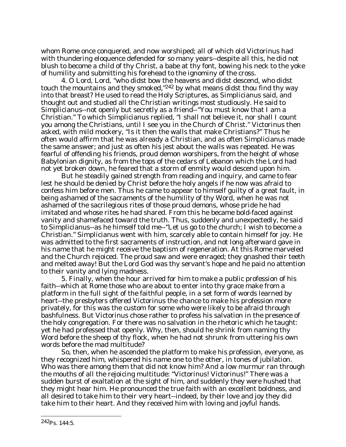whom Rome once conquered, and now worshiped; all of which old Victorinus had with thundering eloquence defended for so many years--despite all this, he did not blush to become a child of thy Christ, a babe at thy font, bowing his neck to the yoke of humility and submitting his forehead to the ignominy of the cross.

4. O Lord, Lord, "who didst bow the heavens and didst descend, who didst touch the mountains and they smoked,"242 by what means didst thou find thy way into that breast? He used to read the Holy Scriptures, as Simplicianus said, and thought out and studied all the Christian writings most studiously. He said to Simplicianus--not openly but secretly as a friend--"You must know that I am a Christian." To which Simplicianus replied, "I shall not believe it, nor shall I count you among the Christians, until I see you in the Church of Christ." Victorinus then asked, with mild mockery, "Is it then the walls that make Christians?" Thus he often would affirm that he was already a Christian, and as often Simplicianus made the same answer; and just as often his jest about the walls was repeated. He was fearful of offending his friends, proud demon worshipers, from the height of whose Babylonian dignity, as from the tops of the cedars of Lebanon which the Lord had not yet broken down, he feared that a storm of enmity would descend upon him.

But he steadily gained strength from reading and inquiry, and came to fear lest he should be denied by Christ before the holy angels if he now was afraid to confess him before men. Thus he came to appear to himself guilty of a great fault, in being ashamed of the sacraments of the humility of thy Word, when he was not ashamed of the sacrilegious rites of those proud demons, whose pride he had imitated and whose rites he had shared. From this he became bold-faced against vanity and shamefaced toward the truth. Thus, suddenly and unexpectedly, he said to Simplicianus--as he himself told me--"Let us go to the church; I wish to become a Christian." Simplicianus went with him, scarcely able to contain himself for joy. He was admitted to the first sacraments of instruction, and not long afterward gave in his name that he might receive the baptism of regeneration. At this Rome marveled and the Church rejoiced. The proud saw and were enraged; they gnashed their teeth and melted away! But the Lord God was thy servant's hope and he paid no attention to their vanity and lying madness.

5. Finally, when the hour arrived for him to make a public profession of his faith--which at Rome those who are about to enter into thy grace make from a platform in the full sight of the faithful people, in a set form of words learned by heart--the presbyters offered Victorinus the chance to make his profession more privately, for this was the custom for some who were likely to be afraid through bashfulness. But Victorinus chose rather to profess his salvation in the presence of the holy congregation. For there was no salvation in the rhetoric which he taught: yet he had professed that openly. Why, then, should he shrink from naming thy Word before the sheep of thy flock, when he had not shrunk from uttering his own words before the mad multitude?

So, then, when he ascended the platform to make his profession, everyone, as they recognized him, whispered his name one to the other, in tones of jubilation. Who was there among them that did not know him? And a low murmur ran through the mouths of all the rejoicing multitude: "Victorinus! Victorinus!" There was a sudden burst of exaltation at the sight of him, and suddenly they were hushed that they might hear him. He pronounced the true faith with an excellent boldness, and all desired to take him to their very heart--indeed, by their love and joy they did take him to their heart. And they received him with loving and joyful hands.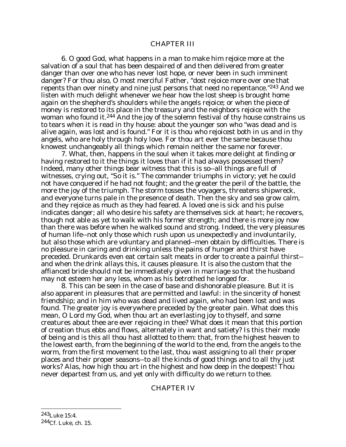#### CHAPTER III

6. O good God, what happens in a man to make him rejoice more at the salvation of a soul that has been despaired of and then delivered from greater danger than over one who has never lost hope, or never been in such imminent danger? For thou also, O most merciful Father, "dost rejoice more over one that repents than over ninety and nine just persons that need no repentance."243 And we listen with much delight whenever we hear how the lost sheep is brought home again on the shepherd's shoulders while the angels rejoice; or when the piece of money is restored to its place in the treasury and the neighbors rejoice with the woman who found it.244 And the joy of the solemn festival of thy house constrains us to tears when it is read in thy house: about the younger son who "was dead and is alive again, was lost and is found." For it is thou who rejoicest both in us and in thy angels, who are holy through holy love. For thou art ever the same because thou knowest unchangeably all things which remain neither the same nor forever.

7. What, then, happens in the soul when it takes more delight at finding or having restored to it the things it loves than if it had always possessed them? Indeed, many other things bear witness that this is so--all things are full of witnesses, crying out, "So it is." The commander triumphs in victory; yet he could not have conquered if he had not fought; and the greater the peril of the battle, the more the joy of the triumph. The storm tosses the voyagers, threatens shipwreck, and everyone turns pale in the presence of death. Then the sky and sea grow calm, and they rejoice as much as they had feared. A loved one is sick and his pulse indicates danger; all who desire his safety are themselves sick at heart; he recovers, though not able as yet to walk with his former strength; and there is more joy now than there was before when he walked sound and strong. Indeed, the very pleasures of human life--not only those which rush upon us unexpectedly and involuntarily, but also those which are voluntary and planned--men obtain by difficulties. There is no pleasure in caring and drinking unless the pains of hunger and thirst have preceded. Drunkards even eat certain salt meats in order to create a painful thirst- and when the drink allays this, it causes pleasure. It is also the custom that the affianced bride should not be immediately given in marriage so that the husband may not esteem her any less, whom as his betrothed he longed for.

8. This can be seen in the case of base and dishonorable pleasure. But it is also apparent in pleasures that are permitted and lawful: in the sincerity of honest friendship; and in him who was dead and lived again, who had been lost and was found. The greater joy is everywhere preceded by the greater pain. What does this mean, O Lord my God, when thou art an everlasting joy to thyself, and some creatures about thee are ever rejoicing in thee? What does it mean that this portion of creation thus ebbs and flows, alternately in want and satiety? Is this their mode of being and is this all thou hast allotted to them: that, from the highest heaven to the lowest earth, from the beginning of the world to the end, from the angels to the worm, from the first movement to the last, thou wast assigning to all their proper places and their proper seasons--to all the kinds of good things and to all thy just works? Alas, how high thou art in the highest and how deep in the deepest! Thou never departest from us, and yet only with difficulty do we return to thee.

# CHAPTER IV

<sup>243</sup>Luke 15:4. 244Cf. Luke, ch. 15.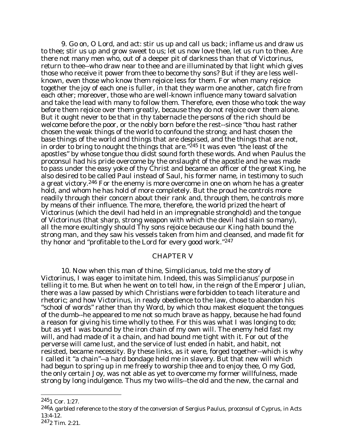9. Go on, O Lord, and act: stir us up and call us back; inflame us and draw us to thee; stir us up and grow sweet to us; let us now love thee, let us run to thee. Are there not many men who, out of a deeper pit of darkness than that of Victorinus, return to thee--who draw near to thee and are illuminated by that light which gives those who receive it power from thee to become thy sons? But if they are less wellknown, even those who know them rejoice less for them. For when many rejoice together the joy of each one is fuller, in that they warm one another, catch fire from each other; moreover, those who are well-known influence many toward salvation and take the lead with many to follow them. Therefore, even those who took the way before them rejoice over them greatly, because they do not rejoice over them alone. But it ought never to be that in thy tabernacle the persons of the rich should be welcome before the poor, or the nobly born before the rest--since "thou hast rather chosen the weak things of the world to confound the strong; and hast chosen the base things of the world and things that are despised, and the things that are not, in order to bring to nought the things that are." $245$  It was even "the least of the apostles" by whose tongue thou didst sound forth these words. And when Paulus the proconsul had his pride overcome by the onslaught of the apostle and he was made to pass under the easy yoke of thy Christ and became an officer of the great King, he also desired to be called Paul instead of Saul, his former name, in testimony to such a great victory.246 For the enemy is more overcome in one on whom he has a greater hold, and whom he has hold of more completely. But the proud he controls more readily through their concern about their rank and, through them, he controls more by means of their influence. The more, therefore, the world prized the heart of Victorinus (which the devil had held in an impregnable stronghold) and the tongue of Victorinus (that sharp, strong weapon with which the devil had slain so many), all the more exultingly should Thy sons rejoice because our King hath bound the strong man, and they saw his vessels taken from him and cleansed, and made fit for thy honor and "profitable to the Lord for every good work."247

#### CHAPTER V

10. Now when this man of thine, Simplicianus, told me the story of Victorinus, I was eager to imitate him. Indeed, this was Simplicianus' purpose in telling it to me. But when he went on to tell how, in the reign of the Emperor Julian, there was a law passed by which Christians were forbidden to teach literature and rhetoric; and how Victorinus, in ready obedience to the law, chose to abandon his "school of words" rather than thy Word, by which thou makest eloquent the tongues of the dumb--he appeared to me not so much brave as happy, because he had found a reason for giving his time wholly to thee. For this was what I was longing to do; but as yet I was bound by the iron chain of my own will. The enemy held fast my will, and had made of it a chain, and had bound me tight with it. For out of the perverse will came lust, and the service of lust ended in habit, and habit, not resisted, became necessity. By these links, as it were, forged together--which is why I called it "a chain"--a hard bondage held me in slavery. But that new will which had begun to spring up in me freely to worship thee and to enjoy thee, O my God, the only certain Joy, was not able as yet to overcome my former willfulness, made strong by long indulgence. Thus my two wills--the old and the new, the carnal and

<sup>245</sup>1 Cor. 1:27.

<sup>&</sup>lt;sup>246</sup>A garbled reference to the story of the conversion of Sergius Paulus, proconsul of Cyprus, in Acts 13:4-12.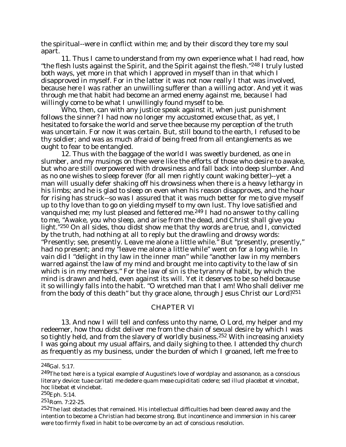the spiritual--were in conflict within me; and by their discord they tore my soul apart.

11. Thus I came to understand from my own experience what I had read, how "the flesh lusts against the Spirit, and the Spirit against the flesh."248 I truly lusted both ways, yet more in that which I approved in myself than in that which I disapproved in myself. For in the latter it was not now really I that was involved, because here I was rather an unwilling sufferer than a willing actor. And yet it was through me that habit had become an armed enemy against me, because I had willingly come to be what I unwillingly found myself to be.

Who, then, can with any justice speak against it, when just punishment follows the sinner? I had now no longer my accustomed excuse that, as yet, I hesitated to forsake the world and serve thee because my perception of the truth was uncertain. For now it was certain. But, still bound to the earth, I refused to be thy soldier; and was as much afraid of being freed from all entanglements as we ought to fear to be entangled.

12. Thus with the baggage of the world I was sweetly burdened, as one in slumber, and my musings on thee were like the efforts of those who desire to awake, but who are still overpowered with drowsiness and fall back into deep slumber. And as no one wishes to sleep forever (for all men rightly count waking better)--yet a man will usually defer shaking off his drowsiness when there is a heavy lethargy in his limbs; and he is glad to sleep on even when his reason disapproves, and the hour for rising has struck--so was I assured that it was much better for me to give myself up to thy love than to go on yielding myself to my own lust. Thy love satisfied and vanquished me; my lust pleased and fettered me.249 I had no answer to thy calling to me, "Awake, you who sleep, and arise from the dead, and Christ shall give you light."250 On all sides, thou didst show me that thy words are true, and I, convicted by the truth, had nothing at all to reply but the drawling and drowsy words: "Presently; see, presently. Leave me alone a little while." But "presently, presently," had no present; and my "leave me alone a little while" went on for a long while. In vain did I "delight in thy law in the inner man" while "another law in my members warred against the law of my mind and brought me into captivity to the law of sin which is in my members." For the law of sin is the tyranny of habit, by which the mind is drawn and held, even against its will. Yet it deserves to be so held because it so willingly falls into the habit. "O wretched man that I am! Who shall deliver me from the body of this death" but thy grace alone, through Jesus Christ our Lord?251

## CHAPTER VI

13. And now I will tell and confess unto thy name, O Lord, my helper and my redeemer, how thou didst deliver me from the chain of sexual desire by which I was so tightly held, and from the slavery of worldly business.<sup>252</sup> With increasing anxiety I was going about my usual affairs, and daily sighing to thee. I attended thy church as frequently as my business, under the burden of which I groaned, left me free to

<sup>248</sup>Gal. 5:17.

 $249$ The text here is a typical example of Augustine's love of wordplay and assonance, as a conscious literary device: *tuae caritati me* dedere *quam meae cupiditati* cedere; *sed illud* placebat *et* vincebat, *hoc* libebat *et* vinciebat.

 $250$ Eph. 5:14.

<sup>251</sup>Rom. 7:22-25.

 $252$ The last obstacles that remained. His intellectual difficulties had been cleared away and the intention to become a Christian had become strong. But incontinence and immersion in his career were too firmly fixed in habit to be overcome by an act of conscious resolution.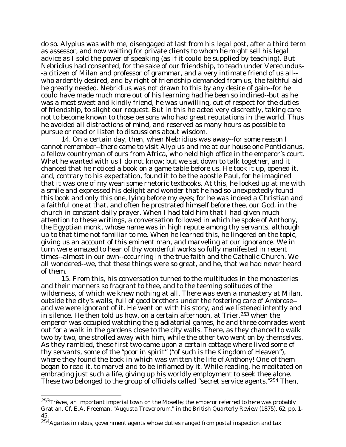do so. Alypius was with me, disengaged at last from his legal post, after a third term as assessor, and now waiting for private clients to whom he might sell his legal advice as I sold the power of speaking (as if it could be supplied by teaching). But Nebridius had consented, for the sake of our friendship, to teach under Verecundus- -a citizen of Milan and professor of grammar, and a very intimate friend of us all- who ardently desired, and by right of friendship demanded from us, the faithful aid he greatly needed. Nebridius was not drawn to this by any desire of gain--for he could have made much more out of his learning had he been so inclined--but as he was a most sweet and kindly friend, he was unwilling, out of respect for the duties of friendship, to slight our request. But in this he acted very discreetly, taking care not to become known to those persons who had great reputations in the world. Thus he avoided all distractions of mind, and reserved as many hours as possible to pursue or read or listen to discussions about wisdom.

14. On a certain day, then, when Nebridius was away--for some reason I cannot remember--there came to visit Alypius and me at our house one Ponticianus, a fellow countryman of ours from Africa, who held high office in the emperor's court. What he wanted with us I do not know; but we sat down to talk together, and it chanced that he noticed a book on a game table before us. He took it up, opened it, and, contrary to his expectation, found it to be the apostle Paul, for he imagined that it was one of my wearisome rhetoric textbooks. At this, he looked up at me with a smile and expressed his delight and wonder that he had so unexpectedly found this book and only this one, lying before my eyes; for he was indeed a Christian and a faithful one at that, and often he prostrated himself before thee, our God, in the church in constant daily prayer. When I had told him that I had given much attention to these writings, a conversation followed in which he spoke of Anthony, the Egyptian monk, whose name was in high repute among thy servants, although up to that time not familiar to me. When he learned this, he lingered on the topic, giving us an account of this eminent man, and marveling at our ignorance. We in turn were amazed to hear of thy wonderful works so fully manifested in recent times--almost in our own--occurring in the true faith and the Catholic Church. We all wondered--we, that these things were so great, and he, that we had never heard of them.

15. From this, his conversation turned to the multitudes in the monasteries and their manners so fragrant to thee, and to the teeming solitudes of the wilderness, of which we knew nothing at all. There was even a monastery at Milan, outside the city's walls, full of good brothers under the fostering care of Ambrose- and we were ignorant of it. He went on with his story, and we listened intently and in silence. He then told us how, on a certain afternoon, at Trier, <sup>253</sup> when the emperor was occupied watching the gladiatorial games, he and three comrades went out for a walk in the gardens close to the city walls. There, as they chanced to walk two by two, one strolled away with him, while the other two went on by themselves. As they rambled, these first two came upon a certain cottage where lived some of thy servants, some of the "poor in spirit" ("of such is the Kingdom of Heaven"), where they found the book in which was written the life of Anthony! One of them began to read it, to marvel and to be inflamed by it. While reading, he meditated on embracing just such a life, giving up his worldly employment to seek thee alone. These two belonged to the group of officials called "secret service agents."254 Then,

 $^{253}$ Trèves, an important imperial town on the Moselle; the emperor referred to here was probably Gratian. Cf. E.A. Freeman, "Augusta Trevororum," in the *British Quarterly Review* (1875), 62, pp. 1- 45.

<sup>254</sup>*Agentes in rebus*, government agents whose duties ranged from postal inspection and tax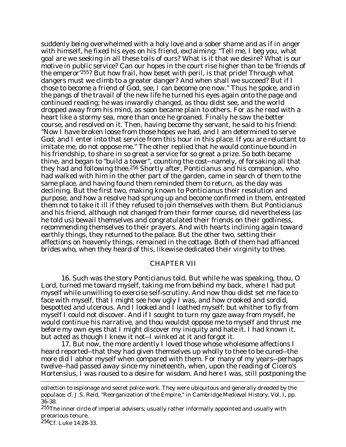suddenly being overwhelmed with a holy love and a sober shame and as if in anger with himself, he fixed his eyes on his friend, exclaiming: "Tell me, I beg you, what goal are we seeking in all these toils of ours? What is it that we desire? What is our motive in public service? Can our hopes in the court rise higher than to be 'friends of the emperor'255? But how frail, how beset with peril, is that pride! Through what dangers must we climb to a greater danger? And when shall we succeed? But if I chose to become a friend of God, see, I can become one now." Thus he spoke, and in the pangs of the travail of the new life he turned his eyes again onto the page and continued reading; he was inwardly changed, as thou didst see, and the world dropped away from his mind, as soon became plain to others. For as he read with a heart like a stormy sea, more than once he groaned. Finally he saw the better course, and resolved on it. Then, having become thy servant, he said to his friend: "Now I have broken loose from those hopes we had, and I am determined to serve God; and I enter into that service from this hour in this place. If you are reluctant to imitate me, do not oppose me." The other replied that he would continue bound in his friendship, to share in so great a service for so great a prize. So both became thine, and began to "build a tower", counting the cost--namely, of forsaking all that they had and following thee.256 Shortly after, Ponticianus and his companion, who had walked with him in the other part of the garden, came in search of them to the same place, and having found them reminded them to return, as the day was declining. But the first two, making known to Ponticianus their resolution and purpose, and how a resolve had sprung up and become confirmed in them, entreated them not to take it ill if they refused to join themselves with them. But Ponticianus and his friend, although not changed from their former course, did nevertheless (as he told us) bewail themselves and congratulated their friends on their godliness, recommending themselves to their prayers. And with hearts inclining again toward earthly things, they returned to the palace. But the other two, setting their affections on heavenly things, remained in the cottage. Both of them had affianced brides who, when they heard of this, likewise dedicated their virginity to thee.

#### CHAPTER VII

16. Such was the story Ponticianus told. But while he was speaking, thou, O Lord, turned me toward myself, taking me from behind my back, where I had put myself while unwilling to exercise self-scrutiny. And now thou didst set me face to face with myself, that I might see how ugly I was, and how crooked and sordid, bespotted and ulcerous. And I looked and I loathed myself; but whither to fly from myself I could not discover. And if I sought to turn my gaze away from myself, he would continue his narrative, and thou wouldst oppose me to myself and thrust me before my own eyes that I might discover my iniquity and hate it. I had known it, but acted as though I knew it not--I winked at it and forgot it.

17. But now, the more ardently I loved those whose wholesome affections I heard reported--that they had given themselves up wholly to thee to be cured--the more did I abhor myself when compared with them. For many of my years--perhaps twelve--had passed away since my nineteenth, when, upon the reading of Cicero's Hortensius, I was roused to a desire for wisdom. And here I was, still postponing the

255The inner circle of imperial advisers; usually rather informally appointed and usually with precarious tenure.

256Cf. Luke 14:28-33.

collection to espionage and secret police work. They were ubiquitous and generally dreaded by the populace; cf. J.S. Reid, "Reorganization of the Empire," in *Cambridge Medieval History*, Vol. I, pp. 36-38.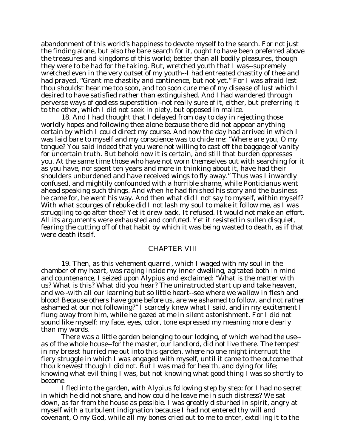abandonment of this world's happiness to devote myself to the search. For not just the finding alone, but also the bare search for it, ought to have been preferred above the treasures and kingdoms of this world; better than all bodily pleasures, though they were to be had for the taking. But, wretched youth that I was--supremely wretched even in the very outset of my youth--I had entreated chastity of thee and had prayed, "Grant me chastity and continence, but not yet." For I was afraid lest thou shouldst hear me too soon, and too soon cure me of my disease of lust which I desired to have satisfied rather than extinguished. And I had wandered through perverse ways of godless superstition--not really sure of it, either, but preferring it to the other, which I did not seek in piety, but opposed in malice.

18. And I had thought that I delayed from day to day in rejecting those worldly hopes and following thee alone because there did not appear anything certain by which I could direct my course. And now the day had arrived in which I was laid bare to myself and my conscience was to chide me: "Where are you, O my tongue? You said indeed that you were not willing to cast off the baggage of vanity for uncertain truth. But behold now it is certain, and still that burden oppresses you. At the same time those who have not worn themselves out with searching for it as you have, nor spent ten years and more in thinking about it, have had their shoulders unburdened and have received wings to fly away." Thus was I inwardly confused, and mightily confounded with a horrible shame, while Ponticianus went ahead speaking such things. And when he had finished his story and the business he came for, he went his way. And then what did I not say to myself, within myself? With what scourges of rebuke did I not lash my soul to make it follow me, as I was struggling to go after thee? Yet it drew back. It refused. It would not make an effort. All its arguments were exhausted and confuted. Yet it resisted in sullen disquiet, fearing the cutting off of that habit by which it was being wasted to death, as if that were death itself.

## CHAPTER VIII

19. Then, as this vehement quarrel, which I waged with my soul in the chamber of my heart, was raging inside my inner dwelling, agitated both in mind and countenance, I seized upon Alypius and exclaimed: "What is the matter with us? What is this? What did you hear? The uninstructed start up and take heaven, and we--with all our learning but so little heart--see where we wallow in flesh and blood! Because others have gone before us, are we ashamed to follow, and not rather ashamed at our not following?" I scarcely knew what I said, and in my excitement I flung away from him, while he gazed at me in silent astonishment. For I did not sound like myself: my face, eyes, color, tone expressed my meaning more clearly than my words.

There was a little garden belonging to our lodging, of which we had the use- as of the whole house--for the master, our landlord, did not live there. The tempest in my breast hurried me out into this garden, where no one might interrupt the fiery struggle in which I was engaged with myself, until it came to the outcome that thou knewest though I did not. But I was mad for health, and dying for life; knowing what evil thing I was, but not knowing what good thing I was so shortly to become.

I fled into the garden, with Alypius following step by step; for I had no secret in which he did not share, and how could he leave me in such distress? We sat down, as far from the house as possible. I was greatly disturbed in spirit, angry at myself with a turbulent indignation because I had not entered thy will and covenant, O my God, while all my bones cried out to me to enter, extolling it to the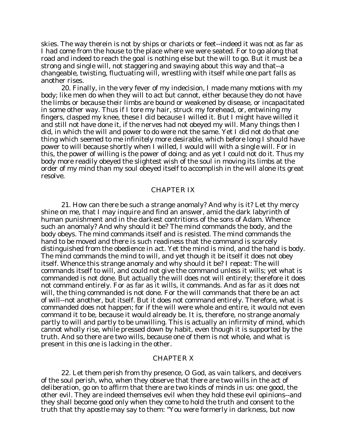skies. The way therein is not by ships or chariots or feet--indeed it was not as far as I had come from the house to the place where we were seated. For to go along that road and indeed to reach the goal is nothing else but the will to go. But it must be a strong and single will, not staggering and swaying about this way and that--a changeable, twisting, fluctuating will, wrestling with itself while one part falls as another rises.

20. Finally, in the very fever of my indecision, I made many motions with my body; like men do when they will to act but cannot, either because they do not have the limbs or because their limbs are bound or weakened by disease, or incapacitated in some other way. Thus if I tore my hair, struck my forehead, or, entwining my fingers, clasped my knee, these I did because I willed it. But I might have willed it and still not have done it, if the nerves had not obeyed my will. Many things then I did, in which the will and power to do were not the same. Yet I did not do that one thing which seemed to me infinitely more desirable, which before long I should have power to will because shortly when I willed, I would will with a single will. For in this, the power of willing is the power of doing; and as yet I could not do it. Thus my body more readily obeyed the slightest wish of the soul in moving its limbs at the order of my mind than my soul obeyed itself to accomplish in the will alone its great resolve.

## CHAPTER IX

21. How can there be such a strange anomaly? And why is it? Let thy mercy shine on me, that I may inquire and find an answer, amid the dark labyrinth of human punishment and in the darkest contritions of the sons of Adam. Whence such an anomaly? And why should it be? The mind commands the body, and the body obeys. The mind commands itself and is resisted. The mind commands the hand to be moved and there is such readiness that the command is scarcely distinguished from the obedience in act. Yet the mind is mind, and the hand is body. The mind commands the mind to will, and yet though it be itself it does not obey itself. Whence this strange anomaly and why should it be? I repeat: The will commands itself to will, and could not give the command unless it wills; yet what is commanded is not done. But actually the will does not will entirely; therefore it does not command entirely. For as far as it wills, it commands. And as far as it does not will, the thing commanded is not done. For the will commands that there be an act of will--not another, but itself. But it does not command entirely. Therefore, what is commanded does not happen; for if the will were whole and entire, it would not even command it to be, because it would already be. It is, therefore, no strange anomaly partly to will and partly to be unwilling. This is actually an infirmity of mind, which cannot wholly rise, while pressed down by habit, even though it is supported by the truth. And so there are two wills, because one of them is not whole, and what is present in this one is lacking in the other.

## CHAPTER X

22. Let them perish from thy presence, O God, as vain talkers, and deceivers of the soul perish, who, when they observe that there are two wills in the act of deliberation, go on to affirm that there are two kinds of minds in us: one good, the other evil. They are indeed themselves evil when they hold these evil opinions--and they shall become good only when they come to hold the truth and consent to the truth that thy apostle may say to them: "You were formerly in darkness, but now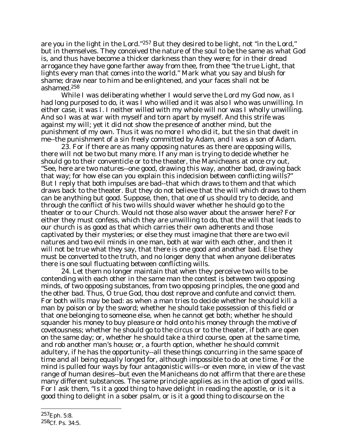are you in the light in the Lord."257 But they desired to be light, not "in the Lord," but in themselves. They conceived the nature of the soul to be the same as what God is, and thus have become a thicker darkness than they were; for in their dread arrogance they have gone farther away from thee, from thee "the true Light, that lights every man that comes into the world." Mark what you say and blush for shame; draw near to him and be enlightened, and your faces shall not be ashamed.258

While I was deliberating whether I would serve the Lord my God now, as I had long purposed to do, it was I who willed and it was also I who was unwilling. In either case, it was I. I neither willed with my whole will nor was I wholly unwilling. And so I was at war with myself and torn apart by myself. And this strife was against my will; yet it did not show the presence of another mind, but the punishment of my own. Thus it was no more I who did it, but the sin that dwelt in me--the punishment of a sin freely committed by Adam, and I was a son of Adam.

23. For if there are as many opposing natures as there are opposing wills, there will not be two but many more. If any man is trying to decide whether he should go to their conventicle or to the theater, the Manicheans at once cry out, "See, here are two natures--one good, drawing this way, another bad, drawing back that way; for how else can you explain this indecision between conflicting wills?" But I reply that both impulses are bad--that which draws to them and that which draws back to the theater. But they do not believe that the will which draws to them can be anything but good. Suppose, then, that one of us should try to decide, and through the conflict of his two wills should waver whether he should go to the theater or to our Church. Would not those also waver about the answer here? For either they must confess, which they are unwilling to do, that the will that leads to our church is as good as that which carries their own adherents and those captivated by their mysteries; or else they must imagine that there are two evil natures and two evil minds in one man, both at war with each other, and then it will not be true what they say, that there is one good and another bad. Else they must be converted to the truth, and no longer deny that when anyone deliberates there is one soul fluctuating between conflicting wills.

24. Let them no longer maintain that when they perceive two wills to be contending with each other in the same man the contest is between two opposing minds, of two opposing substances, from two opposing principles, the one good and the other bad. Thus, O true God, thou dost reprove and confute and convict them. For both wills may be bad: as when a man tries to decide whether he should kill a man by poison or by the sword; whether he should take possession of this field or that one belonging to someone else, when he cannot get both; whether he should squander his money to buy pleasure or hold onto his money through the motive of covetousness; whether he should go to the circus or to the theater, if both are open on the same day; or, whether he should take a third course, open at the same time, and rob another man's house; or, a fourth option, whether he should commit adultery, if he has the opportunity--all these things concurring in the same space of time and all being equally longed for, although impossible to do at one time. For the mind is pulled four ways by four antagonistic wills--or even more, in view of the vast range of human desires--but even the Manicheans do not affirm that there are these many different substances. The same principle applies as in the action of good wills. For I ask them, "Is it a good thing to have delight in reading the apostle, or is it a good thing to delight in a sober psalm, or is it a good thing to discourse on the

 $257$ Eph. 5:8. 258Cf. Ps. 34:5.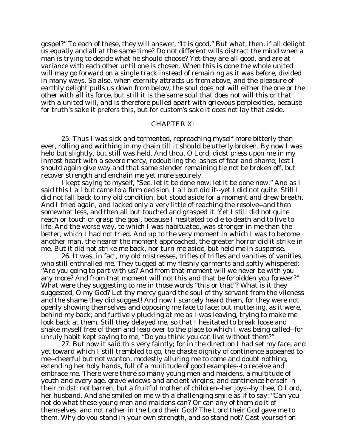gospel?" To each of these, they will answer, "It is good." But what, then, if all delight us equally and all at the same time? Do not different wills distract the mind when a man is trying to decide what he should choose? Yet they are all good, and are at variance with each other until one is chosen. When this is done the whole united will may go forward on a single track instead of remaining as it was before, divided in many ways. So also, when eternity attracts us from above, and the pleasure of earthly delight pulls us down from below, the soul does not will either the one or the other with all its force, but still it is the same soul that does not will this or that with a united will, and is therefore pulled apart with grievous perplexities, because for truth's sake it prefers this, but for custom's sake it does not lay that aside.

## CHAPTER XI

25. Thus I was sick and tormented, reproaching myself more bitterly than ever, rolling and writhing in my chain till it should be utterly broken. By now I was held but slightly, but still was held. And thou, O Lord, didst press upon me in my inmost heart with a severe mercy, redoubling the lashes of fear and shame; lest I should again give way and that same slender remaining tie not be broken off, but recover strength and enchain me yet more securely.

I kept saying to myself, "See, let it be done now; let it be done now." And as I said this I all but came to a firm decision. I all but did it--yet I did not quite. Still I did not fall back to my old condition, but stood aside for a moment and drew breath. And I tried again, and lacked only a very little of reaching the resolve--and then somewhat less, and then all but touched and grasped it. Yet I still did not quite reach or touch or grasp the goal, because I hesitated to die to death and to live to life. And the worse way, to which I was habituated, was stronger in me than the better, which I had not tried. And up to the very moment in which I was to become another man, the nearer the moment approached, the greater horror did it strike in me. But it did not strike me back, nor turn me aside, but held me in suspense.

26. It was, in fact, my old mistresses, trifles of trifles and vanities of vanities, who still enthralled me. They tugged at my fleshly garments and softly whispered: "Are you going to part with us? And from that moment will we never be with you any more? And from that moment will not this and that be forbidden you forever?" What were they suggesting to me in those words "this or that"? What is it they suggested, O my God? Let thy mercy guard the soul of thy servant from the vileness and the shame they did suggest! And now I scarcely heard them, for they were not openly showing themselves and opposing me face to face; but muttering, as it were, behind my back; and furtively plucking at me as I was leaving, trying to make me look back at them. Still they delayed me, so that I hesitated to break loose and shake myself free of them and leap over to the place to which I was being called--for unruly habit kept saying to me, "Do you think you can live without them?"

27. But now it said this very faintly; for in the direction I had set my face, and yet toward which I still trembled to go, the chaste dignity of continence appeared to me--cheerful but not wanton, modestly alluring me to come and doubt nothing, extending her holy hands, full of a multitude of good examples--to receive and embrace me. There were there so many young men and maidens, a multitude of youth and every age, grave widows and ancient virgins; and continence herself in their midst: not barren, but a fruitful mother of children--her joys--by thee, O Lord, her husband. And she smiled on me with a challenging smile as if to say: "Can you not do what these young men and maidens can? Or can any of them do it of themselves, and not rather in the Lord their God? The Lord their God gave me to them. Why do you stand in your own strength, and so stand not? Cast yourself on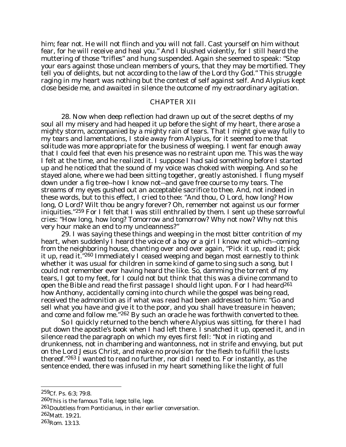him; fear not. He will not flinch and you will not fall. Cast yourself on him without fear, for he will receive and heal you." And I blushed violently, for I still heard the muttering of those "trifles" and hung suspended. Again she seemed to speak: "Stop your ears against those unclean members of yours, that they may be mortified. They tell you of delights, but not according to the law of the Lord thy God." This struggle raging in my heart was nothing but the contest of self against self. And Alypius kept close beside me, and awaited in silence the outcome of my extraordinary agitation.

# CHAPTER XII

28. Now when deep reflection had drawn up out of the secret depths of my soul all my misery and had heaped it up before the sight of my heart, there arose a mighty storm, accompanied by a mighty rain of tears. That I might give way fully to my tears and lamentations, I stole away from Alypius, for it seemed to me that solitude was more appropriate for the business of weeping. I went far enough away that I could feel that even his presence was no restraint upon me. This was the way I felt at the time, and he realized it. I suppose I had said something before I started up and he noticed that the sound of my voice was choked with weeping. And so he stayed alone, where we had been sitting together, greatly astonished. I flung myself down under a fig tree--how I know not--and gave free course to my tears. The streams of my eyes gushed out an acceptable sacrifice to thee. And, not indeed in these words, but to this effect, I cried to thee: "And thou, O Lord, how long? How long, O Lord? Wilt thou be angry forever? Oh, remember not against us our former iniquities."259 For I felt that I was still enthralled by them. I sent up these sorrowful cries: "How long, how long? Tomorrow and tomorrow? Why not now? Why not this very hour make an end to my uncleanness?"

29. I was saying these things and weeping in the most bitter contrition of my heart, when suddenly I heard the voice of a boy or a girl I know not which--coming from the neighboring house, chanting over and over again, "Pick it up, read it; pick it up, read it."260 Immediately I ceased weeping and began most earnestly to think whether it was usual for children in some kind of game to sing such a song, but I could not remember ever having heard the like. So, damming the torrent of my tears, I got to my feet, for I could not but think that this was a divine command to open the Bible and read the first passage I should light upon. For I had heard<sup>261</sup> how Anthony, accidentally coming into church while the gospel was being read, received the admonition as if what was read had been addressed to him: "Go and sell what you have and give it to the poor, and you shall have treasure in heaven; and come and follow me."262 By such an oracle he was forthwith converted to thee.

So I quickly returned to the bench where Alypius was sitting, for there I had put down the apostle's book when I had left there. I snatched it up, opened it, and in silence read the paragraph on which my eyes first fell: "Not in rioting and drunkenness, not in chambering and wantonness, not in strife and envying, but put on the Lord Jesus Christ, and make no provision for the flesh to fulfill the lusts thereof."263 I wanted to read no further, nor did I need to. For instantly, as the sentence ended, there was infused in my heart something like the light of full

261Doubtless from Ponticianus, in their earlier conversation. 262Matt. 19:21.

<sup>259</sup>Cf. Ps. 6:3; 79:8.

<sup>260</sup>This is the famous *Tolle, lege; tolle, lege*.

<sup>263</sup>Rom. 13:13.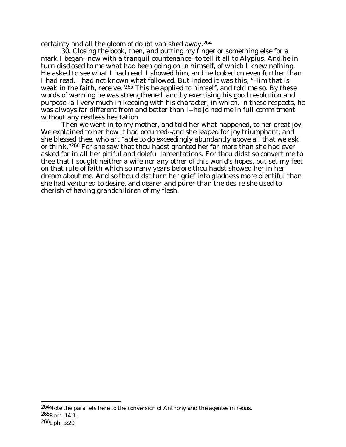certainty and all the gloom of doubt vanished away.264

30. Closing the book, then, and putting my finger or something else for a mark I began--now with a tranquil countenance--to tell it all to Alypius. And he in turn disclosed to me what had been going on in himself, of which I knew nothing. He asked to see what I had read. I showed him, and he looked on even further than I had read. I had not known what followed. But indeed it was this, "Him that is weak in the faith, receive."265 This he applied to himself, and told me so. By these words of warning he was strengthened, and by exercising his good resolution and purpose--all very much in keeping with his character, in which, in these respects, he was always far different from and better than I--he joined me in full commitment without any restless hesitation.

Then we went in to my mother, and told her what happened, to her great joy. We explained to her how it had occurred--and she leaped for joy triumphant; and she blessed thee, who art "able to do exceedingly abundantly above all that we ask or think."266 For she saw that thou hadst granted her far more than she had ever asked for in all her pitiful and doleful lamentations. For thou didst so convert me to thee that I sought neither a wife nor any other of this world's hopes, but set my feet on that rule of faith which so many years before thou hadst showed her in her dream about me. And so thou didst turn her grief into gladness more plentiful than she had ventured to desire, and dearer and purer than the desire she used to cherish of having grandchildren of my flesh.

<sup>264</sup>Note the parallels here to the conversion of Anthony and the *agentes in rebus*.  $265$ Rom. 14:1. 266Eph. 3:20.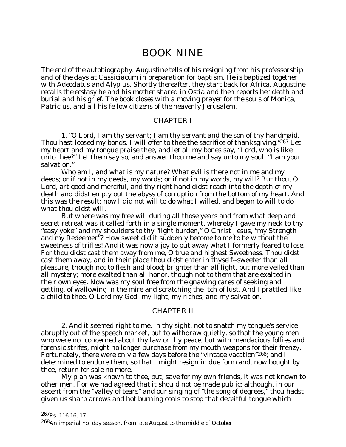# BOOK NINE

*The end of the autobiography. Augustine tells of his resigning from his professorship and of the days at Cassiciacum in preparation for baptism. He is baptized together with Adeodatus and Alypius. Shortly thereafter, they start back for Africa. Augustine recalls the ecstasy he and his mother shared in Ostia and then reports her death and burial and his grief. The book closes with a moving prayer for the souls of Monica, Patricius, and all his fellow citizens of the heavenly Jerusalem.*

## CHAPTER I

1. "O Lord, I am thy servant; I am thy servant and the son of thy handmaid. Thou hast loosed my bonds. I will offer to thee the sacrifice of thanksgiving."267 Let my heart and my tongue praise thee, and let all my bones say, "Lord, who is like unto thee?" Let them say so, and answer thou me and say unto my soul, "I am your salvation."

Who am I, and what is my nature? What evil is there not in me and my deeds; or if not in my deeds, my words; or if not in my words, my will? But thou, O Lord, art good and merciful, and thy right hand didst reach into the depth of my death and didst empty out the abyss of corruption from the bottom of my heart. And this was the result: now I did not will to do what I willed, and began to will to do what thou didst will.

But where was my free will during all those years and from what deep and secret retreat was it called forth in a single moment, whereby I gave my neck to thy "easy yoke" and my shoulders to thy "light burden," O Christ Jesus, "my Strength and my Redeemer"? How sweet did it suddenly become to me to be without the sweetness of trifles! And it was now a joy to put away what I formerly feared to lose. For thou didst cast them away from me, O true and highest Sweetness. Thou didst cast them away, and in their place thou didst enter in thyself--sweeter than all pleasure, though not to flesh and blood; brighter than all light, but more veiled than all mystery; more exalted than all honor, though not to them that are exalted in their own eyes. Now was my soul free from the gnawing cares of seeking and getting, of wallowing in the mire and scratching the itch of lust. And I prattled like a child to thee, O Lord my God--my light, my riches, and my salvation.

# CHAPTER II

2. And it seemed right to me, in thy sight, not to snatch my tongue's service abruptly out of the speech market, but to withdraw quietly, so that the young men who were not concerned about thy law or thy peace, but with mendacious follies and forensic strifes, might no longer purchase from my mouth weapons for their frenzy. Fortunately, there were only a few days before the "vintage vacation"268; and I determined to endure them, so that I might resign in due form and, now bought by thee, return for sale no more.

My plan was known to thee, but, save for my own friends, it was not known to other men. For we had agreed that it should not be made public; although, in our ascent from the "valley of tears" and our singing of "the song of degrees," thou hadst given us sharp arrows and hot burning coals to stop that deceitful tongue which

 $^{267}$ Ps. 116:16, 17.

<sup>268</sup>An imperial holiday season, from late August to the middle of October.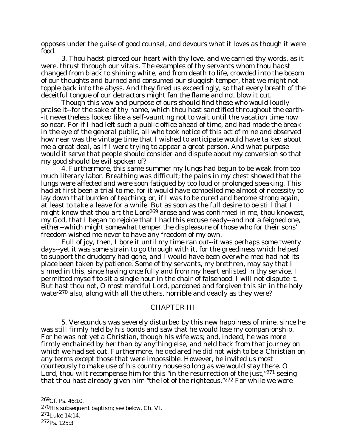opposes under the guise of good counsel, and devours what it loves as though it were food.

3. Thou hadst pierced our heart with thy love, and we carried thy words, as it were, thrust through our vitals. The examples of thy servants whom thou hadst changed from black to shining white, and from death to life, crowded into the bosom of our thoughts and burned and consumed our sluggish temper, that we might not topple back into the abyss. And they fired us exceedingly, so that every breath of the deceitful tongue of our detractors might fan the flame and not blow it out.

Though this vow and purpose of ours should find those who would loudly praise it--for the sake of thy name, which thou hast sanctified throughout the earth- -it nevertheless looked like a self-vaunting not to wait until the vacation time now so near. For if I had left such a public office ahead of time, and had made the break in the eye of the general public, all who took notice of this act of mine and observed how near was the vintage time that I wished to anticipate would have talked about me a great deal, as if I were trying to appear a great person. And what purpose would it serve that people should consider and dispute about my conversion so that my good should be evil spoken of?

4. Furthermore, this same summer my lungs had begun to be weak from too much literary labor. Breathing was difficult; the pains in my chest showed that the lungs were affected and were soon fatigued by too loud or prolonged speaking. This had at first been a trial to me, for it would have compelled me almost of necessity to lay down that burden of teaching; or, if I was to be cured and become strong again, at least to take a leave for a while. But as soon as the full desire to be still that I might know that thou art the Lord<sup>269</sup> arose and was confirmed in me, thou knowest, my God, that I began to rejoice that I had this excuse ready--and not a feigned one, either--which might somewhat temper the displeasure of those who for their sons' freedom wished me never to have any freedom of my own.

Full of joy, then, I bore it until my time ran out--it was perhaps some twenty days--yet it was some strain to go through with it, for the greediness which helped to support the drudgery had gone, and I would have been overwhelmed had not its place been taken by patience. Some of thy servants, my brethren, may say that I sinned in this, since having once fully and from my heart enlisted in thy service, I permitted myself to sit a single hour in the chair of falsehood. I will not dispute it. But hast thou not, O most merciful Lord, pardoned and forgiven this sin in the holy water<sup>270</sup> also, along with all the others, horrible and deadly as they were?

# CHAPTER III

5. Verecundus was severely disturbed by this new happiness of mine, since he was still firmly held by his bonds and saw that he would lose my companionship. For he was not yet a Christian, though his wife was; and, indeed, he was more firmly enchained by her than by anything else, and held back from that journey on which we had set out. Furthermore, he declared he did not wish to be a Christian on any terms except those that were impossible. However, he invited us most courteously to make use of his country house so long as we would stay there. O Lord, thou wilt recompense him for this "in the resurrection of the just,"<sup>271</sup> seeing that thou hast already given him "the lot of the righteous."272 For while we were

269Cf. Ps. 46:10.

<sup>270</sup>His subsequent baptism; see below, Ch. VI.

 $271$ Luke 14:14.

<sup>272</sup>Ps. 125:3.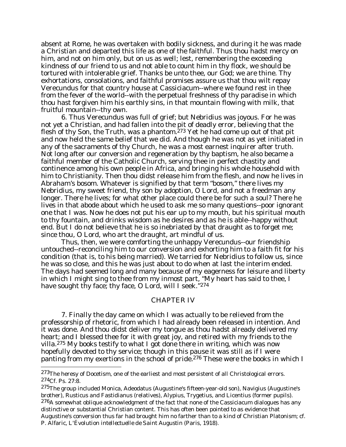absent at Rome, he was overtaken with bodily sickness, and during it he was made a Christian and departed this life as one of the faithful. Thus thou hadst mercy on him, and not on him only, but on us as well; lest, remembering the exceeding kindness of our friend to us and not able to count him in thy flock, we should be tortured with intolerable grief. Thanks be unto thee, our God; we are thine. Thy exhortations, consolations, and faithful promises assure us that thou wilt repay Verecundus for that country house at Cassiciacum--where we found rest in thee from the fever of the world--with the perpetual freshness of thy paradise in which thou hast forgiven him his earthly sins, in that mountain flowing with milk, that fruitful mountain--thy own.

6. Thus Verecundus was full of grief; but Nebridius was joyous. For he was not yet a Christian, and had fallen into the pit of deadly error, believing that the flesh of thy Son, the Truth, was a phantom.<sup>273</sup> Yet he had come up out of that pit and now held the same belief that we did. And though he was not as yet initiated in any of the sacraments of thy Church, he was a most earnest inquirer after truth. Not long after our conversion and regeneration by thy baptism, he also became a faithful member of the Catholic Church, serving thee in perfect chastity and continence among his own people in Africa, and bringing his whole household with him to Christianity. Then thou didst release him from the flesh, and now he lives in Abraham's bosom. Whatever is signified by that term "bosom," there lives my Nebridius, my sweet friend, thy son by adoption, O Lord, and not a freedman any longer. There he lives; for what other place could there be for such a soul? There he lives in that abode about which he used to ask me so many questions--poor ignorant one that I was. Now he does not put his ear up to my mouth, but his spiritual mouth to thy fountain, and drinks wisdom as he desires and as he is able--happy without end. But I do not believe that he is so inebriated by that draught as to forget me; since thou, O Lord, who art the draught, art mindful of us.

Thus, then, we were comforting the unhappy Verecundus--our friendship untouched--reconciling him to our conversion and exhorting him to a faith fit for his condition (that is, to his being married). We tarried for Nebridius to follow us, since he was so close, and this he was just about to do when at last the interim ended. The days had seemed long and many because of my eagerness for leisure and liberty in which I might sing to thee from my inmost part, "My heart has said to thee, I have sought thy face; thy face, O Lord, will I seek."274

#### CHAPTER IV

7. Finally the day came on which I was actually to be relieved from the professorship of rhetoric, from which I had already been released in intention. And it was done. And thou didst deliver my tongue as thou hadst already delivered my heart; and I blessed thee for it with great joy, and retired with my friends to the villa.275 My books testify to what I got done there in writing, which was now hopefully devoted to thy service; though in this pause it was still as if I were panting from my exertions in the school of pride.276 These were the books in which I

<sup>&</sup>lt;sup>273</sup>The heresy of Docetism, one of the earliest and most persistent of all Christological errors. 274Cf. Ps. 27:8.

<sup>275</sup>The group included Monica, Adeodatus (Augustine's fifteen-year-old son), Navigius (Augustine's brother), Rusticus and Fastidianus (relatives), Alypius, Trygetius, and Licentius (former pupils).  $^{276}$ A somewhat oblique acknowledgment of the fact that none of the Cassiciacum dialogues has any distinctive or substantial Christian content. This has often been pointed to as evidence that Augustine's conversion thus far had brought him no farther than to a kind of Christian Platonism; cf. P. Alfaric, *L'Évolution intellectuelle de Saint Augustin* (Paris, 1918).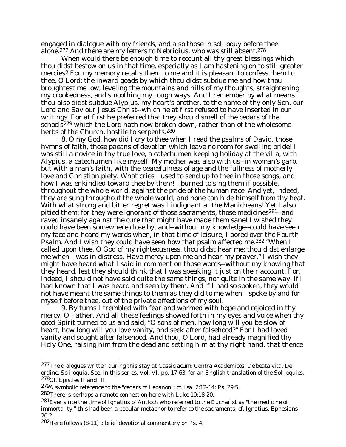engaged in dialogue with my friends, and also those in soliloquy before thee alone.277 And there are my letters to Nebridius, who was still absent.278

When would there be enough time to recount all thy great blessings which thou didst bestow on us in that time, especially as I am hastening on to still greater mercies? For my memory recalls them to me and it is pleasant to confess them to thee, O Lord: the inward goads by which thou didst subdue me and how thou broughtest me low, leveling the mountains and hills of my thoughts, straightening my crookedness, and smoothing my rough ways. And I remember by what means thou also didst subdue Alypius, my heart's brother, to the name of thy only Son, our Lord and Saviour Jesus Christ--which he at first refused to have inserted in our writings. For at first he preferred that they should smell of the cedars of the schools<sup>279</sup> which the Lord hath now broken down, rather than of the wholesome herbs of the Church, hostile to serpents.280

8. O my God, how did I cry to thee when I read the psalms of David, those hymns of faith, those paeans of devotion which leave no room for swelling pride! I was still a novice in thy true love, a catechumen keeping holiday at the villa, with Alypius, a catechumen like myself. My mother was also with us--in woman's garb, but with a man's faith, with the peacefulness of age and the fullness of motherly love and Christian piety. What cries I used to send up to thee in those songs, and how I was enkindled toward thee by them! I burned to sing them if possible, throughout the whole world, against the pride of the human race. And yet, indeed, they are sung throughout the whole world, and none can hide himself from thy heat. With what strong and bitter regret was I indignant at the Manicheans! Yet I also pitied them; for they were ignorant of those sacraments, those medicines<sup>281</sup>--and raved insanely against the cure that might have made them sane! I wished they could have been somewhere close by, and--without my knowledge--could have seen my face and heard my words when, in that time of leisure, I pored over the Fourth Psalm. And I wish they could have seen how that psalm affected me.282 "When I called upon thee, O God of my righteousness, thou didst hear me; thou didst enlarge me when I was in distress. Have mercy upon me and hear my prayer." I wish they might have heard what I said in comment on those words--without my knowing that they heard, lest they should think that I was speaking it just on their account. For, indeed, I should not have said quite the same things, nor quite in the same way, if I had known that I was heard and seen by them. And if I had so spoken, they would not have meant the same things to them as they did to me when I spoke by and for myself before thee, out of the private affections of my soul.

9. By turns I trembled with fear and warmed with hope and rejoiced in thy mercy, O Father. And all these feelings showed forth in my eyes and voice when thy good Spirit turned to us and said, "O sons of men, how long will you be slow of heart, how long will you love vanity, and seek after falsehood?" For I had loved vanity and sought after falsehood. And thou, O Lord, had already magnified thy Holy One, raising him from the dead and setting him at thy right hand, that thence

<sup>277</sup>The dialogues written during this stay at Cassiciacum: *Contra Academicos*, *De beata vita*, *De ordine*, *Soliloquia*. See, in this series, Vol. VI, pp. 17-63, for an English translation of the *Soliloquies*. 278Cf. *Epistles* II and III.

<sup>279</sup>A symbolic reference to the "cedars of Lebanon"; cf. Isa. 2:12-14; Ps. 29:5.

<sup>280</sup>There is perhaps a remote connection here with Luke 10:18-20.

 $281$ Ever since the time of Ignatius of Antioch who referred to the Eucharist as "the medicine of immortality," this had been a popular metaphor to refer to the sacraments; cf. Ignatius, *Ephesians* 20:2.

<sup>282</sup>Here follows (8-11) a brief devotional commentary on Ps. 4.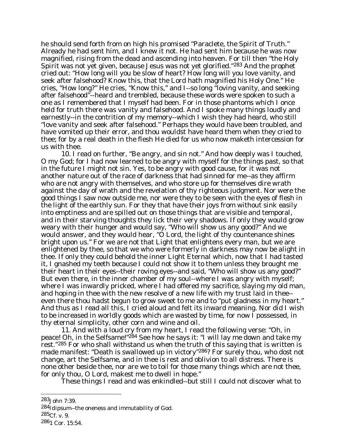he should send forth from on high his promised "Paraclete, the Spirit of Truth." Already he had sent him, and I knew it not. He had sent him because he was now magnified, rising from the dead and ascending into heaven. For till then "the Holy Spirit was not yet given, because Jesus was not yet glorified."283 And the prophet cried out: "How long will you be slow of heart? How long will you love vanity, and seek after falsehood? Know this, that the Lord hath magnified his Holy One." He cries, "How long?" He cries, "Know this," and I--so long "loving vanity, and seeking after falsehood"--heard and trembled, because these words were spoken to such a one as I remembered that I myself had been. For in those phantoms which I once held for truth there was vanity and falsehood. And I spoke many things loudly and earnestly--in the contrition of my memory--which I wish they had heard, who still "love vanity and seek after falsehood." Perhaps they would have been troubled, and have vomited up their error, and thou wouldst have heard them when they cried to thee; for by a real death in the flesh He died for us who now maketh intercession for us with thee.

10. I read on further, "Be angry, and sin not." And how deeply was I touched, O my God; for I had now learned to be angry with myself for the things past, so that in the future I might not sin. Yes, to be angry with good cause, for it was not another nature out of the race of darkness that had sinned for me--as they affirm who are not angry with themselves, and who store up for themselves dire wrath against the day of wrath and the revelation of thy righteous judgment. Nor were the good things I saw now outside me, nor were they to be seen with the eyes of flesh in the light of the earthly sun. For they that have their joys from without sink easily into emptiness and are spilled out on those things that are visible and temporal, and in their starving thoughts they lick their very shadows. If only they would grow weary with their hunger and would say, "Who will show us any good?" And we would answer, and they would hear, "O Lord, the light of thy countenance shines bright upon us." For we are not that Light that enlightens every man, but we are enlightened by thee, so that we who were formerly in darkness may now be alight in thee. If only they could behold the inner Light Eternal which, now that I had tasted it, I gnashed my teeth because I could not show it to them unless they brought me their heart in their eyes--their roving eyes--and said, "Who will show us any good?" But even there, in the inner chamber of my soul--where I was angry with myself; where I was inwardly pricked, where I had offered my sacrifice, slaying my old man, and hoping in thee with the new resolve of a new life with my trust laid in thee- even there thou hadst begun to grow sweet to me and to "put gladness in my heart." And thus as I read all this, I cried aloud and felt its inward meaning. Nor did I wish to be increased in worldly goods which are wasted by time, for now I possessed, in thy eternal simplicity, other corn and wine and oil.

11. And with a loud cry from my heart, I read the following verse: "Oh, in peace! Oh, in the Selfsame!"284 See how he says it: "I will lay me down and take my rest."285 For who shall withstand us when the truth of this saying that is written is made manifest: "Death is swallowed up in victory"286? For surely thou, who dost not change, art the Selfsame, and in thee is rest and oblivion to all distress. There is none other beside thee, nor are we to toil for those many things which are not thee, for only thou, O Lord, makest me to dwell in hope."

These things I read and was enkindled--but still I could not discover what to

<sup>283</sup>John 7:39.

<sup>284</sup>*Idipsum*--the oneness and immutability of God.

 $285Cf. v. 9.$ 

<sup>286</sup>1 Cor. 15:54.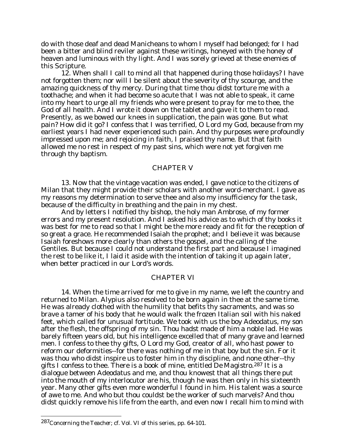do with those deaf and dead Manicheans to whom I myself had belonged; for I had been a bitter and blind reviler against these writings, honeyed with the honey of heaven and luminous with thy light. And I was sorely grieved at these enemies of this Scripture.

12. When shall I call to mind all that happened during those holidays? I have not forgotten them; nor will I be silent about the severity of thy scourge, and the amazing quickness of thy mercy. During that time thou didst torture me with a toothache; and when it had become so acute that I was not able to speak, it came into my heart to urge all my friends who were present to pray for me to thee, the God of all health. And I wrote it down on the tablet and gave it to them to read. Presently, as we bowed our knees in supplication, the pain was gone. But what pain? How did it go? I confess that I was terrified, O Lord my God, because from my earliest years I had never experienced such pain. And thy purposes were profoundly impressed upon me; and rejoicing in faith, I praised thy name. But that faith allowed me no rest in respect of my past sins, which were not yet forgiven me through thy baptism.

# CHAPTER V

13. Now that the vintage vacation was ended, I gave notice to the citizens of Milan that they might provide their scholars with another word-merchant. I gave as my reasons my determination to serve thee and also my insufficiency for the task, because of the difficulty in breathing and the pain in my chest.

And by letters I notified thy bishop, the holy man Ambrose, of my former errors and my present resolution. And I asked his advice as to which of thy books it was best for me to read so that I might be the more ready and fit for the reception of so great a grace. He recommended Isaiah the prophet; and I believe it was because Isaiah foreshows more clearly than others the gospel, and the calling of the Gentiles. But because I could not understand the first part and because I imagined the rest to be like it, I laid it aside with the intention of taking it up again later, when better practiced in our Lord's words.

#### CHAPTER VI

14. When the time arrived for me to give in my name, we left the country and returned to Milan. Alypius also resolved to be born again in thee at the same time. He was already clothed with the humility that befits thy sacraments, and was so brave a tamer of his body that he would walk the frozen Italian soil with his naked feet, which called for unusual fortitude. We took with us the boy Adeodatus, my son after the flesh, the offspring of my sin. Thou hadst made of him a noble lad. He was barely fifteen years old, but his intelligence excelled that of many grave and learned men. I confess to thee thy gifts, O Lord my God, creator of all, who hast power to reform our deformities--for there was nothing of me in that boy but the sin. For it was thou who didst inspire us to foster him in thy discipline, and none other--thy gifts I confess to thee. There is a book of mine, entitled *De Magistro*. 287 It is a dialogue between Adeodatus and me, and thou knowest that all things there put into the mouth of my interlocutor are his, though he was then only in his sixteenth year. Many other gifts even more wonderful I found in him. His talent was a source of awe to me. And who but thou couldst be the worker of such marvels? And thou didst quickly remove his life from the earth, and even now I recall him to mind with

<sup>287</sup>*Concerning the Teacher*; cf. Vol. VI of this series, pp. 64-101.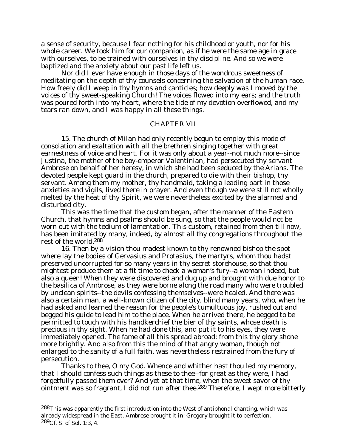a sense of security, because I fear nothing for his childhood or youth, nor for his whole career. We took him for our companion, as if he were the same age in grace with ourselves, to be trained with ourselves in thy discipline. And so we were baptized and the anxiety about our past life left us.

Nor did I ever have enough in those days of the wondrous sweetness of meditating on the depth of thy counsels concerning the salvation of the human race. How freely did I weep in thy hymns and canticles; how deeply was I moved by the voices of thy sweet-speaking Church! The voices flowed into my ears; and the truth was poured forth into my heart, where the tide of my devotion overflowed, and my tears ran down, and I was happy in all these things.

# CHAPTER VII

15. The church of Milan had only recently begun to employ this mode of consolation and exaltation with all the brethren singing together with great earnestness of voice and heart. For it was only about a year--not much more--since Justina, the mother of the boy-emperor Valentinian, had persecuted thy servant Ambrose on behalf of her heresy, in which she had been seduced by the Arians. The devoted people kept guard in the church, prepared to die with their bishop, thy servant. Among them my mother, thy handmaid, taking a leading part in those anxieties and vigils, lived there in prayer. And even though we were still not wholly melted by the heat of thy Spirit, we were nevertheless excited by the alarmed and disturbed city.

This was the time that the custom began, after the manner of the Eastern Church, that hymns and psalms should be sung, so that the people would not be worn out with the tedium of lamentation. This custom, retained from then till now, has been imitated by many, indeed, by almost all thy congregations throughout the rest of the world.288

16. Then by a vision thou madest known to thy renowned bishop the spot where lay the bodies of Gervasius and Protasius, the martyrs, whom thou hadst preserved uncorrupted for so many years in thy secret storehouse, so that thou mightest produce them at a fit time to check a woman's fury--a woman indeed, but also a queen! When they were discovered and dug up and brought with due honor to the basilica of Ambrose, as they were borne along the road many who were troubled by unclean spirits--the devils confessing themselves--were healed. And there was also a certain man, a well-known citizen of the city, blind many years, who, when he had asked and learned the reason for the people's tumultuous joy, rushed out and begged his guide to lead him to the place. When he arrived there, he begged to be permitted to touch with his handkerchief the bier of thy saints, whose death is precious in thy sight. When he had done this, and put it to his eyes, they were immediately opened. The fame of all this spread abroad; from this thy glory shone more brightly. And also from this the mind of that angry woman, though not enlarged to the sanity of a full faith, was nevertheless restrained from the fury of persecution.

Thanks to thee, O my God. Whence and whither hast thou led my memory, that I should confess such things as these to thee--for great as they were, I had forgetfully passed them over? And yet at that time, when the sweet savor of thy ointment was so fragrant, I did not run after thee.<sup>289</sup> Therefore, I wept more bitterly

<sup>&</sup>lt;sup>288</sup>This was apparently the first introduction into the West of antiphonal chanting, which was already widespread in the East. Ambrose brought it in; Gregory brought it to perfection. 289Cf. S. of Sol. 1:3, 4.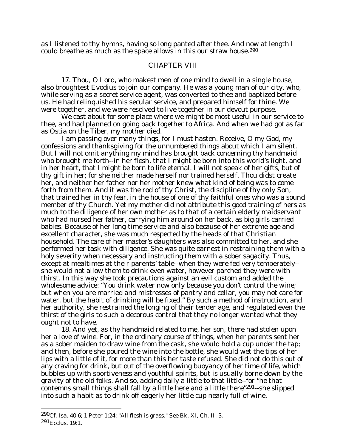as I listened to thy hymns, having so long panted after thee. And now at length I could breathe as much as the space allows in this our straw house.290

# CHAPTER VIII

17. Thou, O Lord, who makest men of one mind to dwell in a single house, also broughtest Evodius to join our company. He was a young man of our city, who, while serving as a secret service agent, was converted to thee and baptized before us. He had relinquished his secular service, and prepared himself for thine. We were together, and we were resolved to live together in our devout purpose.

We cast about for some place where we might be most useful in our service to thee, and had planned on going back together to Africa. And when we had got as far as Ostia on the Tiber, my mother died.

I am passing over many things, for I must hasten. Receive, O my God, my confessions and thanksgiving for the unnumbered things about which I am silent. But I will not omit anything my mind has brought back concerning thy handmaid who brought me forth--in her flesh, that I might be born into this world's light, and in her heart, that I might be born to life eternal. I will not speak of her gifts, but of thy gift in her; for she neither made herself nor trained herself. Thou didst create her, and neither her father nor her mother knew what kind of being was to come forth from them. And it was the rod of thy Christ, the discipline of thy only Son, that trained her in thy fear, in the house of one of thy faithful ones who was a sound member of thy Church. Yet my mother did not attribute this good training of hers as much to the diligence of her own mother as to that of a certain elderly maidservant who had nursed her father, carrying him around on her back, as big girls carried babies. Because of her long-time service and also because of her extreme age and excellent character, she was much respected by the heads of that Christian household. The care of her master's daughters was also committed to her, and she performed her task with diligence. She was quite earnest in restraining them with a holy severity when necessary and instructing them with a sober sagacity. Thus, except at mealtimes at their parents' table--when they were fed very temperately- she would not allow them to drink even water, however parched they were with thirst. In this way she took precautions against an evil custom and added the wholesome advice: "You drink water now only because you don't control the wine; but when you are married and mistresses of pantry and cellar, you may not care for water, but the habit of drinking will be fixed." By such a method of instruction, and her authority, she restrained the longing of their tender age, and regulated even the thirst of the girls to such a decorous control that they no longer wanted what they ought not to have.

18. And yet, as thy handmaid related to me, her son, there had stolen upon her a love of wine. For, in the ordinary course of things, when her parents sent her as a sober maiden to draw wine from the cask, she would hold a cup under the tap; and then, before she poured the wine into the bottle, she would wet the tips of her lips with a little of it, for more than this her taste refused. She did not do this out of any craving for drink, but out of the overflowing buoyancy of her time of life, which bubbles up with sportiveness and youthful spirits, but is usually borne down by the gravity of the old folks. And so, adding daily a little to that little--for "he that contemns small things shall fall by a little here and a little there"291--she slipped into such a habit as to drink off eagerly her little cup nearly full of wine.

<sup>&</sup>lt;sup>290</sup>Cf. Isa. 40:6; 1 Peter 1:24: "All flesh is grass." See Bk. XI, Ch. II, 3. 291Ecclus. 19:1.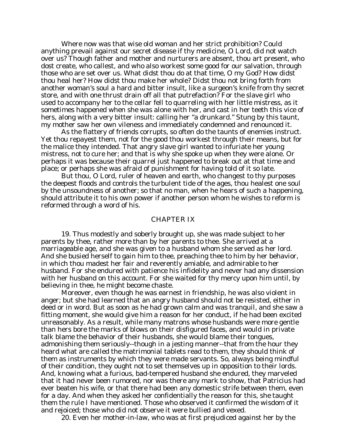Where now was that wise old woman and her strict prohibition? Could anything prevail against our secret disease if thy medicine, O Lord, did not watch over us? Though father and mother and nurturers are absent, thou art present, who dost create, who callest, and who also workest some good for our salvation, through those who are set over us. What didst thou do at that time, O my God? How didst thou heal her? How didst thou make her whole? Didst thou not bring forth from another woman's soul a hard and bitter insult, like a surgeon's knife from thy secret store, and with one thrust drain off all that putrefaction? For the slave girl who used to accompany her to the cellar fell to quarreling with her little mistress, as it sometimes happened when she was alone with her, and cast in her teeth this vice of hers, along with a very bitter insult: calling her "a drunkard." Stung by this taunt, my mother saw her own vileness and immediately condemned and renounced it.

As the flattery of friends corrupts, so often do the taunts of enemies instruct. Yet thou repayest them, not for the good thou workest through their means, but for the malice they intended. That angry slave girl wanted to infuriate her young mistress, not to cure her; and that is why she spoke up when they were alone. Or perhaps it was because their quarrel just happened to break out at that time and place; or perhaps she was afraid of punishment for having told of it so late.

But thou, O Lord, ruler of heaven and earth, who changest to thy purposes the deepest floods and controls the turbulent tide of the ages, thou healest one soul by the unsoundness of another; so that no man, when he hears of such a happening, should attribute it to his own power if another person whom he wishes to reform is reformed through a word of his.

#### CHAPTER IX

19. Thus modestly and soberly brought up, she was made subject to her parents by thee, rather more than by her parents to thee. She arrived at a marriageable age, and she was given to a husband whom she served as her lord. And she busied herself to gain him to thee, preaching thee to him by her behavior, in which thou madest her fair and reverently amiable, and admirable to her husband. For she endured with patience his infidelity and never had any dissension with her husband on this account. For she waited for thy mercy upon him until, by believing in thee, he might become chaste.

Moreover, even though he was earnest in friendship, he was also violent in anger; but she had learned that an angry husband should not be resisted, either in deed or in word. But as soon as he had grown calm and was tranquil, and she saw a fitting moment, she would give him a reason for her conduct, if he had been excited unreasonably. As a result, while many matrons whose husbands were more gentle than hers bore the marks of blows on their disfigured faces, and would in private talk blame the behavior of their husbands, she would blame their tongues, admonishing them seriously--though in a jesting manner--that from the hour they heard what are called the matrimonial tablets read to them, they should think of them as instruments by which they were made servants. So, always being mindful of their condition, they ought not to set themselves up in opposition to their lords. And, knowing what a furious, bad-tempered husband she endured, they marveled that it had never been rumored, nor was there any mark to show, that Patricius had ever beaten his wife, or that there had been any domestic strife between them, even for a day. And when they asked her confidentially the reason for this, she taught them the rule I have mentioned. Those who observed it confirmed the wisdom of it and rejoiced; those who did not observe it were bullied and vexed.

20. Even her mother-in-law, who was at first prejudiced against her by the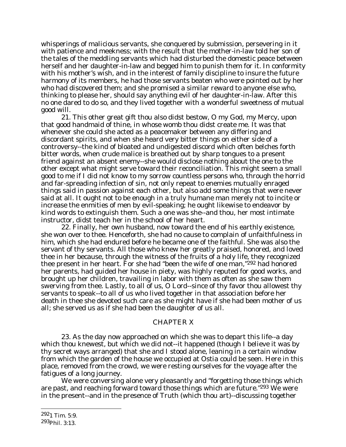whisperings of malicious servants, she conquered by submission, persevering in it with patience and meekness; with the result that the mother-in-law told her son of the tales of the meddling servants which had disturbed the domestic peace between herself and her daughter-in-law and begged him to punish them for it. In conformity with his mother's wish, and in the interest of family discipline to insure the future harmony of its members, he had those servants beaten who were pointed out by her who had discovered them; and she promised a similar reward to anyone else who, thinking to please her, should say anything evil of her daughter-in-law. After this no one dared to do so, and they lived together with a wonderful sweetness of mutual good will.

21. This other great gift thou also didst bestow, O my God, my Mercy, upon that good handmaid of thine, in whose womb thou didst create me. It was that whenever she could she acted as a peacemaker between any differing and discordant spirits, and when she heard very bitter things on either side of a controversy--the kind of bloated and undigested discord which often belches forth bitter words, when crude malice is breathed out by sharp tongues to a present friend against an absent enemy--she would disclose nothing about the one to the other except what might serve toward their reconciliation. This might seem a small good to me if I did not know to my sorrow countless persons who, through the horrid and far-spreading infection of sin, not only repeat to enemies mutually enraged things said in passion against each other, but also add some things that were never said at all. It ought not to be enough in a truly humane man merely not to incite or increase the enmities of men by evil-speaking; he ought likewise to endeavor by kind words to extinguish them. Such a one was she--and thou, her most intimate instructor, didst teach her in the school of her heart.

22. Finally, her own husband, now toward the end of his earthly existence, she won over to thee. Henceforth, she had no cause to complain of unfaithfulness in him, which she had endured before he became one of the faithful. She was also the servant of thy servants. All those who knew her greatly praised, honored, and loved thee in her because, through the witness of the fruits of a holy life, they recognized thee present in her heart. For she had "been the wife of one man,"292 had honored her parents, had guided her house in piety, was highly reputed for good works, and brought up her children, travailing in labor with them as often as she saw them swerving from thee. Lastly, to all of us, O Lord--since of thy favor thou allowest thy servants to speak--to all of us who lived together in that association before her death in thee she devoted such care as she might have if she had been mother of us all; she served us as if she had been the daughter of us all.

# CHAPTER X

23. As the day now approached on which she was to depart this life--a day which thou knewest, but which we did not--it happened (though I believe it was by thy secret ways arranged) that she and I stood alone, leaning in a certain window from which the garden of the house we occupied at Ostia could be seen. Here in this place, removed from the crowd, we were resting ourselves for the voyage after the fatigues of a long journey.

We were conversing alone very pleasantly and "forgetting those things which are past, and reaching forward toward those things which are future."293 We were in the present--and in the presence of Truth (which thou art)--discussing together

 $2921$  Tim. 5:9.

<sup>293</sup>Phil. 3:13.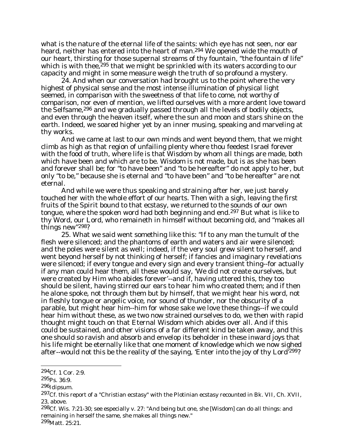what is the nature of the eternal life of the saints: which eye has not seen, nor ear heard, neither has entered into the heart of man.294 We opened wide the mouth of our heart, thirsting for those supernal streams of thy fountain, "the fountain of life" which is with thee, $295$  that we might be sprinkled with its waters according to our capacity and might in some measure weigh the truth of so profound a mystery.

24. And when our conversation had brought us to the point where the very highest of physical sense and the most intense illumination of physical light seemed, in comparison with the sweetness of that life to come, not worthy of comparison, nor even of mention, we lifted ourselves with a more ardent love toward the Selfsame,296 and we gradually passed through all the levels of bodily objects, and even through the heaven itself, where the sun and moon and stars shine on the earth. Indeed, we soared higher yet by an inner musing, speaking and marveling at thy works.

And we came at last to our own minds and went beyond them, that we might climb as high as that region of unfailing plenty where thou feedest Israel forever with the food of truth, where life is that Wisdom by whom all things are made, both which have been and which are to be. Wisdom is not made, but is as she has been and forever shall be; for "to have been" and "to be hereafter" do not apply to her, but only "to be," because she is eternal and "to have been" and "to be hereafter" are not eternal.

And while we were thus speaking and straining after her, we just barely touched her with the whole effort of our hearts. Then with a sigh, leaving the first fruits of the Spirit bound to that ecstasy, we returned to the sounds of our own tongue, where the spoken word had both beginning and end.297 But what is like to thy Word, our Lord, who remaineth in himself without becoming old, and "makes all things new"298?

25. What we said went something like this: "If to any man the tumult of the flesh were silenced; and the phantoms of earth and waters and air were silenced; and the poles were silent as well; indeed, if the very soul grew silent to herself, and went beyond herself by not thinking of herself; if fancies and imaginary revelations were silenced; if every tongue and every sign and every transient thing--for actually if any man could hear them, all these would say, 'We did not create ourselves, but were created by Him who abides forever'--and if, having uttered this, they too should be silent, having stirred our ears to hear him who created them; and if then he alone spoke, not through them but by himself, that we might hear his word, not in fleshly tongue or angelic voice, nor sound of thunder, nor the obscurity of a parable, but might hear him--him for whose sake we love these things--if we could hear him without these, as we two now strained ourselves to do, we then with rapid thought might touch on that Eternal Wisdom which abides over all. And if this could be sustained, and other visions of a far different kind be taken away, and this one should so ravish and absorb and envelop its beholder in these inward joys that his life might be eternally like that one moment of knowledge which we now sighed after--would not *this* be the reality of the saying, 'Enter into the joy of thy Lord'299?

<sup>294</sup>Cf. 1 Cor. 2:9.

 $295P_S$ . 36:9.

<sup>296</sup>*Idipsum*.

 $297C$ f. this report of a "Christian ecstasy" with the Plotinian ecstasy recounted in Bk. VII, Ch. XVII, 23, above.

<sup>&</sup>lt;sup>298</sup>Cf. Wis. 7:21-30; see especially v. 27: "And being but one, she [Wisdom] can do all things: and remaining in herself the same, she makes all things new." 299Matt. 25:21.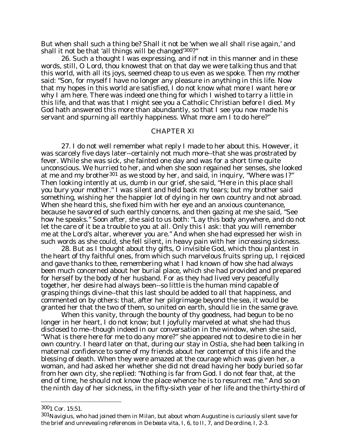But when shall such a thing be? Shall it not be 'when we all shall rise again,' and shall it not be that 'all things will be changed'300?"

26. Such a thought I was expressing, and if not in this manner and in these words, still, O Lord, thou knowest that on that day we were talking thus and that this world, with all its joys, seemed cheap to us even as we spoke. Then my mother said: "Son, for myself I have no longer any pleasure in anything in this life. Now that my hopes in this world are satisfied, I do not know what more I want here or why I am here. There was indeed one thing for which I wished to tarry a little in this life, and that was that I might see you a Catholic Christian before I died. My God hath answered this more than abundantly, so that I see you now made his servant and spurning all earthly happiness. What more am I to do here?"

#### CHAPTER XI

27. I do not well remember what reply I made to her about this. However, it was scarcely five days later--certainly not much more--that she was prostrated by fever. While she was sick, she fainted one day and was for a short time quite unconscious. We hurried to her, and when she soon regained her senses, she looked at me and my brother<sup>301</sup> as we stood by her, and said, in inquiry, "Where was I?" Then looking intently at us, dumb in our grief, she said, "Here in this place shall you bury your mother." I was silent and held back my tears; but my brother said something, wishing her the happier lot of dying in her own country and not abroad. When she heard this, she fixed him with her eye and an anxious countenance, because he savored of such earthly concerns, and then gazing at me she said, "See how he speaks." Soon after, she said to us both: "Lay this body anywhere, and do not let the care of it be a trouble to you at all. Only this I ask: that you will remember me at the Lord's altar, wherever you are." And when she had expressed her wish in such words as she could, she fell silent, in heavy pain with her increasing sickness.

28. But as I thought about thy gifts, O invisible God, which thou plantest in the heart of thy faithful ones, from which such marvelous fruits spring up, I rejoiced and gave thanks to thee, remembering what I had known of how she had always been much concerned about her burial place, which she had provided and prepared for herself by the body of her husband. For as they had lived very peacefully together, her desire had always been--so little is the human mind capable of grasping things divine--that this last should be added to all that happiness, and commented on by others: that, after her pilgrimage beyond the sea, it would be granted her that the two of them, so united on earth, should lie in the same grave.

When this vanity, through the bounty of thy goodness, had begun to be no longer in her heart, I do not know; but I joyfully marveled at what she had thus disclosed to me--though indeed in our conversation in the window, when she said, "What is there here for me to do any more?" she appeared not to desire to die in her own country. I heard later on that, during our stay in Ostia, she had been talking in maternal confidence to some of my friends about her contempt of this life and the blessing of death. When they were amazed at the courage which was given her, a woman, and had asked her whether she did not dread having her body buried so far from her own city, she replied: "Nothing is far from God. I do not fear that, at the end of time, he should not know the place whence he is to resurrect me." And so on the ninth day of her sickness, in the fifty-sixth year of her life and the thirty-third of

<sup>300</sup>1 Cor. 15:51.

 $301$ Navigius, who had joined them in Milan, but about whom Augustine is curiously silent save for the brief and unrevealing references in *De beata vita*, I, 6, to II, 7, and *De ordine*, I, 2-3.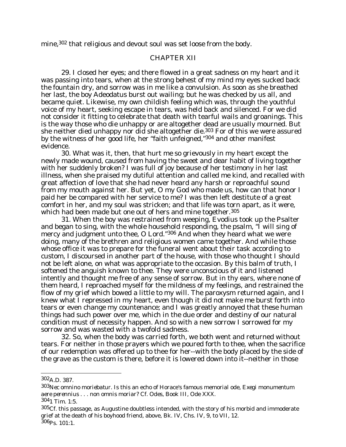mine,<sup>302</sup> that religious and devout soul was set loose from the body.

## CHAPTER XII

29. I closed her eyes; and there flowed in a great sadness on my heart and it was passing into tears, when at the strong behest of my mind my eyes sucked back the fountain dry, and sorrow was in me like a convulsion. As soon as she breathed her last, the boy Adeodatus burst out wailing; but he was checked by us all, and became quiet. Likewise, my own childish feeling which was, through the youthful voice of my heart, seeking escape in tears, was held back and silenced. For we did not consider it fitting to celebrate that death with tearful wails and groanings. This is the way those who die unhappy or are altogether dead are usually mourned. But she neither died unhappy nor  $\overrightarrow{di}$  she altogether die.<sup>303</sup> For of this we were assured by the witness of her good life, her "faith unfeigned,"304 and other manifest evidence.

30. What was it, then, that hurt me so grievously in my heart except the newly made wound, caused from having the sweet and dear habit of living together with her suddenly broken? I was full of joy because of her testimony in her last illness, when she praised my dutiful attention and called me kind, and recalled with great affection of love that she had never heard any harsh or reproachful sound from my mouth against her. But yet, O my God who made us, how can that honor I paid her be compared with her service to me? I was then left destitute of a great comfort in her, and my soul was stricken; and that life was torn apart, as it were, which had been made but one out of hers and mine together.<sup>305</sup>

31. When the boy was restrained from weeping, Evodius took up the Psalter and began to sing, with the whole household responding, the psalm, "I will sing of mercy and judgment unto thee, O Lord."306 And when they heard what we were doing, many of the brethren and religious women came together. And while those whose office it was to prepare for the funeral went about their task according to custom, I discoursed in another part of the house, with those who thought I should not be left alone, on what was appropriate to the occasion. By this balm of truth, I softened the anguish known to thee. They were unconscious of it and listened intently and thought me free of any sense of sorrow. But in thy ears, where none of them heard, I reproached myself for the mildness of my feelings, and restrained the flow of my grief which bowed a little to my will. The paroxysm returned again, and I knew what I repressed in my heart, even though it did not make me burst forth into tears or even change my countenance; and I was greatly annoyed that these human things had such power over me, which in the due order and destiny of our natural condition must of necessity happen. And so with a new sorrow I sorrowed for my sorrow and was wasted with a twofold sadness.

32. So, when the body was carried forth, we both went and returned without tears. For neither in those prayers which we poured forth to thee, when the sacrifice of our redemption was offered up to thee for her--with the body placed by the side of the grave as the custom is there, before it is lowered down into it--neither in those

<sup>302</sup>A.D. 387.

<sup>303</sup>*Nec omnino moriebatur*. Is this an echo of Horace's famous memorial ode, *Exegi monumentum aere perennius . . . non omnis moriar*? Cf. *Odes*, Book III, Ode XXX.

<sup>304</sup>1 Tim. 1:5.

 $305C$ f. this passage, as Augustine doubtless intended, with the story of his morbid and immoderate grief at the death of his boyhood friend, above, Bk. IV, Chs. IV, 9, to VII, 12.  $306$ Ps. 101:1.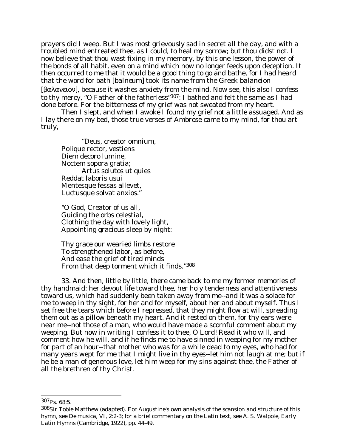prayers did I weep. But I was most grievously sad in secret all the day, and with a troubled mind entreated thee, as I could, to heal my sorrow; but thou didst not. I now believe that thou wast fixing in my memory, by this one lesson, the power of the bonds of all habit, even on a mind which now no longer feeds upon deception. It then occurred to me that it would be a good thing to go and bathe, for I had heard that the word for bath [*balneum*] took its name from the Greek *balaneion*

], because it washes anxiety from the mind. Now see, this also I confess to thy mercy, "O Father of the fatherless"307: I bathed and felt the same as I had done before. For the bitterness of my grief was not sweated from my heart.

Then I slept, and when I awoke I found my grief not a little assuaged. And as I lay there on my bed, those true verses of Ambrose came to my mind, for thou art truly,

"Deus, creator omnium, Polique rector, vestiens Diem decoro lumine, Noctem sopora gratia; Artus solutos ut quies Reddat laboris usui Mentesque fessas allevet, Luctusque solvat anxios."

"O God, Creator of us all, Guiding the orbs celestial, Clothing the day with lovely light, Appointing gracious sleep by night:

Thy grace our wearied limbs restore To strengthened labor, as before, And ease the grief of tired minds From that deep torment which it finds."308

33. And then, little by little, there came back to me my former memories of thy handmaid: her devout life toward thee, her holy tenderness and attentiveness toward us, which had suddenly been taken away from me--and it was a solace for me to weep in thy sight, for her and for myself, about her and about myself. Thus I set free the tears which before I repressed, that they might flow at will, spreading them out as a pillow beneath my heart. And it rested on them, for thy ears were near me--not those of a man, who would have made a scornful comment about my weeping. But now in writing I confess it to thee, O Lord! Read it who will, and comment how he will, and if he finds me to have sinned in weeping for my mother for part of an hour--that mother who was for a while dead to my eyes, who had for many years wept for me that I might live in thy eyes--let him not laugh at me; but if he be a man of generous love, let him weep for my sins against thee, the Father of all the brethren of thy Christ.

<sup>307</sup>Ps. 68:5.

<sup>308</sup>Sir Tobie Matthew (adapted). For Augustine's own analysis of the scansion and structure of this hymn, see *De musica*, VI, 2:2-3; for a brief commentary on the Latin text, see A. S. Walpole, *Early Latin Hymns* (Cambridge, 1922), pp. 44-49.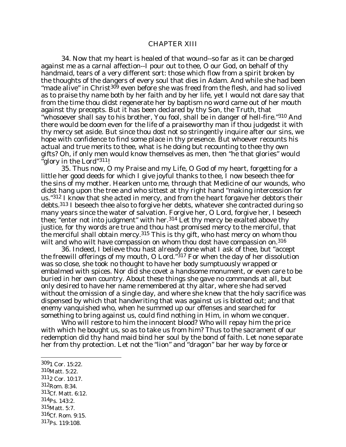#### CHAPTER XIII

34. Now that my heart is healed of that wound--so far as it can be charged against me as a carnal affection--I pour out to thee, O our God, on behalf of thy handmaid, tears of a very different sort: those which flow from a spirit broken by the thoughts of the dangers of every soul that dies in Adam. And while she had been "made alive" in Christ309 even before she was freed from the flesh, and had so lived as to praise thy name both by her faith and by her life, yet I would not dare say that from the time thou didst regenerate her by baptism no word came out of her mouth against thy precepts. But it has been declared by thy Son, the Truth, that "whosoever shall say to his brother, You fool, shall be in danger of hell-fire."310 And there would be doom even for the life of a praiseworthy man if thou judgedst it with thy mercy set aside. But since thou dost not so stringently inquire after our sins, we hope with confidence to find some place in thy presence. But whoever recounts his actual and true merits to thee, what is he doing but recounting to thee thy own gifts? Oh, if only men would know themselves as men, then "he that glories" would "glory in the Lord"311!

35. Thus now, O my Praise and my Life, O God of my heart, forgetting for a little her good deeds for which I give joyful thanks to thee, I now beseech thee for the sins of my mother. Hearken unto me, through that Medicine of our wounds, who didst hang upon the tree and who sittest at thy right hand "making intercession for us."312 I know that she acted in mercy, and from the heart forgave her debtors their debts.313 I beseech thee also to forgive her debts, whatever she contracted during so many years since the water of salvation. Forgive her, O Lord, forgive her, I beseech thee; "enter not into judgment" with her.<sup>314</sup> Let thy mercy be exalted above thy justice, for thy words are true and thou hast promised mercy to the merciful, that the merciful shall obtain mercy.315 This is thy gift, who hast mercy on whom thou wilt and who wilt have compassion on whom thou dost have compassion on.<sup>316</sup>

36. Indeed, I believe thou hast already done what I ask of thee, but "accept the freewill offerings of my mouth, O Lord."317 For when the day of her dissolution was so close, she took no thought to have her body sumptuously wrapped or embalmed with spices. Nor did she covet a handsome monument, or even care to be buried in her own country. About these things she gave no commands at all, but only desired to have her name remembered at thy altar, where she had served without the omission of a single day, and where she knew that the holy sacrifice was dispensed by which that handwriting that was against us is blotted out; and that enemy vanquished who, when he summed up our offenses and searched for something to bring against us, could find nothing in Him, in whom we conquer.

Who will restore to him the innocent blood? Who will repay him the price with which he bought us, so as to take us from him? Thus to the sacrament of our redemption did thy hand maid bind her soul by the bond of faith. Let none separate her from thy protection. Let not the "lion" and "dragon" bar her way by force or

1 Cor. 15:22. Matt. 5:22. 2 Cor. 10:17. Rom. 8:34. Cf. Matt. 6:12. Ps. 143:2. Matt. 5:7. Cf. Rom. 9:15. Ps. 119:108.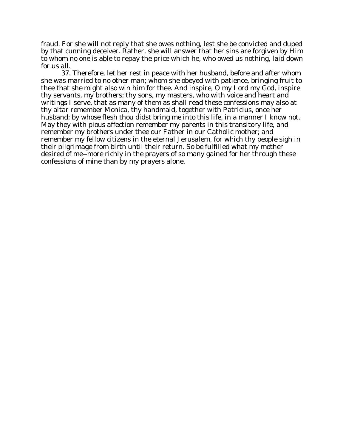fraud. For she will not reply that she owes nothing, lest she be convicted and duped by that cunning deceiver. Rather, she will answer that her sins are forgiven by Him to whom no one is able to repay the price which he, who owed us nothing, laid down for us all.

37. Therefore, let her rest in peace with her husband, before and after whom she was married to no other man; whom she obeyed with patience, bringing fruit to thee that she might also win him for thee. And inspire, O my Lord my God, inspire thy servants, my brothers; thy sons, my masters, who with voice and heart and writings I serve, that as many of them as shall read these confessions may also at thy altar remember Monica, thy handmaid, together with Patricius, once her husband; by whose flesh thou didst bring me into this life, in a manner I know not. May they with pious affection remember my parents in this transitory life, and remember my brothers under thee our Father in our Catholic mother; and remember my fellow citizens in the eternal Jerusalem, for which thy people sigh in their pilgrimage from birth until their return. So be fulfilled what my mother desired of me--more richly in the prayers of so many gained for her through these confessions of mine than by my prayers alone.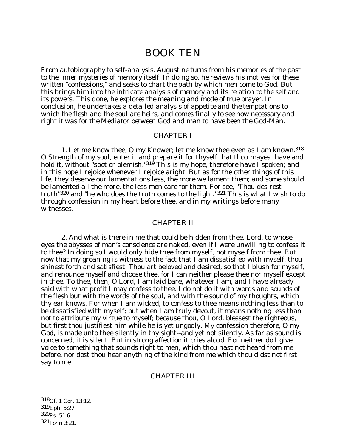# BOOK TEN

*From autobiography to self-analysis. Augustine turns from his memories of the past to the inner mysteries of memory itself. In doing so, he reviews his motives for these written "confessions," and seeks to chart the path by which men come to God. But this brings him into the intricate analysis of memory and its relation to the self and its powers. This done, he explores the meaning and mode of true prayer. In conclusion, he undertakes a detailed analysis of appetite and the temptations to which the flesh and the soul are heirs, and comes finally to see how necessary and right it was for the Mediator between God and man to have been the God-Man.*

#### CHAPTER I

1. Let me know thee, O my Knower; let me know thee even as I am known.318 O Strength of my soul, enter it and prepare it for thyself that thou mayest have and hold it, without "spot or blemish." $31\overline{9}$  This is my hope, therefore have I spoken; and in this hope I rejoice whenever I rejoice aright. But as for the other things of this life, they deserve our lamentations less, the more we lament them; and some should be lamented all the more, the less men care for them. For see, "Thou desirest truth"320 and "he who does the truth comes to the light."321 This is what I wish to do through confession in my heart before thee, and in my writings before many witnesses.

#### CHAPTER II

2. And what is there in me that could be hidden from thee, Lord, to whose eyes the abysses of man's conscience are naked, even if I were unwilling to confess it to thee? In doing so I would only hide thee from myself, not myself from thee. But now that my groaning is witness to the fact that I am dissatisfied with myself, thou shinest forth and satisfiest. Thou art beloved and desired; so that I blush for myself, and renounce myself and choose thee, for I can neither please thee nor myself except in thee. To thee, then, O Lord, I am laid bare, whatever I am, and I have already said with what profit I may confess to thee. I do not do it with words and sounds of the flesh but with the words of the soul, and with the sound of my thoughts, which thy ear knows. For when I am wicked, to confess to thee means nothing less than to be dissatisfied with myself; but when I am truly devout, it means nothing less than not to attribute my virtue to myself; because thou, O Lord, blessest the righteous, but first thou justifiest him while he is yet ungodly. My confession therefore, O my God, is made unto thee silently in thy sight--and yet not silently. As far as sound is concerned, it is silent. But in strong affection it cries aloud. For neither do I give voice to something that sounds right to men, which thou hast not heard from me before, nor dost thou hear anything of the kind from me which thou didst not first say to me.

# CHAPTER III

318Cf. 1 Cor. 13:12. 319Eph. 5:27.  $320P_S$ , 51:6. 321John 3:21.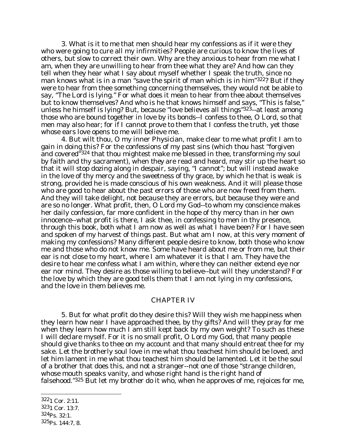3. What is it to me that men should hear my confessions as if it were they who were going to cure all my infirmities? People are curious to know the lives of others, but slow to correct their own. Why are they anxious to hear from me what I am, when they are unwilling to hear from thee what they are? And how can they tell when they hear what I say about myself whether I speak the truth, since no man knows what is in a man "save the spirit of man which is in him"322? But if they were to hear from thee something concerning themselves, they would not be able to say, "The Lord is lying." For what does it mean to hear from thee about themselves but to know themselves? And who is he that knows himself and says, "This is false," unless he himself is lying? But, because "love believes all things"<sup>323</sup>--at least among those who are bound together in love by its bonds--I confess to thee, O Lord, so that men may also hear; for if I cannot prove to them that I confess the truth, yet those whose ears love opens to me will believe me.

4. But wilt thou, O my inner Physician, make clear to me what profit I am to gain in doing this? For the confessions of my past sins (which thou hast "forgiven and covered"324 that thou mightest make me blessed in thee, transforming my soul by faith and thy sacrament), when *they* are read and heard, may stir up the heart so that it will stop dozing along in despair, saying, "I cannot"; but will instead awake in the love of thy mercy and the sweetness of thy grace, by which he that is weak is strong, provided he is made conscious of his own weakness. And it will please those who are good to hear about the past errors of those who are now freed from them. And they will take delight, not because they are errors, but because they were and are so no longer. What profit, then, O Lord my God--to whom my conscience makes her daily confession, far more confident in the hope of thy mercy than in her own innocence--what profit is there, I ask thee, in confessing to men in thy presence, through this book, both what I am now as well as what I have been? For I have seen and spoken of my harvest of things past. But what am I *now*, at this very moment of making my confessions? Many different people desire to know, both those who know me and those who do not know me. Some have heard about me or from me, but their ear is not close to my heart, where I am whatever it is that I am. They have the desire to hear me confess what I am within, where they can neither extend eye nor ear nor mind. They desire as those willing to believe--but will they understand? For the love by which they are good tells them that I am not lying in my confessions, and the love in them believes me.

#### CHAPTER IV

5. But for what profit do they desire this? Will they wish me happiness when they learn how near I have approached thee, by thy gifts? And will they pray for me when they learn how much I am still kept back by my own weight? To such as these I will declare myself. For it is no small profit, O Lord my God, that many people should give thanks to thee on my account and that many should entreat thee for my sake. Let the brotherly soul love in me what thou teachest him should be loved, and let him lament in me what thou teachest him should be lamented. Let it be the soul of a brother that does this, and not a stranger--not one of those "strange children, whose mouth speaks vanity, and whose right hand is the right hand of falsehood."325 But let my brother do it who, when he approves of me, rejoices for me,

<sup>322</sup>1 Cor. 2:11.

<sup>323</sup>1 Cor. 13:7.

<sup>324</sup>Ps. 32:1.

<sup>325</sup>Ps. 144:7, 8.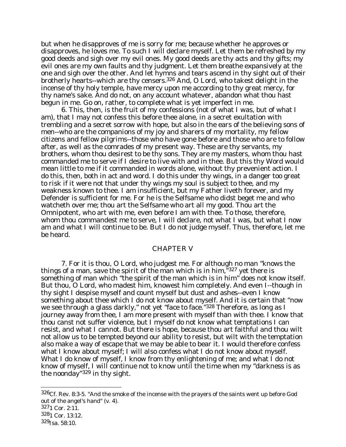but when he disapproves of me is sorry for me; because whether he approves or disapproves, he loves me. To such I will declare myself. Let them be refreshed by my good deeds and sigh over my evil ones. My good deeds are thy acts and thy gifts; my evil ones are my own faults and thy judgment. Let them breathe expansively at the one and sigh over the other. And let hymns and tears ascend in thy sight out of their brotherly hearts--which are thy censers.326 And, O Lord, who takest delight in the incense of thy holy temple, have mercy upon me according to thy great mercy, for thy name's sake. And do not, on any account whatever, abandon what thou hast begun in me. Go on, rather, to complete what is yet imperfect in me.

6. This, then, is the fruit of my confessions (not of what I was, but of what I am), that I may not confess this before thee alone, in a secret exultation with trembling and a secret sorrow with hope, but also in the ears of the believing sons of men--who are the companions of my joy and sharers of my mortality, my fellow citizens and fellow pilgrims--those who have gone before and those who are to follow after, as well as the comrades of my present way. These are thy servants, my brothers, whom thou desirest to be thy sons. They are my masters, whom thou hast commanded me to serve if I desire to live with and in thee. But this thy Word would mean little to me if it commanded in words alone, without thy prevenient action. I do this, then, both in act and word. I do this under thy wings, in a danger too great to risk if it were not that under thy wings my soul is subject to thee, and my weakness known to thee. I am insufficient, but my Father liveth forever, and my Defender is sufficient for me. For he is the Selfsame who didst beget me and who watcheth over me; thou art the Selfsame who art all my good. Thou art the Omnipotent, who art with me, even before I am with thee. To those, therefore, whom thou commandest me to serve, I will declare, not what I was, but what I now am and what I will continue to be. But I do not judge myself. Thus, therefore, let me be heard.

# CHAPTER V

7. For it is thou, O Lord, who judgest me. For although no man "knows the things of a man, save the spirit of the man which is in him,"327 yet there is something of man which "the spirit of the man which is in him" does not know itself. But thou, O Lord, who madest him, knowest him completely. And even I--though in thy sight I despise myself and count myself but dust and ashes--even I know something about thee which I do not know about myself. And it is certain that "now we see through a glass darkly," not yet "face to face."328 Therefore, as long as I journey away from thee, I am more present with myself than with thee. I know that thou canst not suffer violence, but I myself do not know what temptations I can resist, and what I cannot. But there is hope, because thou art faithful and thou wilt not allow us to be tempted beyond our ability to resist, but wilt with the temptation also make a way of escape that we may be able to bear it. I would therefore confess what I know about myself; I will also confess what I do not know about myself. What I do know of myself, I know from thy enlightening of me; and what I do not know of myself, I will continue not to know until the time when my "darkness is as the noonday"329 in thy sight.

<sup>326</sup>Cf. Rev. 8:3-5. "And the smoke of the incense with the prayers of the saints went up before God out of the angel's hand" (v. 4).

<sup>327</sup>1 Cor. 2:11.

<sup>328</sup>1 Cor. 13:12.

<sup>329</sup>Isa. 58:10.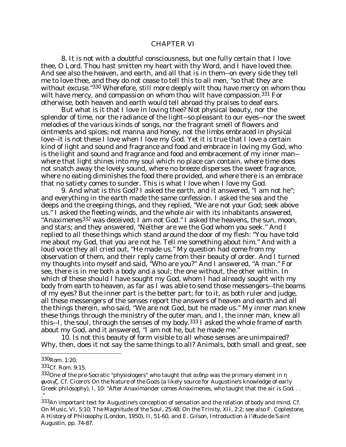#### CHAPTER VI

8. It is not with a doubtful consciousness, but one fully certain that I love thee, O Lord. Thou hast smitten my heart with thy Word, and I have loved thee. And see also the heaven, and earth, and all that is in them--on every side they tell me to love thee, and they do not cease to tell this to all men, "so that they are without excuse."330 Wherefore, still more deeply wilt thou have mercy on whom thou wilt have mercy, and compassion on whom thou wilt have compassion.<sup>331</sup> For otherwise, both heaven and earth would tell abroad thy praises to deaf ears.

But what is it that I love in loving thee? Not physical beauty, nor the splendor of time, nor the radiance of the light--so pleasant to our eyes--nor the sweet melodies of the various kinds of songs, nor the fragrant smell of flowers and ointments and spices; not manna and honey, not the limbs embraced in physical love--it is not these I love when I love my God. Yet it is true that I love a certain kind of light and sound and fragrance and food and embrace in loving my God, who is the light and sound and fragrance and food and embracement of my inner man- where that light shines into my soul which no place can contain, where time does not snatch away the lovely sound, where no breeze disperses the sweet fragrance, where no eating diminishes the food there provided, and where there is an embrace that no satiety comes to sunder. This is what I love when I love my God.

9. And what is this God? I asked the earth, and it answered, "I am not he"; and everything in the earth made the same confession. I asked the sea and the deeps and the creeping things, and they replied, "We are not your God; seek above us." I asked the fleeting winds, and the whole air with its inhabitants answered, "Anaximenes332 was deceived; I am not God." I asked the heavens, the sun, moon, and stars; and they answered, "Neither are we the God whom you seek." And I replied to all these things which stand around the door of my flesh: "You have told me about my God, that you are not he. Tell me something about him." And with a loud voice they all cried out, "He made us." My question had come from my observation of them, and their reply came from their beauty of order. And I turned my thoughts into myself and said, "Who are you?" And I answered, "A man." For see, there is in me both a body and a soul; the one without, the other within. In which of these should I have sought my God, whom I had already sought with my body from earth to heaven, as far as I was able to send those messengers--the beams of my eyes? But the inner part is the better part; for to it, as both ruler and judge, all these messengers of the senses report the answers of heaven and earth and all the things therein, who said, "We are not God, but he made us." My inner man knew these things through the ministry of the outer man, and I, the inner man, knew all this--I, the soul, through the senses of my body.333 I asked the whole frame of earth about my God, and it answered, "I am not he, but he made me."

10. Is not this beauty of form visible to all whose senses are unimpaired? Why, then, does it not say the same things to all? Animals, both small and great, see

<sup>330</sup>Rom. 1:20.

<sup>331</sup>Cf. Rom. 9:15.

<sup>332</sup>One of the pre-Socratic "physiologers" who taught that was the primary element in . Cf. Cicero's *On the Nature of the Gods* (a likely source for Augustine's knowledge of early Greek philosophy), I, 10: "After Anaximander comes Anaximenes, who taught that the air is God. . . ."

 $^{333}$ An important text for Augustine's conception of sensation and the relation of body and mind. Cf. *On Music*, VI, 5:10; *The Magnitude of the Soul*, 25:48; *On the Trinity*, XII, 2:2; see also F. Coplestone, *A History of Philosophy* (London, 1950), II, 51-60, and E. Gilson, *Introduction à l'étude de Saint Augustin*, pp. 74-87.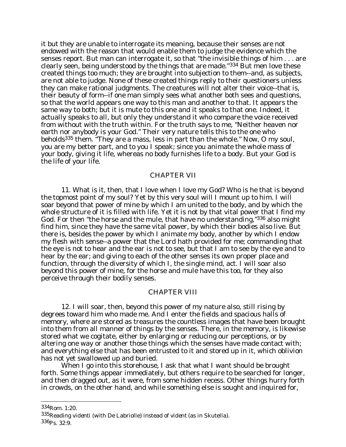it but they are unable to interrogate its meaning, because their senses are not endowed with the reason that would enable them to judge the evidence which the senses report. But man can interrogate it, so that "the invisible things of him . . . are clearly seen, being understood by the things that are made."334 But men love these created things too much; they are brought into subjection to them--and, as subjects, are not able to judge. None of these created things reply to their questioners unless they can make rational judgments. The creatures will not alter their voice--that is, their beauty of form--if one man simply sees what another both sees and questions, so that the world appears one way to this man and another to that. It appears the same way to both; but it is mute to this one and it speaks to that one. Indeed, it actually speaks to all, but only they understand it who compare the voice received from without with the truth within. For the truth says to me, "Neither heaven nor earth nor anybody is your God." Their very nature tells this to the one who beholds335 them. "They are a mass, less in part than the whole." Now, O my soul, you are my better part, and to you I speak; since you animate the whole mass of your body, giving it life, whereas no body furnishes life to a body. But your God is the life of your life.

# CHAPTER VII

11. What is it, then, that I love when I love my God? Who is he that is beyond the topmost point of my soul? Yet by this very soul will I mount up to him. I will soar beyond that power of mine by which I am united to the body, and by which the whole structure of it is filled with life. Yet it is not by that vital power that I find my God. For then "the horse and the mule, that have no understanding,"336 also might find him, since they have the same vital power, by which their bodies also live. But there is, besides the power by which I animate my body, another by which I endow my flesh with sense--a power that the Lord hath provided for me; commanding that the eye is not to hear and the ear is not to see, but that I am to see by the eye and to hear by the ear; and giving to each of the other senses its own proper place and function, through the diversity of which I, the single mind, act. I will soar also beyond this power of mine, for the horse and mule have this too, for they also perceive through their bodily senses.

# CHAPTER VIII

12. I will soar, then, beyond this power of my nature also, still rising by degrees toward him who made me. And I enter the fields and spacious halls of memory, where are stored as treasures the countless images that have been brought into them from all manner of things by the senses. There, in the memory, is likewise stored what we cogitate, either by enlarging or reducing our perceptions, or by altering one way or another those things which the senses have made contact with; and everything else that has been entrusted to it and stored up in it, which oblivion has not yet swallowed up and buried.

When I go into this storehouse, I ask that what I want should be brought forth. Some things appear immediately, but others require to be searched for longer, and then dragged out, as it were, from some hidden recess. Other things hurry forth in crowds, on the other hand, and while something else is sought and inquired for,

<sup>334</sup>Rom. 1:20.

<sup>335</sup>Reading *videnti* (with De Labriolle) instead of *vident* (as in Skutella). 336Ps. 32:9.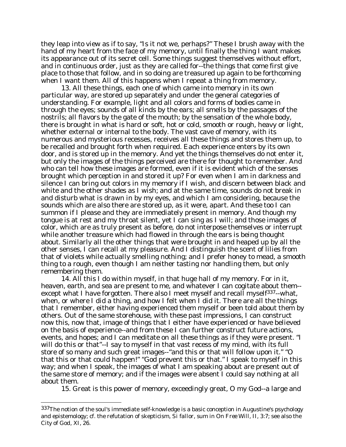they leap into view as if to say, "Is it not we, perhaps?" These I brush away with the hand of my heart from the face of my memory, until finally the thing I want makes its appearance out of its secret cell. Some things suggest themselves without effort, and in continuous order, just as they are called for--the things that come first give place to those that follow, and in so doing are treasured up again to be forthcoming when I want them. All of this happens when I repeat a thing from memory.

13. All these things, each one of which came into memory in its own particular way, are stored up separately and under the general categories of understanding. For example, light and all colors and forms of bodies came in through the eyes; sounds of all kinds by the ears; all smells by the passages of the nostrils; all flavors by the gate of the mouth; by the sensation of the whole body, there is brought in what is hard or soft, hot or cold, smooth or rough, heavy or light, whether external or internal to the body. The vast cave of memory, with its numerous and mysterious recesses, receives all these things and stores them up, to be recalled and brought forth when required. Each experience enters by its own door, and is stored up in the memory. And yet the things themselves do not enter it, but only the images of the things perceived are there for thought to remember. And who can tell how these images are formed, even if it is evident which of the senses brought which perception in and stored it up? For even when I am in darkness and silence I can bring out colors in my memory if I wish, and discern between black and white and the other shades as I wish; and at the same time, sounds do not break in and disturb what is drawn in by my eyes, and which I am considering, because the sounds which are also there are stored up, as it were, apart. And these too I can summon if I please and they are immediately present in memory. And though my tongue is at rest and my throat silent, yet I can sing as I will; and those images of color, which are as truly present as before, do not interpose themselves or interrupt while another treasure which had flowed in through the ears is being thought about. Similarly all the other things that were brought in and heaped up by all the other senses, I can recall at my pleasure. And I distinguish the scent of lilies from that of violets while actually smelling nothing; and I prefer honey to mead, a smooth thing to a rough, even though I am neither tasting nor handling them, but only remembering them.

14. All this I do within myself, in that huge hall of my memory. For in it, heaven, earth, and sea are present to me, and whatever I can cogitate about them-except what I have forgotten. There also I meet myself and recall myself<sup>337</sup>--what, when, or where I did a thing, and how I felt when I did it. There are all the things that I remember, either having experienced them myself or been told about them by others. Out of the same storehouse, with these past impressions, I can construct now this, now that, image of things that I either have experienced or have believed on the basis of experience--and from these I can further construct future actions, events, and hopes; and I can meditate on all these things as if they were present. "I will do this or that"--I say to myself in that vast recess of my mind, with its full store of so many and such great images--"and this or that will follow upon it." "O that this or that could happen!" "God prevent this or that." I speak to myself in this way; and when I speak, the images of what I am speaking about are present out of the same store of memory; and if the images were absent I could say nothing at all about them.

15. Great is this power of memory, exceedingly great, O my God--a large and

<sup>337</sup>The notion of the soul's immediate self-knowledge is a basic conception in Augustine's psychology and epistemology; cf. the refutation of skepticism, *Si fallor*, *sum* in *On Free Will*, II, 3:7; see also the *City of God*, XI, 26.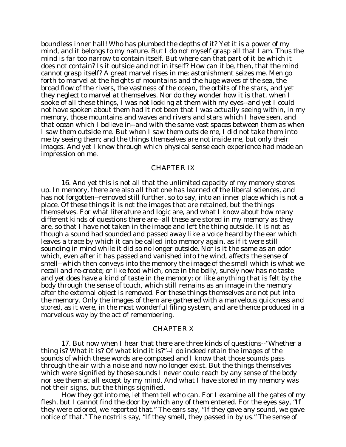boundless inner hall! Who has plumbed the depths of it? Yet it is a power of my mind, and it belongs to my nature. But I do not myself grasp all that I am. Thus the mind is far too narrow to contain itself. But where can that part of it be which it does not contain? Is it outside and not in itself? How can it be, then, that the mind cannot grasp itself? A great marvel rises in me; astonishment seizes me. Men go forth to marvel at the heights of mountains and the huge waves of the sea, the broad flow of the rivers, the vastness of the ocean, the orbits of the stars, and yet they neglect to marvel at themselves. Nor do they wonder how it is that, when I spoke of all these things, I was not looking at them with my eyes--and yet I could not have spoken about them had it not been that I was actually seeing within, in my memory, those mountains and waves and rivers and stars which I have seen, and that ocean which I believe in--and with the same vast spaces between them as when I saw them outside me. But when I saw them outside me, I did not take them into me by seeing them; and the things themselves are not inside me, but only their images. And yet I knew through which physical sense each experience had made an impression on me.

### CHAPTER IX

16. And yet this is not all that the unlimited capacity of my memory stores up. In memory, there are also all that one has learned of the liberal sciences, and has not forgotten--removed still further, so to say, into an inner place which is not a place. Of these things it is not the images that are retained, but the things themselves. For what literature and logic are, and what I know about how many different kinds of questions there are--all these are stored in my memory as they are, so that I have not taken in the image and left the thing outside. It is not as though a sound had sounded and passed away like a voice heard by the ear which leaves a trace by which it can be called into memory again, as if it were still sounding in mind while it did so no longer outside. Nor is it the same as an odor which, even after it has passed and vanished into the wind, affects the sense of smell--which then conveys into the memory the *image* of the smell which is what we recall and re-create; or like food which, once in the belly, surely now has no taste and yet does have a kind of taste in the memory; or like anything that is felt by the body through the sense of touch, which still remains as an image in the memory after the external object is removed. For these things themselves are not put into the memory. Only the images of them are gathered with a marvelous quickness and stored, as it were, in the most wonderful filing system, and are thence produced in a marvelous way by the act of remembering.

## CHAPTER X

17. But now when I hear that there are three kinds of questions--"Whether a thing is? What it is? Of what kind it is?"--I do indeed retain the images of the sounds of which these words are composed and I know that those sounds pass through the air with a noise and now no longer exist. But the things themselves which were signified by those sounds I never could reach by any sense of the body nor see them at all except by my mind. And what I have stored in my memory was not their signs, but the things signified.

How they got into me, let them tell who can. For I examine all the gates of my flesh, but I cannot find the door by which any of them entered. For the eyes say, "If they were colored, we reported that." The ears say, "If they gave any sound, we gave notice of that." The nostrils say, "If they smell, they passed in by us." The sense of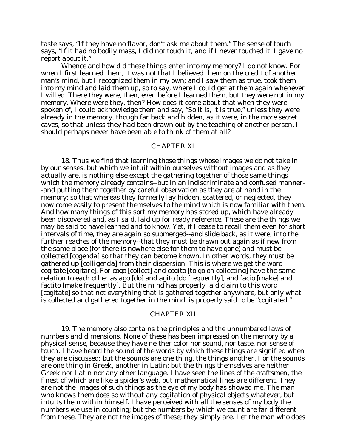taste says, "If they have no flavor, don't ask me about them." The sense of touch says, "If it had no bodily mass, I did not touch it, and if I never touched it, I gave no report about it."

Whence and how did these things enter into my memory? I do not know. For when I first learned them, it was not that I believed them on the credit of another man's mind, but I recognized them in my own; and I saw them as true, took them into my mind and laid them up, so to say, where I could get at them again whenever I willed. There they were, then, even before I learned them, but they were not in my memory. Where were they, then? How does it come about that when they were spoken of, I could acknowledge them and say, "So it is, it is true," unless they were already in the memory, though far back and hidden, as it were, in the more secret caves, so that unless they had been drawn out by the teaching of another person, I should perhaps never have been able to think of them at all?

#### CHAPTER XI

18. Thus we find that learning those things whose images we do not take in by our senses, but which we intuit within ourselves without images and as they actually are, is nothing else except the gathering together of those same things which the memory already contains--but in an indiscriminate and confused manner- -and putting them together by careful observation as they are at hand in the memory; so that whereas they formerly lay hidden, scattered, or neglected, they now come easily to present themselves to the mind which is now familiar with them. And how many things of this sort my memory has stored up, which have already been discovered and, as I said, laid up for ready reference. These are the things we may be said to have learned and to know. Yet, if I cease to recall them even for short intervals of time, they are again so submerged--and slide back, as it were, into the further reaches of the memory--that they must be drawn out again as if new from the same place (for there is nowhere else for them to have gone) and must be collected [*cogenda*] so that they can become known. In other words, they must be gathered up [*colligenda*] from their dispersion. This is where we get the word *cogitate* [*cogitare*]. For *cogo* [collect] and *cogito* [to go on collecting] have the same relation to each other as *ago* [do] and *agito* [do frequently], and *facio* [make] and *factito* [make frequently]. But the mind has properly laid claim to this word [cogitate] so that not everything that is gathered together anywhere, but only what is collected and gathered together in the mind, is properly said to be "cogitated."

#### CHAPTER XII

19. The memory also contains the principles and the unnumbered laws of numbers and dimensions. None of these has been impressed on the memory by a physical sense, because they have neither color nor sound, nor taste, nor sense of touch. I have heard the sound of the words by which these things are signified when they are discussed: but the sounds are one thing, the things another. For the sounds are one thing in Greek, another in Latin; but the things themselves are neither Greek nor Latin nor any other language. I have seen the lines of the craftsmen, the finest of which are like a spider's web, but mathematical lines are different. They are not the images of such things as the eye of my body has showed me. The man who knows them does so without any cogitation of physical objects whatever, but intuits them within himself. I have perceived with all the senses of my body the numbers we use in counting; but the numbers by which we count are far different from these. They are not the images of these; they simply are. Let the man who does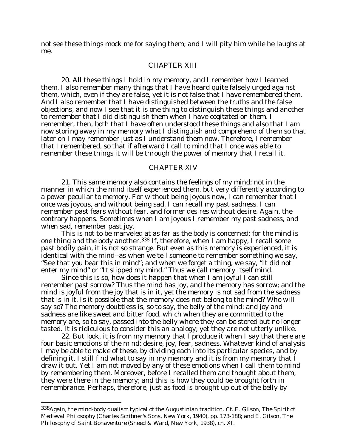not see these things mock me for saying them; and I will pity him while he laughs at me.

## CHAPTER XIII

20. All these things I hold in my memory, and I remember how I learned them. I also remember many things that I have heard quite falsely urged against them, which, even if they are false, yet it is not false that I have remembered them. And I also remember that I have distinguished between the truths and the false objections, and now I see that it is one thing to distinguish these things and another to remember that I did distinguish them when I have cogitated on them. I remember, then, both that I have often understood these things and also that I am now storing away in my memory what I distinguish and comprehend of them so that later on I may remember just as I understand them now. Therefore, I remember that I remembered, so that if afterward I call to mind that I once was able to remember these things it will be through the power of memory that I recall it.

# CHAPTER XIV

21. This same memory also contains the feelings of my mind; not in the manner in which the mind itself experienced them, but very differently according to a power peculiar to memory. For without being joyous now, I can remember that I once was joyous, and without being sad, I can recall my past sadness. I can remember past fears without fear, and former desires without desire. Again, the contrary happens. Sometimes when I am joyous I remember my past sadness, and when sad, remember past joy.

This is not to be marveled at as far as the body is concerned; for the mind is one thing and the body another.338 If, therefore, when I am happy, I recall some past bodily pain, it is not so strange. But even as this memory is experienced, it is identical with the mind--as when we tell someone to remember something we say, "See that you bear this in mind"; and when we forget a thing, we say, "It did not enter my mind" or "It slipped my mind." Thus we call memory itself mind.

Since this is so, how does it happen that when I am joyful I can still remember past sorrow? Thus the mind has joy, and the memory has sorrow; and the mind is joyful from the joy that is in it, yet the memory is not sad from the sadness that is in it. Is it possible that the memory does not belong to the mind? Who will say so? The memory doubtless is, so to say, the belly of the mind: and joy and sadness are like sweet and bitter food, which when they are committed to the memory are, so to say, passed into the belly where they can be stored but no longer tasted. It is ridiculous to consider this an analogy; yet they are not utterly unlike.

22. But look, it is from my memory that I produce it when I say that there are four basic emotions of the mind: desire, joy, fear, sadness. Whatever kind of analysis I may be able to make of these, by dividing each into its particular species, and by defining it, I still find what to say in my memory and it is from my memory that I draw it out. Yet I am not moved by any of these emotions when I call them to mind by remembering them. Moreover, before I recalled them and thought about them, they were there in the memory; and this is how they could be brought forth in remembrance. Perhaps, therefore, just as food is brought up out of the belly by

<sup>338</sup>Again, the mind-body dualism typical of the Augustinian tradition. Cf. E. Gilson, *The Spirit of Medieval Philosophy* (Charles Scribner's Sons, New York, 1940), pp. 173-188; and E. Gilson, *The Philosophy of Saint Bonaventure* (Sheed & Ward, New York, 1938), ch. XI.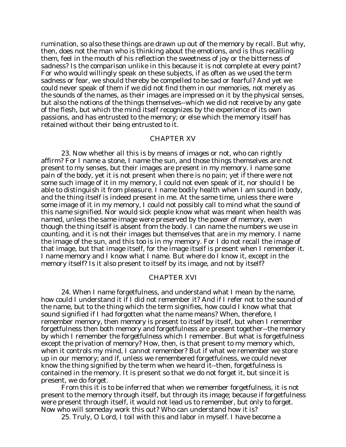rumination, so also these things are drawn up out of the memory by recall. But why, then, does not the man who is thinking about the emotions, and is thus recalling them, feel in the mouth of his reflection the sweetness of joy or the bitterness of sadness? Is the comparison unlike in this because it is not complete at every point? For who would willingly speak on these subjects, if as often as we used the term sadness or fear, we should thereby be compelled to be sad or fearful? And yet we could never speak of them if we did not find them in our memories, not merely as the sounds of the names, as their images are impressed on it by the physical senses, but also the notions of the things themselves--which we did not receive by any gate of the flesh, but which the mind itself recognizes by the experience of its own passions, and has entrusted to the memory; or else which the memory itself has retained without their being entrusted to it.

#### CHAPTER XV

23. Now whether all this is by means of images or not, who can rightly affirm? For I name a stone, I name the sun, and those things themselves are not present to my senses, but their images are present in my memory. I name some pain of the body, yet it is not present when there is no pain; yet if there were not some such image of it in my memory, I could not even speak of it, nor should I be able to distinguish it from pleasure. I name bodily health when I am sound in body, and the thing itself is indeed present in me. At the same time, unless there were some image of it in my memory, I could not possibly call to mind what the sound of this name signified. Nor would sick people know what was meant when health was named, unless the same image were preserved by the power of memory, even though the thing itself is absent from the body. I can name the numbers we use in counting, and it is not their images but themselves that are in my memory. I name the image of the sun, and this too is in my memory. For I do not recall the image of that image, but that image itself, for the image itself is present when I remember it. I name memory and I know what I name. But where do I know it, except in the memory itself? Is it also present to itself by its image, and not by itself?

## CHAPTER XVI

24. When I name forgetfulness, and understand what I mean by the name, how could I understand it if I did not remember it? And if I refer not to the sound of the name, but to the thing which the term signifies, how could I know what that sound signified if I had forgotten what the name means? When, therefore, I remember memory, then memory is present to itself by itself, but when I remember forgetfulness then both memory and forgetfulness are present together--the memory by which I remember the forgetfulness which I remember. But what is forgetfulness except the privation of memory? How, then, is that present to my memory which, when it controls my mind, I cannot remember? But if what we remember we store up in our memory; and if, unless we remembered forgetfulness, we could never know the thing signified by the term when we heard it--then, forgetfulness is contained in the memory. It is present so that we do not forget it, but since it is present, we do forget.

From this it is to be inferred that when we remember forgetfulness, it is not present to the memory through itself, but through its image; because if forgetfulness were present through itself, it would not lead us to remember, but only to forget. Now who will someday work this out? Who can understand how it is?

25. Truly, O Lord, I toil with this and labor in myself. I have become a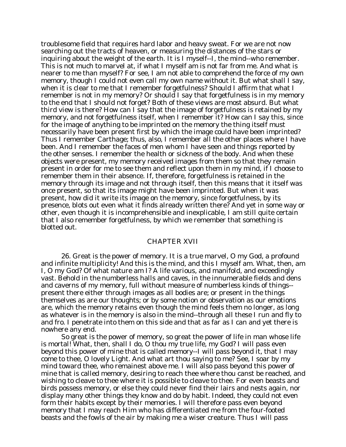troublesome field that requires hard labor and heavy sweat. For we are not now searching out the tracts of heaven, or measuring the distances of the stars or inquiring about the weight of the earth. It is I myself--I, the mind--who remember. This is not much to marvel at, if what I myself am is not far from me. And what is nearer to me than myself? For see, I am not able to comprehend the force of my own memory, though I could not even call my own name without it. But what shall I say, when it is clear to me that I remember forgetfulness? Should I affirm that what I remember is not in my memory? Or should I say that forgetfulness is in my memory to the end that I should not forget? Both of these views are most absurd. But what third view is there? How can I say that the image of forgetfulness is retained by my memory, and not forgetfulness itself, when I remember it? How can I say this, since for the image of anything to be imprinted on the memory the thing itself must necessarily have been present first by which the image could have been imprinted? Thus I remember Carthage; thus, also, I remember all the other places where I have been. And I remember the faces of men whom I have seen and things reported by the other senses. I remember the health or sickness of the body. And when these objects were present, my memory received images from them so that they remain present in order for me to see them and reflect upon them in my mind, if I choose to remember them in their absence. If, therefore, forgetfulness is retained in the memory through its image and not through itself, then this means that it itself was once present, so that its image might have been imprinted. But when it was present, how did it write its image on the memory, since forgetfulness, by its presence, blots out even what it finds already written there? And yet in some way or other, even though it is incomprehensible and inexplicable, I am still quite certain that I also remember forgetfulness, by which we remember that something is blotted out.

#### CHAPTER XVII

26. Great is the power of memory. It is a true marvel, O my God, a profound and infinite multiplicity! And this is the mind, and this I myself am. What, then, am I, O my God? Of what nature am I? A life various, and manifold, and exceedingly vast. Behold in the numberless halls and caves, in the innumerable fields and dens and caverns of my memory, full without measure of numberless kinds of things- present there either through images as all bodies are; or present in the things themselves as are our thoughts; or by some notion or observation as our emotions are, which the memory retains even though the mind feels them no longer, as long as whatever is in the memory is also in the mind--through all these I run and fly to and fro. I penetrate into them on this side and that as far as I can and yet there is nowhere any end.

So great is the power of memory, so great the power of life in man whose life is mortal! What, then, shall I do, O thou my true life, my God? I will pass even beyond this power of mine that is called memory--I will pass beyond it, that I may come to thee, O lovely Light. And what art thou saying to me? See, I soar by my mind toward thee, who remainest above me. I will also pass beyond this power of mine that is called memory, desiring to reach thee where thou canst be reached, and wishing to cleave to thee where it is possible to cleave to thee. For even beasts and birds possess memory, or else they could never find their lairs and nests again, nor display many other things they know and do by habit. Indeed, they could not even form their habits except by their memories. I will therefore pass even beyond memory that I may reach Him who has differentiated me from the four-footed beasts and the fowls of the air by making me a wiser creature. Thus I will pass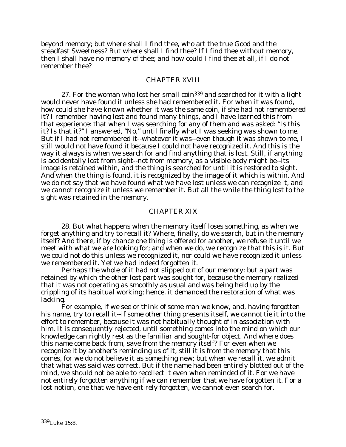beyond memory; but where shall I find thee, who art the true Good and the steadfast Sweetness? But where shall I find thee? If I find thee without memory, then I shall have no memory of thee; and how could I find thee at all, if I do not remember thee?

# CHAPTER XVIII

27. For the woman who lost her small coin339 and searched for it with a light would never have found it unless she had remembered it. For when it was found, how could she have known whether it was the same coin, if she had not remembered it? I remember having lost and found many things, and I have learned this from that experience: that when I was searching for any of them and was asked: "Is this it? Is that it?" I answered, "No," until finally what I was seeking was shown to me. But if I had not remembered it--whatever it was--even though it was shown to me, I still would not have found it because I could not have recognized it. And this is the way it always is when we search for and find anything that is lost. Still, if anything is accidentally lost from sight--not from memory, as a visible body might be--its image is retained within, and the thing is searched for until it is restored to sight. And when the thing is found, it is recognized by the image of it which is within. And we do not say that we have found what we have lost unless we can recognize it, and we cannot recognize it unless we remember it. But all the while the thing lost to the sight was retained in the memory.

# CHAPTER XIX

28. But what happens when the memory itself loses something, as when we forget anything and try to recall it? Where, finally, do we search, but in the memory itself? And there, if by chance one thing is offered for another, we refuse it until we meet with what we are looking for; and when we do, we recognize that this is it. But we could not do this unless we recognized it, nor could we have recognized it unless we remembered it. Yet we had indeed forgotten it.

Perhaps the whole of it had not slipped out of our memory; but a part was retained by which the other lost part was sought for, because the memory realized that it was not operating as smoothly as usual and was being held up by the crippling of its habitual working; hence, it demanded the restoration of what was lacking.

For example, if we see or think of some man we know, and, having forgotten his name, try to recall it--if some other thing presents itself, we cannot tie it into the effort to remember, because it was not habitually thought of in association with him. It is consequently rejected, until something comes into the mind on which our knowledge can rightly rest as the familiar and sought-for object. And where does this name come back from, save from the memory itself? For even when we recognize it by another's reminding us of it, still it is from the memory that this comes, for we do not believe it as something new; but when we recall it, we admit that what was said was correct. But if the name had been entirely blotted out of the mind, we should not be able to recollect it even when reminded of it. For we have not entirely forgotten anything if we can remember that we have forgotten it. For a lost notion, one that we have entirely forgotten, we cannot even search for.

339Luke 15:8.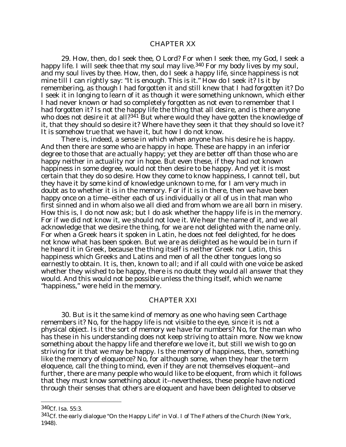#### CHAPTER XX

29. How, then, do I seek thee, O Lord? For when I seek thee, my God, I seek a happy life. I will seek thee that my soul may live.<sup>340</sup> For my body lives by my soul, and my soul lives by thee. How, then, do I seek a happy life, since happiness is not mine till I can rightly say: "It is enough. This is it." How do I seek it? Is it by remembering, as though I had forgotten it and still knew that I had forgotten it? Do I seek it in longing to learn of it as though it were something unknown, which either I had never known or had so completely forgotten as not even to remember that I had forgotten it? Is not the happy life the thing that all desire, and is there anyone who does not desire it at all?<sup>341</sup> But where would they have gotten the knowledge of it, that they should so desire it? Where have they seen it that they should so love it? It is somehow true that we have it, but how I do not know.

There is, indeed, a sense in which when anyone has his desire he is happy. And then there are some who are happy in hope. These are happy in an inferior degree to those that are actually happy; yet they are better off than those who are happy neither in actuality nor in hope. But even these, if they had not known happiness in some degree, would not then desire to be happy. And yet it is most certain that they do so desire. How they come to know happiness, I cannot tell, but they have it by some kind of knowledge unknown to me, for I am very much in doubt as to whether it is in the memory. For if it is in there, then we have been happy once on a time--either each of us individually or all of us in that man who first sinned and in whom also we all died and from whom we are all born in misery. How this is, I do not now ask; but I do ask whether the happy life is in the memory. For if we did not know it, we should not love it. We hear the name of it, and we all acknowledge that we desire the thing, for we are not delighted with the name only. For when a Greek hears it spoken in Latin, he does not feel delighted, for he does not know what has been spoken. But we are as delighted as he would be in turn if he heard it in Greek, because the thing itself is neither Greek nor Latin, this happiness which Greeks and Latins and men of all the other tongues long so earnestly to obtain. It is, then, known to all; and if all could with one voice be asked whether they wished to be happy, there is no doubt they would all answer that they would. And this would not be possible unless the thing itself, which we name "happiness," were held in the memory.

#### CHAPTER XXI

30. But is it the same kind of memory as one who having seen Carthage remembers it? No, for the happy life is not visible to the eye, since it is not a physical object. Is it the sort of memory we have for numbers? No, for the man who has these in his understanding does not keep striving to attain more. Now we know something about the happy life and therefore we love it, but still we wish to go on striving for it that we may be happy. Is the memory of happiness, then, something like the memory of eloquence? No, for although some, when they hear the term eloquence, call the thing to mind, even if they are not themselves eloquent--and further, there are many people who would like to be eloquent, from which it follows that they must know something about it--nevertheless, these people have noticed through their senses that others are eloquent and have been delighted to observe

<sup>340</sup>Cf. Isa. 55:3.

<sup>341</sup>Cf. the early dialogue "On the Happy Life" in Vol. I of The Fathers of the Church (New York, 1948).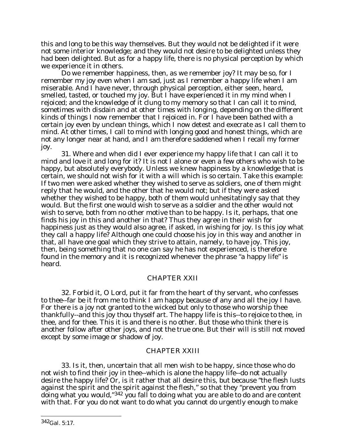this and long to be this way themselves. But they would not be delighted if it were not some interior knowledge; and they would not desire to be delighted unless they had been delighted. But as for a happy life, there is no physical perception by which we experience it in others.

Do we remember happiness, then, as we remember joy? It may be so, for I remember my joy even when I am sad, just as I remember a happy life when I am miserable. And I have never, through physical perception, either seen, heard, smelled, tasted, or touched my joy. But I have experienced it in my mind when I rejoiced; and the knowledge of it clung to my memory so that I can call it to mind, sometimes with disdain and at other times with longing, depending on the different kinds of things I now remember that I rejoiced in. For I have been bathed with a certain joy even by unclean things, which I now detest and execrate as I call them to mind. At other times, I call to mind with longing good and honest things, which are not any longer near at hand, and I am therefore saddened when I recall my former joy.

31. Where and when did I ever experience my happy life that I can call it to mind and love it and long for it? It is not I alone or even a few others who wish to be happy, but absolutely everybody. Unless we knew happiness by a knowledge that is certain, we should not wish for it with a will which is so certain. Take this example: If two men were asked whether they wished to serve as soldiers, one of them might reply that he would, and the other that he would not; but if they were asked whether they wished to be happy, both of them would unhesitatingly say that they would. But the first one would wish to serve as a soldier and the other would not wish to serve, both from no other motive than to be happy. Is it, perhaps, that one finds his joy in this and another in that? Thus they agree in their wish for happiness just as they would also agree, if asked, in wishing for joy. Is this joy what they call a happy life? Although one could choose his joy in this way and another in that, all have one goal which they strive to attain, namely, to have joy. This joy, then, being something that no one can say he has not experienced, is therefore found in the memory and it is recognized whenever the phrase "a happy life" is heard.

# CHAPTER XXII

32. Forbid it, O Lord, put it far from the heart of thy servant, who confesses to thee--far be it from me to think I am happy because of any and all the joy I have. For there is a joy not granted to the wicked but only to those who worship thee thankfully--and this joy thou thyself art. The happy life is this--to rejoice to thee, in thee, and for thee. This it is and there is no other. But those who think there is another follow after other joys, and not the true one. But their will is still not moved except by some image or shadow of joy.

# CHAPTER XXIII

33. Is it, then, uncertain that all men wish to be happy, since those who do not wish to find their joy in thee--which is alone the happy life--do not actually desire the happy life? Or, is it rather that all desire this, but because "the flesh lusts against the spirit and the spirit against the flesh," so that they "prevent you from doing what you would,"342 you fall to doing what you are able to do and are content with that. For you do not want to do what you cannot do urgently enough to make

<sup>342</sup>Gal. 5:17.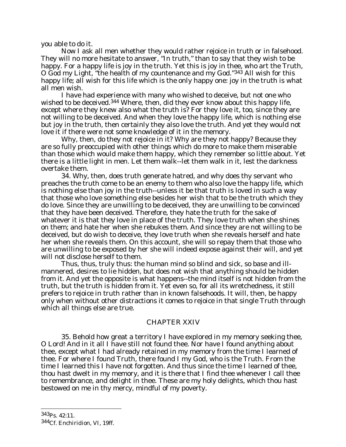you able to do it.

Now I ask all men whether they would rather rejoice in truth or in falsehood. They will no more hesitate to answer, "In truth," than to say that they wish to be happy. For a happy life is joy in the truth. Yet this is joy in thee, who art the Truth, O God my Light, "the health of my countenance and my God."343 All wish for this happy life; all wish for this life which is the only happy one: joy in the truth is what all men wish.

I have had experience with many who wished to deceive, but not one who wished to be deceived.<sup>344</sup> Where, then, did they ever know about this happy life, except where they knew also what the truth is? For they love it, too, since they are not willing to be deceived. And when they love the happy life, which is nothing else but joy in the truth, then certainly they also love the truth. And yet they would not love it if there were not some knowledge of it in the memory.

Why, then, do they not rejoice in it? Why are they not happy? Because they are so fully preoccupied with other things which do more to make them miserable than those which would make them happy, which they remember so little about. Yet there is a little light in men. Let them walk--let them walk in it, lest the darkness overtake them.

34. Why, then, does truth generate hatred, and why does thy servant who preaches the truth come to be an enemy to them who also love the happy life, which is nothing else than joy in the truth--unless it be that truth is loved in such a way that those who love something else besides her wish that to be the truth which they do love. Since they are unwilling to be deceived, they are unwilling to be convinced that they have been deceived. Therefore, they hate the truth for the sake of whatever it is that they love in place of the truth. They love truth when she shines on them; and hate her when she rebukes them. And since they are not willing to be deceived, but do wish to deceive, they love truth when she reveals herself and hate her when she reveals them. On this account, she will so repay them that those who are unwilling to be exposed by her she will indeed expose against their will, and yet will not disclose herself to them.

Thus, thus, truly thus: the human mind so blind and sick, so base and illmannered, desires to lie hidden, but does not wish that anything should be hidden from it. And yet the opposite is what happens--the mind itself is not hidden from the truth, but the truth is hidden from it. Yet even so, for all its wretchedness, it still prefers to rejoice in truth rather than in known falsehoods. It will, then, be happy only when without other distractions it comes to rejoice in that single Truth through which all things else are true.

# CHAPTER XXIV

35. Behold how great a territory I have explored in my memory seeking thee, O Lord! And in it all I have still not found thee. Nor have I found anything about thee, except what I had already retained in my memory from the time I learned of thee. For where I found Truth, there found I my God, who is the Truth. From the time I learned this I have not forgotten. And thus since the time I learned of thee, thou hast dwelt in my memory, and it is there that I find thee whenever I call thee to remembrance, and delight in thee. These are my holy delights, which thou hast bestowed on me in thy mercy, mindful of my poverty.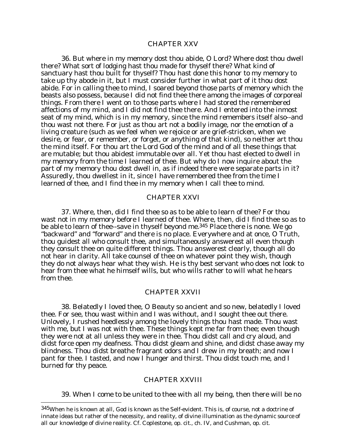#### CHAPTER XXV

36. But where in my memory dost thou abide, O Lord? Where dost thou dwell there? What sort of lodging hast thou made for thyself there? What kind of sanctuary hast thou built for thyself? Thou hast done this honor to my memory to take up thy abode in it, but I must consider further in what part of it thou dost abide. For in calling thee to mind, I soared beyond those parts of memory which the beasts also possess, because I did not find thee there among the images of corporeal things. From there I went on to those parts where I had stored the remembered affections of my mind, and I did not find thee there. And I entered into the inmost seat of my mind, which is in my memory, since the mind remembers itself also--and thou wast not there. For just as thou art not a bodily image, nor the emotion of a living creature (such as we feel when we rejoice or are grief-stricken, when we desire, or fear, or remember, or forget, or anything of that kind), so neither art thou the mind itself. For thou art the Lord God of the mind and of all these things that are mutable; but thou abidest immutable over all. Yet thou hast elected to dwell in my memory from the time I learned of thee. But why do I now inquire about the part of my memory thou dost dwell in, as if indeed there were separate parts in it? Assuredly, thou dwellest in it, since I have remembered thee from the time I learned of thee, and I find thee in my memory when I call thee to mind.

#### CHAPTER XXVI

37. Where, then, did I find thee so as to be able to learn of thee? For thou wast not in my memory before I learned of thee. Where, then, did I find thee so as to be able to learn of thee--save in thyself beyond me.345 Place there is none. We go "backward" and "forward" and there is no place. Everywhere and at once, O Truth, thou guidest all who consult thee, and simultaneously answerest all even though they consult thee on quite different things. Thou answerest clearly, though all do not hear in clarity. All take counsel of thee on whatever point they wish, though they do not always hear what they wish. He is thy best servant who does not look to hear from thee what he himself wills, but who wills rather to will what he hears from thee.

## CHAPTER XXVII

38. Belatedly I loved thee, O Beauty so ancient and so new, belatedly I loved thee. For see, thou wast within and I was without, and I sought thee out there. Unlovely, I rushed heedlessly among the lovely things thou hast made. Thou wast with me, but I was not with thee. These things kept me far from thee; even though they were not at all unless they were in thee. Thou didst call and cry aloud, and didst force open my deafness. Thou didst gleam and shine, and didst chase away my blindness. Thou didst breathe fragrant odors and I drew in my breath; and now I pant for thee. I tasted, and now I hunger and thirst. Thou didst touch me, and I burned for thy peace.

# CHAPTER XXVIII

39. When I come to be united to thee with all my being, then there will be no

<sup>345</sup>When he is known at all, God is known as the Self-evident. This is, of course, not a doctrine of innate ideas but rather of the necessity, and reality, of divine illumination as the *dynamic source* of all our knowledge of divine reality. Cf. Coplestone, *op. cit*., ch. IV, and Cushman, *op. cit*.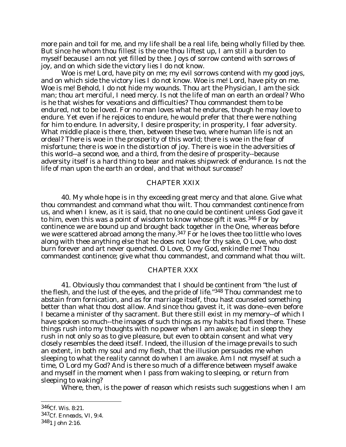more pain and toil for me, and my life shall be a real life, being wholly filled by thee. But since he whom thou fillest is the one thou liftest up, I am still a burden to myself because I am not yet filled by thee. Joys of sorrow contend with sorrows of joy, and on which side the victory lies I do not know.

Woe is me! Lord, have pity on me; my evil sorrows contend with my good joys, and on which side the victory lies I do not know. Woe is me! Lord, have pity on me. Woe is me! Behold, I do not hide my wounds. Thou art the Physician, I am the sick man; thou art merciful, I need mercy. Is not the life of man on earth an ordeal? Who is he that wishes for vexations and difficulties? Thou commandest them to be endured, not to be loved. For no man loves what he endures, though he may love to endure. Yet even if he rejoices to endure, he would prefer that there were nothing for him to endure. In adversity, I desire prosperity; in prosperity, I fear adversity. What middle place is there, then, between these two, where human life is not an ordeal? There is woe in the prosperity of this world; there is woe in the fear of misfortune; there is woe in the distortion of joy. There is woe in the adversities of this world--a second woe, and a third, from the desire of prosperity--because adversity itself is a hard thing to bear and makes shipwreck of endurance. Is not the life of man upon the earth an ordeal, and that without surcease?

#### CHAPTER XXIX

40. My whole hope is in thy exceeding great mercy and that alone. Give what thou commandest and command what thou wilt. Thou commandest continence from us, and when I knew, as it is said, that no one could be continent unless God gave it to him, even this was a point of wisdom to know whose gift it was.<sup>346</sup> For by continence we are bound up and brought back together in the One, whereas before we were scattered abroad among the many.<sup>347</sup> For he loves thee too little who loves along with thee anything else that he does not love for thy sake, O Love, who dost burn forever and art never quenched. O Love, O my God, enkindle me! Thou commandest continence; give what thou commandest, and command what thou wilt.

# CHAPTER XXX

41. Obviously thou commandest that I should be continent from "the lust of the flesh, and the lust of the eyes, and the pride of life."348 Thou commandest me to abstain from fornication, and as for marriage itself, thou hast counseled something better than what thou dost allow. And since thou gavest it, it was done--even before I became a minister of thy sacrament. But there still exist in my memory--of which I have spoken so much--the images of such things as my habits had fixed there. These things rush into my thoughts with no power when I am awake; but in sleep they rush in not only so as to give pleasure, but even to obtain consent and what very closely resembles the deed itself. Indeed, the illusion of the image prevails to such an extent, in both my soul and my flesh, that the illusion persuades me when sleeping to what the reality cannot do when I am awake. Am I not myself at such a time, O Lord my God? And is there so much of a difference between myself awake and myself in the moment when I pass from waking to sleeping, or return from sleeping to waking?

Where, then, is the power of reason which resists such suggestions when I am

<sup>346</sup>Cf. Wis. 8:21.

<sup>347</sup>Cf. *Enneads*, VI, 9:4.

<sup>348</sup>1 John 2:16.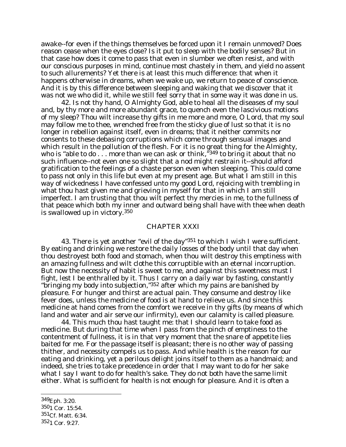awake--for even if the things themselves be forced upon it I remain unmoved? Does reason cease when the eyes close? Is it put to sleep with the bodily senses? But in that case how does it come to pass that even in slumber we often resist, and with our conscious purposes in mind, continue most chastely in them, and yield no assent to such allurements? Yet there is at least this much difference: that when it happens otherwise in dreams, when we wake up, we return to peace of conscience. And it is by this difference between sleeping and waking that we discover that it was not we who did it, while we still feel sorry that in some way it was done in us.

42. Is not thy hand, O Almighty God, able to heal all the diseases of my soul and, by thy more and more abundant grace, to quench even the lascivious motions of my sleep? Thou wilt increase thy gifts in me more and more, O Lord, that my soul may follow me to thee, wrenched free from the sticky glue of lust so that it is no longer in rebellion against itself, even in dreams; that it neither commits nor consents to these debasing corruptions which come through sensual images and which result in the pollution of the flesh. For it is no great thing for the Almighty, who is "able to do . . . more than we can ask or think,"<sup>349</sup> to bring it about that no such influence--not even one so slight that a nod might restrain it--should afford gratification to the feelings of a chaste person even when sleeping. This could come to pass not only in this life but even at my present age. But what I am still in this way of wickedness I have confessed unto my good Lord, rejoicing with trembling in what thou hast given me and grieving in myself for that in which I am still imperfect. I am trusting that thou wilt perfect thy mercies in me, to the fullness of that peace which both my inner and outward being shall have with thee when death is swallowed up in victory.350

#### CHAPTER XXXI

43. There is yet another "evil of the day"<sup>351</sup> to which I wish I were sufficient. By eating and drinking we restore the daily losses of the body until that day when thou destroyest both food and stomach, when thou wilt destroy this emptiness with an amazing fullness and wilt clothe this corruptible with an eternal incorruption. But now the necessity of habit is sweet to me, and against this sweetness must I fight, lest I be enthralled by it. Thus I carry on a daily war by fasting, constantly "bringing my body into subjection,"352 after which my pains are banished by pleasure. For hunger and thirst are actual pain. They consume and destroy like fever does, unless the medicine of food is at hand to relieve us. And since this medicine at hand comes from the comfort we receive in thy gifts (by means of which land and water and air serve our infirmity), even our calamity is called pleasure.

44. This much thou hast taught me: that I should learn to take food as medicine. But during that time when I pass from the pinch of emptiness to the contentment of fullness, it is in that very moment that the snare of appetite lies baited for me. For the passage itself is pleasant; there is no other way of passing thither, and necessity compels us to pass. And while health is the reason for our eating and drinking, yet a perilous delight joins itself to them as a handmaid; and indeed, she tries to take precedence in order that I may want to do for her sake what I say I want to do for health's sake. They do not both have the same limit either. What is sufficient for health is not enough for pleasure. And it is often a

<sup>349</sup>Eph. 3:20. 3501 Cor. 15:54. 351Cf. Matt. 6:34. 3521 Cor. 9:27.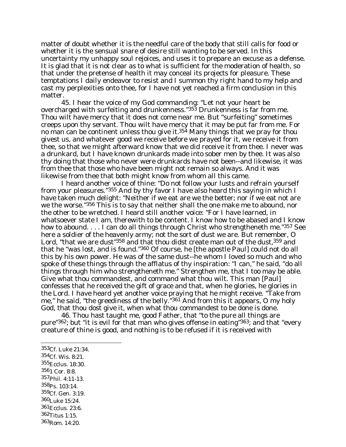matter of doubt whether it is the needful care of the body that still calls for food or whether it is the sensual snare of desire still wanting to be served. In this uncertainty my unhappy soul rejoices, and uses it to prepare an excuse as a defense. It is glad that it is not clear as to what is sufficient for the moderation of health, so that under the pretense of health it may conceal its projects for pleasure. These temptations I daily endeavor to resist and I summon thy right hand to my help and cast my perplexities onto thee, for I have not yet reached a firm conclusion in this matter.

45. I hear the voice of my God commanding: "Let not your heart be overcharged with surfeiting and drunkenness."353 Drunkenness is far from me. Thou wilt have mercy that it does not come near me. But "surfeiting" sometimes creeps upon thy servant. Thou wilt have mercy that it may be put far from me. For no man can be continent unless thou give it.354 Many things that we pray for thou givest us, and whatever good we receive before we prayed for it, we receive it from thee, so that we might afterward know that we did receive it from thee. I never was a drunkard, but I have known drunkards made into sober men by thee. It was also thy doing that those who never were drunkards have not been--and likewise, it was from thee that those who have been might not remain so always. And it was likewise from thee that both might know from whom all this came.

I heard another voice of thine: "Do not follow your lusts and refrain yourself from your pleasures."355 And by thy favor I have also heard this saying in which I have taken much delight: "Neither if we eat are we the better; nor if we eat not are we the worse."356 This is to say that neither shall the one make me to abound, nor the other to be wretched. I heard still another voice: "For I have learned, in whatsoever state I am, therewith to be content. I know how to be abased and I know how to abound. . . . I can do all things through Christ who strengtheneth me."357 See here a soldier of the heavenly army; not the sort of dust we are. But remember, O Lord, "that we are dust"<sup>358</sup> and that thou didst create man out of the dust,<sup>359</sup> and that he "was lost, and is found."360 Of course, he [the apostle Paul] could not do all this by his own power. He was of the same dust--he whom I loved so much and who spoke of these things through the afflatus of thy inspiration: "I can," he said, "do all things through him who strengtheneth me." Strengthen me, that I too may be able. Give what thou commandest, and command what thou wilt. This man [Paul] confesses that he received the gift of grace and that, when he glories, he glories in the Lord. I have heard yet another voice praying that he might receive. "Take from me," he said, "the greediness of the belly."361 And from this it appears, O my holy God, that thou dost give it, when what thou commandest to be done is done.

46. Thou hast taught me, good Father, that "to the pure all things are pure"362; but "it is evil for that man who gives offense in eating"363; and that "every creature of thine is good, and nothing is to be refused if it is received with

Cf. Luke 21:34. Cf. Wis. 8:21. Ecclus. 18:30. Cor. 8:8. Phil. 4:11-13. Ps. 103:14. Cf. Gen. 3:19. Luke 15:24. Ecclus. 23:6. Titus 1:15. Rom. 14:20.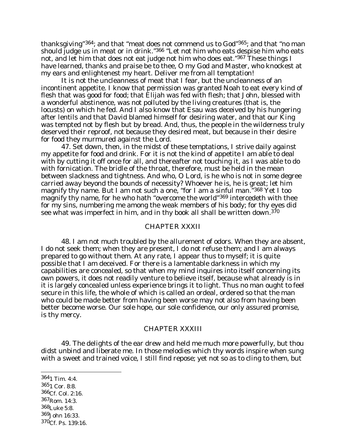thanksgiving"364; and that "meat does not commend us to God"365; and that "no man should judge us in meat or in drink."366 "Let not him who eats despise him who eats not, and let him that does not eat judge not him who does eat."367 These things I have learned, thanks and praise be to thee, O my God and Master, who knockest at my ears and enlightenest my heart. Deliver me from all temptation!

It is not the uncleanness of meat that I fear, but the uncleanness of an incontinent appetite. I know that permission was granted Noah to eat every kind of flesh that was good for food; that Elijah was fed with flesh; that John, blessed with a wonderful abstinence, was not polluted by the living creatures (that is, the locusts) on which he fed. And I also know that Esau was deceived by his hungering after lentils and that David blamed himself for desiring water, and that our King was tempted not by flesh but by bread. And, thus, the people in the wilderness truly deserved their reproof, not because they desired meat, but because in their desire for food they murmured against the Lord.

47. Set down, then, in the midst of these temptations, I strive daily against my appetite for food and drink. For it is not the kind of appetite I am able to deal with by cutting it off once for all, and thereafter not touching it, as I was able to do with fornication. The bridle of the throat, therefore, must be held in the mean between slackness and tightness. And who, O Lord, is he who is not in some degree carried away beyond the bounds of necessity? Whoever he is, he is great; let him magnify thy name. But I am not such a one, "for I am a sinful man."368 Yet I too magnify thy name, for he who hath "overcome the world"369 intercedeth with thee for my sins, numbering me among the weak members of his body; for thy eyes did see what was imperfect in him, and in thy book all shall be written down.<sup>370</sup>

## CHAPTER XXXII

48. I am not much troubled by the allurement of odors. When they are absent, I do not seek them; when they are present, I do not refuse them; and I am always prepared to go without them. At any rate, I appear thus to myself; it is quite possible that I am deceived. For there is a lamentable darkness in which my capabilities are concealed, so that when my mind inquires into itself concerning its own powers, it does not readily venture to believe itself, because what already is in it is largely concealed unless experience brings it to light. Thus no man ought to feel secure in this life, the whole of which is called an ordeal, ordered so that the man who could be made better from having been worse may not also from having been better become worse. Our sole hope, our sole confidence, our only assured promise, is thy mercy.

#### CHAPTER XXXIII

49. The delights of the ear drew and held me much more powerfully, but thou didst unbind and liberate me. In those melodies which thy words inspire when sung with a sweet and trained voice, I still find repose; yet not so as to cling to them, but

1 Tim. 4:4. 1 Cor. 8:8. Cf. Col. 2:16. Rom. 14:3. 368Luke 5:8. John 16:33. Cf. Ps. 139:16.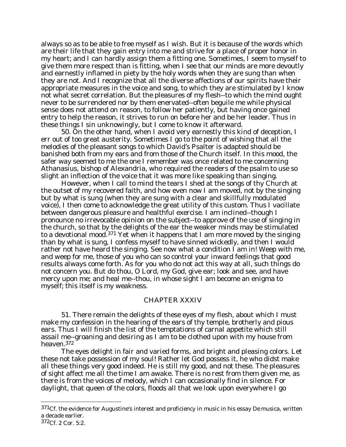always so as to be able to free myself as I wish. But it is because of the words which are their life that they gain entry into me and strive for a place of proper honor in my heart; and I can hardly assign them a fitting one. Sometimes, I seem to myself to give them more respect than is fitting, when I see that our minds are more devoutly and earnestly inflamed in piety by the holy words when they are sung than when they are not. And I recognize that all the diverse affections of our spirits have their appropriate measures in the voice and song, to which they are stimulated by I know not what secret correlation. But the pleasures of my flesh--to which the mind ought never to be surrendered nor by them enervated--often beguile me while physical sense does not attend on reason, to follow her patiently, but having once gained entry to help the reason, it strives to run on before her and be her leader. Thus in these things I sin unknowingly, but I come to know it afterward.

50. On the other hand, when I avoid very earnestly this kind of deception, I err out of too great austerity. Sometimes I go to the point of wishing that all the melodies of the pleasant songs to which David's Psalter is adapted should be banished both from my ears and from those of the Church itself. In this mood, the safer way seemed to me the one I remember was once related to me concerning Athanasius, bishop of Alexandria, who required the readers of the psalm to use so slight an inflection of the voice that it was more like speaking than singing.

However, when I call to mind the tears I shed at the songs of thy Church at the outset of my recovered faith, and how even now I am moved, not by the singing but by what is sung (when they are sung with a clear and skillfully modulated voice), I then come to acknowledge the great utility of this custom. Thus I vacillate between dangerous pleasure and healthful exercise. I am inclined--though I pronounce no irrevocable opinion on the subject--to approve of the use of singing in the church, so that by the delights of the ear the weaker minds may be stimulated to a devotional mood.<sup>371</sup> Yet when it happens that I am more moved by the singing than by what is sung, I confess myself to have sinned wickedly, and then I would rather not have heard the singing. See now what a condition I am in! Weep with me, and weep for me, those of you who can so control your inward feelings that good results always come forth. As for you who do not act this way at all, such things do not concern you. But do thou, O Lord, my God, give ear; look and see, and have mercy upon me; and heal me--thou, in whose sight I am become an enigma to myself; this itself is my weakness.

## CHAPTER XXXIV

51. There remain the delights of these eyes of my flesh, about which I must make my confession in the hearing of the ears of thy temple, brotherly and pious ears. Thus I will finish the list of the temptations of carnal appetite which still assail me--groaning and desiring as I am to be clothed upon with my house from heaven.372

The eyes delight in fair and varied forms, and bright and pleasing colors. Let these not take possession of my soul! Rather let God possess it, he who didst make all these things very good indeed. He is still my good, and not these. The pleasures of sight affect me all the time I am awake. There is no rest from them given me, as there is from the voices of melody, which I can occasionally find in silence. For daylight, that queen of the colors, floods all that we look upon everywhere I go

<sup>371</sup>Cf. the evidence for Augustine's interest and proficiency in music in his essay *De musica*, written a decade earlier. 372Cf. 2 Cor. 5:2.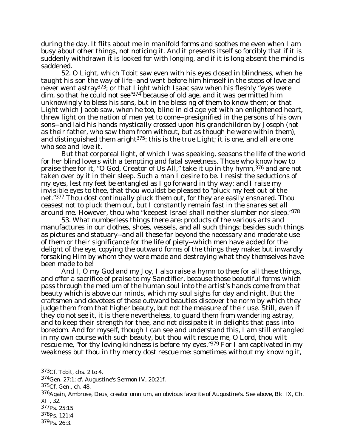during the day. It flits about me in manifold forms and soothes me even when I am busy about other things, not noticing it. And it presents itself so forcibly that if it is suddenly withdrawn it is looked for with longing, and if it is long absent the mind is saddened.

52. O Light, which Tobit saw even with his eyes closed in blindness, when he taught his son the way of life--and went before him himself in the steps of love and never went astray<sup>373</sup>; or that Light which Isaac saw when his fleshly "eyes were dim, so that he could not see"374 because of old age, and it was permitted him unknowingly to bless his sons, but in the blessing of them to know them; or that Light which Jacob saw, when he too, blind in old age yet with an enlightened heart, threw light on the nation of men yet to come--presignified in the persons of his own sons--and laid his hands mystically crossed upon his grandchildren by Joseph (not as their father, who saw them from without, but as though he were within them), and distinguished them aright $375$ : this is the true Light; it is one, and all are one who see and love it.

But that corporeal light, of which I was speaking, seasons the life of the world for her blind lovers with a tempting and fatal sweetness. Those who know how to praise thee for it, "O God, Creator of Us All," take it up in thy hymn,376 and are not taken over by it in their sleep. Such a man I desire to be. I resist the seductions of my eyes, lest my feet be entangled as I go forward in thy way; and I raise my invisible eyes to thee, that thou wouldst be pleased to "pluck my feet out of the net."377 Thou dost continually pluck them out, for they are easily ensnared. Thou ceasest not to pluck them out, but I constantly remain fast in the snares set all around me. However, thou who "keepest Israel shall neither slumber nor sleep."378

53. What numberless things there are: products of the various arts and manufactures in our clothes, shoes, vessels, and all such things; besides such things as pictures and statuary--and all these far beyond the necessary and moderate use of them or their significance for the life of piety--which men have added for the delight of the eye, copying the outward forms of the things they make; but inwardly forsaking Him by whom they were made and destroying what they themselves have been made to be!

And I, O my God and my Joy, I also raise a hymn to thee for all these things, and offer a sacrifice of praise to my Sanctifier, because those beautiful forms which pass through the medium of the human soul into the artist's hands come from that beauty which is above our minds, which my soul sighs for day and night. But the craftsmen and devotees of these outward beauties discover the norm by which they judge them from that higher beauty, but not the measure of their use. Still, even if they do not see it, it is there nevertheless, to guard them from wandering astray, and to keep their strength for thee, and not dissipate it in delights that pass into boredom. And for myself, though I can see and understand this, I am still entangled in my own course with such beauty, but thou wilt rescue me, O Lord, thou wilt rescue me, "for thy loving-kindness is before my eyes."379 For I am captivated in my weakness but thou in thy mercy dost rescue me: sometimes without my knowing it,

375Cf. Gen., ch. 48.

377Ps. 25:15.

379Ps. 26:3.

<sup>373</sup>Cf. Tobit, chs. 2 to 4.

<sup>374</sup>Gen. 27:1; cf. Augustine's *Sermon* IV, 20:21f.

<sup>376</sup>Again, Ambrose, *Deus, creator omnium*, an obvious favorite of Augustine's. See above, Bk. IX, Ch. XII, 32.

<sup>378</sup>Ps. 121:4.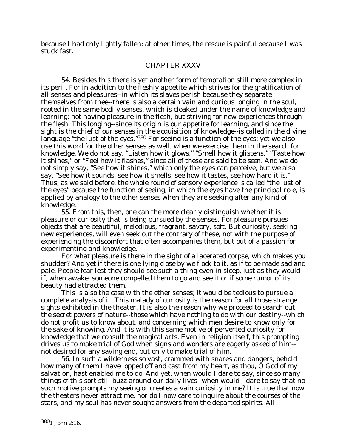because I had only lightly fallen; at other times, the rescue is painful because I was stuck fast.

## CHAPTER XXXV

54. Besides this there is yet another form of temptation still more complex in its peril. For in addition to the fleshly appetite which strives for the gratification of all senses and pleasures--in which its slaves perish because they separate themselves from thee--there is also a certain vain and curious longing in the soul, rooted in the same bodily senses, which is cloaked under the name of knowledge and learning; not having pleasure in the flesh, but striving for new experiences through the flesh. This longing--since its origin is our appetite for learning, and since the sight is the chief of our senses in the acquisition of knowledge--is called in the divine language "the lust of the eyes."<sup>380</sup> For seeing is a function of the eyes; yet we also use this word for the other senses as well, when we exercise them in the search for knowledge. We do not say, "Listen how it glows," "Smell how it glistens," "Taste how it shines," or "Feel how it flashes," since all of these are said to be *seen*. And we do not simply say, "See how it shines," which only the eyes can perceive; but we also say, "See how it sounds, see how it smells, see how it tastes, see how hard it is." Thus, as we said before, the whole round of sensory experience is called "the lust of the eyes" because the function of seeing, in which the eyes have the principal role, is applied by analogy to the other senses when they are seeking after any kind of knowledge.

55. From this, then, one can the more clearly distinguish whether it is pleasure or curiosity that is being pursued by the senses. For pleasure pursues objects that are beautiful, melodious, fragrant, savory, soft. But curiosity, seeking new experiences, will even seek out the contrary of these, not with the purpose of experiencing the discomfort that often accompanies them, but out of a passion for experimenting and knowledge.

For what pleasure is there in the sight of a lacerated corpse, which makes you shudder? And yet if there is one lying close by we flock to it, as if to be made sad and pale. People fear lest they should see such a thing even in sleep, just as they would if, when awake, someone compelled them to go and see it or if some rumor of its beauty had attracted them.

This is also the case with the other senses; it would be tedious to pursue a complete analysis of it. This malady of curiosity is the reason for all those strange sights exhibited in the theater. It is also the reason why we proceed to search out the secret powers of nature--those which have nothing to do with our destiny--which do not profit us to know about, and concerning which men desire to know only for the sake of knowing. And it is with this same motive of perverted curiosity for knowledge that we consult the magical arts. Even in religion itself, this prompting drives us to make trial of God when signs and wonders are eagerly asked of him- not desired for any saving end, but only to make trial of him.

56. In such a wilderness so vast, crammed with snares and dangers, behold how many of them I have lopped off and cast from my heart, as thou,  $\overline{O}$  God of my salvation, hast enabled me to do. And yet, when would I dare to say, since so many things of this sort still buzz around our daily lives--when would I dare to say that no such motive prompts my seeing or creates a vain curiosity in me? It is true that now the theaters never attract me, nor do I now care to inquire about the courses of the stars, and my soul has never sought answers from the departed spirits. All

<sup>380</sup>1 John 2:16.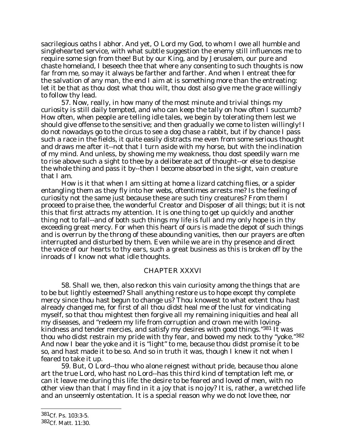sacrilegious oaths I abhor. And yet, O Lord my God, to whom I owe all humble and singlehearted service, with what subtle suggestion the enemy still influences me to require some sign from thee! But by our King, and by Jerusalem, our pure and chaste homeland, I beseech thee that where any consenting to such thoughts is now far from me, so may it always be farther and farther. And when I entreat thee for the salvation of any man, the end I aim at is something more than the entreating: let it be that as thou dost what thou wilt, thou dost also give me the grace willingly to follow thy lead.

57. Now, really, in how many of the most minute and trivial things my curiosity is still daily tempted, and who can keep the tally on how often I succumb? How often, when people are telling idle tales, we begin by tolerating them lest we should give offense to the sensitive; and then gradually we come to listen willingly! I do not nowadays go to the circus to see a dog chase a rabbit, but if by chance I pass such a race in the fields, it quite easily distracts me even from some serious thought and draws me after it--not that I turn aside with my horse, but with the inclination of my mind. And unless, by showing me my weakness, thou dost speedily warn me to rise above such a sight to thee by a deliberate act of thought--or else to despise the whole thing and pass it by--then I become absorbed in the sight, vain creature that I am.

How is it that when I am sitting at home a lizard catching flies, or a spider entangling them as they fly into her webs, oftentimes arrests me? Is the feeling of curiosity not the same just because these are such tiny creatures? From them I proceed to praise thee, the wonderful Creator and Disposer of all things; but it is not this that first attracts my attention. It is one thing to get up quickly and another thing not to fall--and of both such things my life is full and my only hope is in thy exceeding great mercy. For when this heart of ours is made the depot of such things and is overrun by the throng of these abounding vanities, then our prayers are often interrupted and disturbed by them. Even while we are in thy presence and direct the voice of our hearts to thy ears, such a great business as this is broken off by the inroads of I know not what idle thoughts.

## CHAPTER XXXVI

58. Shall we, then, also reckon this vain curiosity among the things that are to be but lightly esteemed? Shall anything restore us to hope except thy complete mercy since thou hast begun to change us? Thou knowest to what extent thou hast already changed me, for first of all thou didst heal me of the lust for vindicating myself, so that thou mightest then forgive all my remaining iniquities and heal all my diseases, and "redeem my life from corruption and crown me with lovingkindness and tender mercies, and satisfy my desires with good things."381 It was thou who didst restrain my pride with thy fear, and bowed my neck to thy "yoke."382 And now I bear the yoke and it is "light" to me, because thou didst promise it to be so, and hast made it to be so. And so in truth it was, though I knew it not when I feared to take it up.

59. But, O Lord--thou who alone reignest without pride, because thou alone art the true Lord, who hast no Lord--has this third kind of temptation left me, or can it leave me during this life: the desire to be feared and loved of men, with no other view than that  $\overline{I}$  may find in it a joy that is no joy? It is, rather, a wretched life and an unseemly ostentation. It is a special reason why we do not love thee, nor

 $381 \text{C}$ f. Ps. 103:3-5.

<sup>382</sup>Cf. Matt. 11:30.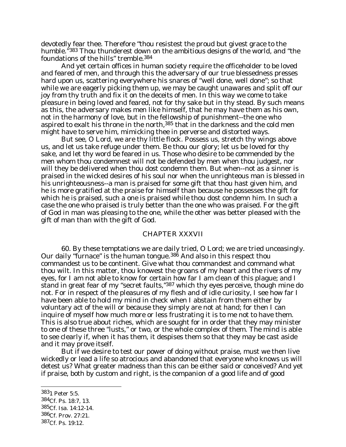devotedly fear thee. Therefore "thou resistest the proud but givest grace to the humble.<sup>"383</sup> Thou thunderest down on the ambitious designs of the world, and "the foundations of the hills" tremble.384

And yet certain offices in human society require the officeholder to be loved and feared of men, and through this the adversary of our true blessedness presses hard upon us, scattering everywhere his snares of "well done, well done"; so that while we are eagerly picking them up, we may be caught unawares and split off our joy from thy truth and fix it on the deceits of men. In this way we come to take pleasure in being loved and feared, not for thy sake but in thy stead. By such means as this, the adversary makes men like himself, that he may have them as his own, not in the harmony of love, but in the fellowship of punishment--the one who aspired to exalt his throne in the north,<sup>385</sup> that in the darkness and the cold men might have to serve him, mimicking thee in perverse and distorted ways.

But see, O Lord, we are thy little flock. Possess us, stretch thy wings above us, and let us take refuge under them. Be thou our glory; let us be loved for thy sake, and let thy word be feared in us. Those who desire to be commended by the men whom thou condemnest will not be defended by men when thou judgest, nor will they be delivered when thou dost condemn them. But when--not as a sinner is praised in the wicked desires of his soul nor when the unrighteous man is blessed in his unrighteousness--a man is praised for some gift that thou hast given him, and he is more gratified at the praise for himself than because he possesses the gift for which he is praised, such a one is praised while thou dost condemn him. In such a case the one who praised is truly better than the one who was praised. For the gift of God in man was pleasing to the one, while the other was better pleased with the gift of man than with the gift of God.

#### CHAPTER XXXVII

60. By these temptations we are daily tried, O Lord; we are tried unceasingly. Our daily "furnace" is the human tongue.<sup>386</sup> And also in this respect thou commandest us to be continent. Give what thou commandest and command what thou wilt. In this matter, thou knowest the groans of my heart and the rivers of my eyes, for I am not able to know for certain how far I am clean of this plague; and I stand in great fear of my "secret faults,"387 which thy eyes perceive, though mine do not. For in respect of the pleasures of my flesh and of idle curiosity, I see how far I have been able to hold my mind in check when I abstain from them either by voluntary act of the will or because they simply are not at hand; for then I can inquire of myself how much more or less frustrating it is to me not to have them. This is also true about riches, which are sought for in order that they may minister to one of these three "lusts," or two, or the whole complex of them. The mind is able to see clearly if, when it has them, it despises them so that they may be cast aside and it may prove itself.

But if we desire to test our power of doing without praise, must we then live wickedly or lead a life so atrocious and abandoned that everyone who knows us will detest us? What greater madness than this can be either said or conceived? And yet if praise, both by custom and right, is the companion of a good life and of good

<sup>383</sup>1 Peter 5:5.

<sup>384</sup>Cf. Ps. 18:7, 13.

<sup>385</sup>Cf. Isa. 14:12-14.

<sup>386</sup>Cf. Prov. 27:21.

<sup>387</sup>Cf. Ps. 19:12.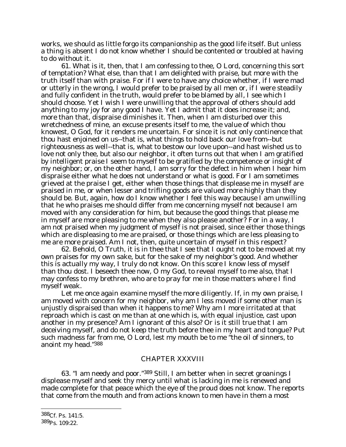works, we should as little forgo its companionship as the good life itself. But unless a thing is absent I do not know whether I should be contented or troubled at having to do without it.

61. What is it, then, that I am confessing to thee, O Lord, concerning this sort of temptation? What else, than that I am delighted with praise, but more with the truth itself than with praise. For if I were to have any choice whether, if I were mad or utterly in the wrong, I would prefer to be praised by all men or, if I were steadily and fully confident in the truth, would prefer to be blamed by all, I see which I should choose. Yet I wish I were unwilling that the approval of others should add anything to my joy for any good I have. Yet I admit that it does increase it; and, more than that, dispraise diminishes it. Then, when I am disturbed over this wretchedness of mine, an excuse presents itself to me, the value of which thou knowest, O God, for it renders me uncertain. For since it is not only continence that thou hast enjoined on us--that is, what things to hold back our love from--but righteousness as well--that is, what to bestow our love upon--and hast wished us to love not only thee, but also our neighbor, it often turns out that when I am gratified by intelligent praise I seem to myself to be gratified by the competence or insight of my neighbor; or, on the other hand, I am sorry for the defect in him when I hear him dispraise either what he does not understand or what is good. For I am sometimes grieved at the praise I get, either when those things that displease me in myself are praised in me, or when lesser and trifling goods are valued more highly than they should be. But, again, how do I know whether I feel this way because I am unwilling that he who praises me should differ from me concerning myself not because I am moved with any consideration for him, but because the good things that please me in myself are more pleasing to me when they also please another? For in a way, I am not praised when my judgment of myself is not praised, since either those things which are displeasing to me are praised, or those things which are less pleasing to me are more praised. Am I not, then, quite uncertain of myself in this respect?

62. Behold, O Truth, it is in thee that I see that I ought not to be moved at my own praises for my own sake, but for the sake of my neighbor's good. And whether this is actually my way, I truly do not know. On this score I know less of myself than thou dost. I beseech thee now, O my God, to reveal myself to me also, that I may confess to my brethren, who are to pray for me in those matters where I find myself weak.

Let me once again examine myself the more diligently. If, in my own praise, I am moved with concern for my neighbor, why am I less moved if some other man is unjustly dispraised than when it happens to me? Why am I more irritated at that reproach which is cast on me than at one which is, with equal injustice, cast upon another in my presence? Am I ignorant of this also? Or is it still true that I am deceiving myself, and do not keep the truth before thee in my heart and tongue? Put such madness far from me, O Lord, lest my mouth be to me "the oil of sinners, to anoint my head."388

## CHAPTER XXXVIII

63. "I am needy and poor."389 Still, I am better when in secret groanings I displease myself and seek thy mercy until what is lacking in me is renewed and made complete for that peace which the eye of the proud does not know. The reports that come from the mouth and from actions known to men have in them a most

<sup>388</sup>Cf. Ps. 141:5. 389Ps. 109:22.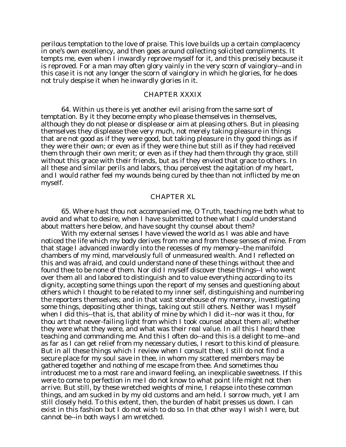perilous temptation to the love of praise. This love builds up a certain complacency in one's own excellency, and then goes around collecting solicited compliments. It tempts me, even when I inwardly reprove myself for it, and this precisely because it is reproved. For a man may often glory vainly in the very scorn of vainglory--and in this case it is not any longer the scorn of vainglory in which he glories, for he does not truly despise it when he inwardly glories in it.

#### CHAPTER XXXIX

64. Within us there is yet another evil arising from the same sort of temptation. By it they become empty who please themselves in themselves, although they do not please or displease or aim at pleasing others. But in pleasing themselves they displease thee very much, not merely taking pleasure in things that are not good as if they were good, but taking pleasure in thy good things as if they were their own; or even as if they were thine but still as if they had received them through their own merit; or even as if they had them through thy grace, still without this grace with their friends, but as if they envied that grace to others. In all these and similar perils and labors, thou perceivest the agitation of my heart, and I would rather feel my wounds being cured by thee than not inflicted by me on myself.

#### CHAPTER XL

65. Where hast thou not accompanied me, O Truth, teaching me both what to avoid and what to desire, when I have submitted to thee what I could understand about matters here below, and have sought thy counsel about them?

With my external senses I have viewed the world as I was able and have noticed the life which my body derives from me and from these senses of mine. From that stage I advanced inwardly into the recesses of my memory--the manifold chambers of my mind, marvelously full of unmeasured wealth. And I reflected on this and was afraid, and could understand none of these things without thee and found thee to be none of them. Nor did I myself discover these things--I who went over them all and labored to distinguish and to value everything according to its dignity, accepting some things upon the report of my senses and questioning about others which I thought to be related to my inner self, distinguishing and numbering the reporters themselves; and in that vast storehouse of my memory, investigating some things, depositing other things, taking out still others. Neither was I myself when I did this--that is, that ability of mine by which I did it--nor was it thou, for thou art that never-failing light from which I took counsel about them all; whether they were what they were, and what was their real value. In all this I heard thee teaching and commanding me. And this I often do--and this is a delight to me--and as far as I can get relief from my necessary duties, I resort to this kind of pleasure. But in all these things which I review when I consult thee, I still do not find a secure place for my soul save in thee, in whom my scattered members may be gathered together and nothing of me escape from thee. And sometimes thou introducest me to a most rare and inward feeling, an inexplicable sweetness. If this were to come to perfection in me I do not know to what point life might not then arrive. But still, by these wretched weights of mine, I relapse into these common things, and am sucked in by my old customs and am held. I sorrow much, yet I am still closely held. To this extent, then, the burden of habit presses us down. I can exist in this fashion but I do not wish to do so. In that other way I wish I were, but cannot be--in both ways I am wretched.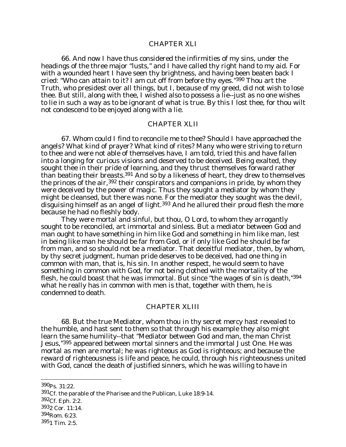#### CHAPTER XLI

66. And now I have thus considered the infirmities of my sins, under the headings of the three major "lusts," and I have called thy right hand to my aid. For with a wounded heart I have seen thy brightness, and having been beaten back I cried: "Who can attain to it? I am cut off from before thy eyes."390 Thou art the Truth, who presidest over all things, but I, because of my greed, did not wish to lose thee. But still, along with thee, I wished also to possess a lie--just as no one wishes to lie in such a way as to be ignorant of what is true. By this I lost thee, for thou wilt not condescend to be enjoyed along with a lie.

## CHAPTER XLII

67. Whom could I find to reconcile me to thee? Should I have approached the angels? What kind of prayer? What kind of rites? Many who were striving to return to thee and were not able of themselves have, I am told, tried this and have fallen into a longing for curious visions and deserved to be deceived. Being exalted, they sought thee in their pride of learning, and they thrust themselves forward rather than beating their breasts.391 And so by a likeness of heart, they drew to themselves the princes of the air,392 their conspirators and companions in pride, by whom they were deceived by the power of magic. Thus they sought a mediator by whom they might be cleansed, but there was none. For the mediator they sought was the devil, disguising himself as an angel of light.<sup>393</sup> And he allured their proud flesh the more because he had no fleshly body.

They were mortal and sinful, but thou, O Lord, to whom they arrogantly sought to be reconciled, art immortal and sinless. But a mediator between God and man ought to have something in him like God and something in him like man, lest in being like man he should be far from God, or if only like God he should be far from man, and so should not be a mediator. That deceitful mediator, then, by whom, by thy secret judgment, human pride deserves to be deceived, had one thing in common with man, that is, his sin. In another respect, he would seem to have something in common with God, for not being clothed with the mortality of the flesh, he could boast that he was immortal. But since "the wages of sin is death,"394 what he really has in common with men is that, together with them, he is condemned to death.

## CHAPTER XLIII

68. But the true Mediator, whom thou in thy secret mercy hast revealed to the humble, and hast sent to them so that through his example they also might learn the same humility--that "Mediator between God and man, the man Christ Jesus,"395 appeared between mortal sinners and the immortal Just One. He was mortal as men are mortal; he was righteous as God is righteous; and because the reward of righteousness is life and peace, he could, through his righteousness united with God, cancel the death of justified sinners, which he was willing to have in

<sup>390</sup>Ps. 31:22.

<sup>391</sup>Cf. the parable of the Pharisee and the Publican, Luke 18:9-14. 392Cf. Eph. 2:2. 3932 Cor. 11:14. 394Rom. 6:23.

<sup>395</sup>1 Tim. 2:5.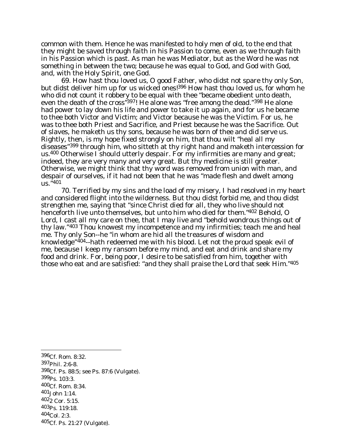common with them. Hence he was manifested to holy men of old, to the end that they might be saved through faith in his Passion to come, even as we through faith in his Passion which is past. As man he was Mediator, but as the Word he was not something in between the two; because he was equal to God, and God with God, and, with the Holy Spirit, one God.

69. How hast thou loved us, O good Father, who didst not spare thy only Son, but didst deliver him up for us wicked ones!<sup>396</sup> How hast thou loved us, for whom he who did not count it robbery to be equal with thee "became obedient unto death, even the death of the cross<sup>"397</sup>! He alone was "free among the dead."<sup>398</sup> He alone had power to lay down his life and power to take it up again, and for us he became to thee both Victor and Victim; and Victor because he was the Victim. For us, he was to thee both Priest and Sacrifice, and Priest because he was the Sacrifice. Out of slaves, he maketh us thy sons, because he was born of thee and did serve us. Rightly, then, is my hope fixed strongly on him, that thou wilt "heal all my diseases"399 through him, who sitteth at thy right hand and maketh intercession for us.400 Otherwise I should utterly despair. For my infirmities are many and great; indeed, they are very many and very great. But thy medicine is still greater. Otherwise, we might think that thy word was removed from union with man, and despair of ourselves, if it had not been that he was "made flesh and dwelt among  $\text{us}$ ."401

70. Terrified by my sins and the load of my misery, I had resolved in my heart and considered flight into the wilderness. But thou didst forbid me, and thou didst strengthen me, saying that "since Christ died for all, they who live should not henceforth live unto themselves, but unto him who died for them."402 Behold, O Lord, I cast all my care on thee, that I may live and "behold wondrous things out of thy law."403 Thou knowest my incompetence and my infirmities; teach me and heal me. Thy only Son--he "in whom are hid all the treasures of wisdom and knowledge"<sup>404</sup>--hath redeemed me with his blood. Let not the proud speak evil of me, because I keep my ransom before my mind, and eat and drink and share my food and drink. For, being poor, I desire to be satisfied from him, together with those who eat and are satisfied: "and they shall praise the Lord that seek Him."405

Cf. Rom. 8:32. Phil. 2:6-8. Cf. Ps. 88:5; see Ps. 87:6 (Vulgate). Ps. 103:3. Cf. Rom. 8:34. John 1:14. 2 Cor. 5:15. Ps. 119:18. 404Col. 2:3. Cf. Ps. 21:27 (Vulgate).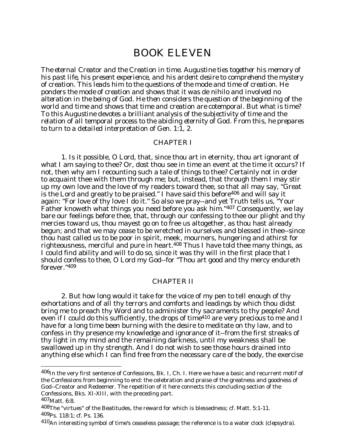## BOOK ELEVEN

*The eternal Creator and the Creation in time. Augustine ties together his memory of his past life, his present experience, and his ardent desire to comprehend the mystery of creation. This leads him to the questions of the mode and time of creation. He ponders the mode of creation and shows that it was* de nihilo *and involved no alteration in the being of God. He then considers the question of the beginning of the world and time and shows that time and creation are cotemporal. But what is time? To this Augustine devotes a brilliant analysis of the subjectivity of time and the relation of all temporal process to the abiding eternity of God. From this, he prepares to turn to a detailed interpretation of Gen.* 1:1, 2.

#### CHAPTER I

1. Is it possible, O Lord, that, since thou art in eternity, thou art ignorant of what I am saying to thee? Or, dost thou see in time an event at the time it occurs? If not, then why am I recounting such a tale of things to thee? Certainly not in order to acquaint thee with them through me; but, instead, that through them I may stir up my own love and the love of my readers toward thee, so that all may say, "Great is the Lord and greatly to be praised." I have said this before<sup>406</sup> and will say it again: "For love of thy love I do it." So also we pray--and yet Truth tells us, "Your Father knoweth what things you need before you ask him."407 Consequently, we lay bare our feelings before thee, that, through our confessing to thee our plight and thy mercies toward us, thou mayest go on to free us altogether, as thou hast already begun; and that we may cease to be wretched in ourselves and blessed in thee--since thou hast called us to be poor in spirit, meek, mourners, hungering and athirst for righteousness, merciful and pure in heart.<sup>408</sup> Thus I have told thee many things, as I could find ability and will to do so, since it was thy will in the first place that I should confess to thee, O Lord my God--for "Thou art good and thy mercy endureth forever."409

#### CHAPTER II

2. But how long would it take for the voice of my pen to tell enough of thy exhortations and of all thy terrors and comforts and leadings by which thou didst bring me to preach thy Word and to administer thy sacraments to thy people? And even if I could do this sufficiently, the drops of time<sup>410</sup> are very precious to me and I have for a long time been burning with the desire to meditate on thy law, and to confess in thy presence my knowledge and ignorance of it--from the first streaks of thy light in my mind and the remaining darkness, until my weakness shall be swallowed up in thy strength. And I do not wish to see those hours drained into anything else which I can find free from the necessary care of the body, the exercise

<sup>406</sup>In the very first sentence of *Confessions*, Bk. I, Ch. I. Here we have a basic and recurrent motif of the *Confessions* from beginning to end: the celebration and praise of the greatness and goodness of God--Creator and Redeemer. The repetition of it here connects this concluding section of the *Confessions*, Bks. XI-XIII, with the preceding part.

<sup>407</sup>Matt. 6:8.

<sup>408</sup>The "virtues" of the Beatitudes, the reward for which is blessedness; cf. Matt. 5:1-11. 409Ps. 118:1; cf. Ps. 136.

<sup>410</sup>An interesting symbol of time's ceaseless passage; the reference is to a water clock (*clepsydra*).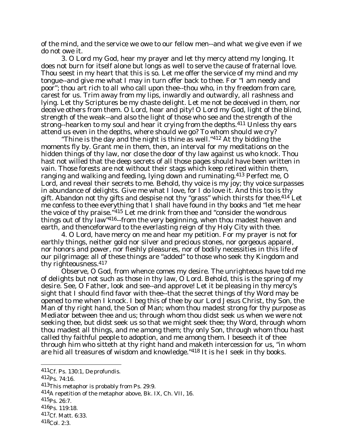of the mind, and the service we owe to our fellow men--and what we give even if we do not owe it.

3. O Lord my God, hear my prayer and let thy mercy attend my longing. It does not burn for itself alone but longs as well to serve the cause of fraternal love. Thou seest in my heart that this is so. Let me offer the service of my mind and my tongue--and give me what I may in turn offer back to thee. For "I am needy and poor"; thou art rich to all who call upon thee--thou who, in thy freedom from care, carest for us. Trim away from my lips, inwardly and outwardly, all rashness and lying. Let thy Scriptures be my chaste delight. Let me not be deceived in them, nor deceive others from them. O Lord, hear and pity! O Lord my God, light of the blind, strength of the weak--and also the light of those who see and the strength of the strong--hearken to my soul and hear it crying from the depths.411 Unless thy ears attend us even in the depths, where should we go? To whom should we cry?

"Thine is the day and the night is thine as well."412 At thy bidding the moments fly by. Grant me in them, then, an interval for my meditations on the hidden things of thy law, nor close the door of thy law against us who knock. Thou hast not willed that the deep secrets of all those pages should have been written in vain. Those forests are not without their stags which keep retired within them, ranging and walking and feeding, lying down and ruminating.413 Perfect me, O Lord, and reveal their secrets to me. Behold, thy voice is my joy; thy voice surpasses in abundance of delights. Give me what I love, for I do love it. And this too is thy gift. Abandon not thy gifts and despise not thy "grass" which thirsts for thee.414 Let me confess to thee everything that I shall have found in thy books and "let me hear the voice of thy praise."415 Let me drink from thee and "consider the wondrous things out of thy law"416--from the very beginning, when thou madest heaven and earth, and thenceforward to the everlasting reign of thy Holy City with thee.

4. O Lord, have mercy on me and hear my petition. For my prayer is not for earthly things, neither gold nor silver and precious stones, nor gorgeous apparel, nor honors and power, nor fleshly pleasures, nor of bodily necessities in this life of our pilgrimage: all of these things are "added" to those who seek thy Kingdom and thy righteousness.417

Observe, O God, from whence comes my desire. The unrighteous have told me of delights but not such as those in thy law, O Lord. Behold, this is the spring of my desire. See, O Father, look and see--and approve! Let it be pleasing in thy mercy's sight that I should find favor with thee--that the secret things of thy Word may be opened to me when I knock. I beg this of thee by our Lord Jesus Christ, thy Son, the Man of thy right hand, the Son of Man; whom thou madest strong for thy purpose as Mediator between thee and us; through whom thou didst seek us when we were not seeking thee, but didst seek us so that we might seek thee; thy Word, through whom thou madest all things, and me among them; thy only Son, through whom thou hast called thy faithful people to adoption, and me among them. I beseech it of thee through him who sitteth at thy right hand and maketh intercession for us, "in whom are hid all treasures of wisdom and knowledge."418 It is he I seek in thy books.

<sup>411</sup>Cf. Ps. 130:1, *De profundis*.

<sup>412</sup>Ps. 74:16.

<sup>413</sup>This metaphor is probably from Ps. 29:9.

<sup>414</sup>A repetition of the metaphor above, Bk. IX, Ch. VII, 16.

<sup>415</sup>Ps. 26:7.

<sup>416</sup>Ps. 119:18.

<sup>417</sup>Cf. Matt. 6:33.

<sup>418</sup>Col. 2:3.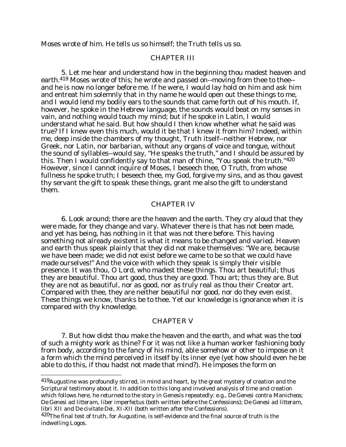Moses wrote of him. He tells us so himself; the Truth tells us so.

#### CHAPTER III

5. Let me hear and understand how in the beginning thou madest heaven and earth.<sup>419</sup> Moses wrote of this; he wrote and passed on--moving from thee to thee-and he is now no longer before me. If he were, I would lay hold on him and ask him and entreat him solemnly that in thy name he would open out these things to me, and I would lend my bodily ears to the sounds that came forth out of his mouth. If, however, he spoke in the Hebrew language, the sounds would beat on my senses in vain, and nothing would touch my mind; but if he spoke in Latin, I would understand what he said. But how should I then know whether what he said was true? If I knew even this much, would it be that I knew it from him? Indeed, within me, deep inside the chambers of my thought, Truth itself--neither Hebrew, nor Greek, nor Latin, nor barbarian, without any organs of voice and tongue, without the sound of syllables--would say, "He speaks the truth," and I should be assured by this. Then I would confidently say to that man of thine, "You speak the truth."420 However, since I cannot inquire of Moses, I beseech thee, O Truth, from whose fullness he spoke truth; I beseech thee, my God, forgive my sins, and as thou gavest thy servant the gift to speak these things, grant me also the gift to understand them.

#### CHAPTER IV

6. Look around; there are the heaven and the earth. They cry aloud that they were made, for they change and vary. Whatever there is that has not been made, and yet has being, has nothing in it that was not there before. This having something not already existent is what it means to be changed and varied. Heaven and earth thus speak plainly that they did not make themselves: "We are, because we have been made; we did not exist before we came to be so that we could have made ourselves!" And the voice with which they speak is simply their visible presence. It was thou, O Lord, who madest these things. Thou art beautiful; thus they are beautiful. Thou art good, thus they are good. Thou art; thus they are. But they are not as beautiful, nor as good, nor as truly real as thou their Creator art. Compared with thee, they are neither beautiful nor good, nor do they even exist. These things we know, thanks be to thee. Yet our knowledge is ignorance when it is compared with thy knowledge.

#### CHAPTER V

7. But *how* didst thou make the heaven and the earth, and what was the tool of such a mighty work as thine? For it was not like a human worker fashioning body from body, according to the fancy of his mind, able somehow or other to impose on it a form which the mind perceived in itself by its inner eye (yet how should even he be able to do this, if thou hadst not made that mind?). He imposes the form on

<sup>419</sup> Augustine was profoundly stirred, in mind and heart, by the great mystery of creation and the Scriptural testimony about it. In addition to this long and involved analysis of time and creation which follows here, he returned to the story in Genesis repeatedly: e.g., *De Genesi contra Manicheos*; *De Genesi ad litteram*, *liber imperfectus* (both written *before* the *Confessions*); *De Genesi ad litteram*, *libri* XII and *De civitate Dei*, XI-XII (both written *after* the *Confessions*).

<sup>420</sup>The final test of truth, for Augustine, is self-evidence and the final source of truth is the indwelling Logos.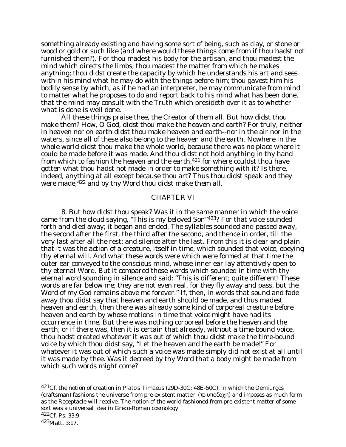something already existing and having some sort of being, such as clay, or stone or wood or gold or such like (and where would these things come from if thou hadst not furnished them?). For thou madest his body for the artisan, and thou madest the mind which directs the limbs; thou madest the matter from which he makes anything; thou didst create the capacity by which he understands his art and sees within his mind what he may do with the things before him; thou gavest him his bodily sense by which, as if he had an interpreter, he may communicate from mind to matter what he proposes to do and report back to his mind what has been done, that the mind may consult with the Truth which presideth over it as to whether what is done is well done.

All these things praise thee, the Creator of them all. But how didst thou make them? How, O God, didst thou make the heaven and earth? For truly, neither in heaven nor on earth didst thou make heaven and earth--nor in the air nor in the waters, since all of these also belong to the heaven and the earth. Nowhere in the whole world didst thou make the whole world, because there was no place where it could be made before it was made. And thou didst not hold anything in thy hand from which to fashion the heaven and the earth, <sup>421</sup> for where couldst thou have gotten what thou hadst not made in order to make something with it? Is there, indeed, anything at all except because thou art? Thus thou didst speak and they were made,422 and by thy Word thou didst make them all.

#### CHAPTER VI

8. But how didst thou speak? Was it in the same manner in which the voice came from the cloud saying, "This is my beloved Son"423? For that voice sounded forth and died away; it began and ended. The syllables sounded and passed away, the second after the first, the third after the second, and thence in order, till the very last after all the rest; and silence after the last. From this it is clear and plain that it was the action of a creature, itself in time, which sounded that voice, obeying thy eternal will. And what these words were which were formed at that time the outer ear conveyed to the conscious mind, whose inner ear lay attentively open to thy eternal Word. But it compared those words which sounded in time with thy eternal word sounding in silence and said: "This is different; quite different! These words are far below me; they are not even real, for they fly away and pass, but the Word of my God remains above me forever." If, then, in words that sound and fade away thou didst say that heaven and earth should be made, and thus *madest* heaven and earth, then there was already some kind of corporeal creature *before* heaven and earth by whose motions in time that voice might have had its occurrence in time. But there was nothing corporeal before the heaven and the earth; or if there was, then it is certain that already, without a time-bound voice, thou hadst created whatever it was out of which thou didst make the time-bound voice by which thou didst say, "Let the heaven and the earth be made!" For whatever it was out of which such a voice was made simply did not exist at all until it was made by thee. Was it decreed by thy Word that a body might be made from which such words might come?

<sup>421</sup>Cf. the notion of creation in Plato's *Timaeus* (29D-30C; 48E-50C), in which the Demiurgos (craftsman) fashions the universe from pre-existent matter (end ) and imposes as much form as the Receptacle will receive. The notion of the world fashioned from pre-existent matter of some sort was a universal idea in Greco-Roman cosmology.

<sup>422</sup>Cf. Ps. 33:9.

<sup>423</sup>Matt. 3:17.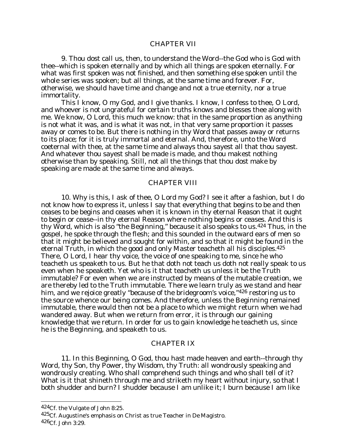#### CHAPTER VII

9. Thou dost call us, then, to understand the Word--the God who is God with thee--which is spoken eternally and by which all things are spoken eternally. For what was first spoken was not finished, and then something else spoken until the whole series was spoken; but all things, at the same time and forever. For, otherwise, we should have time and change and not a true eternity, nor a true immortality.

This I know, O my God, and I give thanks. I know, I confess to thee, O Lord, and whoever is not ungrateful for certain truths knows and blesses thee along with me. We know, O Lord, this much we know: that in the same proportion as anything is not what it was, and is what it was not, in that very same proportion it passes away or comes to be. But there is nothing in thy Word that passes away or returns to its place; for it is truly immortal and eternal. And, therefore, unto the Word coeternal with thee, at the same time and always thou sayest all that thou sayest. And whatever thou sayest shall be made is made, and thou makest nothing otherwise than by speaking. Still, not all the things that thou dost make by speaking are made at the same time and always.

#### CHAPTER VIII

10. Why is this, I ask of thee, O Lord my God? I see it after a fashion, but I do not know how to express it, unless I say that everything that begins to be and then ceases to be begins and ceases when it is known in thy eternal Reason that it ought to begin or cease--in thy eternal Reason where nothing begins or ceases. And this is thy Word, which is also "the Beginning," because it also speaks to us.424 Thus, in the gospel, he spoke through the flesh; and this sounded in the outward ears of men so that it might be believed and sought for within, and so that it might be found in the eternal Truth, in which the good and only Master teacheth all his disciples.425 There, O Lord, I hear thy voice, the voice of one speaking to me, since he who teacheth us speaketh to us. But he that doth not teach us doth not really speak to us even when he speaketh. Yet who is it that teacheth us unless it be the Truth immutable? For even when we are instructed by means of the mutable creation, we are thereby led to the Truth immutable. There we learn truly as we stand and hear him, and we rejoice greatly "because of the bridegroom's voice,"<sup>426</sup> restoring us to the source whence our being comes. And therefore, unless the Beginning remained immutable, there would then not be a place to which we might return when we had wandered away. But when we return from error, it is through our gaining knowledge that we return. In order for us to gain knowledge he teacheth us, since he is the Beginning, and speaketh to us.

#### CHAPTER IX

11. In this Beginning, O God, thou hast made heaven and earth--through thy Word, thy Son, thy Power, thy Wisdom, thy Truth: all wondrously speaking and wondrously creating. Who shall comprehend such things and who shall tell of it? What is it that shineth through me and striketh my heart without injury, so that I both shudder and burn? I shudder because I am unlike it; I burn because I am like

<sup>424</sup>Cf. the Vulgate of John 8:25.

<sup>425</sup>Cf. Augustine's emphasis on Christ as true Teacher in *De Magistro*. 426Cf. John 3:29.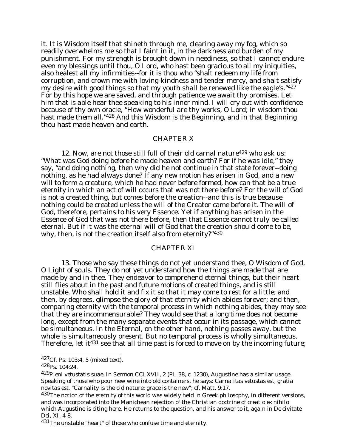it. It is Wisdom itself that shineth through me, clearing away my fog, which so readily overwhelms me so that I faint in it, in the darkness and burden of my punishment. For my strength is brought down in neediness, so that I cannot endure even my blessings until thou, O Lord, who hast been gracious to all my iniquities, also healest all my infirmities--for it is thou who "shalt redeem my life from corruption, and crown me with loving-kindness and tender mercy, and shalt satisfy my desire with good things so that my youth shall be renewed like the eagle's."427 For by this hope we are saved, and through patience we await thy promises. Let him that is able hear thee speaking to his inner mind. I will cry out with confidence because of thy own oracle, "How wonderful are thy works, O Lord; in wisdom thou hast made them all."428 And this Wisdom is the Beginning, and in that Beginning thou hast made heaven and earth.

#### CHAPTER X

12. Now, are not those still full of their old carnal nature<sup>429</sup> who ask us: "What was God doing *before* he made heaven and earth? For if he was idle," they say, "and doing nothing, then why did he not continue in that state forever--doing nothing, as he had always done? If any new motion has arisen in God, and a new will to form a creature, which he had never before formed, how can that be a true eternity in which an act of will occurs that was not there before? For the will of God is not a created thing, but comes before the creation--and this is true because nothing could be created unless the will of the Creator came before it. The will of God, therefore, pertains to his very Essence. Yet if anything has arisen in the Essence of God that was not there before, then that Essence cannot truly be called eternal. But if it was the eternal will of God that the creation should come to be, why, then, is not the creation itself also from eternity?"430

## CHAPTER XI

13. Those who say these things do not yet understand thee, O Wisdom of God, O Light of souls. They do not yet understand how the things are made that are made by and in thee. They endeavor to comprehend eternal things, but their heart still flies about in the past and future motions of created things, and is still unstable. Who shall hold it and fix it so that it may come to rest for a little; and then, by degrees, glimpse the glory of that eternity which abides forever; and then, comparing eternity with the temporal process in which nothing abides, they may see that they are incommensurable? They would see that a long time does not become long, except from the many separate events that occur in its passage, which cannot be simultaneous. In the Eternal, on the other hand, nothing passes away, but the whole is simultaneously present. But no temporal process is wholly simultaneous. Therefore, let it<sup>431</sup> see that all time past is forced to move on by the incoming future;

<sup>427</sup>Cf. Ps. 103:4, 5 (mixed text).

<sup>428</sup>Ps. 104:24.

<sup>429</sup>*Pleni vetustatis suae*. In *Sermon* CCLXVII, 2 (*PL* 38, c. 1230), Augustine has a similar usage. Speaking of those who pour new wine into old containers, he says: *Carnalitas vetustas est, gratia novitas est*, "Carnality is the old nature; grace is the new"; cf. Matt. 9:17.

<sup>430</sup>The notion of the eternity of this world was widely held in Greek philosophy, in different versions, and was incorporated into the Manichean rejection of the Christian doctrine of *creatio ex nihilo* which Augustine is citing here. He returns to the question, and his answer to it, again in *De civitate Dei*, XI, 4-8.

<sup>431</sup>The unstable "heart" of those who confuse time and eternity.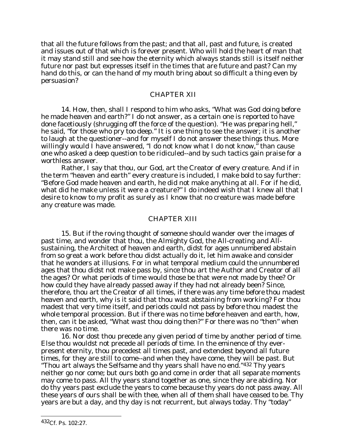that all the future follows from the past; and that all, past and future, is created and issues out of that which is forever present. Who will hold the heart of man that it may stand still and see how the eternity which always stands still is itself neither future nor past but expresses itself in the times that are future and past? Can my hand do this, or can the hand of my mouth bring about so difficult a thing even by persuasion?

## CHAPTER XII

14. How, then, shall I respond to him who asks, "What was God doing *before* he made heaven and earth?" I do not answer, as a certain one is reported to have done facetiously (shrugging off the force of the question). "He was preparing hell," he said, "for those who pry too deep." It is one thing to see the answer; it is another to laugh at the questioner--and for myself I do not answer these things thus. More willingly would I have answered, "I do not know what I do not know," than cause one who asked a deep question to be ridiculed--and by such tactics gain praise for a worthless answer.

Rather, I say that thou, our God, art the Creator of every creature. And if in the term "heaven and earth" every creature is included, I make bold to say further: "Before God made heaven and earth, he did not make anything at all. For if he did, what did he make unless it were a creature?" I do indeed wish that I knew all that I desire to know to my profit as surely as I know that no creature was made before any creature was made.

## CHAPTER XIII

15. But if the roving thought of someone should wander over the images of past time, and wonder that thou, the Almighty God, the All-creating and Allsustaining, the Architect of heaven and earth, didst for ages unnumbered abstain from so great a work before thou didst actually do it, let him awake and consider that he wonders at illusions. For in what temporal medium could the unnumbered ages that thou didst not make pass by, since thou art the Author and Creator of all the ages? Or what periods of time would those be that were not made by thee? Or how could they have already passed away if they had not already been? Since, therefore, thou art the Creator of all times, if there was any time *before* thou madest heaven and earth, why is it said that thou wast abstaining from working? For thou madest that very time itself, and periods could not pass by *before* thou madest the whole temporal procession. But if there was no time *before* heaven and earth, how, then, can it be asked, "What wast thou doing then?" For there was no "then" when there was no time.

16. Nor dost thou precede any given period of time by another period of time. Else thou wouldst not precede all periods of time. In the eminence of thy everpresent eternity, thou precedest all times past, and extendest beyond all future times, for they are still to come--and when they have come, they will be past. But "Thou art always the Selfsame and thy years shall have no end."432 Thy years neither go nor come; but ours both go and come in order that all separate moments may come to pass. All thy years stand together as one, since they are abiding. Nor do thy years past exclude the years to come because thy years do not pass away. All these years of ours shall be with thee, when all of them shall have ceased to be. Thy years are but a day, and thy day is not recurrent, but always today. Thy "today"

<sup>432</sup>Cf. Ps. 102:27.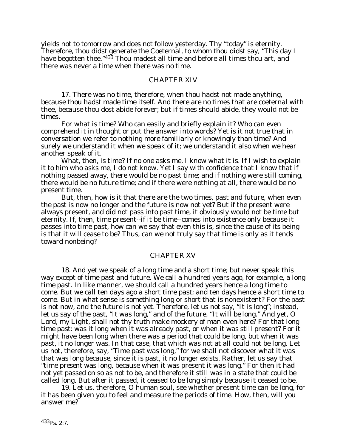yields not to tomorrow and does not follow yesterday. Thy "today" is eternity. Therefore, thou didst generate the Coeternal, to whom thou didst say, "This day I have begotten thee."433 Thou madest all time and before all times thou art, and there was never a time when there was no time.

## CHAPTER XIV

17. There was no time, therefore, when thou hadst not made anything, because thou hadst made time itself. And there are no times that are coeternal with thee, because thou dost abide forever; but if times should abide, they would not be times.

For what is time? Who can easily and briefly explain it? Who can even comprehend it in thought or put the answer into words? Yet is it not true that in conversation we refer to nothing more familiarly or knowingly than time? And surely we understand it when we speak of it; we understand it also when we hear another speak of it.

What, then, is time? If no one asks me, I know what it is. If I wish to explain it to him who asks me, I do not know. Yet I say with confidence that I know that if nothing passed away, there would be no past time; and if nothing were still coming, there would be no future time; and if there were nothing at all, there would be no present time.

But, then, how is it that there are the two times, past and future, when even the past is now no longer and the future is now not yet? But if the present were always present, and did not pass into past time, it obviously would not be time but eternity. If, then, time present--if it be time--comes into existence only because it passes into time past, how can we say that even this is, since the cause of its being is that it will cease to be? Thus, can we not truly say that time *is* only as it tends toward nonbeing?

## CHAPTER XV

18. And yet we speak of a long time and a short time; but never speak this way except of time past and future. We call a hundred years ago, for example, a long time past. In like manner, we should call a hundred years hence a long time to come. But we call ten days ago a short time past; and ten days hence a short time to come. But in what sense is something long or short that is nonexistent? For the past is not now, and the future is not yet. Therefore, let us not say, "It *is* long"; instead, let us say of the past, "It *was* long," and of the future, "It *will be* long." And yet, O Lord, my Light, shall not thy truth make mockery of man even here? For that long time past: was it long when it was already past, or when it was still present? For it might have been long when there was a period that could be long, but when it was past, it no longer was. In that case, that which was not at all could not be long. Let us not, therefore, say, "Time past was long," for we shall not discover what it was that was long because, since it is past, it no longer exists. Rather, let us say that "time *present* was long, because when it was present it *was* long." For then it had not yet passed on so as not to be, and therefore it still was in a state that could be called long. But after it passed, it ceased to be long simply because it ceased to be.

19. Let us, therefore, O human soul, see whether present time can be long, for it has been given you to feel and measure the periods of time. How, then, will you answer me?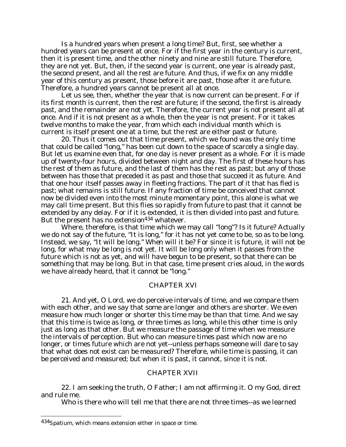Is a hundred years when present a long time? But, first, see whether a hundred years can be present at once. For if the first year in the century is current, then it is present time, and the other ninety and nine are still future. Therefore, they are not yet. But, then, if the second year is current, one year is already past, the second present, and all the rest are future. And thus, if we fix on any middle year of this century as present, those before it are past, those after it are future. Therefore, a hundred years cannot be present all at once.

Let us see, then, whether the year that is now current can be present. For if its first month is current, then the rest are future; if the second, the first is already past, and the remainder are not yet. Therefore, the current year is not present all at once. And if it is not present as a whole, then the year is not present. For it takes twelve months to make the year, from which each individual month which is current is itself present one at a time, but the rest are either past or future.

20. Thus it comes out that time present, which we found was the only time that could be called "long," has been cut down to the space of scarcely a single day. But let us examine even that, for one day is never present as a whole. For it is made up of twenty-four hours, divided between night and day. The first of these hours has the rest of them as future, and the last of them has the rest as past; but any of those between has those that preceded it as past and those that succeed it as future. And that one hour itself passes away in fleeting fractions. The part of it that has fled is past; what remains is still future. If any fraction of time be conceived that cannot now be divided even into the most minute momentary point, this alone is what we may call time present. But this flies so rapidly from future to past that it cannot be extended by any delay. For if it is extended, it is then divided into past and future. But the present has no extension<sup>434</sup> whatever.

Where, therefore, is that time which we may call "long"? Is it future? Actually we do not say of the future, "It is long," for it has not yet come to be, so as to be long. Instead, we say, "It will be long." *When* will it be? For since it is future, it will not be long, for what may be long is not yet. It will be long only when it passes from the future which is not as yet, and will have begun to be present, so that there can be something that may be long. But in that case, time present cries aloud, in the words we have already heard, that it cannot be "long."

## CHAPTER XVI

21. And yet, O Lord, we do perceive intervals of time, and we compare them with each other, and we say that some are longer and others are shorter. We even measure how much longer or shorter this time may be than that time. And we say that this time is twice as long, or three times as long, while this other time is only just as long as that other. But we measure the passage of time when we measure the intervals of perception. But who can measure times past which now are no longer, or times future which are not yet--unless perhaps someone will dare to say that what does not exist can be measured? Therefore, while time is passing, it can be perceived and measured; but when it is past, it cannot, since it is not.

## CHAPTER XVII

22. I am seeking the truth, O Father; I am not affirming it. O my God, direct and rule me.

Who is there who will tell me that there are not three times--as we learned

<sup>434</sup>*Spatium*, which means extension either in space or time.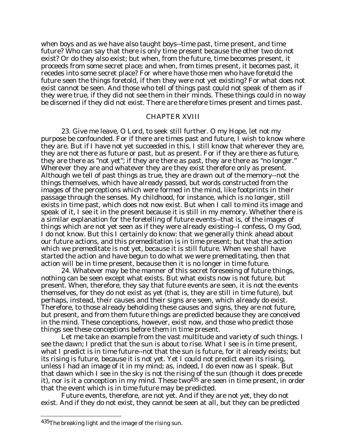when boys and as we have also taught boys--time past, time present, and time future? Who can say that there is only time present because the other two do not exist? Or do they also exist; but when, from the future, time becomes present, it proceeds from some secret place; and when, from times present, it becomes past, it recedes into some secret place? For where have those men who have foretold the future seen the things foretold, if then they were not yet existing? For what does not exist cannot be seen. And those who tell of things past could not speak of them as if they were true, if they did not see them in their minds. These things could in no way be discerned if they did not exist. There are therefore times present and times past.

#### CHAPTER XVIII

23. Give me leave, O Lord, to seek still further. O my Hope, let not my purpose be confounded. For if there are times past and future, I wish to know where they are. But if I have not yet succeeded in this, I still know that wherever they are, they are not there as future or past, but as present. For if they are there as future, they are there as "not yet"; if they are there as past, they are there as "no longer." Wherever they are and whatever they are they exist therefore only as present. Although we tell of past things as true, they are drawn out of the memory--not the things themselves, which have already passed, but words constructed from the images of the perceptions which were formed in the mind, like footprints in their passage through the senses. My childhood, for instance, which is no longer, still exists in time past, which does not now exist. But when I call to mind its image and speak of it, I see it in the present because it is still in my memory. Whether there is a similar explanation for the foretelling of future events--that is, of the images of things which are not yet seen as if they were already existing--I confess, O my God, I do not know. But this I certainly do know: that we generally think ahead about our future actions, and this premeditation is in time present; but that the action which we premeditate is not yet, because it is still future. When we shall have started the action and have begun to do what we were premeditating, then that action will be in time present, because then it is no longer in time future.

24. Whatever may be the manner of this secret foreseeing of future things, nothing can be seen except what exists. But what exists now is not future, but present. When, therefore, they say that future events are seen, it is not the events themselves, for they do not exist as yet (that is, they are still in time future), but perhaps, instead, their causes and their signs are seen, which already do exist. Therefore, to those already beholding these causes and signs, they are not future, but present, and from them future things are predicted because they are conceived in the mind. These conceptions, however, exist *now*, and those who predict those things see these conceptions before them in time present.

Let me take an example from the vast multitude and variety of such things. I see the dawn; I predict that the sun is about to rise. What I see is in time present, what I predict is in time future--not that the sun is future, for it already exists; but its rising is future, because it is not yet. Yet I could not predict even its rising, unless I had an image of it in my mind; as, indeed, I do even now as I speak. But that dawn which I see in the sky is not the rising of the sun (though it does precede it), nor is it a conception in my mind. These two $435$  are seen in time present, in order that the event which is in time future may be predicted.

Future events, therefore, are not yet. And if they are not yet, they do not exist. And if they do not exist, they cannot be seen at all, but they can be predicted

<sup>435</sup>The breaking light and the image of the rising sun.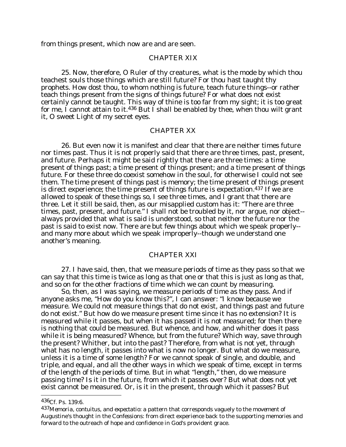from things present, which now are and are seen.

#### CHAPTER XIX

25. Now, therefore, O Ruler of thy creatures, what is the mode by which thou teachest souls those things which are still future? For thou hast taught thy prophets. How dost thou, to whom nothing is future, teach future things--or rather teach things present from the signs of things future? For what does not exist certainly cannot be taught. This way of thine is too far from my sight; it is too great for me, I cannot attain to it.<sup>436</sup> But I shall be enabled by thee, when thou wilt grant it, O sweet Light of my secret eyes.

## CHAPTER XX

26. But even now it is manifest and clear that there are neither times future nor times past. Thus it is not properly said that there are three times, past, present, and future. Perhaps it might be said rightly that there are three times: a time present of things past; a time present of things present; and a time present of things future. For these three do coexist somehow in the soul, for otherwise I could not see them. The time present of things past is memory; the time present of things present is direct experience; the time present of things future is expectation.437 If we are allowed to speak of these things so, I see three times, and I grant that there are three. Let it still be said, then, as our misapplied custom has it: "There are three times, past, present, and future." I shall not be troubled by it, nor argue, nor object- always provided that what is said is understood, so that neither the future nor the past is said to exist now. There are but few things about which we speak properly- and many more about which we speak improperly--though we understand one another's meaning.

#### CHAPTER XXI

27. I have said, then, that we measure periods of time as they pass so that we can say that this time is twice as long as that one or that this is just as long as that, and so on for the other fractions of time which we can count by measuring.

So, then, as I was saying, we measure periods of time as they pass. And if anyone asks me, "How do you know this?", I can answer: "I know because we measure. We could not measure things that do not exist, and things past and future do not exist." But how do we measure present time since it has no extension? It is measured while it passes, but when it has passed it is not measured; for then there is nothing that could be measured. But whence, and how, and whither does it pass while it is being measured? Whence, but from the future? Which way, save through the present? Whither, but into the past? Therefore, from what is not yet, through what has no length, it passes into what is now no longer. But what do we measure, unless it is a time of some length? For we cannot speak of single, and double, and triple, and equal, and all the other ways in which we speak of time, except in terms of the length of the periods of time. But in what "length," then, do we measure passing time? Is it in the future, from which it passes over? But what does not yet exist cannot be measured. Or, is it in the present, through which it passes? But

<sup>436</sup>Cf. Ps. 139:6.

<sup>437</sup>*Memoria*, *contuitus*, and *expectatio*: a pattern that corresponds vaguely to the *movement* of Augustine's thought in the *Confessions*: from direct experience back to the supporting memories and forward to the outreach of hope and confidence in God's provident grace.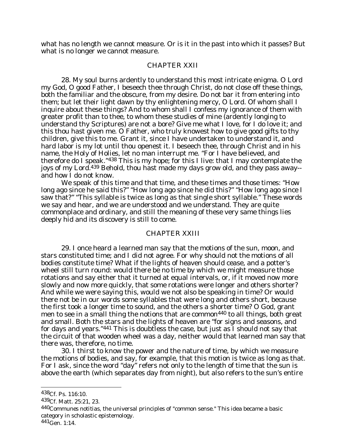what has no length we cannot measure. Or is it in the past into which it passes? But what is no longer we cannot measure.

## CHAPTER XXII

28. My soul burns ardently to understand this most intricate enigma. O Lord my God, O good Father, I beseech thee through Christ, do not close off these things, both the familiar and the obscure, from my desire. Do not bar it from entering into them; but let their light dawn by thy enlightening mercy, O Lord. Of whom shall I inquire about these things? And to whom shall I confess my ignorance of them with greater profit than to thee, to whom these studies of mine (ardently longing to understand thy Scriptures) are not a bore? Give me what I love, for I do love it; and this thou hast given me. O Father, who truly knowest how to give good gifts to thy children, give this to me. Grant it, since I have undertaken to understand it, and hard labor is my lot until thou openest it. I beseech thee, through Christ and in his name, the Holy of Holies, let no man interrupt me. "For I have believed, and therefore do I speak."438 This is my hope; for this I live: that I may contemplate the joys of my Lord.439 Behold, thou hast made my days grow old, and they pass away- and how I do not know.

We speak of this time and that time, and these times and those times: "How long ago since he said this?" "How long ago since he did this?" "How long ago since I saw that?" "This syllable is twice as long as that single short syllable." These words we say and hear, and we are understood and we understand. They are quite commonplace and ordinary, and still the meaning of these very same things lies deeply hid and its discovery is still to come.

## CHAPTER XXIII

29. I once heard a learned man say that the motions of the sun, moon, and stars constituted time; and I did not agree. For why should not the motions of all bodies constitute time? What if the lights of heaven should cease, and a potter's wheel still turn round: would there be no time by which we might measure those rotations and say either that it turned at equal intervals, or, if it moved now more slowly and now more quickly, that some rotations were longer and others shorter? And while we were saying this, would we not also be speaking in time? Or would there not be in our words some syllables that were long and others short, because the first took a longer time to sound, and the others a shorter time? O God, grant men to see in a small thing the notions that are common<sup>440</sup> to all things, both great and small. Both the stars and the lights of heaven are "for signs and seasons, and for days and years."<sup>441</sup> This is doubtless the case, but just as I should not say that the circuit of that wooden wheel was a day, neither would that learned man say that there was, therefore, no time.

30. I thirst to know the power and the nature of time, by which we measure the motions of bodies, and say, for example, that this motion is twice as long as that. For I ask, since the word "day" refers not only to the length of time that the sun is above the earth (which separates day from night), but also refers to the sun's entire

<sup>438</sup>Cf. Ps. 116:10.

<sup>439</sup>Cf. Matt. 25:21, 23.

<sup>440</sup>*Communes notitias*, the universal principles of "common sense." This idea became a basic category in scholastic epistemology.

<sup>441</sup>Gen. 1:14.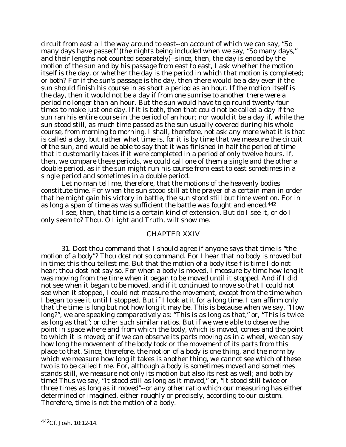circuit from east all the way around to east--on account of which we can say, "So many days have passed" (the nights being included when we say, "So many days," and their lengths not counted separately)--since, then, the day is ended by the motion of the sun and by his passage from east to east, I ask whether the motion itself is the day, or whether the day is the period in which that motion is completed; or both? For if the sun's passage is the day, then there would be a day even if the sun should finish his course in as short a period as an hour. If the motion itself is the day, then it would not be a day if from one sunrise to another there were a period no longer than an hour. But the sun would have to go round twenty-four times to make just one day. If it is both, then that could not be called a day if the sun ran his entire course in the period of an hour; nor would it be a day if, while the sun stood still, as much time passed as the sun usually covered during his whole course, from morning to morning. I shall, therefore, not ask any more what it is that is called a day, but rather what time is, for it is by time that we measure the circuit of the sun, and would be able to say that it was finished in half the period of time that it customarily takes if it were completed in a period of only twelve hours. If, then, we compare these periods, we could call one of them a single and the other a double period, as if the sun might run his course from east to east sometimes in a single period and sometimes in a double period.

Let no man tell me, therefore, that the motions of the heavenly bodies constitute time. For when the sun stood still at the prayer of a certain man in order that he might gain his victory in battle, the sun stood still but time went on. For in as long a span of time as was sufficient the battle was fought and ended.442

I see, then, that time is a certain kind of extension. But do I see it, or do I only seem to? Thou, O Light and Truth, wilt show me.

#### CHAPTER XXIV

31. Dost thou command that I should agree if anyone says that time is "the motion of a body"? Thou dost not so command. For I hear that no body is moved but in time; this thou tellest me. But that the motion of a body itself is time I do not hear; thou dost not say so. For when a body is moved, I measure by time how long it was moving from the time when it began to be moved until it stopped. And if I did not see when it began to be moved, and if it continued to move so that I could not see when it stopped, I could not measure the movement, except from the time when I began to see it until I stopped. But if I look at it for a long time, I can affirm only that the time is long but not how long it may be. This is because when we say, "How long?", we are speaking comparatively as: "This is as long as that," or, "This is twice as long as that"; or other such similar ratios. But if we were able to observe the point in space where and from which the body, which is moved, comes and the point to which it is moved; or if we can observe its parts moving as in a wheel, we can say how long the movement of the body took or the movement of its parts from this place to that. Since, therefore, the motion of a body is one thing, and the norm by which we measure how long it takes is another thing, we cannot see which of these two is to be called time. For, although a body is sometimes moved and sometimes stands still, we measure not only its motion but also its rest as well; and both by time! Thus we say, "It stood still as long as it moved," or, "It stood still twice or three times as long as it moved"--or any other ratio which our measuring has either determined or imagined, either roughly or precisely, according to our custom. Therefore, time is not the motion of a body.

<sup>442</sup>Cf. Josh. 10:12-14.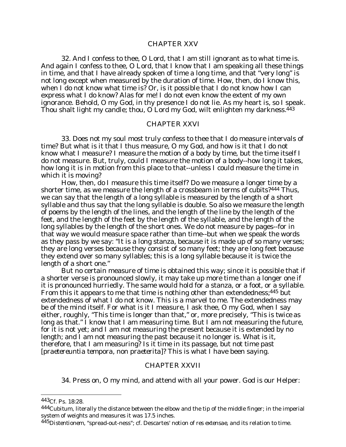#### CHAPTER XXV

32. And I confess to thee, O Lord, that I am still ignorant as to what time is. And again I confess to thee, O Lord, that I know that I am speaking all these things in time, and that I have already spoken of time a long time, and that "very long" is not long except when measured by the duration of time. How, then, do I know this, when I do not know what time is? Or, is it possible that I do not know how I can express what I do know? Alas for me! I do not even know the extent of my own ignorance. Behold, O my God, in thy presence I do not lie. As my heart is, so I speak. Thou shalt light my candle; thou, O Lord my God, wilt enlighten my darkness.  $443$ 

## CHAPTER XXVI

33. Does not my soul most truly confess to thee that I do measure intervals of time? But what is it that I thus measure, O my God, and how is it that I do not know what I measure? I measure the motion of a body by time, but the time itself I do not measure. But, truly, could I measure the motion of a body--how long it takes, how long it is in motion from this place to that--unless I could measure the time in which it is moving?

How, then, do I measure this time itself? Do we measure a longer time by a shorter time, as we measure the length of a crossbeam in terms of cubits?444 Thus, we can say that the length of a long syllable is measured by the length of a short syllable and thus say that the long syllable is double. So also we measure the length of poems by the length of the lines, and the length of the line by the length of the feet, and the length of the feet by the length of the syllable, and the length of the long syllables by the length of the short ones. We do not measure by pages--for in that way we would measure space rather than time--but when we speak the words as they pass by we say: "It is a long stanza, because it is made up of so many verses; they are long verses because they consist of so many feet; they are long feet because they extend over so many syllables; this is a long syllable because it is twice the length of a short one."

But no certain measure of time is obtained this way; since it is possible that if a shorter verse is pronounced slowly, it may take up more time than a longer one if it is pronounced hurriedly. The same would hold for a stanza, or a foot, or a syllable. From this it appears to me that time is nothing other than extendedness; 445 but extendedness of what I do not know. This is a marvel to me. The extendedness may be of the mind itself. For what is it I measure, I ask thee, O my God, when I say either, roughly, "This time is longer than that," or, more precisely, "This is *twice* as long as that." I know that I am measuring time. But I am not measuring the future, for it is not yet; and I am not measuring the present because it is extended by no length; and I am not measuring the past because it no longer is. What is it, therefore, that I am measuring? Is it time in its passage, but not time past [*praetereuntia tempora, non praeterita*]? This is what I have been saying.

#### CHAPTER XXVII

34. Press on, O my mind, and attend with all your power. God is our Helper:

<sup>443</sup>Cf. Ps. 18:28.

<sup>444</sup>*Cubitum*, literally the distance between the elbow and the tip of the middle finger; in the imperial system of weights and measures it was 17.5 inches.

<sup>445</sup>*Distentionem*, "spread-out-ness"; cf. Descartes' notion of *res extensae*, and its relation to time.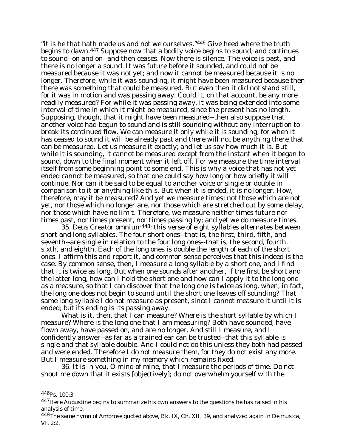"it is he that hath made us and not we ourselves."446 Give heed where the truth begins to dawn.447 Suppose now that a bodily voice begins to sound, and continues to sound--on and on--and then ceases. Now there is silence. The voice is past, and there is no longer a sound. It was future before it sounded, and could not be measured because it was not yet; and now it cannot be measured because it is no longer. Therefore, while it was sounding, it might have been measured because then there was something that could be measured. But even then it did not stand still, for it was in motion and was passing away. Could it, on that account, be any more readily measured? For while it was passing away, it was being extended into some interval of time in which it might be measured, since the present has no length. Supposing, though, that it might have been measured--then also suppose that another voice had begun to sound and is still sounding without any interruption to break its continued flow. We can measure it only while it is sounding, for when it has ceased to sound it will be already past and there will not be anything there that can be measured. Let us measure it exactly; and let us say how much it is. But while it is sounding, it cannot be measured except from the instant when it began to sound, down to the final moment when it left off. For we measure the time interval itself from some beginning point to some end. This is why a voice that has not yet ended cannot be measured, so that one could say how long or how briefly it will continue. Nor can it be said to be equal to another voice or single or double in comparison to it or anything like this. But when it is ended, it is no longer. How, therefore, may it be measured? And yet we measure times; not those which are not yet, nor those which no longer are, nor those which are stretched out by some delay, nor those which have no limit. Therefore, we measure neither times future nor times past, nor times present, nor times passing by; and yet we do measure times.

35. *Deus Creator omnium*448: this verse of eight syllables alternates between short and long syllables. The four short ones--that is, the first, third, fifth, and seventh--are single in relation to the four long ones--that is, the second, fourth, sixth, and eighth. Each of the long ones is double the length of each of the short ones. I affirm this and report it, and common sense perceives that this indeed is the case. By common sense, then, I measure a long syllable by a short one, and I find that it is twice as long. But when one sounds after another, if the first be short and the latter long, how can I hold the short one and how can I apply it to the long one as a measure, so that I can discover that the long one is twice as long, when, in fact, the long one does not begin to sound until the short one leaves off sounding? That same long syllable I do not measure as present, since I cannot measure it until it is ended; but its ending is its passing away.

What is it, then, that I can measure? Where is the short syllable by which I measure? Where is the long one that I am measuring? Both have sounded, have flown away, have passed on, and are no longer. And still I measure, and I confidently answer--as far as a trained ear can be trusted--that this syllable is single and that syllable double. And I could not do this unless they both had passed and were ended. Therefore I do not measure them, for they do not exist any more. But I measure something in my memory which remains fixed.

36. It is in you, O mind of mine, that I measure the periods of time. Do not shout me down that it exists [objectively]; do not overwhelm yourself with the

<sup>446</sup>Ps. 100:3.

<sup>447</sup> Here Augustine begins to summarize his own answers to the questions he has raised in his analysis of time.

<sup>448</sup>The same hymn of Ambrose quoted above, Bk. IX, Ch. XII, 39, and analyzed again in *De musica*, VI, 2:2.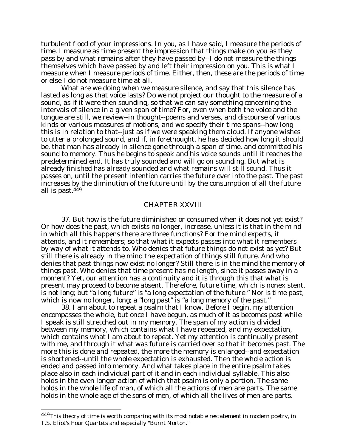turbulent flood of your impressions. In you, as I have said, I measure the periods of time. I measure as time present the impression that things make on you as they pass by and what remains after they have passed by--I do not measure the things themselves which have passed by and left their impression on you. This is what I measure when I measure periods of time. Either, then, these are the periods of time or else I do not measure time at all.

What are we doing when we measure silence, and say that this silence has lasted as long as that voice lasts? Do we not project our thought to the measure of a sound, as if it were then sounding, so that we can say something concerning the intervals of silence in a given span of time? For, even when both the voice and the tongue are still, we review--in thought--poems and verses, and discourse of various kinds or various measures of motions, and we specify their time spans--how long this is in relation to that--just as if we were speaking them aloud. If anyone wishes to utter a prolonged sound, and if, in forethought, he has decided how long it should be, that man has already in silence gone through a span of time, and committed his sound to memory. Thus he begins to speak and his voice sounds until it reaches the predetermined end. It has truly sounded and will go on sounding. But what is already finished has already sounded and what remains will still sound. Thus it passes on, until the present intention carries the future over into the past. The past increases by the diminution of the future until by the consumption of all the future all is past.  $449$ 

## CHAPTER XXVIII

37. But how is the future diminished or consumed when it does not yet exist? Or how does the past, which exists no longer, increase, unless it is that in the mind in which all this happens there are three functions? For the mind expects, it attends, and it remembers; so that what it expects passes into what it remembers by way of what it attends to. Who denies that future things do not exist as yet? But still there is already in the mind the expectation of things still future. And who denies that past things now exist no longer? Still there is in the mind the memory of things past. Who denies that time present has no length, since it passes away in a moment? Yet, our attention has a continuity and it is through this that what is present may proceed to become absent. Therefore, future time, which is nonexistent, is not long; but "a long future" is "a long expectation of the future." Nor is time past, which is now no longer, long; a "long past" is "a long memory of the past."

38. I am about to repeat a psalm that I know. Before I begin, my attention encompasses the whole, but once I have begun, as much of it as becomes past while I speak is still stretched out in my memory. The span of my action is divided between my memory, which contains what I have repeated, and my expectation, which contains what I am about to repeat. Yet my attention is continually present with me, and through it what was future is carried over so that it becomes past. The more this is done and repeated, the more the memory is enlarged--and expectation is shortened--until the whole expectation is exhausted. Then the whole action is ended and passed into memory. And what takes place in the entire psalm takes place also in each individual part of it and in each individual syllable. This also holds in the even longer action of which that psalm is only a portion. The same holds in the whole life of man, of which all the actions of men are parts. The same holds in the whole age of the sons of men, of which all the lives of men are parts.

<sup>449</sup>This theory of time is worth comparing with its most notable restatement in modern poetry, in T.S. Eliot's *Four Quartets* and especially "Burnt Norton."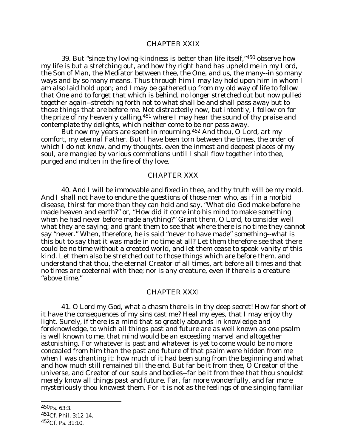#### CHAPTER XXIX

39. But "since thy loving-kindness is better than life itself,"450 observe how my life is but a stretching out, and how thy right hand has upheld me in my Lord, the Son of Man, the Mediator between thee, the One, and us, the many--in so many ways and by so many means. Thus through him I may lay hold upon him in whom I am also laid hold upon; and I may be gathered up from my old way of life to follow that One and to forget that which is behind, no longer stretched out but now pulled together again--stretching forth not to what shall be and shall pass away but to those things that *are* before me. Not distractedly now, but intently, I follow on for the prize of my heavenly calling,451 where I may hear the sound of thy praise and contemplate thy delights, which neither come to be nor pass away.

But now my years are spent in mourning.452 And thou, O Lord, art my comfort, my eternal Father. But I have been torn between the times, the order of which I do not know, and my thoughts, even the inmost and deepest places of my soul, are mangled by various commotions until I shall flow together into thee, purged and molten in the fire of thy love.

## CHAPTER XXX

40. And I will be immovable and fixed in thee, and thy truth will be my mold. And I shall not have to endure the questions of those men who, as if in a morbid disease, thirst for more than they can hold and say, "What did God make before he made heaven and earth?" or, "How did it come into his mind to make something when he had never before made anything?" Grant them, O Lord, to consider well what they are saying; and grant them to see that where there is no time they cannot say "never." When, therefore, he is said "never to have made" something--what is this but to say that it was made in no time at all? Let them therefore see that there could be no time without a created world, and let them cease to speak vanity of this kind. Let them also be stretched out to those things which are before them, and understand that thou, the eternal Creator of all times, art before all times and that no times are coeternal with thee; nor is any creature, even if there is a creature "above time."

#### CHAPTER XXXI

41. O Lord my God, what a chasm there is in thy deep secret! How far short of it have the consequences of my sins cast me? Heal my eyes, that I may enjoy thy light. Surely, if there is a mind that so greatly abounds in knowledge and foreknowledge, to which all things past and future are as well known as one psalm is well known to me, that mind would be an exceeding marvel and altogether astonishing. For whatever is past and whatever is yet to come would be no more concealed from him than the past and future of that psalm were hidden from me when I was chanting it: how much of it had been sung from the beginning and what and how much still remained till the end. But far be it from thee, O Creator of the universe, and Creator of our souls and bodies--far be it from thee that thou shouldst merely know all things past and future. Far, far more wonderfully, and far more mysteriously thou knowest them. For it is not as the feelings of one singing familiar

<sup>450</sup>Ps. 63:3.

<sup>451</sup>Cf. Phil. 3:12-14.

<sup>452</sup>Cf. Ps. 31:10.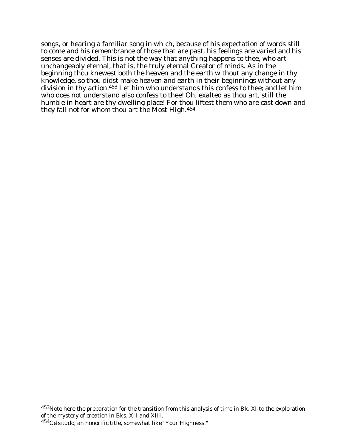songs, or hearing a familiar song in which, because of his expectation of words still to come and his remembrance of those that are past, his feelings are varied and his senses are divided. This is not the way that anything happens to thee, who art unchangeably eternal, that is, the truly eternal Creator of minds. As in the beginning thou knewest both the heaven and the earth without any change in thy knowledge, so thou didst make heaven and earth in their beginnings without any division in thy action.453 Let him who understands this confess to thee; and let him who does not understand also confess to thee! Oh, exalted as thou art, still the humble in heart are thy dwelling place! For thou liftest them who are cast down and they fall not for whom thou art the Most High.454

<sup>453</sup>Note here the preparation for the transition from this analysis of time in Bk. XI to the exploration of the mystery of creation in Bks. XII and XIII.

<sup>454</sup>*Celsitudo*, an honorific title, somewhat like "Your Highness."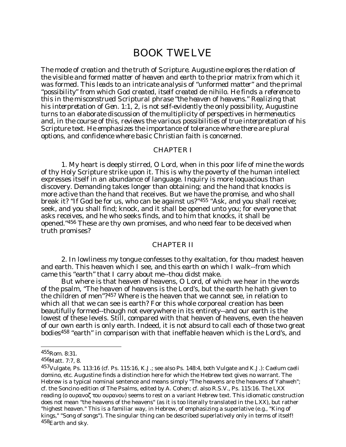# BOOK TWELVE

*The mode of creation and the truth of Scripture. Augustine explores the relation of the visible and formed matter of heaven and earth to the prior matrix from which it was formed. This leads to an intricate analysis of "unformed matter" and the primal "possibility" from which God created, itself created* de nihilo*. He finds a reference to this in the misconstrued Scriptural phrase "the heaven of heavens." Realizing that his interpretation of Gen. 1:1, 2, is not self-evidently the only possibility, Augustine turns to an elaborate discussion of the multiplicity of perspectives in hermeneutics and, in the course of this, reviews the various possibilities of true interpretation of his Scripture text. He emphasizes the importance of tolerance where there are plural options, and confidence where basic Christian faith is concerned.*

#### CHAPTER I

1. My heart is deeply stirred, O Lord, when in this poor life of mine the words of thy Holy Scripture strike upon it. This is why the poverty of the human intellect expresses itself in an abundance of language. Inquiry is more loquacious than discovery. Demanding takes longer than obtaining; and the hand that knocks is more active than the hand that receives. But we have the promise, and who shall break it? "If God be for us, who can be against us?"455 "Ask, and you shall receive; seek, and you shall find; knock, and it shall be opened unto you; for everyone that asks receives, and he who seeks finds, and to him that knocks, it shall be opened."456 These are thy own promises, and who need fear to be deceived when truth promises?

#### CHAPTER II

2. In lowliness my tongue confesses to thy exaltation, for thou madest heaven and earth. This heaven which I see, and this earth on which I walk--from which came this "earth" that I carry about me--thou didst make.

But where is that heaven of heavens, O Lord, of which we hear in the words of the psalm, "The heaven of heavens is the Lord's, but the earth he hath given to the children of men"?457 Where is the heaven that we cannot see, in relation to which all that we can see is earth? For this whole corporeal creation has been beautifully formed--though not everywhere in its entirety--and our earth is the lowest of these levels. Still, compared with that heaven of heavens, even the heaven of our own earth is only earth. Indeed, it is not absurd to call each of those two great bodies458 "earth" in comparison with that ineffable heaven which is the Lord's, and

<sup>455</sup>Rom. 8:31.

<sup>456</sup>Matt. 7:7, 8.

<sup>457</sup>Vulgate, Ps. 113:16 (cf. Ps. 115:16, K.J.; see also Ps. 148:4, both Vulgate and K.J.): *Caelum caeli domino*, etc. Augustine finds a distinction here for which the Hebrew text gives no warrant. The Hebrew is a typical nominal sentence and means simply "The heavens are the heavens of Yahweh"; cf. the Soncino edition of The Psalms, edited by A. Cohen; cf. also R.S.V., Ps. 115:16. The LXX reading (
(b) seems to rest on a variant Hebrew text. This idiomatic construction does not mean "the heavens of the heavens" (as it is too literally translated in the LXX), but rather "highest heaven." This is a familiar way, in Hebrew, of emphasizing a superlative (e.g., "King of kings," "Song of songs"). The singular thing can be described superlatively only in terms of itself! 458Earth and sky.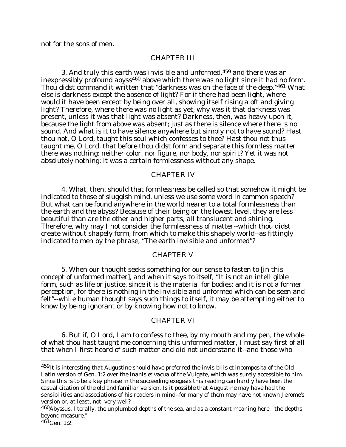not for the sons of men.

## CHAPTER III

3. And truly this earth was invisible and unformed, 459 and there was an inexpressibly profound abyss<sup>460</sup> above which there was no light since it had no form. Thou didst command it written that "darkness was on the face of the deep."461 What else is darkness except the absence of light? For if there had been light, where would it have been except by being over all, showing itself rising aloft and giving light? Therefore, where there was no light as yet, why was it that darkness was present, unless it was that light was absent? Darkness, then, was heavy upon it, because the light from above was absent; just as there is silence where there is no sound. And what is it to have silence anywhere but simply not to have sound? Hast thou not, O Lord, taught this soul which confesses to thee? Hast thou not thus taught me, O Lord, that before thou didst form and separate this formless matter there was *nothing*: neither color, nor figure, nor body, nor spirit? Yet it was not absolutely nothing; it was a certain formlessness without any shape.

## CHAPTER IV

4. What, then, should that formlessness be called so that somehow it might be indicated to those of sluggish mind, unless we use some word in common speech? But what can be found anywhere in the world nearer to a total formlessness than the earth and the abyss? Because of their being on the lowest level, they are less beautiful than are the other and higher parts, all translucent and shining. Therefore, why may I not consider the formlessness of matter--which thou didst create without shapely form, from which to make this shapely world--as fittingly indicated to men by the phrase, "The earth invisible and unformed"?

#### CHAPTER V

5. When our thought seeks something for our sense to fasten to [in this concept of unformed matter], and when it says to itself, "It is not an intelligible form, such as life or justice, since it is the material for bodies; and it is not a former perception, for there is nothing in the invisible and unformed which can be seen and felt"--while human thought says such things to itself, it may be attempting either to know by being ignorant or by knowing how not to know.

## CHAPTER VI

6. But if, O Lord, I am to confess to thee, by my mouth and my pen, the whole of what thou hast taught me concerning this unformed matter, I must say first of all that when I first heard of such matter and did not understand it--and those who

<sup>459</sup>It is interesting that Augustine should have preferred the *invisibilis et incomposita* of the Old Latin version of Gen. 1:2 over the *inanis et vacua* of the Vulgate, which was surely accessible to him. Since this is to be a key phrase in the succeeding exegesis this reading can hardly have been the casual citation of the old and familiar version. Is it possible that Augustine may have had the sensibilities and associations of his readers in mind--for many of them may have not known Jerome's version or, at least, not very well?

<sup>460</sup>*Abyssus*, literally, the unplumbed depths of the sea, and as a constant meaning here, "the depths beyond measure."

<sup>461</sup>Gen. 1:2.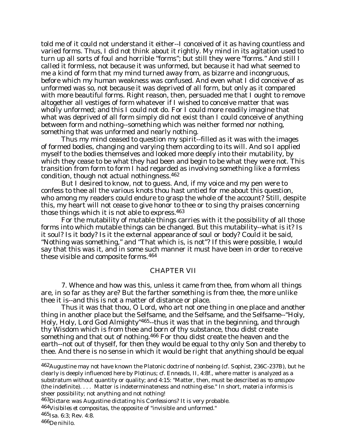told me of it could not understand it either--I conceived of it as having countless and varied forms. Thus, I did not think about it rightly. My mind in its agitation used to turn up all sorts of foul and horrible "forms"; but still they were "forms." And still I called it formless, not because it was unformed, but because it had what seemed to me a kind of form that my mind turned away from, as bizarre and incongruous, before which my human weakness was confused. And even what I did conceive of as unformed was so, not because it was deprived of all form, but only as it compared with more beautiful forms. Right reason, then, persuaded me that I ought to remove altogether all vestiges of form whatever if I wished to conceive matter that was wholly unformed; and this I could not do. For I could more readily imagine that what was deprived of all form simply did not exist than I could conceive of anything between form and nothing--something which was neither formed nor nothing, something that was unformed and nearly nothing.

Thus my mind ceased to question my spirit--filled as it was with the images of formed bodies, changing and varying them according to its will. And so I applied myself to the bodies themselves and looked more deeply into their mutability, by which they cease to be what they had been and begin to be what they were not. This transition from form to form I had regarded as involving something like a formless condition, though not actual nothingness.462

But I desired to know, not to guess. And, if my voice and my pen were to confess to thee all the various knots thou hast untied for me about this question, who among my readers could endure to grasp the whole of the account? Still, despite this, my heart will not cease to give honor to thee or to sing thy praises concerning those things which it is not able to express.463

For the mutability of mutable things carries with it the possibility of all those forms into which mutable things can be changed. But this mutability--what is it? Is it soul? Is it body? Is it the external appearance of soul or body? Could it be said, "Nothing was something," and "That which is, is not"? If this were possible, I would say that this was it, and in some such manner it must have been in order to receive these visible and composite forms.464

## CHAPTER VII

7. Whence and how was this, unless it came from thee, from whom all things are, in so far as they are? But the farther something is from thee, the more unlike thee it is--and this is not a matter of distance or place.

Thus it was that thou, O Lord, who art not one thing in one place and another thing in another place but the Selfsame, and the Selfsame, and the Selfsame--"Holy, Holy, Holy, Lord God Almighty"465--thus it was that in the beginning, and through thy Wisdom which is from thee and born of thy substance, thou didst create something and that out of nothing.466 For thou didst create the heaven and the earth--not out of thyself, for then they would be equal to thy only Son and thereby to thee. And there is no sense in which it would be right that anything should be equal

## 466*De nihilo.*

<sup>462</sup>Augustine may not have known the Platonic doctrine of nonbeing (cf. *Sophist*, 236C-237B), but he clearly is deeply influenced here by Plotinus; cf. *Enneads*, II, 4:8f., where matter is analyzed as a substratum without quantity or quality; and 4:15: "Matter, then, must be described as

<sup>(</sup>the indefinite). . . . Matter is indeterminateness and nothing else." In short, *materia informis* is sheer possibility; not anything and not nothing!

<sup>463</sup>*Dictare*: was Augustine dictating his *Confessions*? It is very probable.

<sup>464</sup>*Visibiles et compositas*, the opposite of "invisible and unformed."

<sup>465</sup>Isa. 6:3; Rev. 4:8.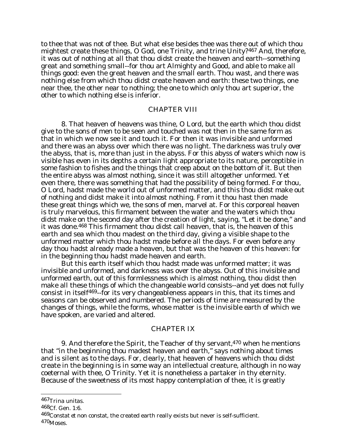to thee that was not of thee. But what else besides thee was there out of which thou mightest create these things, O God, one Trinity, and trine Unity?467 And, therefore, it was out of nothing at all that thou didst create the heaven and earth--something great and something small--for thou art Almighty and Good, and able to make all things good: even the great heaven and the small earth. Thou wast, and there was nothing else from which thou didst create heaven and earth: these two things, one near thee, the other near to nothing; the one to which only thou art superior, the other to which nothing else is inferior.

## CHAPTER VIII

8. That heaven of heavens was thine, O Lord, but the earth which thou didst give to the sons of men to be seen and touched was not then in the same form as that in which we now see it and touch it. For then it was invisible and unformed and there was an abyss over which there was no light. The darkness was truly *over* the abyss, that is, more than just *in* the abyss. For this abyss of waters which now is visible has even in its depths a certain light appropriate to its nature, perceptible in some fashion to fishes and the things that creep about on the bottom of it. But then the entire abyss was almost nothing, since it was still altogether unformed. Yet even there, there was something that had the possibility of being formed. For thou, O Lord, hadst made the world out of unformed matter, and this thou didst make out of nothing and didst make it into almost nothing. From it thou hast then made these great things which we, the sons of men, marvel at. For this corporeal heaven is truly marvelous, this firmament between the water and the waters which thou didst make on the second day after the creation of light, saying, "Let it be done," and it was done.468 This firmament thou didst call heaven, that is, the heaven of this earth and sea which thou madest on the third day, giving a visible shape to the unformed matter which thou hadst made before all the days. For even before any day thou hadst already made a heaven, but that was the heaven of this heaven: for in the beginning thou hadst made heaven and earth.

But this earth itself which thou hadst made was unformed matter; it was invisible and unformed, and darkness was over the abyss. Out of this invisible and unformed earth, out of this formlessness which is almost nothing, thou didst then make all these things of which the changeable world consists--and yet does not fully consist in itself469--for its very changeableness appears in this, that its times and seasons can be observed and numbered. The periods of time are measured by the changes of things, while the forms, whose matter is the invisible earth of which we have spoken, are varied and altered.

## CHAPTER IX

9. And therefore the Spirit, the Teacher of thy servant, $470$  when he mentions that "in the beginning thou madest heaven and earth," says nothing about times and is silent as to the days. For, clearly, that heaven of heavens which thou didst create in the beginning is in some way an intellectual creature, although in no way coeternal with thee, O Trinity. Yet it is nonetheless a partaker in thy eternity. Because of the sweetness of its most happy contemplation of thee, it is greatly

<sup>467</sup>*Trina unitas.*

<sup>468</sup>Cf. Gen. 1:6.

<sup>469</sup>*Constat et non constat*, the created earth really exists but never is self-sufficient. 470Moses.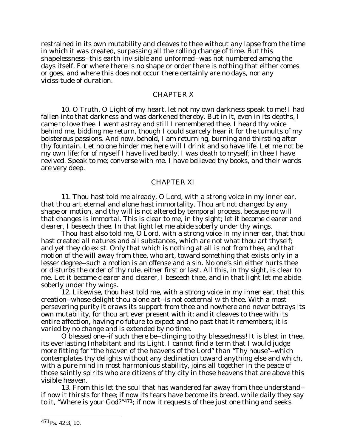restrained in its own mutability and cleaves to thee without any lapse from the time in which it was created, surpassing all the rolling change of time. But this shapelessness--this earth invisible and unformed--was not numbered among the days itself. For where there is no shape or order there is nothing that either comes or goes, and where this does not occur there certainly are no days, nor any vicissitude of duration.

## CHAPTER X

10. O Truth, O Light of my heart, let not my own darkness speak to me! I had fallen into that darkness and was darkened thereby. But in it, even in its depths, I came to love thee. I went astray and still I remembered thee. I heard thy voice behind me, bidding me return, though I could scarcely hear it for the tumults of my boisterous passions. And now, behold, I am returning, burning and thirsting after thy fountain. Let no one hinder me; here will I drink and so have life. Let me not be my own life; for of myself I have lived badly. I was death to myself; in thee I have revived. Speak to me; converse with me. I have believed thy books, and their words are very deep.

## CHAPTER XI

11. Thou hast told me already, O Lord, with a strong voice in my inner ear, that thou art eternal and alone hast immortality. Thou art not changed by any shape or motion, and thy will is not altered by temporal process, because no will that changes is immortal. This is clear to me, in thy sight; let it become clearer and clearer, I beseech thee. In that light let me abide soberly under thy wings.

Thou hast also told me, O Lord, with a strong voice in my inner ear, that thou hast created all natures and all substances, which are not what thou art thyself; and yet they do exist. Only that which is nothing at all is not from thee, and that motion of the will away from thee, who art, toward something that exists only in a lesser degree--such a motion is an offense and a sin. No one's sin either hurts thee or disturbs the order of thy rule, either first or last. All this, in thy sight, is clear to me. Let it become clearer and clearer, I beseech thee, and in that light let me abide soberly under thy wings.

12. Likewise, thou hast told me, with a strong voice in my inner ear, that this creation--whose delight thou alone art--is not coeternal with thee. With a most persevering purity it draws its support from thee and nowhere and never betrays its own mutability, for thou art ever present with it; and it cleaves to thee with its entire affection, having no future to expect and no past that it remembers; it is varied by no change and is extended by no time.

O blessed one--if such there be--clinging to thy blessedness! It is blest in thee, its everlasting Inhabitant and its Light. I cannot find a term that I would judge more fitting for "the heaven of the heavens of the Lord" than "Thy house"--which contemplates thy delights without any declination toward anything else and which, with a pure mind in most harmonious stability, joins all together in the peace of those saintly spirits who are citizens of thy city in those heavens that are above this visible heaven.

13. From this let the soul that has wandered far away from thee understand- if now it thirsts for thee; if now its tears have become its bread, while daily they say to it, "Where is your God?"<sup>471</sup>; if now it requests of thee just one thing and seeks

<sup>471</sup>Ps. 42:3, 10.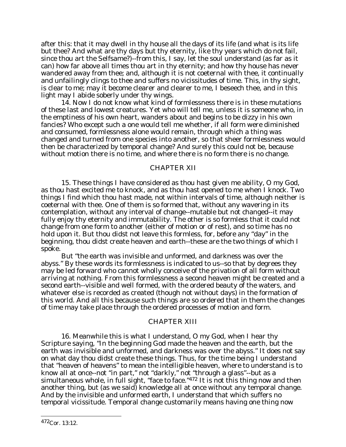after this: that it may dwell in thy house all the days of its life (and what is its life but thee? And what are thy days but thy eternity, like thy years which do not fail, since thou art the Selfsame?)--from this, I say, let the soul understand (as far as it can) how far above all times thou art in thy eternity; and how thy house has never wandered away from thee; and, although it is not coeternal with thee, it continually and unfailingly clings to thee and suffers no vicissitudes of time. This, in thy sight, is clear to me; may it become clearer and clearer to me, I beseech thee, and in this light may I abide soberly under thy wings.

14. Now I do not know what kind of formlessness there is in these mutations of these last and lowest creatures. Yet who will tell me, unless it is someone who, in the emptiness of his own heart, wanders about and begins to be dizzy in his own fancies? Who except such a one would tell me whether, if all form were diminished and consumed, formlessness alone would remain, through which a thing was changed and turned from one species into another, so that sheer formlessness would then be characterized by temporal change? And surely this could not be, because without motion there is no time, and where there is no form there is no change.

#### CHAPTER XII

15. These things I have considered as thou hast given me ability, O my God, as thou hast excited me to knock, and as thou hast opened to me when I knock. Two things I find which thou hast made, not within intervals of time, although neither is coeternal with thee. One of them is so formed that, without any wavering in its contemplation, without any interval of change--mutable but not changed--it may fully enjoy thy eternity and immutability. The other is so formless that it could not change from one form to another (either of motion or of rest), and so time has no hold upon it. But thou didst not leave this formless, for, before any "day" in the beginning, thou didst create heaven and earth--these are the two things of which I spoke.

But "the earth was invisible and unformed, and darkness was over the abyss." By these words its formlessness is indicated to us--so that by degrees they may be led forward who cannot wholly conceive of the privation of all form without arriving at nothing. From this formlessness a second heaven might be created and a second earth--visible and well formed, with the ordered beauty of the waters, and whatever else is recorded as created (though not without days) in the formation of this world. And all this because such things are so ordered that in them the changes of time may take place through the ordered processes of motion and form.

#### CHAPTER XIII

16. Meanwhile this is what I understand, O my God, when I hear thy Scripture saying, "In the beginning God made the heaven and the earth, but the earth was invisible and unformed, and darkness was over the abyss." It does not say on what day thou didst create these things. Thus, for the time being I understand that "heaven of heavens" to mean the intelligible heaven, where to understand is to know all at once--not "in part," not "darkly," not "through a glass"--but as a simultaneous whole, in full sight, "face to face."<sup>472</sup> It is not this thing now and then another thing, but (as we said) knowledge all at once without any temporal change. And by the invisible and unformed earth, I understand that which suffers no temporal vicissitude. Temporal change customarily means having one thing now

<sup>472</sup>Cor. 13:12.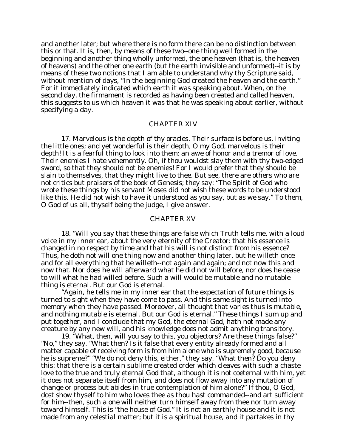and another later; but where there is no form there can be no distinction between this or that. It is, then, by means of these two--one thing well formed in the beginning and another thing wholly unformed, the one heaven (that is, the heaven of heavens) and the other one earth (but the earth invisible and unformed)--it is by means of these two notions that I am able to understand why thy Scripture said, without mention of days, "In the beginning God created the heaven and the earth." For it immediately indicated which earth it was speaking about. When, on the second day, the firmament is recorded as having been created and called heaven, this suggests to us which heaven it was that he was speaking about earlier, without specifying a day.

#### CHAPTER XIV

17. Marvelous is the depth of thy oracles. Their surface is before us, inviting the little ones; and yet wonderful is their depth, O my God, marvelous is their depth! It is a fearful thing to look into them: an awe of honor and a tremor of love. Their enemies I hate vehemently. Oh, if thou wouldst slay them with thy two-edged sword, so that they should not be enemies! For I would prefer that they should be slain to themselves, that they might live to thee. But see, there are others who are not critics but praisers of the book of Genesis; they say: "The Spirit of God who wrote these things by his servant Moses did not wish these words to be understood like this. He did not wish to have it understood as you say, but as we say." To them, O God of us all, thyself being the judge, I give answer.

#### CHAPTER XV

18. "Will you say that these things are false which Truth tells me, with a loud voice in my inner ear, about the very eternity of the Creator: that his essence is changed in no respect by time and that his will is not distinct from his essence? Thus, he doth not will one thing now and another thing later, but he willeth once and for all everything that he willeth--not again and again; and not now this and now that. Nor does he will afterward what he did not will before, nor does he cease to will what he had willed before. Such a will would be mutable and no mutable thing is eternal. But our God is eternal.

"Again, he tells me in my inner ear that the expectation of future things is turned to sight when they have come to pass. And this same sight is turned into memory when they have passed. Moreover, all thought that varies thus is mutable, and nothing mutable is eternal. But our God is eternal." These things I sum up and put together, and I conclude that my God, the eternal God, hath not made any creature by any new will, and his knowledge does not admit anything transitory.

19. "What, then, will you say to this, you objectors? Are these things false?" "No," they say. "What then? Is it false that every entity already formed and all matter capable of receiving form is from him alone who is supremely good, because he is supreme?" "We do not deny this, either," they say. "What then? Do you deny this: that there is a certain sublime created order which cleaves with such a chaste love to the true and truly eternal God that, although it is not coeternal with him, yet it does not separate itself from him, and does not flow away into any mutation of change or process but abides in true contemplation of him alone?" If thou, O God, dost show thyself to him who loves thee as thou hast commanded--and art sufficient for him--then, such a one will neither turn himself away from thee nor turn away toward himself. This is "the house of God." It is not an earthly house and it is not made from any celestial matter; but it is a spiritual house, and it partakes in thy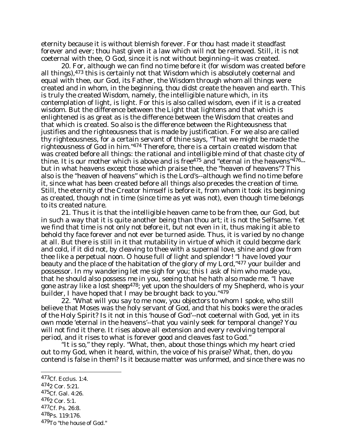eternity because it is without blemish forever. For thou hast made it steadfast forever and ever; thou hast given it a law which will not be removed. Still, it is not coeternal with thee, O God, since it is not without beginning--it was created.

20. For, although we can find no time before it (for wisdom was created before all things),473 this is certainly not that Wisdom which is absolutely coeternal and equal with thee, our God, its Father, the Wisdom through whom all things were created and in whom, in the beginning, thou didst create the heaven and earth. This is truly the created Wisdom, namely, the intelligible nature which, in its contemplation of light, is light. For this is also called wisdom, even if it is a created wisdom. But the difference between the Light that lightens and that which is enlightened is as great as is the difference between the Wisdom that creates and that which is created. So also is the difference between the Righteousness that justifies and the righteousness that is made by justification. For we also are called thy righteousness, for a certain servant of thine says, "That we might be made the righteousness of God in him."474 Therefore, there is a certain created wisdom that was created before all things: the rational and intelligible mind of that chaste city of thine. It is our mother which is above and is free  $475$  and "eternal in the heavens" $476$ -but in what heavens except those which praise thee, the "heaven of heavens"? This also is the "heaven of heavens" which is the Lord's--although we find no time before it, since what has been created before all things also precedes the creation of time. Still, the eternity of the Creator himself is before it, from whom it took its beginning as created, though not in time (since time as yet was not), even though time belongs to its created nature.

21. Thus it is that the intelligible heaven came to be from thee, our God, but in such a way that it is quite another being than thou art; it is not the Selfsame. Yet we find that time is not only not *before* it, but not even *in* it, thus making it able to behold thy face forever and not ever be turned aside. Thus, it is varied by no change at all. But there is still in it that mutability in virtue of which it could become dark and cold, if it did not, by cleaving to thee with a supernal love, shine and glow from thee like a perpetual noon. O house full of light and splendor! "I have loved your beauty and the place of the habitation of the glory of my Lord,"477 your builder and possessor. In my wandering let me sigh for you; this I ask of him who made you, that he should also possess me in you, seeing that he hath also made me. "I have gone astray like a lost sheep<sup>478</sup>; yet upon the shoulders of my Shepherd, who is your builder, I have hoped that I may be brought back to you." $479$ 

22. "What will you say to me now, you objectors to whom I spoke, who still believe that Moses was the holy servant of God, and that his books were the oracles of the Holy Spirit? Is it not in this 'house of God'--not coeternal with God, yet in its own mode 'eternal in the heavens'--that you vainly seek for temporal change? You will not find it there. It rises above all extension and every revolving temporal period, and it rises to what is forever good and cleaves fast to God."

"It is so," they reply. "What, then, about those things which my heart cried out to my God, when it heard, within, the voice of his praise? What, then, do you contend is false in them? Is it because matter was unformed, and since there was no

<sup>473</sup>Cf. Ecclus. 1:4. 4742 Cor. 5:21. 475Cf. Gal. 4:26. 4762 Cor. 5:1. 477Cf. Ps. 26:8. 478Ps. 119:176. 479To "the house of God."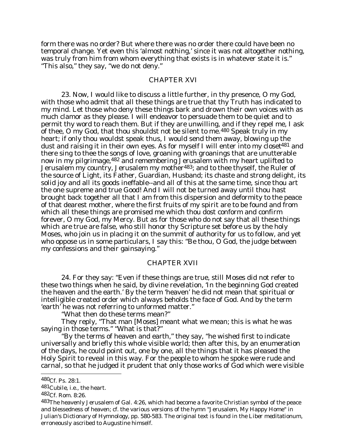form there was no order? But where there was no order there could have been no temporal change. Yet even this 'almost nothing,' since it was not altogether nothing, was truly from him from whom everything that exists is in whatever state it is." "This also," they say, "we do not deny."

## CHAPTER XVI

23. Now, I would like to discuss a little further, in thy presence, O my God, with those who admit that all these things are true that thy Truth has indicated to my mind. Let those who deny these things bark and drown their own voices with as much clamor as they please. I will endeavor to persuade them to be quiet and to permit thy word to reach them. But if they are unwilling, and if they repel me, I ask of thee, O my God, that thou shouldst not be silent to me.480 Speak truly in my heart; if only thou wouldst speak thus, I would send them away, blowing up the dust and raising it in their own eyes. As for myself I will enter into my closet<sup>481</sup> and there sing to thee the songs of love, groaning with groanings that are unutterable now in my pilgrimage,482 and remembering Jerusalem with my heart uplifted to Jerusalem my country, Jerusalem my mother<sup>483</sup>; and to thee thyself, the Ruler of the source of Light, its Father, Guardian, Husband; its chaste and strong delight, its solid joy and all its goods ineffable--and all of this at the same time, since thou art the one supreme and true Good! And I will not be turned away until thou hast brought back together all that I am from this dispersion and deformity to the peace of that dearest mother, where the first fruits of my spirit are to be found and from which all these things are promised me which thou dost conform and confirm forever, O my God, my Mercy. But as for those who do not say that all these things which are true are false, who still honor thy Scripture set before us by the holy Moses, who join us in placing it on the summit of authority for us to follow, and yet who oppose us in some particulars, I say this: "Be thou, O God, the judge between my confessions and their gainsaying."

## CHAPTER XVII

24. For they say: "Even if these things are true, still Moses did not refer to these two things when he said, by divine revelation, 'In the beginning God created the heaven and the earth.' By the term 'heaven' he did not mean that spiritual or intelligible created order which always beholds the face of God. And by the term 'earth' he was not referring to unformed matter."

"What then do these terms mean?"

They reply, "That man [Moses] meant what we mean; this is what he was saying in those terms." "What is that?"

"By the terms of heaven and earth," they say, "he wished first to indicate universally and briefly this whole visible world; then after this, by an enumeration of the days, he could point out, one by one, all the things that it has pleased the Holy Spirit to reveal in this way. For the people to whom he spoke were rude and carnal, so that he judged it prudent that only those works of God which were visible

<sup>480</sup>Cf. Ps. 28:1.

<sup>481</sup>*Cubile*, i.e., the heart.

<sup>482</sup>Cf. Rom. 8:26.

<sup>483</sup>The heavenly Jerusalem of Gal. 4:26, which had become a favorite Christian symbol of the peace and blessedness of heaven; cf. the various versions of the hymn "Jerusalem, My Happy Home" in Julian's *Dictionary of Hymnology*, pp. 580-583. The original text is found in the *Liber meditationum*, erroneously ascribed to Augustine himself.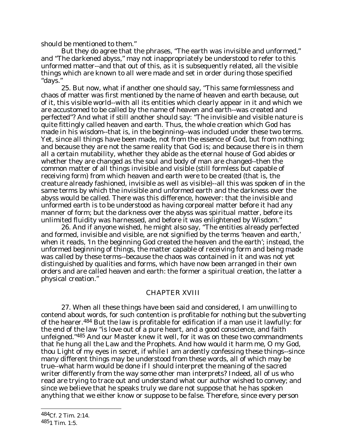should be mentioned to them."

But they do agree that the phrases, "The earth was invisible and unformed," and "The darkened abyss," may not inappropriately be understood to refer to this unformed matter--and that out of this, as it is subsequently related, all the visible things which are known to all were made and set in order during those specified "days."

25. But now, what if another one should say, "This same formlessness and chaos of matter was first mentioned by the name of heaven and earth because, out of it, this visible world--with all its entities which clearly appear in it and which we are accustomed to be called by the name of heaven and earth--was created and perfected"? And what if still another should say: "The invisible and visible nature is quite fittingly called heaven and earth. Thus, the whole creation which God has made in his wisdom--that is, in the beginning--was included under these two terms. Yet, since all things have been made, not from the essence of God, but from nothing; and because they are not the same reality that God is; and because there is in them all a certain mutability, whether they abide as the eternal house of God abides or whether they are changed as the soul and body of man are changed--then the common matter of all things invisible and visible (still formless but capable of receiving form) from which heaven and earth were to be created (that is, the creature already fashioned, invisible as well as visible)--all this was spoken of in the same terms by which the invisible and unformed earth and the darkness over the abyss would be called. There was this difference, however: that the invisible and unformed earth is to be understood as having corporeal matter before it had any manner of form; but the darkness over the abyss was *spiritual* matter, before its unlimited fluidity was harnessed, and before it was enlightened by Wisdom."

26. And if anyone wished, he might also say, "The entities already perfected and formed, invisible and visible, are not signified by the terms 'heaven and earth,' when it reads, 'In the beginning God created the heaven and the earth'; instead, the unformed beginning of things, the matter capable of receiving form and being made was called by these terms--because the chaos was contained in it and was not yet distinguished by qualities and forms, which have now been arranged in their own orders and are called heaven and earth: the former a spiritual creation, the latter a physical creation."

# CHAPTER XVIII

27. When all these things have been said and considered, I am unwilling to contend about words, for such contention is profitable for nothing but the subverting of the hearer.484 But the law is profitable for edification if a man use it lawfully: for the end of the law "is love out of a pure heart, and a good conscience, and faith unfeigned."485 And our Master knew it well, for it was on these two commandments that he hung all the Law and the Prophets. And how would it harm me, O my God, thou Light of my eyes in secret, if while I am ardently confessing these things--since many different things may be understood from these words, all of which may be true--what harm would be done if I should interpret the meaning of the sacred writer differently from the way some other man interprets? Indeed, all of us who read are trying to trace out and understand what our author wished to convey; and since we believe that he speaks truly we dare not suppose that he has spoken anything that we either know or suppose to be false. Therefore, since every person

<sup>484</sup>Cf. 2 Tim. 2:14. 4851 Tim. 1:5.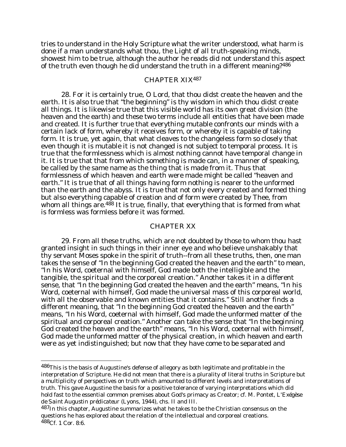tries to understand in the Holy Scripture what the writer understood, what harm is done if a man understands what thou, the Light of all truth-speaking minds, showest him to be true, although the author he reads did not understand this aspect of the truth even though he did understand the truth in a different meaning?<sup>486</sup>

## CHAPTER XIX487

28. For it is certainly true, O Lord, that thou didst create the heaven and the earth. It is also true that "the beginning" is thy wisdom in which thou didst create all things. It is likewise true that this visible world has its own great division (the heaven and the earth) and these two terms include all entities that have been made and created. It is further true that everything mutable confronts our minds with a certain lack of form, whereby it receives form, or whereby it is capable of taking form. It is true, yet again, that what cleaves to the changeless form so closely that even though it is mutable it is not changed is not subject to temporal process. It is true that the formlessness which is almost nothing cannot have temporal change in it. It is true that that from which something is made can, in a manner of speaking, be called by the same name as the thing that is made from it. Thus that formlessness of which heaven and earth were made might be called "heaven and earth." It is true that of all things having form nothing is nearer to the unformed than the earth and the abyss. It is true that not only every created and formed thing but also everything capable of creation and of form were created by Thee, from whom all things are.  $488$  It is true, finally, that everything that is formed from what is formless was formless before it was formed.

## CHAPTER XX

29. From all these truths, which are not doubted by those to whom thou hast granted insight in such things in their inner eye and who believe unshakably that thy servant Moses spoke in the spirit of truth--from all these truths, then, one man takes the sense of "In the beginning God created the heaven and the earth" to mean, "In his Word, coeternal with himself, God made both the intelligible and the tangible, the spiritual and the corporeal creation." Another takes it in a different sense, that "In the beginning God created the heaven and the earth" means, "In his Word, coeternal with himself, God made the universal mass of this corporeal world, with all the observable and known entities that it contains." Still another finds a different meaning, that "In the beginning God created the heaven and the earth" means, "In his Word, coeternal with himself, God made the unformed matter of the spiritual and corporeal creation." Another can take the sense that "In the beginning God created the heaven and the earth" means, "In his Word, coeternal with himself, God made the unformed matter of the physical creation, in which heaven and earth were as yet indistinguished; but now that they have come to be separated and

<sup>486</sup>This is the basis of Augustine's defense of allegory as both legitimate and profitable in the interpretation of Scripture. He did not mean that there is a plurality of literal truths in Scripture but a multiplicity of perspectives on truth which amounted to different levels and interpretations of truth. This gave Augustine the basis for a positive tolerance of varying interpretations which did hold fast to the essential common premises about God's primacy as Creator; cf. M. Pontet, *L'Exégèse de Saint Augustin prédicateur* (Lyons, 1944), chs. II and III.

<sup>487</sup>In this chapter, Augustine summarizes what he takes to be the Christian consensus on the questions he has explored about the relation of the intellectual and corporeal creations. 488Cf. 1 Cor. 8:6.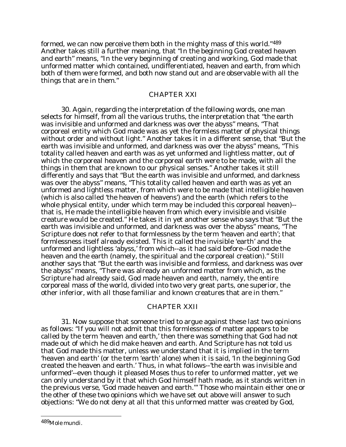formed, we can now perceive them both in the mighty mass of this world."489 Another takes still a further meaning, that "In the beginning God created heaven and earth" means, "In the very beginning of creating and working, God made that unformed matter which contained, undifferentiated, heaven and earth, from which both of them were formed, and both now stand out and are observable with all the things that are in them."

## CHAPTER XXI

30. Again, regarding the interpretation of the following words, one man selects for himself, from all the various truths, the interpretation that "the earth was invisible and unformed and darkness was over the abyss" means, "That corporeal entity which God made was as yet the formless matter of physical things without order and without light." Another takes it in a different sense, that "But the earth was invisible and unformed, and darkness was over the abyss" means, "This totality called heaven and earth was as yet unformed and lightless matter, out of which the corporeal heaven and the corporeal earth were to be made, with all the things in them that are known to our physical senses." Another takes it still differently and says that "But the earth was invisible and unformed, and darkness was over the abyss" means, "This totality called heaven and earth was as yet an unformed and lightless matter, from which were to be made that intelligible heaven (which is also called 'the heaven of heavens') and the earth (which refers to the whole physical entity, under which term may be included this corporeal heaven)- that is, He made the intelligible heaven from which every invisible and visible creature would be created." He takes it in yet another sense who says that "But the earth was invisible and unformed, and darkness was over the abyss" means, "The Scripture does not refer to that formlessness by the term 'heaven and earth'; that formlessness itself already existed. This it called the invisible 'earth' and the unformed and lightless 'abyss,' from which--as it had said before--God made the heaven and the earth (namely, the spiritual and the corporeal creation)." Still another says that "But the earth was invisible and formless, and darkness was over the abyss" means, "There was already an unformed matter from which, as the Scripture had already said, God made heaven and earth, namely, the entire corporeal mass of the world, divided into two very great parts, one superior, the other inferior, with all those familiar and known creatures that are in them."

# CHAPTER XXII

31. Now suppose that someone tried to argue against these last two opinions as follows: "If you will not admit that this formlessness of matter appears to be called by the term 'heaven and earth,' then there was something that God had not made out of which he did make heaven and earth. And Scripture has not told us that God made *this* matter, unless we understand that it is implied in the term 'heaven and earth' (or the term 'earth' alone) when it is said, 'In the beginning God created the heaven and earth.' Thus, in what follows--'the earth was invisible and unformed'--even though it pleased Moses thus to refer to unformed matter, yet we can only understand by it that which God himself hath made, as it stands written in the previous verse, 'God made heaven and earth.'" Those who maintain either one or the other of these two opinions which we have set out above will answer to such objections: "We do not deny at all that this unformed matter was created by God,

<sup>489</sup>*Mole mundi.*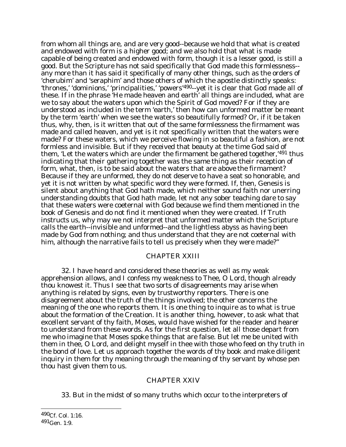from whom all things are, and are very good--because we hold that what is created and endowed with form is a higher good; and we also hold that what is made capable of being created and endowed with form, though it is a lesser good, is still a good. But the Scripture has not said specifically that God made this formlessness- any more than it has said it specifically of many other things, such as the orders of 'cherubim' and 'seraphim' and those others of which the apostle distinctly speaks: 'thrones,' 'dominions,' 'principalities,' 'powers'490--yet it is clear that God made all of these. If in the phrase 'He made heaven and earth' all things are included, what are we to say about the waters upon which the Spirit of God moved? For if they are understood as included in the term 'earth,' then how can unformed matter be meant by the term 'earth' when we see the waters so beautifully formed? Or, if it be taken thus, why, then, is it written that out of the same formlessness the firmament was made and called heaven, and yet is it not specifically written that the waters were made? For these waters, which we perceive flowing in so beautiful a fashion, are not formless and invisible. But if they received that beauty at the time God said of them, 'Let the waters which are under the firmament be gathered together,'491 thus indicating that their gathering together was the same thing as their reception of form, what, then, is to be said about the waters that are *above* the firmament? Because if they are unformed, they do not deserve to have a seat so honorable, and yet it is not written by what specific word they were formed. If, then, Genesis is silent about anything that God hath made, which neither sound faith nor unerring understanding doubts that God hath made, let not any sober teaching dare to say that these waters were coeternal with God because we find them mentioned in the book of Genesis and do not find it mentioned when they were created. If Truth instructs us, why may we not interpret that unformed matter which the Scripture calls the earth--invisible and unformed--and the lightless abyss as having been made by God from nothing; and thus understand that they are not coeternal with him, although the narrative fails to tell us precisely when they were made?"

# CHAPTER XXIII

32. I have heard and considered these theories as well as my weak apprehension allows, and I confess my weakness to Thee, O Lord, though already thou knowest it. Thus I see that two sorts of disagreements may arise when anything is related by signs, even by trustworthy reporters. There is one disagreement about the truth of the things involved; the other concerns the meaning of the one who reports them. It is one thing to inquire as to what is true about the formation of the Creation. It is another thing, however, to ask what that excellent servant of thy faith, Moses, would have wished for the reader and hearer to understand from these words. As for the first question, let all those depart from me who imagine that Moses spoke things that are false. But let me be united with them in thee, O Lord, and delight myself in thee with those who feed on thy truth in the bond of love. Let us approach together the words of thy book and make diligent inquiry in them for thy meaning through the meaning of thy servant by whose pen thou hast given them to us.

# CHAPTER XXIV

33. But in the midst of so many truths which occur to the interpreters of

<sup>490</sup>Cf. Col. 1:16. 491Gen. 1:9.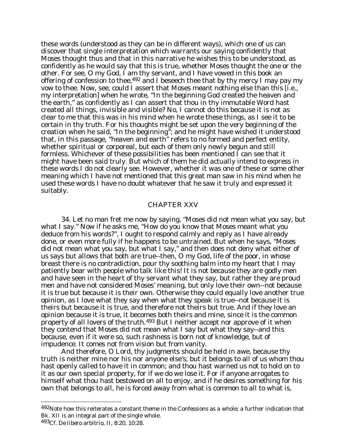these words (understood as they can be in different ways), which one of us can discover that single interpretation which warrants our saying confidently that Moses thought *thus* and that in this narrative he wishes *this* to be understood, as confidently as he would say that *this* is true, whether Moses thought the one or the other. For see, O my God, I am thy servant, and I have vowed in this book an offering of confession to thee,  $492$  and I beseech thee that by thy mercy I may pay my vow to thee. Now, see, could I assert that Moses meant nothing else than *this* [i.e., my interpretation] when he wrote, "In the beginning God created the heaven and the earth," as confidently as I can assert that thou in thy immutable Word hast created all things, invisible and visible? No, I cannot do this because it is not as clear to me that *this* was in his mind when he wrote these things, as I see it to be certain in thy truth. For his thoughts might be set upon the very beginning of the creation when he said, "In the beginning"; and he might have wished it understood that, in this passage, "heaven and earth" refers to no formed and perfect entity, whether spiritual or corporeal, but each of them only newly begun and still formless. Whichever of these possibilities has been mentioned I can see that it might have been said truly. But which of them he did actually intend to express in these words I do not clearly see. However, whether it was one of these or some other meaning which I have not mentioned that this great man saw in his mind when he used these words I have no doubt whatever that he saw it truly and expressed it suitably.

## CHAPTER XXV

34. Let no man fret me now by saying, "Moses did not mean what *you* say, but what *I* say." Now if he asks me, "How do you know that Moses meant what you deduce from his words?", I ought to respond calmly and reply as I have already done, or even more fully if he happens to be untrained. But when he says, "Moses did not mean what *you* say, but what *I* say," and then does not deny what either of us says but allows that *both* are true--then, O my God, life of the poor, in whose breast there is no contradiction, pour thy soothing balm into my heart that I may patiently bear with people who talk like this! It is not because they are godly men and have seen in the heart of thy servant what they say, but rather they are proud men and have not considered Moses' meaning, but only love their own--not because it is true but because it is their own. Otherwise they could equally love another true opinion, as I love what they say when what they speak is true--not because it is theirs but because it is true, and therefore not theirs but true. And if they love an opinion because it is true, it becomes both theirs and mine, since it is the common property of all lovers of the truth.<sup>493</sup> But I neither accept nor approve of it when they contend that Moses did not mean what I say but what they say--and this because, even if it were so, such rashness is born not of knowledge, but of impudence. It comes not from vision but from vanity.

And therefore, O Lord, thy judgments should be held in awe, because thy truth is neither mine nor his nor anyone else's; but it belongs to all of us whom thou hast openly called to have it in common; and thou hast warned us not to hold on to it as our own special property, for if we do we lose it. For if anyone arrogates to himself what thou hast bestowed on all to enjoy, and if he desires something for his own that belongs to all, he is forced away from what is common to all to what is,

<sup>492</sup>Note how this reiterates a constant theme in the *Confessions* as a whole; a further indication that Bk. XII is an integral part of the single whole.

<sup>493</sup>Cf. *De libero arbitrio*, II, 8:20, 10:28.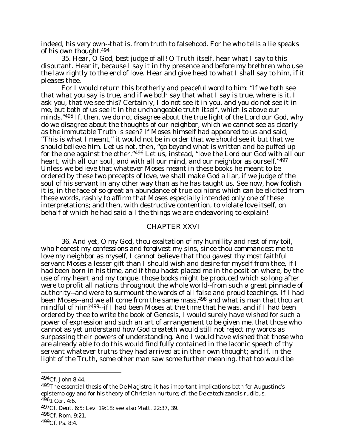indeed, his very own--that is, from truth to falsehood. For he who tells a lie speaks of his own thought.494

35. Hear, O God, best judge of all! O Truth itself, hear what I say to this disputant. Hear it, because I say it in thy presence and before my brethren who use the law rightly to the end of love. Hear and give heed to what I shall say to him, if it pleases thee.

For I would return this brotherly and peaceful word to him: "If we both see that what you say is true, and if we both say that what I say is true, where is it, I ask you, that we see this? Certainly, I do not see it in you, and you do not see it in me, but both of us see it in the unchangeable truth itself, which is above our minds."495 If, then, we do not disagree about the true light of the Lord our God, why do we disagree about the thoughts of our neighbor, which we cannot see as clearly as the immutable Truth is seen? If Moses himself had appeared to us and said, "This is what I meant," it would not be in order that we should see it but that we should believe him. Let us not, then, "go beyond what is written and be puffed up for the one against the other."496 Let us, instead, "love the Lord our God with all our heart, with all our soul, and with all our mind, and our neighbor as ourself."497 Unless we believe that whatever Moses meant in these books he meant to be ordered by these two precepts of love, we shall make God a liar, if we judge of the soul of his servant in any other way than as he has taught us. See now, how foolish it is, in the face of so great an abundance of true opinions which can be elicited from these words, rashly to affirm that Moses especially intended only one of these interpretations; and then, with destructive contention, to violate love itself, on behalf of which he had said all the things we are endeavoring to explain!

## CHAPTER XXVI

36. And yet, O my God, thou exaltation of my humility and rest of my toil, who hearest my confessions and forgivest my sins, since thou commandest me to love my neighbor as myself, I cannot believe that thou gavest thy most faithful servant Moses a lesser gift than I should wish and desire for myself from thee, if I had been born in his time, and if thou hadst placed me in the position where, by the use of my heart and my tongue, those books might be produced which so long after were to profit all nations throughout the whole world--from such a great pinnacle of authority--and were to surmount the words of all false and proud teachings. If I had been Moses--and we all come from the same mass,498 and what is man that thou art mindful of him?499--if I had been Moses at the time that he was, and if I had been ordered by thee to write the book of Genesis, I would surely have wished for such a power of expression and such an art of arrangement to be given me, that those who cannot as yet understand *how* God createth would still not reject my words as surpassing their powers of understanding. And I would have wished that those who are already able to do this would find fully contained in the laconic speech of thy servant whatever truths they had arrived at in their own thought; and if, in the light of the Truth, some other man saw some further meaning, that too would be

<sup>494</sup>Cf. John 8:44.

<sup>495</sup>The essential thesis of the *De Magistro*; it has important implications both for Augustine's epistemology and for his theory of Christian nurture; cf. the *De catechizandis rudibus*. 4961 Cor. 4:6.

<sup>497</sup>Cf. Deut. 6:5; Lev. 19:18; see also Matt. 22:37, 39.

<sup>498</sup>Cf. Rom. 9:21.

<sup>499</sup>Cf. Ps. 8:4.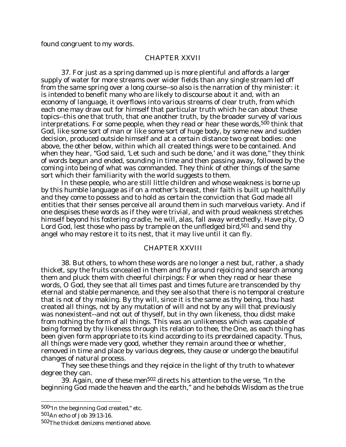found congruent to my words.

## CHAPTER XXVII

37. For just as a spring dammed up is more plentiful and affords a larger supply of water for more streams over wider fields than any single stream led off from the same spring over a long course--so also is the narration of thy minister: it is intended to benefit many who are likely to discourse about it and, with an economy of language, it overflows into various streams of clear truth, from which each one may draw out for himself that particular truth which he can about these topics--this one that truth, that one another truth, by the broader survey of various interpretations. For some people, when they read or hear these words,<sup>500</sup> think that God, like some sort of man or like some sort of huge body, by some new and sudden decision, produced outside himself and at a certain distance two great bodies: one above, the other below, within which all created things were to be contained. And when they hear, "God said, 'Let such and such be done,' and it was done," they think of words begun and ended, sounding in time and then passing away, followed by the coming into being of what was commanded. They think of other things of the same sort which their familiarity with the world suggests to them.

In these people, who are still little children and whose weakness is borne up by this humble language as if on a mother's breast, their faith is built up healthfully and they come to possess and to hold as certain the conviction that God made all entities that their senses perceive all around them in such marvelous variety. And if one despises these words as if they were trivial, and with proud weakness stretches himself beyond his fostering cradle, he will, alas, fall away wretchedly. Have pity, O Lord God, lest those who pass by trample on the unfledged bird,  $501$  and send thy angel who may restore it to its nest, that it may live until it can fly.

# CHAPTER XXVIII

38. But others, to whom these words are no longer a nest but, rather, a shady thicket, spy the fruits concealed in them and fly around rejoicing and search among them and pluck them with cheerful chirpings: For when they read or hear these words, O God, they see that all times past and times future are transcended by thy eternal and stable permanence, and they see also that there is no temporal creature that is not of thy making. By thy will, since it is the same as thy being, thou hast created all things, not by any mutation of will and not by any will that previously was nonexistent--and not out of thyself, but in thy own likeness, thou didst make from nothing the form of all things. This was an unlikeness which was capable of being formed by thy likeness through its relation to thee, the One, as each thing has been given form appropriate to its kind according to its preordained capacity. Thus, all things were made very good, whether they remain around thee or whether, removed in time and place by various degrees, they cause or undergo the beautiful changes of natural process.

They see these things and they rejoice in the light of thy truth to whatever degree they can.

39. Again, one of these men502 directs his attention to the verse, "In the beginning God made the heaven and the earth," and he beholds Wisdom as the true

<sup>500</sup>"In the beginning God created," etc.

<sup>501</sup>An echo of Job 39:13-16.

<sup>502</sup>The thicket denizens mentioned above.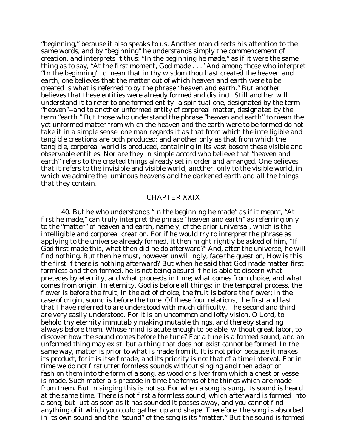"beginning," because it also speaks to us. Another man directs his attention to the same words, and by "beginning" he understands simply the commencement of creation, and interprets it thus: "In the beginning he made," as if it were the same thing as to say, "At the first moment, God made . . ." And among those who interpret "In the beginning" to mean that in thy wisdom thou hast created the heaven and earth, one believes that the matter out of which heaven and earth were to be created is what is referred to by the phrase "heaven and earth." But another believes that these entities were already formed and distinct. Still another will understand it to refer to one formed entity--a spiritual one, designated by the term "heaven"--and to another unformed entity of corporeal matter, designated by the term "earth." But those who understand the phrase "heaven and earth" to mean the yet unformed matter from which the heaven and the earth were to be formed do not take it in a simple sense: one man regards it as that from which the intelligible and tangible creations are both produced; and another only as that from which the tangible, corporeal world is produced, containing in its vast bosom these visible and observable entities. Nor are they in simple accord who believe that "heaven and earth" refers to the created things already set in order and arranged. One believes that it refers to the invisible and visible world; another, only to the visible world, in which we admire the luminous heavens and the darkened earth and all the things that they contain.

#### CHAPTER XXIX

40. But he who understands "In the beginning he made" as if it meant, "At first he made," can truly interpret the phrase "heaven and earth" as referring only to the "matter" of heaven and earth, namely, of the prior universal, which is the intelligible and corporeal creation. For if he would try to interpret the phrase as applying to the universe already formed, it then might rightly be asked of him, "If God first made this, what then did he do afterward?" And, after the universe, he will find nothing. But then he must, however unwillingly, face the question, How is this the first if there is nothing afterward? But when he said that God made matter first formless and then formed, he is not being absurd if he is able to discern what precedes by eternity, and what proceeds in time; what comes from choice, and what comes from origin. In eternity, God is before all things; in the temporal process, the flower is before the fruit; in the act of choice, the fruit is before the flower; in the case of origin, sound is before the tune. Of these four relations, the first and last that I have referred to are understood with much difficulty. The second and third are very easily understood. For it is an uncommon and lofty vision, O Lord, to behold thy eternity immutably making mutable things, and thereby standing always before them. Whose mind is acute enough to be able, without great labor, to discover how the sound comes before the tune? For a tune is a formed sound; and an unformed thing may exist, but a thing that does not exist cannot be formed. In the same way, matter is prior to what is made from it. It is not prior because it makes its product, for it is itself made; and its priority is not that of a time interval. For in time we do not first utter formless sounds without singing and then adapt or fashion them into the form of a song, as wood or silver from which a chest or vessel is made. Such materials precede in time the forms of the things which are made from them. But in singing this is not so. For when a song is sung, its sound is heard at the same time. There is not first a formless sound, which afterward is formed into a song; but just as soon as it has sounded it passes away, and you cannot find anything of it which you could gather up and shape. Therefore, the song is absorbed in its own sound and the "sound" of the song is its "matter." But the sound is formed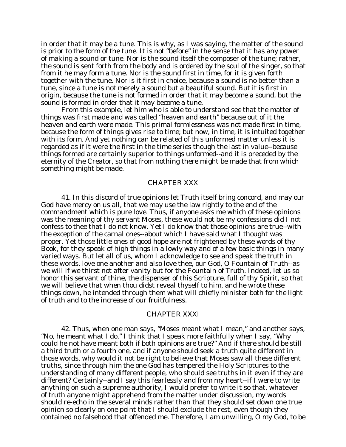in order that it may be a tune. This is why, as I was saying, the matter of the sound is prior to the form of the tune. It is not "before" in the sense that it has any power of making a sound or tune. Nor is the sound itself the composer of the tune; rather, the sound is sent forth from the body and is ordered by the soul of the singer, so that from it he may form a tune. Nor is the sound first in time, for it is given forth together with the tune. Nor is it first in choice, because a sound is no better than a tune, since a tune is not merely a sound but a beautiful sound. But it is first in origin, because the tune is not formed in order that it may become a sound, but the sound is formed in order that it may become a tune.

From this example, let him who is able to understand see that the matter of things was first made and was called "heaven and earth" because out of it the heaven and earth were made. This primal formlessness was not made first in time, because the form of things gives rise to time; but now, in time, it is intuited together with its form. And yet nothing can be related of this unformed matter unless it is regarded as if it were the first in the time series though the last in value--because things formed are certainly superior to things unformed--and it is preceded by the eternity of the Creator, so that from nothing there might be made that from which something might be made.

#### CHAPTER XXX

41. In this discord of true opinions let Truth itself bring concord, and may our God have mercy on us all, that we may use the law rightly to the end of the commandment which is pure love. Thus, if anyone asks me which of these opinions was the meaning of thy servant Moses, these would not be my confessions did I not confess to thee that I do not know. Yet I do know that those opinions are true--with the exception of the carnal ones--about which I have said what I thought was proper. Yet those little ones of good hope are not frightened by these words of thy Book, for they speak of high things in a lowly way and of a few basic things in many varied ways. But let all of us, whom I acknowledge to see and speak the truth in these words, love one another and also love thee, our God, O Fountain of Truth--as we will if we thirst not after vanity but for the Fountain of Truth. Indeed, let us so honor this servant of thine, the dispenser of this Scripture, full of thy Spirit, so that we will believe that when thou didst reveal thyself to him, and he wrote these things down, he intended through them what will chiefly minister both for the light of truth and to the increase of our fruitfulness.

#### CHAPTER XXXI

42. Thus, when one man says, "Moses meant what I mean," and another says, "No, he meant what I do," I think that I speak more faithfully when I say, "Why could he not have meant both if both opinions are true?" And if there should be still a third truth or a fourth one, and if anyone should seek a truth quite different in those words, why would it not be right to believe that Moses saw all these different truths, since through him the one God has tempered the Holy Scriptures to the understanding of many different people, who should see truths in it even if they are different? Certainly--and I say this fearlessly and from my heart--if I were to write anything on such a supreme authority, I would prefer to write it so that, whatever of truth anyone might apprehend from the matter under discussion, my words should re-echo in the several minds rather than that they should set down one true opinion so clearly on one point that I should exclude the rest, even though they contained no falsehood that offended me. Therefore, I am unwilling, O my God, to be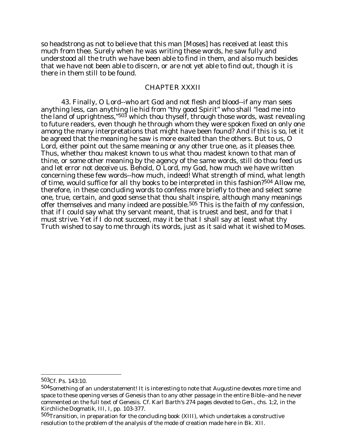so headstrong as not to believe that this man [Moses] has received at least this much from thee. Surely when he was writing these words, he saw fully and understood all the truth we have been able to find in them, and also much besides that we have not been able to discern, or are not yet able to find out, though it is there in them still to be found.

## CHAPTER XXXII

43. Finally, O Lord--who art God and not flesh and blood--if any man sees anything less, can anything lie hid from "thy good Spirit" who shall "lead me into the land of uprightness,"503 which thou thyself, through those words, wast revealing to future readers, even though he through whom they were spoken fixed on only one among the many interpretations that might have been found? And if this is so, let it be agreed that the meaning he saw is more exalted than the others. But to us, O Lord, either point out the same meaning or any other true one, as it pleases thee. Thus, whether thou makest known to us what thou madest known to that man of thine, or some other meaning by the agency of the same words, still do thou feed us and let error not deceive us. Behold, O Lord, my God, how much we have written concerning these few words--how much, indeed! What strength of mind, what length of time, would suffice for all thy books to be interpreted in this fashion?504 Allow me, therefore, in these concluding words to confess more briefly to thee and select some one, true, certain, and good sense that thou shalt inspire, although many meanings offer themselves and many indeed are possible.<sup>505</sup> This is the faith of my confession, that if I could say what thy servant meant, that is truest and best, and for that I must strive. Yet if I do not succeed, may it be that I shall say at least what thy Truth wished to say to me through its words, just as it said what it wished to Moses.

<sup>503</sup>Cf. Ps. 143:10.

<sup>504</sup>Something of an understatement! It is interesting to note that Augustine devotes more time and space to these opening verses of Genesis than to any other passage in the entire Bible--and he never commented on the *full* text of Genesis. Cf. Karl Barth's 274 pages devoted to Gen., chs. 1;2, in the *Kirchliche Dogmatik*, III, I, pp. 103-377.

 $505$ Transition, in preparation for the concluding book (XIII), which undertakes a constructive resolution to the problem of the analysis of the mode of creation made here in Bk. XII.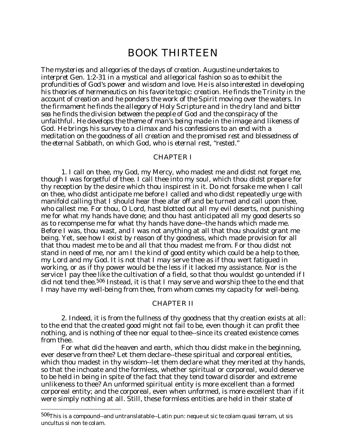# BOOK THIRTEEN

*The mysteries and allegories of the days of creation. Augustine undertakes to interpret* Gen. 1:2-31 *in a mystical and allegorical fashion so as to exhibit the profundities of God's power and wisdom and love. He is also interested in developing his theories of hermeneutics on his favorite topic: creation. He finds the Trinity in the account of creation and he ponders the work of the Spirit moving over the waters. In the firmament he finds the allegory of Holy Scripture and in the dry land and bitter sea he finds the division between the people of God and the conspiracy of the unfaithful. He develops the theme of man's being made in the image and likeness of God. He brings his survey to a climax and his confessions to an end with a meditation on the goodness of all creation and the promised rest and blessedness of the eternal Sabbath, on which God, who is eternal rest, "rested."*

## CHAPTER I

1. I call on thee, my God, my Mercy, who madest me and didst not forget me, though I was forgetful of thee. I call thee into my soul, which thou didst prepare for thy reception by the desire which thou inspirest in it. Do not forsake me when I call on thee, who didst anticipate me before I called and who didst repeatedly urge with manifold calling that I should hear thee afar off and be turned and call upon thee, who callest me. For thou, O Lord, hast blotted out all my evil deserts, not punishing me for what my hands have done; and thou hast anticipated all my good deserts so as to recompense me for what thy hands have done--the hands which made me. Before I was, thou wast, and I was not anything at all that thou shouldst grant me being. Yet, see how I exist by reason of thy goodness, which made provision for all that thou madest me to be and all that thou madest me from. For thou didst not stand in need of me, nor am I the kind of good entity which could be a help to thee, my Lord and my God. It is not that I may serve thee as if thou wert fatigued in working, or as if thy power would be the less if it lacked my assistance. Nor is the service I pay thee like the cultivation of a field, so that thou wouldst go untended if I did not tend thee.<sup>506</sup> Instead, it is that I may serve and worship thee to the end that I may have my well-being from thee, from whom comes my capacity for well-being.

## CHAPTER II

2. Indeed, it is from the fullness of thy goodness that thy creation exists at all: to the end that the created good might not fail to be, even though it can profit thee nothing, and is nothing of thee nor equal to thee--since its created existence comes from thee.

For what did the heaven and earth, which thou didst make in the beginning, ever deserve from thee? Let them declare--these spiritual and corporeal entities, which thou madest in thy wisdom--let them declare what they merited at thy hands, so that the inchoate and the formless, whether spiritual or corporeal, would deserve to be held in being in spite of the fact that they tend toward disorder and extreme unlikeness to thee? An unformed spiritual entity is more excellent than a formed corporeal entity; and the corporeal, even when unformed, is more excellent than if it were simply nothing at all. Still, these formless entities are held in their state of

<sup>506</sup>This is a compound--and untranslatable--Latin pun: *neque ut sic te colam quasi terram, ut sis uncultus si non te colam.*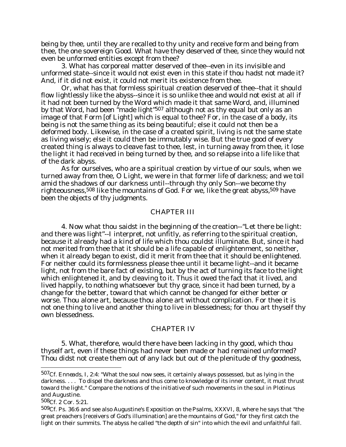being by thee, until they are recalled to thy unity and receive form and being from thee, the one sovereign Good. What have they deserved of thee, since they would not even be unformed entities except from thee?

3. What has corporeal matter deserved of thee--even in its invisible and unformed state--since it would not exist even in this state if thou hadst not made it? And, if it did not exist, it could not merit its existence from thee.

Or, what has that formless spiritual creation deserved of thee--that it should flow lightlessly like the abyss--since it is so unlike thee and would not exist at all if it had not been turned by the Word which made it that same Word, and, illumined by that Word, had been "made light"<sup>507</sup> although not as thy equal but only as an image of that Form [of Light] which is equal to thee? For, in the case of a body, its being is not the same thing as its being beautiful; else it could not then be a deformed body. Likewise, in the case of a created spirit, living is not the same state as living wisely; else it could then be immutably wise. But the true good of every created thing is always to cleave fast to thee, lest, in turning away from thee, it lose the light it had received in being turned by thee, and so relapse into a life like that of the dark abyss.

As for ourselves, who are a spiritual creation by virtue of our souls, when we turned away from thee, O Light, we were in that former life of darkness; and we toil amid the shadows of our darkness until--through thy only Son--we become thy righteousness,508 like the mountains of God. For we, like the great abyss,509 have been the objects of thy judgments.

# CHAPTER III

4. Now what thou saidst in the beginning of the creation--"Let there be light: and there was light"--I interpret, not unfitly, as referring to the spiritual creation, because it already had a kind of life which thou couldst illuminate. But, since it had not merited from thee that it should be a life capable of enlightenment, so neither, when it already began to exist, did it merit from thee that it should be enlightened. For neither could its formlessness please thee until it became light--and it became light, not from the bare fact of existing, but by the act of turning its face to the light which enlightened it, and by cleaving to it. Thus it owed the fact that it lived, and lived happily, to nothing whatsoever but thy grace, since it had been turned, by a change for the better, toward that which cannot be changed for either better or worse. Thou alone art, because thou alone art without complication. For thee it is not one thing to live and another thing to live in blessedness; for thou art thyself thy own blessedness.

#### CHAPTER IV

5. What, therefore, would there have been lacking in thy good, which thou thyself art, even if these things had never been made or had remained unformed? Thou didst not create them out of any lack but out of the plenitude of thy goodness,

<sup>507</sup>Cf. *Enneads*, I, 2:4: "What the soul now sees, it certainly always possessed, but as lying in the darkness. . . . To dispel the darkness and thus come to knowledge of its inner content, it must thrust toward the light." Compare the notions of the *initiative* of such movements in the soul in Plotinus and Augustine.

<sup>508</sup>Cf. 2 Cor. 5:21.

<sup>509</sup>Cf. Ps. 36:6 and see also Augustine's *Exposition on the Psalms*, XXXVI, 8, where he says that "the great preachers [receivers of God's illumination] are the mountains of God," for they first catch the light on their summits. The abyss he called "the depth of sin" into which the evil and unfaithful fall.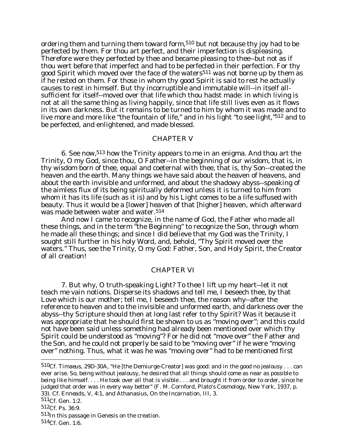ordering them and turning them toward form,<sup>510</sup> but not because thy joy had to be perfected by them. For thou art perfect, and their imperfection is displeasing. Therefore were they perfected by thee and became pleasing to thee--but not as if thou wert before that imperfect and had to be perfected in their perfection. For thy good Spirit which moved over the face of the waters<sup>511</sup> was not borne up by them as if he rested on them. For those in whom thy good Spirit is said to rest he actually causes to rest in himself. But thy incorruptible and immutable will--in itself allsufficient for itself--moved over that life which thou hadst made: in which living is not at all the same thing as living happily, since that life still lives even as it flows in its own darkness. But it remains to be turned to him by whom it was made and to live more and more like "the fountain of life," and in his light "to see light,"512 and to be perfected, and enlightened, and made blessed.

#### CHAPTER V

6. See now,513 how the Trinity appears to me in an enigma. And thou art the Trinity, O my God, since thou, O Father--in the beginning of our wisdom, that is, in thy wisdom born of thee, equal and coeternal with thee, that is, thy Son--created the heaven and the earth. Many things we have said about the heaven of heavens, and about the earth invisible and unformed, and about the shadowy abyss--speaking of the aimless flux of its being spiritually deformed unless it is turned to him from whom it has its life (such as it is) and by his Light comes to be a life suffused with beauty. Thus it would be a [lower] heaven of that [higher] heaven, which afterward was made between water and water.<sup>514</sup>

And now I came to recognize, in the name of God, the Father who made all these things, and in the term "the Beginning" to recognize the Son, through whom he made all these things; and since I did believe that my God was the Trinity, I sought still further in his holy Word, and, behold, "Thy Spirit moved over the waters." Thus, see the Trinity, O my God: Father, Son, and Holy Spirit, the Creator of all creation!

## CHAPTER VI

7. But why, O truth-speaking Light? To thee I lift up my heart--let it not teach me vain notions. Disperse its shadows and tell me, I beseech thee, by that Love which is our mother; tell me, I beseech thee, the reason why--after the reference to heaven and to the invisible and unformed earth, and darkness over the abyss--thy Scripture should then at long last refer to thy Spirit? Was it because it was appropriate that he should first be shown to us as "moving over"; and this could not have been said unless something had already been mentioned over which thy Spirit could be understood as "moving"? For he did not "move over" the Father and the Son, and he could not properly be said to be "moving over" if he were "moving over" nothing. Thus, what it was he was "moving over" had to be mentioned first

<sup>510</sup>Cf. *Timaeus*, 29D-30A, "He [the Demiurge-Creator] was good: and in the good no jealousy . . . can ever arise. So, being without jealousy, he desired that all things should come as near as possible to being like himself. . . . He took over all that is visible . . . and brought it from order to order, since he judged that order was in every way better" (F. M. Cornford, *Plato's Cosmology*, New York, 1937, p. 33). Cf. *Enneads*, V, 4:1, and Athanasius, *On the Incarnation*, III, 3.

<sup>511</sup>Cf. Gen. 1:2.

<sup>512</sup>Cf. Ps. 36:9.

<sup>513</sup>In this passage in Genesis on the creation.

<sup>514</sup>Cf. Gen. 1:6.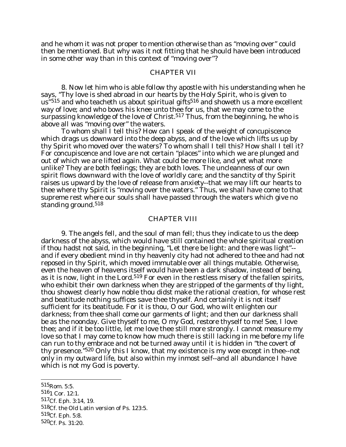and he whom it was not proper to mention otherwise than as "moving over" could then be mentioned. But why was it not fitting that he should have been introduced in some other way than in this context of "moving over''?

## CHAPTER VII

8. Now let him who is able follow thy apostle with his understanding when he says, "Thy love is shed abroad in our hearts by the Holy Spirit, who is given to  $us$ <sup>515</sup> and who teacheth us about spiritual gifts<sup>516</sup> and showeth us a more excellent way of love; and who bows his knee unto thee for us, that we may come to the surpassing knowledge of the love of Christ.<sup>517</sup> Thus, from the beginning, he who is above all was "moving over" the waters.

To whom shall I tell this? How can I speak of the weight of concupiscence which drags us downward into the deep abyss, and of the love which lifts us up by thy Spirit who moved over the waters? To whom shall I tell this? How shall I tell it? For concupiscence and love are not certain "places" into which we are plunged and out of which we are lifted again. What could be more like, and yet what more unlike? They are both feelings; they are both loves. The uncleanness of our own spirit flows downward with the love of worldly care; and the sanctity of thy Spirit raises us upward by the love of release from anxiety--that we may lift our hearts to thee where thy Spirit is "moving over the waters." Thus, we shall have come to that supreme rest where our souls shall have passed through the waters which give no standing ground.<sup>518</sup>

#### CHAPTER VIII

9. The angels fell, and the soul of man fell; thus they indicate to us the deep darkness of the abyss, which would have still contained the whole spiritual creation if thou hadst not said, in the beginning, "Let there be light: and there was light"- and if every obedient mind in thy heavenly city had not adhered to thee and had not reposed in thy Spirit, which moved immutable over all things mutable. Otherwise, even the heaven of heavens itself would have been a dark shadow, instead of being, as it is now, light in the Lord.<sup>519</sup> For even in the restless misery of the fallen spirits, who exhibit their own darkness when they are stripped of the garments of thy light, thou showest clearly how noble thou didst make the rational creation, for whose rest and beatitude nothing suffices save thee thyself. And certainly it is not itself sufficient for its beatitude. For it is thou, O our God, who wilt enlighten our darkness; from thee shall come our garments of light; and then our darkness shall be as the noonday. Give thyself to me, O my God, restore thyself to me! See, I love thee; and if it be too little, let me love thee still more strongly. I cannot measure my love so that I may come to know how much there is still lacking in me before my life can run to thy embrace and not be turned away until it is hidden in "the covert of thy presence."520 Only this I know, that my existence is my woe except in thee--not only in my outward life, but also within my inmost self--and all abundance I have which is not my God is poverty.

1 Cor. 12:1. Cf. Eph. 3:14, 19. Cf. the Old Latin version of Ps. 123:5.  $519Cf.$  Eph. 5:8. Cf. Ps. 31:20.

<sup>515</sup>Rom. 5:5.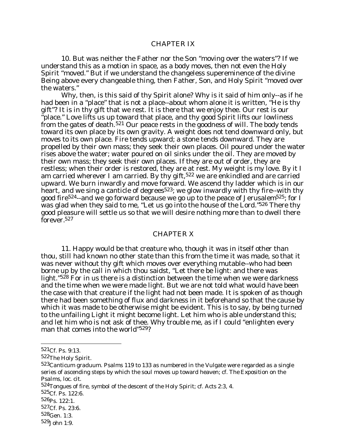#### CHAPTER IX

10. But was neither the Father nor the Son "moving over the waters"? If we understand this as a motion in space, as a body moves, then not even the Holy Spirit "moved." But if we understand the changeless supereminence of the divine Being above every changeable thing, then Father, Son, and Holy Spirit "moved over the waters."

Why, then, is this said of thy Spirit alone? Why is it said of him only--as if he had been in a "place" that is not a place--about whom alone it is written, "He is thy gift"? It is in thy gift that we rest. It is there that we enjoy thee. Our rest is our "place." Love lifts us up toward that place, and thy good Spirit lifts our lowliness from the gates of death.521 Our peace rests in the goodness of will. The body tends toward its own place by its own gravity. A weight does not tend downward only, but moves to its own place. Fire tends upward; a stone tends downward. They are propelled by their own mass; they seek their own places. Oil poured under the water rises above the water; water poured on oil sinks under the oil. They are moved by their own mass; they seek their own places. If they are out of order, they are restless; when their order is restored, they are at rest. My weight is my love. By it I am carried wherever I am carried. By thy gift,<sup>522</sup> we are enkindled and are carried upward. We burn inwardly and move forward. We ascend thy ladder which is in our heart, and we sing a canticle of degrees<sup>523</sup>; we glow inwardly with thy fire--with thy good fire<sup>524</sup>--and we go forward because we go up to the peace of Jerusalem<sup>525</sup>; for  $\tilde{I}$ was glad when they said to me, "Let us go into the house of the Lord."<sup>526</sup> There thy good pleasure will settle us so that we will desire nothing more than to dwell there forever.<sup>527</sup>

## CHAPTER X

11. Happy would be that creature who, though it was in itself other than thou, still had known no other state than this from the time it was made, so that it was never without thy gift which moves over everything mutable--who had been borne up by the call in which thou saidst, "Let there be light: and there was light."<sup>528</sup> For in us there is a distinction between the time when we were darkness and the time when we were made light. But we are not told what would have been the case with that creature if the light had not been made. It is spoken of as though there had been something of flux and darkness in it beforehand so that the cause by which it was made to be otherwise might be evident. This is to say, by being turned to the unfailing Light it might become light. Let him who is able understand this; and let him who is not ask of thee. Why trouble me, as if I could "enlighten every man that comes into the world"529?

 $528$ Gen. 1:3.

<sup>521</sup>Cf. Ps. 9:13.

<sup>522</sup>The Holy Spirit.

<sup>523</sup>*Canticum graduum*. Psalms 119 to 133 as numbered in the Vulgate were regarded as a single series of ascending steps by which the soul moves up toward heaven; cf. *The Exposition on the Psalms, loc. cit*.

<sup>524</sup>Tongues of fire, symbol of the descent of the Holy Spirit; cf. Acts 2:3, 4.

<sup>525</sup>Cf. Ps. 122:6.

<sup>526</sup>Ps. 122:1.

<sup>527</sup>Cf. Ps. 23:6.

<sup>529</sup>John 1:9.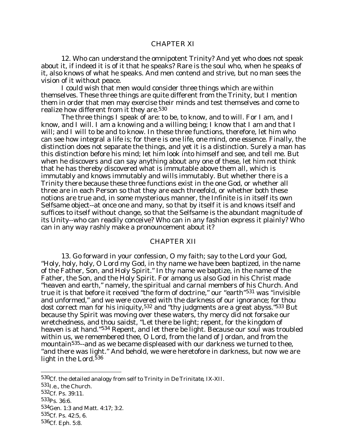#### CHAPTER XI

12. Who can understand the omnipotent Trinity? And yet who does not speak about it, if indeed it is of it that he speaks? Rare is the soul who, when he speaks of it, also knows of what he speaks. And men contend and strive, but no man sees the vision of it without peace.

I could wish that men would consider three things which are within themselves. These three things are quite different from the Trinity, but I mention them in order that men may exercise their minds and test themselves and come to realize how different from it they are.530

The three things I speak of are: to be, to know, and to will. For I am, and I know, and I will. I am a knowing and a willing being; I know that I am and that I will; and I will to be and to know. In these three functions, therefore, let him who can see how integral a life is; for there is one life, one mind, one essence. Finally, the distinction does not separate the things, and yet it is a distinction. Surely a man has this distinction before his mind; let him look into himself and see, and tell me. But when he discovers and can say anything about any one of these, let him not think that he has thereby discovered what is immutable above them all, which *is* immutably and *knows* immutably and *wills* immutably. But whether there is a Trinity there because these three functions exist in the one God, or whether all three are in each Person so that they are each threefold, or whether both these notions are true and, in some mysterious manner, the Infinite is in itself its own Selfsame object--at once one and many, so that by itself it is and knows itself and suffices to itself without change, so that the Selfsame is the abundant magnitude of its Unity--who can readily conceive? Who can in any fashion express it plainly? Who can in any way rashly make a pronouncement about it?

## CHAPTER XII

13. Go forward in your confession, O my faith; say to the Lord your God, "Holy, holy, holy, O Lord my God, in thy name we have been baptized, in the name of the Father, Son, and Holy Spirit." In thy name we baptize, in the name of the Father, the Son, and the Holy Spirit. For among us also God in his Christ made "heaven and earth," namely, the spiritual and carnal members of his Church. And true it is that before it received "the form of doctrine," our "earth"531 was "invisible and unformed," and we were covered with the darkness of our ignorance; for thou dost correct man for his iniquity,532 and "thy judgments are a great abyss."533 But because thy Spirit was moving over these waters, thy mercy did not forsake our wretchedness, and thou saidst, "Let there be light; repent, for the kingdom of heaven is at hand."534 Repent, and let there be light. Because our soul was troubled within us, we remembered thee, O Lord, from the land of Jordan, and from the mountain<sup>535</sup>--and as we became displeased with our darkness we turned to thee, "and there was light." And behold, we were heretofore in darkness, but now we are light in the Lord. $536$ 

530Cf. the detailed analogy from self to Trinity in *De Trinitate*, IX-XII.

531I.e., the Church.

533Ps. 36:6.

 $535Cf$ , Ps. 42:5, 6.

<sup>532</sup>Cf. Ps. 39:11.

<sup>534</sup>Gen. 1:3 and Matt. 4:17; 3:2.

<sup>536</sup>Cf. Eph. 5:8.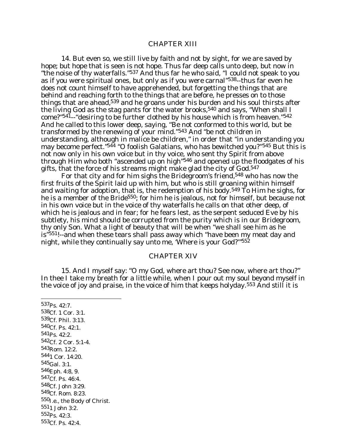#### CHAPTER XIII

14. But even so, we still live by faith and not by sight, for we are saved by hope; but hope that is seen is not hope. Thus far deep calls unto deep, but now in "the noise of thy waterfalls."537 And thus far he who said, "I could not speak to you as if you were spiritual ones, but only as if you were carnal"538--thus far even he does not count himself to have apprehended, but forgetting the things that are behind and reaching forth to the things that are before, he presses on to those things that are ahead,<sup>539</sup> and he groans under his burden and his soul thirsts after the living God as the stag pants for the water brooks,<sup>540</sup> and says, "When shall I come?"541--"desiring to be further clothed by his house which is from heaven."542 And he called to this lower deep, saying, "Be not conformed to this world, but be transformed by the renewing of your mind."543 And "be not children in understanding, although in malice be children," in order that "in understanding you may become perfect."<sup>544</sup> "O foolish Galatians, who has bewitched you?"<sup>545</sup> But this is not now only in his own voice but in thy voice, who sent thy Spirit from above through Him who both "ascended up on high"546 and opened up the floodgates of his gifts, that the force of his streams might make glad the city of God.547

For that city and for him sighs the Bridegroom's friend,<sup>548</sup> who has now the first fruits of the Spirit laid up with him, but who is still groaning within himself and waiting for adoption, that is, the redemption of his body.<sup>549</sup> To Him he sighs, for he is a member of the Bride<sup>550</sup>; for him he is jealous, not for himself, but because not in his own voice but in the voice of thy waterfalls he calls on that other deep, of which he is jealous and in fear; for he fears lest, as the serpent seduced Eve by his subtlety, his mind should be corrupted from the purity which is in our Bridegroom, thy only Son. What a light of beauty that will be when "we shall see him as he is"551!--and when these tears shall pass away which "have been my meat day and night, while they continually say unto me, 'Where is your God?'"552

#### CHAPTER XIV

15. And I myself say: "O my God, where art thou? See now, where art thou?" In thee I take my breath for a little while, when I pour out my soul beyond myself in the voice of joy and praise, in the voice of him that keeps holyday.<sup>553</sup> And still it is

537Ps. 42:7. Cf. 1 Cor. 3:1. Cf. Phil. 3:13. Cf. Ps. 42:1. 541Ps. 42:2. Cf. 2 Cor. 5:1-4. Rom. 12:2. 1 Cor. 14:20. 545Gal. 3:1. Eph. 4:8, 9. Cf. Ps. 46:4. Cf. John 3:29. Cf. Rom. 8:23. I.e., the Body of Christ. 1 John 3:2. 552Ps. 42:3. Cf. Ps. 42:4.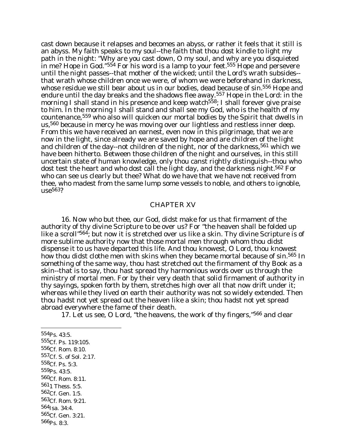cast down because it relapses and becomes an abyss, or rather it feels that it still is an abyss. My faith speaks to my soul--the faith that thou dost kindle to light my path in the night: "Why are you cast down, O my soul, and why are you disquieted in me? Hope in God." $5\frac{5}{4}$  For his word is a lamp to your feet. $55\frac{5}{4}$  Hope and persevere until the night passes--that mother of the wicked; until the Lord's wrath subsides- that wrath whose children once we were, of whom we were beforehand in darkness, whose residue we still bear about us in our bodies, dead because of sin.556 Hope and endure until the day breaks and the shadows flee away.557 Hope in the Lord: in the morning I shall stand in his presence and keep watch<sup> $558$ </sup>; I shall forever give praise to him. In the morning I shall stand and shall see my God, who is the health of my countenance,559 who also will quicken our mortal bodies by the Spirit that dwells in us,560 because in mercy he was moving over our lightless and restless inner deep. From this we have received an earnest, even now in this pilgrimage, that we are now in the light, since already we are saved by hope and are children of the light and children of the day--not children of the night, nor of the darkness,<sup>561</sup> which we have been hitherto. Between those children of the night and ourselves, in this still uncertain state of human knowledge, only thou canst rightly distinguish--thou who dost test the heart and who dost call the light day, and the darkness night.562 For who can see us clearly but thee? What do we have that we have not received from thee, who madest from the same lump some vessels to noble, and others to ignoble,  $use^{563}$ 

## CHAPTER XV

16. Now who but thee, our God, didst make for us that firmament of the authority of thy divine Scripture to be over us? For "the heaven shall be folded up like a scroll"564; but now it is stretched over us like a skin. Thy divine Scripture is of more sublime authority now that those mortal men through whom thou didst dispense it to us have departed this life. And thou knowest, O Lord, thou knowest how thou didst clothe men with skins when they became mortal because of sin.<sup>565</sup> In something of the same way, thou hast stretched out the firmament of thy Book as a skin--that is to say, thou hast spread thy harmonious words over us through the ministry of mortal men. For by their very death that solid firmament of authority in thy sayings, spoken forth by them, stretches high over all that now drift under it; whereas while they lived on earth their authority was not so widely extended. Then thou hadst not yet spread out the heaven like a skin; thou hadst not yet spread abroad everywhere the fame of their death.

17. Let us see, O Lord, "the heavens, the work of thy fingers,"566 and clear

554Ps. 43:5. Cf. Ps. 119:105. Cf. Rom. 8:10. Cf. S. of Sol. 2:17. Cf. Ps. 5:3.  $559P<sub>S.</sub> 43:5.$ Cf. Rom. 8:11. 1 Thess. 5:5. Cf. Gen. 1:5. Cf. Rom. 9:21. <sub>Isa.</sub> 34:4. Cf. Gen. 3:21. 566Ps. 8:3.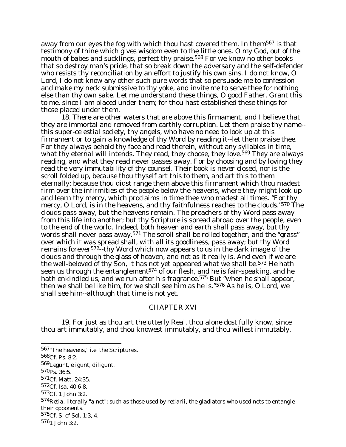away from our eyes the fog with which thou hast covered them. In them<sup>567</sup> is that testimony of thine which gives wisdom even to the little ones. O my God, out of the mouth of babes and sucklings, perfect thy praise.<sup>568</sup> For we know no other books that so destroy man's pride, that so break down the adversary and the self-defender who resists thy reconciliation by an effort to justify his own sins. I do not know, O Lord, I do not know any other such pure words that so persuade me to confession and make my neck submissive to thy yoke, and invite me to serve thee for nothing else than thy own sake. Let me understand these things, O good Father. Grant this to me, since I am placed under them; for thou hast established these things for those placed under them.

18. There are other waters that are above this firmament, and I believe that they are immortal and removed from earthly corruption. Let them praise thy name- this super-celestial society, thy angels, who have no need to look up at this firmament or to gain a knowledge of thy Word by reading it--let them praise thee. For they always behold thy face and read therein, without any syllables in time, what thy eternal will intends. They read, they choose, they love.<sup>569</sup> They are always reading, and what they read never passes away. For by choosing and by loving they read the very immutability of thy counsel. Their book is never closed, nor is the scroll folded up, because thou thyself art this to them, and art this to them eternally; because thou didst range them above this firmament which thou madest firm over the infirmities of the people below the heavens, where they might look up and learn thy mercy, which proclaims in time thee who madest all times. "For thy mercy, O Lord, is in the heavens, and thy faithfulness reaches to the clouds."570 The clouds pass away, but the heavens remain. The preachers of thy Word pass away from this life into another; but thy Scripture is spread abroad over the people, even to the end of the world. Indeed, both heaven and earth shall pass away, but thy words shall never pass away.571 The scroll shall be rolled together, and the "grass" over which it was spread shall, with all its goodliness, pass away; but thy Word remains forever572--thy Word which now appears to us in the dark image of the clouds and through the glass of heaven, and not as it really is. And even if we are the well-beloved of thy Son, it has not yet appeared what we shall be.<sup>573</sup> He hath seen us through the entanglement<sup>574</sup> of our flesh, and he is fair-speaking, and he hath enkindled us, and we run after his fragrance.<sup>575</sup> But "when he shall appear, then we shall be like him, for we shall see him as he is.''576 As he is, O Lord, we shall see him--although that time is not yet.

# CHAPTER XVI

19. For just as thou art the utterly Real, thou alone dost fully know, since thou art immutably, and thou knowest immutably, and thou willest immutably.

"The heavens," i.e. the Scriptures. Cf. Ps. 8:2. *Legunt, eligunt, diligunt.*  $570P<sub>S.</sub> 36:5.$ Cf. Matt. 24:35. Cf. Isa. 40:6-8. Cf. 1 John 3:2. *Retia*, literally "a net"; such as those used by *retiarii*, the gladiators who used nets to entangle their opponents. Cf. S. of Sol. 1:3, 4. 1 John 3:2.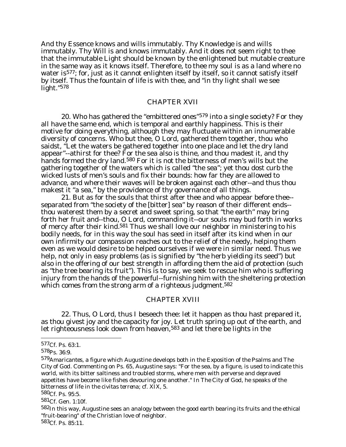And thy Essence knows and wills immutably. Thy Knowledge is and wills immutably. Thy Will is and knows immutably. And it does not seem right to thee that the immutable Light should be known by the enlightened but mutable creature in the same way as it knows itself. Therefore, to thee my soul is as a land where no water is<sup>577</sup>; for, just as it cannot enlighten itself by itself, so it cannot satisfy itself by itself. Thus the fountain of life is with thee, and "in thy light shall we see light."578

## CHAPTER XVII

20. Who has gathered the "embittered ones"579 into a single society? For they all have the same end, which is temporal and earthly happiness. This is their motive for doing everything, although they may fluctuate within an innumerable diversity of concerns. Who but thee, O Lord, gathered them together, thou who saidst, "Let the waters be gathered together into one place and let the dry land appear"--athirst for thee? For the sea also is thine, and thou madest it, and thy hands formed the dry land.580 For it is not the bitterness of men's wills but the gathering together of the waters which is called "the sea"; yet thou dost curb the wicked lusts of men's souls and fix their bounds: how far they are allowed to advance, and where their waves will be broken against each other--and thus thou makest it "a sea," by the providence of thy governance of all things.

21. But as for the souls that thirst after thee and who appear before thee- separated from "the society of the [bitter] sea" by reason of their different ends- thou waterest them by a secret and sweet spring, so that "the earth" may bring forth her fruit and--thou, O Lord, commanding it--our souls may bud forth in works of mercy after their kind.581 Thus we shall love our neighbor in ministering to his bodily needs, for in this way the soul has seed in itself after its kind when in our own infirmity our compassion reaches out to the relief of the needy, helping them even as we would desire to be helped ourselves if we were in similar need. Thus we help, not only in easy problems (as is signified by "the herb yielding its seed") but also in the offering of our best strength in affording them the aid of protection (such as "the tree bearing its fruit"). This is to say, we seek to rescue him who is suffering injury from the hands of the powerful--furnishing him with the sheltering protection which comes from the strong arm of a righteous judgment.<sup>582</sup>

## CHAPTER XVIII

22. Thus, O Lord, thus I beseech thee: let it happen as thou hast prepared it, as thou givest joy and the capacity for joy. Let truth spring up out of the earth, and let righteousness look down from heaven,<sup>583</sup> and let there be lights in the

<sup>577</sup>Cf. Ps. 63:1.

<sup>578</sup>Ps. 36:9.

<sup>579</sup>*Amaricantes*, a figure which Augustine develops both in the *Exposition of the Psalms* and *The City of God.* Commenting on Ps. 65, Augustine says: "For the sea, by a figure, is used to indicate this world, with its bitter saltiness and troubled storms, where men with perverse and depraved appetites have become like fishes devouring one another." In *The City of God*, he speaks of the bitterness of life in the *civitas terrena*; cf. XIX, 5.

<sup>580</sup>Cf. Ps. 95:5.

<sup>581</sup>Cf. Gen. 1:10f.

<sup>&</sup>lt;sup>582</sup>In this way, Augustine sees an analogy between the good earth bearing its fruits and the ethical "fruit-bearing" of the Christian love of neighbor.

<sup>583</sup>Cf. Ps. 85:11.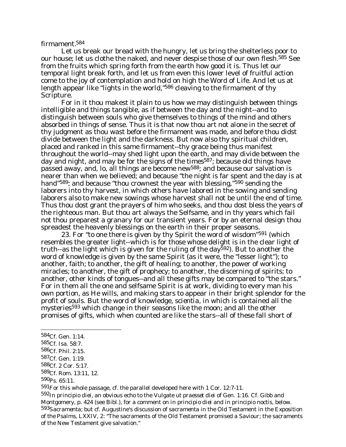firmament.584

Let us break our bread with the hungry, let us bring the shelterless poor to our house; let us clothe the naked, and never despise those of our own flesh.585 See from the fruits which spring forth from the earth how good it is. Thus let our temporal light break forth, and let us from even this lower level of fruitful action come to the joy of contemplation and hold on high the Word of Life. And let us at length appear like "lights in the world,"<sup>586</sup> cleaving to the firmament of thy Scripture.

For in it thou makest it plain to us how we may distinguish between things intelligible and things tangible, as if between the day and the night--and to distinguish between souls who give themselves to things of the mind and others absorbed in things of sense. Thus it is that now thou art not alone in the secret of thy judgment as thou wast before the firmament was made, and before thou didst divide between the light and the darkness. But now also thy spiritual children, placed and ranked in this same firmament--thy grace being thus manifest throughout the world--may shed light upon the earth, and may divide between the day and night, and may be for the signs of the times<sup>587</sup>; because old things have passed away, and, lo, all things are become new<sup>588</sup>; and because our salvation is nearer than when we believed; and because "the night is far spent and the day is at hand"<sup>589</sup>; and because "thou crownest the year with blessing,"<sup>590</sup> sending the laborers into thy harvest, in which others have labored in the sowing and sending laborers also to make new sowings whose harvest shall not be until the end of time. Thus thou dost grant the prayers of him who seeks, and thou dost bless the years of the righteous man. But thou art always the Selfsame, and in thy years which fail not thou preparest a granary for our transient years. For by an eternal design thou spreadest the heavenly blessings on the earth in their proper seasons.

23. For "to one there is given by thy Spirit the word of wisdom"591 (which resembles the greater light--which is for those whose delight is in the clear light of truth--as the light which is given for the ruling of the day<sup>592</sup>). But to another the word of knowledge is given by the same Spirit (as it were, the "lesser light"); to another, faith; to another, the gift of healing; to another, the power of working miracles; to another, the gift of prophecy; to another, the discerning of spirits; to another, other kinds of tongues--and all these gifts may be compared to "the stars." For in them all the one and selfsame Spirit is at work, dividing to every man his own portion, as He wills, and making stars to appear in their bright splendor for the profit of souls. But the word of knowledge, *scientia*, in which is contained all the mysteries<sup>593</sup> which change in their seasons like the moon; and all the other promises of gifts, which when counted are like the stars--all of these fall short of

591For this whole passage, cf. the parallel developed here with 1 Cor. 12:7-11.

592*In principio diei*, an obvious echo to the Vulgate *ut praesset diei* of Gen. 1:16. Cf. Gibb and Montgomery, p. 424 (see Bibl.), for a comment on *in principio diei* and *in principio noctis*, below. 593*Sacramenta*; but cf. Augustine's discussion of *sacramenta* in the Old Testament in the *Exposition of the Psalms*, LXXIV, 2: "The sacraments of the Old Testament promised a Saviour; the sacraments of the New Testament give salvation."

<sup>584</sup>Cf. Gen. 1:14.

<sup>585</sup>Cf. Isa. 58:7.

<sup>586</sup>Cf. Phil. 2:15.

<sup>587</sup>Cf. Gen. 1:19.

<sup>588</sup>Cf. 2 Cor. 5:17.

<sup>589</sup>Cf. Rom. 13:11, 12.

<sup>590</sup>Ps. 65:11.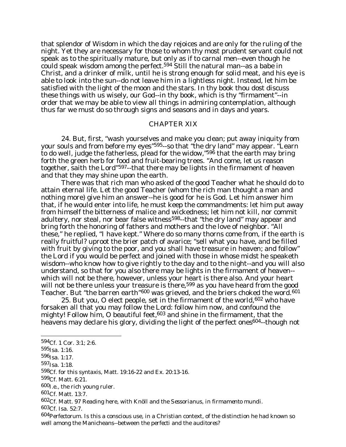that splendor of Wisdom in which the day rejoices and are only for the ruling of the night. Yet they are necessary for those to whom thy most prudent servant could not speak as to the spiritually mature, but only as if to carnal men--even though he could speak wisdom among the perfect.<sup>594</sup> Still the natural man--as a babe in Christ, and a drinker of milk, until he is strong enough for solid meat, and his eye is able to look into the sun--do not leave him in a lightless night. Instead, let him be satisfied with the light of the moon and the stars. In thy book thou dost discuss these things with us wisely, our God--in thy book, which is thy "firmament"--in order that we may be able to view all things in admiring contemplation, although thus far we must do so through signs and seasons and in days and years.

## CHAPTER XIX

24. But, first, "wash yourselves and make you clean; put away iniquity from your souls and from before my eyes"<sup>595</sup>--so that "the dry land" may appear. "Learn to do well, judge the fatherless, plead for the widow,"596 that the earth may bring forth the green herb for food and fruit-bearing trees. "And come, let us reason together, saith the Lord"597--that there may be lights in the firmament of heaven and that they may shine upon the earth.

There was that rich man who asked of the good Teacher what he should do to attain eternal life. Let the good Teacher (whom the rich man thought a man and nothing more) give him an answer--he is good for he is God. Let him answer him that, if he would enter into life, he must keep the commandments: let him put away from himself the bitterness of malice and wickedness; let him not kill, nor commit adultery, nor steal, nor bear false witness<sup>598</sup>--that "the dry land" may appear and bring forth the honoring of fathers and mothers and the love of neighbor. "All these," he replied, "I have kept." Where do so many thorns come from, if the earth is really fruitful? uproot the brier patch of avarice; "sell what you have, and be filled with fruit by giving to the poor, and you shall have treasure in heaven; and follow" the Lord if you would be perfect and joined with those in whose midst he speaketh wisdom--who know how to give rightly to the day and to the night--and you will also understand, so that for you also there may be lights in the firmament of heaven- which will not be there, however, unless your heart is there also. And your heart will not be there unless your treasure is there,<sup>599</sup> as you have heard from the good Teacher. But "the barren earth"<sup>600</sup> was grieved, and the briers choked the word.<sup>601</sup>

25. But you, O elect people, set in the firmament of the world, <sup>602</sup> who have forsaken all that you may follow the Lord: follow him now, and confound the mighty! Follow him, O beautiful feet,  $603$  and shine in the firmament, that the heavens may declare his glory, dividing the light of the perfect ones<sup>604</sup>-though not

599Cf. Matt. 6:21.

<sup>594</sup>Cf. 1 Cor. 3:1; 2:6.

<sup>595</sup>Isa. 1:16.

<sup>596</sup>Isa. 1:17.

<sup>597</sup>Isa. 1:18.

<sup>598</sup>Cf. for this syntaxis, Matt. 19:16-22 and Ex. 20:13-16.

<sup>600</sup>I.e., the rich young ruler.

<sup>601</sup>Cf. Matt. 13:7.

<sup>602</sup>Cf. Matt. 97 Reading here, with Knöll and the *Sessorianus*, *in firmamento mundi*.

 $603$ Cf. Isa. 52:7.

<sup>604</sup>*Perfectorum*. Is this a conscious use, in a Christian context, of the distinction he had known so well among the Manicheans--between the *perfecti* and the *auditores*?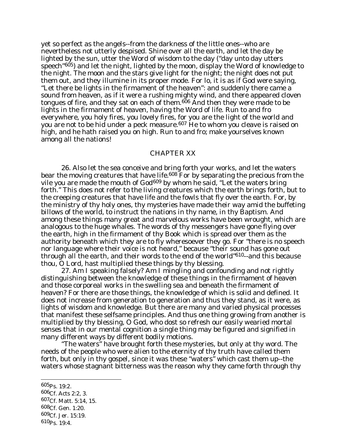yet so perfect as the angels--from the darkness of the little ones--who are nevertheless not utterly despised. Shine over all the earth, and let the day be lighted by the sun, utter the Word of wisdom to the day ("day unto day utters speech<sup>" $605$ </sup>) and let the night, lighted by the moon, display the Word of knowledge to the night. The moon and the stars give light for the night; the night does not put them out, and they illumine in its proper mode. For lo, it is as if God were saying, "Let there be lights in the firmament of the heaven": and suddenly there came a sound from heaven, as if it were a rushing mighty wind, and there appeared cloven tongues of fire, and they sat on each of them. $606$  And then they were made to be lights in the firmament of heaven, having the Word of life. Run to and fro everywhere, you holy fires, you lovely fires, for you are the light of the world and you are not to be hid under a peck measure.<sup>607</sup> He to whom you cleave is raised on high, and he hath raised you on high. Run to and fro; make yourselves known among all the nations!

## CHAPTER XX

26. Also let the sea conceive and bring forth your works, and let the waters bear the moving creatures that have life.<sup>608</sup> For by separating the precious from the vile you are made the mouth of  $God<sup>609</sup>$  by whom he said, "Let the waters bring forth." This does not refer to the living creatures which the earth brings forth, but to the creeping creatures that have life and the fowls that fly over the earth. For, by the ministry of thy holy ones, thy mysteries have made their way amid the buffeting billows of the world, to instruct the nations in thy name, in thy Baptism. And among these things many great and marvelous works have been wrought, which are analogous to the huge whales. The words of thy messengers have gone flying over the earth, high in the firmament of thy Book which is spread over them as the authority beneath which they are to fly wheresoever they go. For "there is no speech nor language where their voice is not heard," because "their sound has gone out through all the earth, and their words to the end of the world"610--and this because thou, O Lord, hast multiplied these things by thy blessing.

27. Am I speaking falsely? Am I mingling and confounding and not rightly distinguishing between the knowledge of these things in the firmament of heaven and those corporeal works in the swelling sea and beneath the firmament of heaven? For there are those things, the knowledge of which is solid and defined. It does not increase from generation to generation and thus they stand, as it were, as lights of wisdom and knowledge. But there are many and varied physical processes that manifest these selfsame principles. And thus one thing growing from another is multiplied by thy blessing, O God, who dost so refresh our easily wearied mortal senses that in our mental cognition a single thing may be figured and signified in many different ways by different bodily motions.

"The waters" have brought forth these mysteries, but only at thy word. The needs of the people who were alien to the eternity of thy truth have called them forth, but only in thy gospel, since it was these "waters" which cast them up--the waters whose stagnant bitterness was the reason why they came forth through thy

- 606Cf. Acts 2:2, 3.
- 607Cf. Matt. 5:14, 15.
- 608Cf. Gen. 1:20.
- 609Cf. Jer. 15:19.
- 610Ps. 19:4.

 $605p_S$  19:2.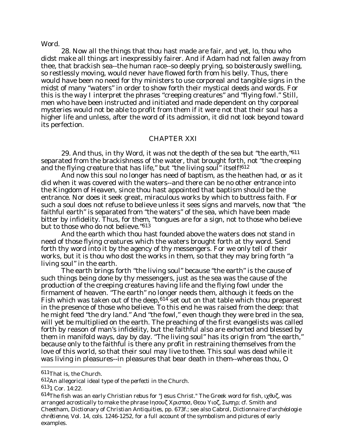Word.

28. Now all the things that thou hast made are fair, and yet, lo, thou who didst make all things art inexpressibly fairer. And if Adam had not fallen away from thee, that brackish sea--the human race--so deeply prying, so boisterously swelling, so restlessly moving, would never have flowed forth from his belly. Thus, there would have been no need for thy ministers to use corporeal and tangible signs in the midst of many "waters" in order to show forth their mystical deeds and words. For this is the way I interpret the phrases "creeping creatures" and "flying fowl." Still, men who have been instructed and initiated and made dependent on thy corporeal mysteries would not be able to profit from them if it were not that their soul has a higher life and unless, after the word of its admission, it did not look beyond toward its perfection.

#### CHAPTER XXI

29. And thus, in thy Word, it was not the depth of the sea but "the earth,"611 separated from the brackishness of the water, that brought forth, not "the creeping and the flying creature that has life," but "the living soul" itself!<sup>612</sup>

And now this soul no longer has need of baptism, as the heathen had, or as it did when it was covered with the waters--and there can be no other entrance into the Kingdom of Heaven, since thou hast appointed that baptism should be the entrance. Nor does it seek great, miraculous works by which to buttress faith. For such a soul does not refuse to believe unless it sees signs and marvels, now that "the faithful earth" is separated from "the waters" of the sea, which have been made bitter by infidelity. Thus, for them, "tongues are for a sign, not to those who believe but to those who do not believe."613

And the earth which thou hast founded above the waters does not stand in need of those flying creatures which the waters brought forth at thy word. Send forth thy word into it by the agency of thy messengers. For we only tell of their works, but it is thou who dost the works in them, so that they may bring forth "a living soul" in the earth.

The earth brings forth "the living soul" because "the earth" is the cause of such things being done by thy messengers, just as the sea was the cause of the production of the creeping creatures having life and the flying fowl under the firmament of heaven. "The earth" no longer needs them, although it feeds on the Fish which was taken out of the deep,  $614$  set out on that table which thou preparest in the presence of those who believe. To this end he was raised from the deep: that he might feed "the dry land." And "the fowl," even though they were bred in the sea, will yet be multiplied on the earth. The preaching of the first evangelists was called forth by reason of man's infidelity, but the faithful also are exhorted and blessed by them in manifold ways, day by day. "The living soul" has its origin from "the earth," because only to the faithful is there any profit in restraining themselves from the love of this world, so that their soul may live to thee. This soul was dead while it was living in pleasures--in pleasures that bear death in them--whereas thou, O

<sup>611</sup>That is, the Church.

<sup>612</sup>An allegorical ideal type of the *perfecti* in the Church.

<sup>613</sup>1 Cor. 14:22.

 $614$ The fish was an early Christian rebus for "Jesus Christ." The Greek word for fish,  $\ldots$  , was arranged acrostically to make the phrase *Industrially* Constants are extended acrostically to make the phrase *cf.* Smith and Cheetham, *Dictionary of Christian Antiquities*, pp. 673f.; see also Cabrol, *Dictionnaire d'archéologie chrétienne*, Vol. 14, cols. 1246-1252, for a full account of the symbolism and pictures of early examples.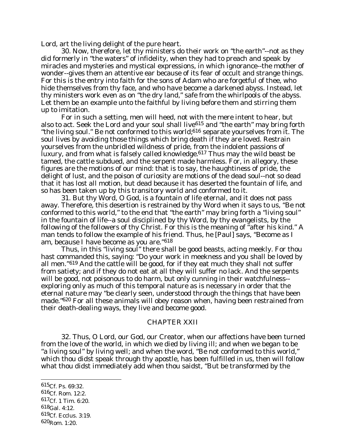Lord, art the living delight of the pure heart.

30. Now, therefore, let thy ministers do their work on "the earth"--not as they did formerly in "the waters" of infidelity, when they had to preach and speak by miracles and mysteries and mystical expressions, in which ignorance--the mother of wonder--gives them an attentive ear because of its fear of occult and strange things. For this is the entry into faith for the sons of Adam who are forgetful of thee, who hide themselves from thy face, and who have become a darkened abyss. Instead, let thy ministers work even as on "the dry land," safe from the whirlpools of the abyss. Let them be an example unto the faithful by living before them and stirring them up to imitation.

For in such a setting, men will heed, not with the mere intent to hear, but also to act. Seek the Lord and your soul shall live<sup>615</sup> and "the earth" may bring forth "the living soul." Be not conformed to this world;616 separate yourselves from it. The soul lives by avoiding those things which bring death if they are loved. Restrain yourselves from the unbridled wildness of pride, from the indolent passions of luxury, and from what is falsely called knowledge.<sup>617</sup> Thus may the wild beast be tamed, the cattle subdued, and the serpent made harmless. For, in allegory, these figures are the motions of our mind: that is to say, the haughtiness of pride, the delight of lust, and the poison of curiosity are motions of the dead soul--not so dead that it has lost all motion, but dead because it has deserted the fountain of life, and so has been taken up by this transitory world and conformed to it.

31. But thy Word, O God, is a fountain of life eternal, and it does not pass away. Therefore, this desertion is restrained by thy Word when it says to us, "Be not conformed to this world," to the end that "the earth" may bring forth a "living soul" in the fountain of life--a soul disciplined by thy Word, by thy evangelists, by the following of the followers of thy Christ. For this is the meaning of "after his kind." A man tends to follow the example of his friend. Thus, he [Paul] says, "Become as I am, because I have become as you are."618

Thus, in this "living soul" there shall be good beasts, acting meekly. For thou hast commanded this, saying: "Do your work in meekness and you shall be loved by all men."619 And the cattle will be good, for if they eat much they shall not suffer from satiety; and if they do not eat at all they will suffer no lack. And the serpents will be good, not poisonous to do harm, but only cunning in their watchfulness- exploring only as much of this temporal nature as is necessary in order that the eternal nature may "be clearly seen, understood through the things that have been made."620 For all these animals will obey reason when, having been restrained from their death-dealing ways, they live and become good.

#### CHAPTER XXII

32. Thus, O Lord, our God, our Creator, when our affections have been turned from the love of the world, in which we died by living ill; and when we began to be "a living soul" by living well; and when the word, "Be not conformed to this world," which thou didst speak through thy apostle, has been fulfilled in us, then will follow what thou didst immediately add when thou saidst, "But be transformed by the

<sup>615</sup>Cf. Ps. 69:32.

<sup>616</sup>Cf. Rom. 12:2.

<sup>617</sup>Cf. 1 Tim. 6:20.

<sup>618</sup>Gal. 4:12.

<sup>619</sup>Cf. Ecclus. 3:19.

<sup>620</sup>Rom. 1:20.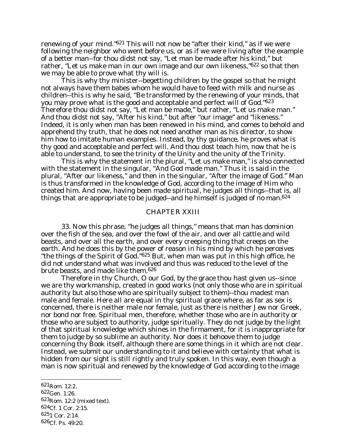renewing of your mind."621 This will not now be "after their kind," as if we were following the neighbor who went before us, or as if we were living after the example of a better man--for thou didst not say, "Let man be made after his kind," but rather, "Let us make man in our own image and our own likeness,"622 so that then we may be able to prove what thy will is.

This is why thy minister--begetting children by the gospel so that he might not always have them babes whom he would have to feed with milk and nurse as children--this is why he said, "Be transformed by the renewing of your minds, that you may prove what is the good and acceptable and perfect will of God." $\rm ^{623}$ Therefore thou didst not say, "Let man be made," but rather, "Let us make man." And thou didst not say, "After his kind," but after "our image" and "likeness." Indeed, it is only when man has been renewed in his mind, and comes to behold and apprehend thy truth, that he does not need another man as his director, to show him how to imitate human examples. Instead, by thy guidance, he proves what is thy good and acceptable and perfect will. And thou dost teach him, now that he is able to understand, to see the trinity of the Unity and the unity of the Trinity.

This is why the statement in the plural, "Let us make man," is also connected with the statement in the singular, "And God made man." Thus it is said in the plural, "After our likeness," and then in the singular, "After the image of God." Man is thus transformed in the knowledge of God, according to the image of Him who created him. And now, having been made spiritual, he judges all things--that is, all things that are appropriate to be judged--and he himself is judged of no man.624

# CHAPTER XXIII

33. Now this phrase, "he judges all things," means that man has dominion over the fish of the sea, and over the fowl of the air, and over all cattle and wild beasts, and over all the earth, and over every creeping thing that creeps on the earth. And he does this by the power of reason in his mind by which he perceives "the things of the Spirit of God."625 But, when man was put in this high office, he did not understand what was involved and thus was reduced to the level of the brute beasts, and made like them.626

Therefore in thy Church, O our God, by the grace thou hast given us--since we are thy workmanship, created in good works (not only those who are in spiritual authority but also those who are spiritually subject to them)--thou madest man male and female. Here all are equal in thy spiritual grace where, as far as sex is concerned, there is neither male nor female, just as there is neither Jew nor Greek, nor bond nor free. Spiritual men, therefore, whether those who are in authority or those who are subject to authority, judge spiritually. They do not judge by the light of that spiritual knowledge which shines in the firmament, for it is inappropriate for them to judge by so sublime an authority. Nor does it behoove them to judge concerning thy Book itself, although there are some things in it which are not clear. Instead, we submit our understanding to it and believe with certainty that what is hidden from our sight is still rightly and truly spoken. In this way, even though a man is now spiritual and renewed by the knowledge of God according to the image

 $621$ Rom.  $12:2$ .

<sup>622</sup>Gen. 1:26. 623Rom. 12:2 (mixed text). 624Cf. 1 Cor. 2:15.  $6251$  Cor. 2:14. 626Cf. Ps. 49:20.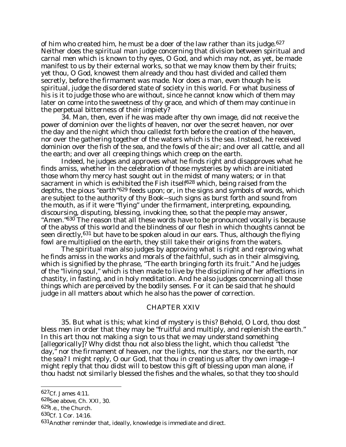of him who created him, he must be a doer of the law rather than its judge.<sup>627</sup> Neither does the spiritual man judge concerning that division between spiritual and carnal men which is known to thy eyes, O God, and which may not, as yet, be made manifest to us by their external works, so that we may know them by their fruits; yet thou, O God, knowest them already and thou hast divided and called them secretly, before the firmament was made. Nor does a man, even though he is spiritual, judge the disordered state of society in this world. For what business of his is it to judge those who are without, since he cannot know which of them may later on come into the sweetness of thy grace, and which of them may continue in the perpetual bitterness of their impiety?

34. Man, then, even if he was made after thy own image, did not receive the power of dominion over the lights of heaven, nor over the secret heaven, nor over the day and the night which thou calledst forth before the creation of the heaven, nor over the gathering together of the waters which is the sea. Instead, he received dominion over the fish of the sea, and the fowls of the air; and over all cattle, and all the earth; and over all creeping things which creep on the earth.

Indeed, he judges and approves what he finds right and disapproves what he finds amiss, whether in the celebration of those mysteries by which are initiated those whom thy mercy hast sought out in the midst of many waters; or in that sacrament in which is exhibited the Fish itself $628$  which, being raised from the depths, the pious "earth"629 feeds upon; or, in the signs and symbols of words, which are subject to the authority of thy Book--such signs as burst forth and sound from the mouth, as if it were "flying" under the firmament, interpreting, expounding, discoursing, disputing, blessing, invoking thee, so that the people may answer, "Amen."630 The reason that all these words have to be pronounced vocally is because of the abyss of this world and the blindness of our flesh in which thoughts cannot be seen directly,631 but have to be spoken aloud in our ears. Thus, although the flying fowl are multiplied on the earth, they still take their origins from the waters.

The spiritual man also judges by approving what is right and reproving what he finds amiss in the works and morals of the faithful, such as in their almsgiving, which is signified by the phrase, "The earth bringing forth its fruit." And he judges of the "living soul," which is then made to live by the disciplining of her affections in chastity, in fasting, and in holy meditation. And he also judges concerning all those things which are perceived by the bodily senses. For it can be said that he should judge in all matters about which he also has the power of correction.

# CHAPTER XXIV

35. But what is this; what kind of mystery is this? Behold, O Lord, thou dost bless men in order that they may be "fruitful and multiply, and replenish the earth." In this art thou not making a sign to us that we may understand something [allegorically]? Why didst thou not also bless the light, which thou calledst "the day," nor the firmament of heaven, nor the lights, nor the stars, nor the earth, nor the sea? I might reply, O our God, that thou in creating us after thy own image--I might reply that thou didst will to bestow this gift of blessing upon man alone, if thou hadst not similarly blessed the fishes and the whales, so that they too should

<sup>627</sup>Cf. James 4:11.

<sup>628</sup>See above, Ch. XXI, 30.

<sup>629</sup>I.e., the Church.

<sup>630</sup>Cf. 1 Cor. 14:16.

<sup>631</sup>Another reminder that, ideally, knowledge is immediate and direct.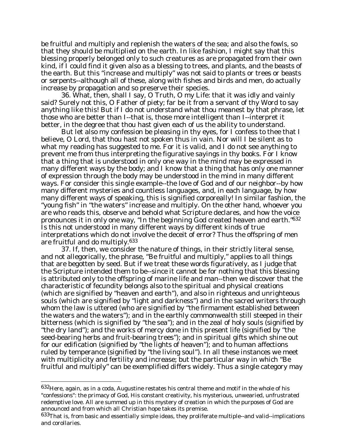be fruitful and multiply and replenish the waters of the sea; and also the fowls, so that they should be multiplied on the earth. In like fashion, I might say that this blessing properly belonged only to such creatures as are propagated from their own kind, if I could find it given also as a blessing to trees, and plants, and the beasts of the earth. But this "increase and multiply" was not said to plants or trees or beasts or serpents--although all of these, along with fishes and birds and men, do actually increase by propagation and so preserve their species.

36. What, then, shall I say, O Truth, O my Life: that it was idly and vainly said? Surely not this, O Father of piety; far be it from a servant of thy Word to say anything like this! But if I do not understand what thou meanest by that phrase, let those who are better than I--that is, those more intelligent than I--interpret it better, in the degree that thou hast given each of us the ability to understand.

But let also my confession be pleasing in thy eyes, for I confess to thee that I believe, O Lord, that thou hast not spoken thus in vain. Nor will I be silent as to what my reading has suggested to me. For it is valid, and I do not see anything to prevent me from thus interpreting the figurative sayings in thy books. For I know that a thing that is understood in only one way in the mind may be expressed in many different ways by the body; and I know that a thing that has only one manner of expression through the body may be understood in the mind in many different ways. For consider this single example--the love of God and of our neighbor--by how many different mysteries and countless languages, and, in each language, by how many different ways of speaking, this is signified corporeally! In similar fashion, the "young fish" in "the waters" increase and multiply. On the other hand, whoever you are who reads this, observe and behold what Scripture declares, and how the voice pronounces it *in only one way*, "In the beginning God created heaven and earth."632 Is this not understood in many different ways by different kinds of true interpretations which do not involve the deceit of error? Thus the offspring of men are fruitful and do multiply.633

37. If, then, we consider the nature of things, in their strictly literal sense, and not allegorically, the phrase, "Be fruitful and multiply," applies to all things that are begotten by seed. But if we treat these words figuratively, as I judge that the Scripture intended them to be--since it cannot be for nothing that this blessing is attributed only to the offspring of marine life and man--then we discover that the characteristic of fecundity belongs also to the spiritual and physical creations (which are signified by "heaven and earth"), and also in righteous and unrighteous souls (which are signified by "light and darkness") and in the sacred writers through whom the law is uttered (who are signified by "the firmament established between the waters and the waters"); and in the earthly commonwealth still steeped in their bitterness (which is signified by "the sea"); and in the zeal of holy souls (signified by "the dry land"); and the works of mercy done in this present life (signified by "the seed-bearing herbs and fruit-bearing trees"); and in spiritual gifts which shine out for our edification (signified by "the lights of heaven"); and to human affections ruled by temperance (signified by "the living soul"). In all these instances we meet with multiplicity and fertility and increase; but the particular way in which "Be fruitful and multiply" can be exemplified differs widely. Thus a single category may

 $632$ Here, again, as in a coda, Augustine restates his central theme and motif in the whole of his "confessions": the primacy of God, His constant creativity, his mysterious, unwearied, unfrustrated redemptive love. All are summed up in this mystery of creation in which the purposes of God are announced and from which all Christian hope takes its premise.

<sup>633</sup>That is, from basic and essentially simple ideas, they proliferate multiple--and valid--implications and corollaries.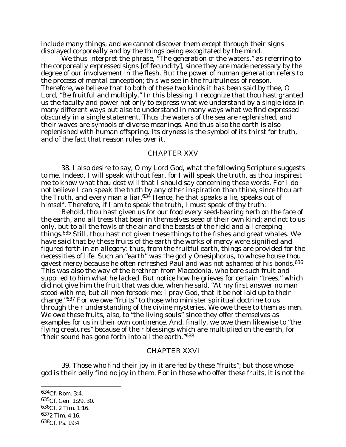include many things, and we cannot discover them except through their signs displayed corporeally and by the things being excogitated by the mind.

We thus interpret the phrase, "The generation of the waters," as referring to the corporeally expressed signs [of fecundity], since they are made necessary by the degree of our involvement in the flesh. But the power of human generation refers to the process of mental conception; this we see in the fruitfulness of reason. Therefore, we believe that to both of these two kinds it has been said by thee, O Lord, "Be fruitful and multiply." In this blessing, I recognize that thou hast granted us the faculty and power not only to express what we understand by a single idea in many different ways but also to understand in many ways what we find expressed obscurely in a single statement. Thus the waters of the sea are replenished, and their waves are symbols of diverse meanings. And thus also the earth is also replenished with human offspring. Its dryness is the symbol of its thirst for truth, and of the fact that reason rules over it.

#### CHAPTER XXV

38. I also desire to say, O my Lord God, what the following Scripture suggests to me. Indeed, I will speak without fear, for I will speak the truth, as thou inspirest me to know what thou dost will that I should say concerning these words. For I do not believe I can speak the truth by any other inspiration than thine, since thou art the Truth, and every man a liar.634 Hence, he that speaks a lie, speaks out of himself. Therefore, if I am to speak the truth, I must speak of thy truth.

Behold, thou hast given us for our food every seed-bearing herb on the face of the earth, and all trees that bear in themselves seed of their own kind; and not to us only, but to all the fowls of the air and the beasts of the field and all creeping things.635 Still, thou hast not given these things to the fishes and great whales. We have said that by these fruits of the earth the works of mercy were signified and figured forth in an allegory: thus, from the fruitful earth, things are provided for the necessities of life. Such an "earth" was the godly Onesiphorus, to whose house thou gavest mercy because he often refreshed Paul and was not ashamed of his bonds. $^{636}$ This was also the way of the brethren from Macedonia, who bore such fruit and supplied to him what he lacked. But notice how he grieves for certain "trees," which did not give him the fruit that was due, when he said, "At my first answer no man stood with me, but all men forsook me: I pray God, that it be not laid up to their charge."637 For we owe "fruits" to those who minister spiritual doctrine to us through their understanding of the divine mysteries. We owe these to them as men. We owe these fruits, also, to "the living souls" since they offer themselves as examples for us in their own continence. And, finally, we owe them likewise to "the flying creatures" because of their blessings which are multiplied on the earth, for "their sound has gone forth into all the earth."638

## CHAPTER XXVI

39. Those who find their joy in it are fed by these "fruits"; but those whose god is their belly find no joy in them. For in those who offer these fruits, it is not the

<sup>634</sup>Cf. Rom. 3:4.

<sup>635</sup>Cf. Gen. 1:29, 30. 636Cf. 2 Tim. 1:16. 6372 Tim. 4:16.

<sup>638</sup>Cf. Ps. 19:4.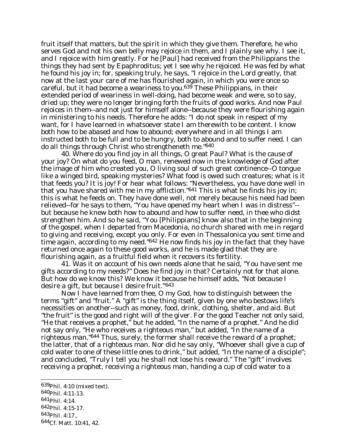fruit itself that matters, but the spirit in which they give them. Therefore, he who serves God and not his own belly may rejoice in them, and I plainly see why. I see it, and I rejoice with him greatly. For he [Paul] had received from the Philippians the things they had sent by Epaphroditus; yet I see why he rejoiced. He was fed by what he found his joy in; for, speaking truly, he says, "I rejoice in the Lord greatly, that now at the last your care of me has flourished again, in which you were once so careful, but it had become a weariness to you.<sup>639</sup> These Philippians, in their extended period of weariness in well-doing, had become weak and were, so to say, dried up; they were no longer bringing forth the fruits of good works. And now Paul rejoices in them--and not just for himself alone--because they were flourishing again in ministering to his needs. Therefore he adds: "I do not speak in respect of my want, for I have learned in whatsoever state I am therewith to be content. I know both how to be abased and how to abound; everywhere and in all things I am instructed both to be full and to be hungry, both to abound and to suffer need. I can do all things through Christ who strengtheneth me."640

40. Where do you find joy in all things, O great Paul? What is the cause of your joy? On what do you feed, O man, renewed now in the knowledge of God after the image of him who created you, O living soul of such great continence--O tongue like a winged bird, speaking mysteries? What food is owed such creatures; what is it that feeds you? It is joy! For hear what follows: "Nevertheless, you have done well in that you have shared with me in my affliction."641 This is what he finds his joy in; this is what he feeds on. They have done well, not merely because his need had been relieved--for he says to them, "You have opened my heart when I was in distress"- but because he knew both how to abound and how to suffer need, in thee who didst strengthen him. And so he said, "You [Philippians] know also that in the beginning of the gospel, when I departed from Macedonia, no church shared with me in regard to giving and receiving, except you only. For even in Thessalonica you sent time and time again, according to my need."642 He now finds his joy in the fact that they have returned once again to these good works, and he is made glad that they are flourishing again, as a fruitful field when it recovers its fertility.

41. Was it on account of his own needs alone that he said, "You have sent me gifts according to my needs?" Does he find joy in that? Certainly not for that alone. But how do we know this? We know it because he himself adds, "Not because I desire a gift, but because I desire fruit."643

Now I have learned from thee, O my God, how to distinguish between the terms "gift" and "fruit." A "gift" is the thing itself, given by one who bestows life's necessities on another--such as money, food, drink, clothing, shelter, and aid. But "the fruit" is the good and right will of the giver. For the good Teacher not only said, "He that receives a prophet," but he added, "In the name of a prophet." And he did not say only, "He who receives a righteous man," but added, "In the name of a righteous man."644 Thus, surely, the former shall receive the reward of a prophet; the latter, that of a righteous man. Nor did he say only, "Whoever shall give a cup of cold water to one of these little ones to drink," but added, "In the name of a disciple"; and concluded, "Truly I tell you he shall not lose his reward." The "gift" involves receiving a prophet, receiving a righteous man, handing a cup of cold water to a

639Phil. 4:10 (mixed text). 640Phil. 4:11-13. 641Phil. 4:14.

- 642Phil. 4:15-17.
- 643Phil. 4:17.,
- 644Cf. Matt. 10:41, 42.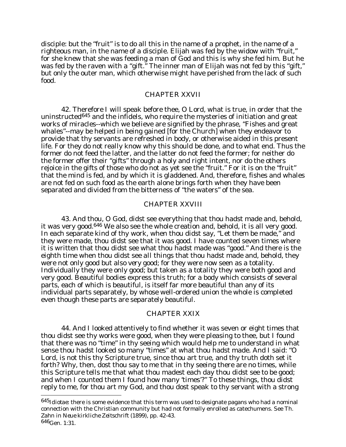disciple: but the "fruit" is to do all this in the name of a prophet, in the name of a righteous man, in the name of a disciple. Elijah was fed by the widow with "fruit," for she knew that she was feeding a man of God and this is why she fed him. But he was fed by the raven with a "gift." The inner man of Elijah was not fed by this "gift," but only the outer man, which otherwise might have perished from the lack of such food.

## CHAPTER XXVII

42. Therefore I will speak before thee, O Lord, what is true, in order that the uninstructed645 and the infidels, who require the mysteries of initiation and great works of miracles--which we believe are signified by the phrase, "Fishes and great whales"--may be helped in being gained [for the Church] when they endeavor to provide that thy servants are refreshed in body, or otherwise aided in this present life. For they do not really know why this should be done, and to what end. Thus the former do not feed the latter, and the latter do not feed the former; for neither do the former offer their "gifts" through a holy and right intent, nor do the others rejoice in the gifts of those who do not as yet see the "fruit." For it is on the "fruit" that the mind is fed, and by which it is gladdened. And, therefore, fishes and whales are not fed on such food as the earth alone brings forth when they have been separated and divided from the bitterness of "the waters" of the sea.

#### CHAPTER XXVIII

43. And thou, O God, didst see everything that thou hadst made and, behold, it was very good.646 We also see the whole creation and, behold, it is all very good. In each separate kind of thy work, when thou didst say, "Let them be made," and they were made, thou didst see that it was good. I have counted seven times where it is written that thou didst see what thou hadst made was "good." And there is the eighth time when thou didst see *all* things that thou hadst made and, behold, they were not only good but also *very* good; for they were now seen as a totality. Individually they were only good; but taken as a totality they were both good and very good. Beautiful bodies express this truth; for a body which consists of several parts, each of which is beautiful, is itself far more beautiful than any of its individual parts separately, by whose well-ordered union the whole is completed even though these parts are separately beautiful.

## CHAPTER XXIX

44. And I looked attentively to find whether it was seven or eight times that thou didst see thy works were good, when they were pleasing to thee, but I found that there was no "time" in thy seeing which would help me to understand in what sense thou hadst looked so many "times" at what thou hadst made. And I said: "O Lord, is not this thy Scripture true, since thou art true, and thy truth doth set it forth? Why, then, dost thou say to me that in thy seeing there are no times, while this Scripture tells me that what thou madest each day thou didst see to be good; and when I counted them I found how many 'times'?" To these things, thou didst reply to me, for thou art my God, and thou dost speak to thy servant with a strong

<sup>645</sup>*Idiotae*: there is some evidence that this term was used to designate pagans who had a nominal connection with the Christian community but had not formally enrolled as catechumens. See Th. Zahn in *Neue kirkliche Zeitschrift* (1899), pp. 42-43. 646Gen. 1:31.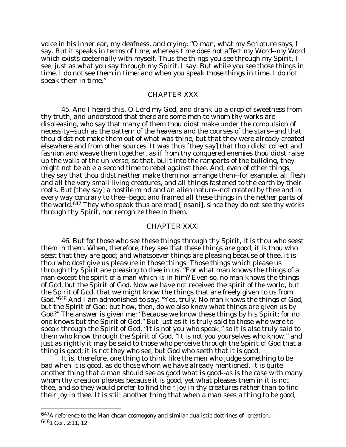voice in his inner ear, my deafness, and crying: "O man, what my Scripture says, I say. But it speaks in terms of time, whereas time does not affect my Word--my Word which exists coeternally with myself. Thus the things you see through my Spirit, I see; just as what you say through my Spirit, I say. But while you see those things in time, I do not see them in time; and when you speak those things in time, I do not speak them in time."

## CHAPTER XXX

45. And I heard this, O Lord my God, and drank up a drop of sweetness from thy truth, and understood that there are some men to whom thy works are displeasing, who say that many of them thou didst make under the compulsion of necessity--such as the pattern of the heavens and the courses of the stars--and that thou didst not make them out of what was thine, but that they were already created elsewhere and from other sources. It was thus [they say] that thou didst collect and fashion and weave them together, as if from thy conquered enemies thou didst raise up the walls of the universe; so that, built into the ramparts of the building, they might not be able a second time to rebel against thee. And, even of other things, they say that thou didst neither make them nor arrange them--for example, all flesh and all the very small living creatures, and all things fastened to the earth by their roots. But [they say] a hostile mind and an alien nature--not created by thee and in every way contrary to thee--begot and framed all these things in the nether parts of the world.647 They who speak thus are mad [*insani*], since they do not see thy works through thy Spirit, nor recognize thee in them.

### CHAPTER XXXI

46. But for those who see these things through thy Spirit, it is thou who seest them in them. When, therefore, they see that these things are good, it is thou who seest that they are good; and whatsoever things are pleasing because of thee, it is thou who dost give us pleasure in those things. Those things which please us through thy Spirit are pleasing to thee in us. "For what man knows the things of a man except the spirit of a man which is in him? Even so, no man knows the things of God, but the Spirit of God. Now we have not received the spirit of the world, but the Spirit of God, that we might know the things that are freely given to us from God."648 And I am admonished to say: "Yes, truly. No man knows the things of God, but the Spirit of God: but how, then, do we also know what things are given us by God?" The answer is given me: "Because we know these things by his Spirit; for no one knows but the Spirit of God." But just as it is truly said to those who were to speak through the Spirit of God, "It is not you who speak," so it is also truly said to them who know through the Spirit of God, "It is not you yourselves who know," and just as rightly it may be said to those who perceive through the Spirit of God that a thing is good; it is not they who see, but God who seeth that it is good.

It is, therefore, one thing to think like the men who judge something to be bad when it is good, as do those whom we have already mentioned. It is quite another thing that a man should see as good what is good--as is the case with many whom thy creation pleases because it is good, yet what pleases them in it is not thee, and so they would prefer to find their joy in thy creatures rather than to find their joy in thee. It is still another thing that when a man sees a thing to be good,

 $647A$  reference to the Manichean cosmogony and similar dualistic doctrines of "creation." 6481 Cor. 2:11, 12.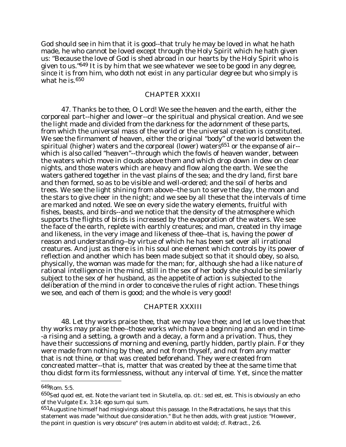God should see in him that it is good--that truly he may be loved in what he hath made, he who cannot be loved except through the Holy Spirit which he hath given us: "Because the love of God is shed abroad in our hearts by the Holy Spirit who is given to us."649 It is by him that we see whatever we see to be good in any degree, since it is from him, who doth not exist in any particular degree but who simply is what he is  $650$ 

## CHAPTER XXXII

47. Thanks be to thee, O Lord! We see the heaven and the earth, either the corporeal part--higher and lower--or the spiritual and physical creation. And we see the light made and divided from the darkness for the adornment of these parts, from which the universal mass of the world or the universal creation is constituted. We see the firmament of heaven, either the original "body" of the world between the spiritual (higher) waters and the corporeal (lower) waters $651$  or the expanse of air-which is also called "heaven"--through which the fowls of heaven wander, between the waters which move in clouds above them and which drop down in dew on clear nights, and those waters which are heavy and flow along the earth. We see the waters gathered together in the vast plains of the sea; and the dry land, first bare and then formed, so as to be visible and well-ordered; and the soil of herbs and trees. We see the light shining from above--the sun to serve the day, the moon and the stars to give cheer in the night; and we see by all these that the intervals of time are marked and noted. We see on every side the watery elements, fruitful with fishes, beasts, and birds--and we notice that the density of the atmosphere which supports the flights of birds is increased by the evaporation of the waters. We see the face of the earth, replete with earthly creatures; and man, created in thy image and likeness, in the very image and likeness of thee--that is, having the power of reason and understanding--by virtue of which he has been set over all irrational creatures. And just as there is in his soul one element which controls by its power of reflection and another which has been made subject so that it should obey, so also, physically, the woman was made for the man; for, although she had a like nature of rational intelligence in the mind, still in the sex of her body she should be similarly subject to the sex of her husband, as the appetite of action is subjected to the deliberation of the mind in order to conceive the rules of right action. These things we see, and each of them is good; and the whole is very good!

# CHAPTER XXXIII

48. Let thy works praise thee, that we may love thee; and let us love thee that thy works may praise thee--those works which have a beginning and an end in time- -a rising and a setting, a growth and a decay, a form and a privation. Thus, they have their successions of morning and evening, partly hidden, partly plain. For they were made from nothing by thee, and not from thyself, and not from any matter that is not thine, or that was created beforehand. They were created from concreated matter--that is, matter that was created by thee at the same time that thou didst form its formlessness, without any interval of time. Yet, since the matter

<sup>649</sup>Rom. 5:5.

<sup>650</sup>*Sed quod est, est*. Note the variant text in Skutella, *op. cit*.: *sed est, est*. This is obviously an echo of the Vulgate Ex. 3:14: *ego sum qui sum*.

<sup>651</sup>Augustine himself had misgivings about this passage. In the *Retractations*, he says that this statement was made "without due consideration." But he then adds, with great justice: "However, the point in question is very obscure" (*res autem in abdito est valde*); cf. *Retract*., 2:6.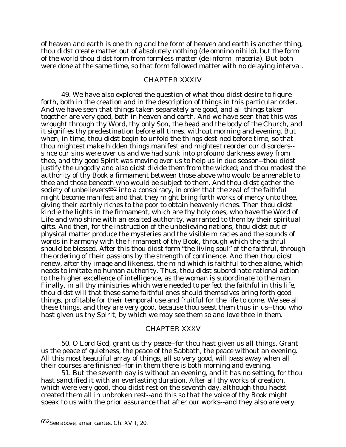of heaven and earth is one thing and the form of heaven and earth is another thing, thou didst create matter out of absolutely nothing (*de omnino nihilo*), but the form of the world thou didst form from formless matter (*de informi materia*). But both were done at the same time, so that form followed matter with no delaying interval.

## CHAPTER XXXIV

49. We have also explored the question of what thou didst desire to figure forth, both in the creation and in the description of things in this particular order. And we have seen that things taken separately are good, and all things taken together are very good, both in heaven and earth. And we have seen that this was wrought through thy Word, thy only Son, the head and the body of the Church, and it signifies thy predestination before all times, without morning and evening. But when, in time, thou didst begin to unfold the things destined before time, so that thou mightest make hidden things manifest and mightest reorder our disorders- since our sins were over us and we had sunk into profound darkness away from thee, and thy good Spirit was moving over us to help us in due season--thou didst justify the ungodly and also didst divide them from the wicked; and thou madest the authority of thy Book a firmament between those above who would be amenable to thee and those beneath who would be subject to them. And thou didst gather the society of unbelievers<sup>652</sup> into a conspiracy, in order that the zeal of the faithful might become manifest and that they might bring forth works of mercy unto thee, giving their earthly riches to the poor to obtain heavenly riches. Then thou didst kindle the lights in the firmament, which are thy holy ones, who have the Word of Life and who shine with an exalted authority, warranted to them by their spiritual gifts. And then, for the instruction of the unbelieving nations, thou didst out of physical matter produce the mysteries and the visible miracles and the sounds of words in harmony with the firmament of thy Book, through which the faithful should be blessed. After this thou didst form "the living soul" of the faithful, through the ordering of their passions by the strength of continence. And then thou didst renew, after thy image and likeness, the mind which is faithful to thee alone, which needs to imitate no human authority. Thus, thou didst subordinate rational action to the higher excellence of intelligence, as the woman is subordinate to the man. Finally, in all thy ministries which were needed to perfect the faithful in this life, thou didst will that these same faithful ones should themselves bring forth good things, profitable for their temporal use and fruitful for the life to come. We see all these things, and they are very good, because thou seest them thus in us--thou who hast given us thy Spirit, by which we may see them so and love thee in them.

## CHAPTER XXXV

50. O Lord God, grant us thy peace--for thou hast given us all things. Grant us the peace of quietness, the peace of the Sabbath, the peace without an evening. All this most beautiful array of things, all so very good, will pass away when all their courses are finished--for in them there is both morning and evening.

51. But the seventh day is without an evening, and it has no setting, for thou hast sanctified it with an everlasting duration. After all thy works of creation, which were very good, thou didst rest on the seventh day, although thou hadst created them all in unbroken rest--and this so that the voice of thy Book might speak to us with the prior assurance that after our works--and they also are very

<sup>652</sup>See above, *amaricantes*, Ch. XVII, 20.